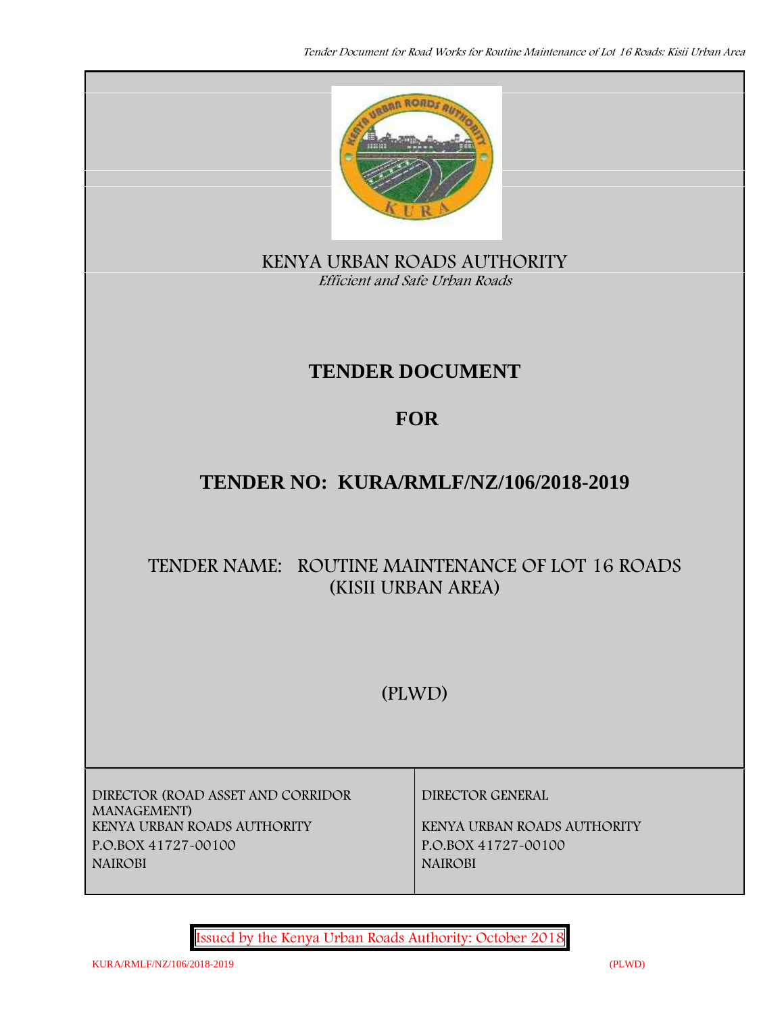

**KENYA URBAN ROADS AUTHORITY** *Efficient and Safe Urban Roads*

# **TENDER DOCUMENT**

# **FOR**

# **TENDER NO: KURA/RMLF/NZ/106/2018-2019**

# **TENDER NAME: ROUTINE MAINTENANCE OF LOT 16 ROADS (KISII URBAN AREA)**

# **(PLWD)**

**DIRECTOR (ROAD ASSET AND CORRIDOR MANAGEMENT) P.O.BOX 41727-00100 P.O.BOX 41727-00100 NAIROBI NAIROBI**

**DIRECTOR GENERAL**

**KENYA URBAN ROADS AUTHORITY KENYA URBAN ROADS AUTHORITY**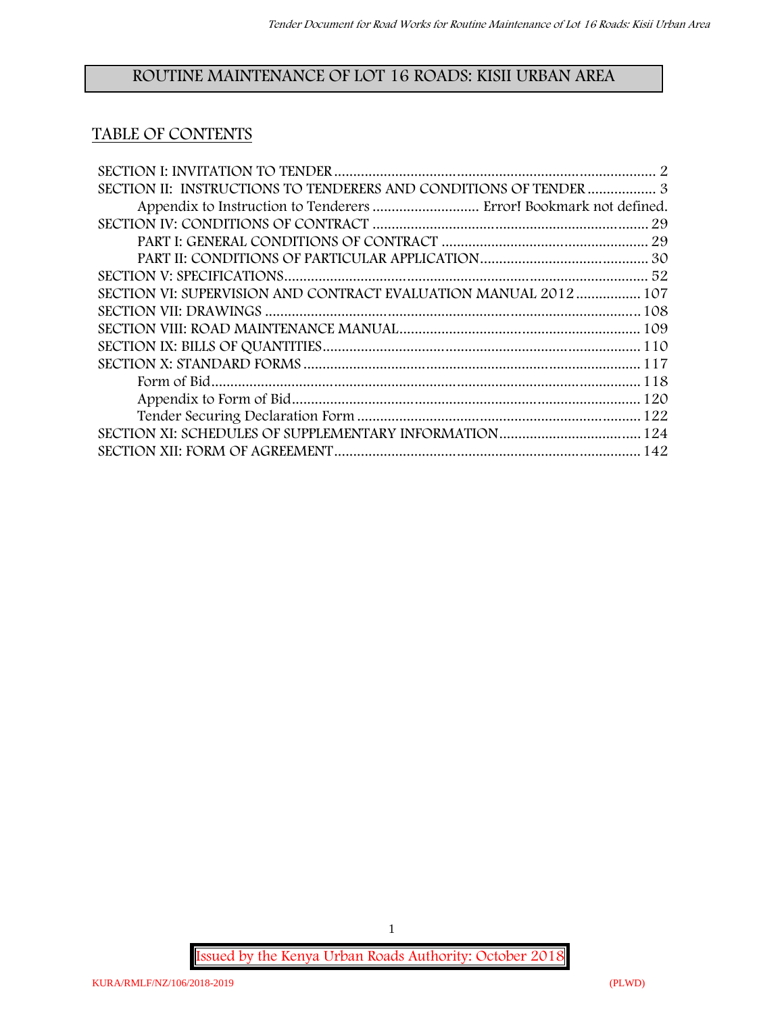# **ROUTINE MAINTENANCE OF LOT 16 ROADS: KISII URBAN AREA**

# **TABLE OF CONTENTS**

| SECTION II: INSTRUCTIONS TO TENDERERS AND CONDITIONS OF TENDER  3 |  |
|-------------------------------------------------------------------|--|
|                                                                   |  |
|                                                                   |  |
|                                                                   |  |
|                                                                   |  |
|                                                                   |  |
| SECTION VI: SUPERVISION AND CONTRACT EVALUATION MANUAL 2012  107  |  |
|                                                                   |  |
|                                                                   |  |
|                                                                   |  |
|                                                                   |  |
|                                                                   |  |
|                                                                   |  |
|                                                                   |  |
|                                                                   |  |
|                                                                   |  |

**Issued by the Kenya Urban Roads Authority: October 2018**

1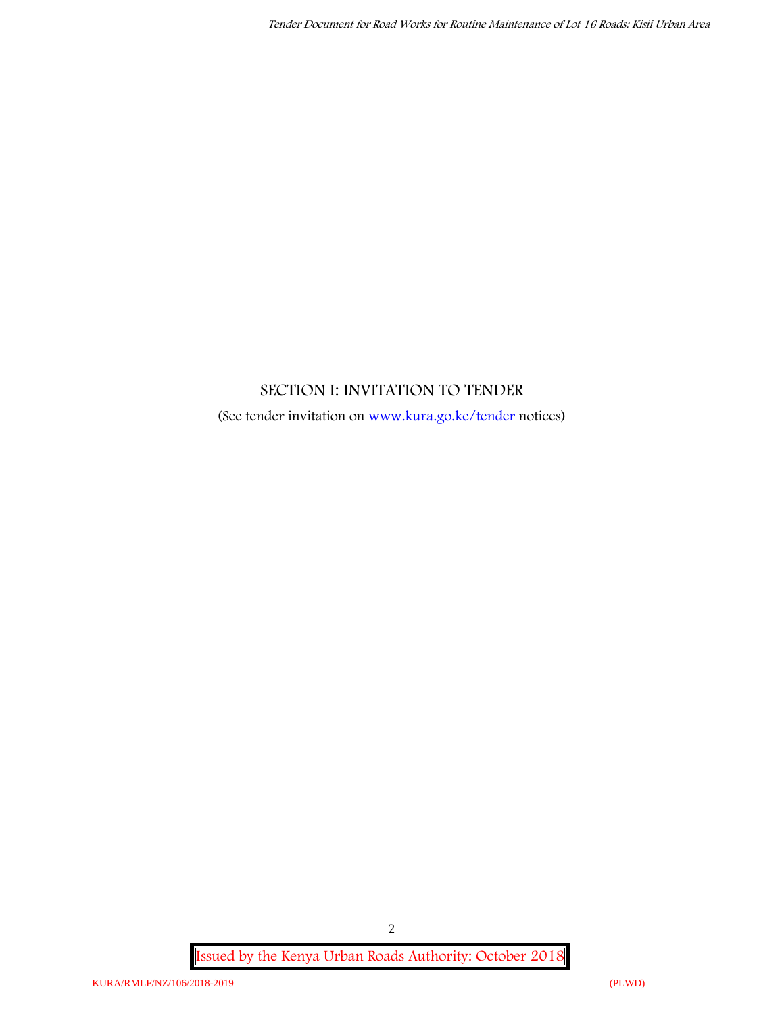# **SECTION I: INVITATION TO TENDER**

(See tender invitation on www.kura.go.ke/tender notices)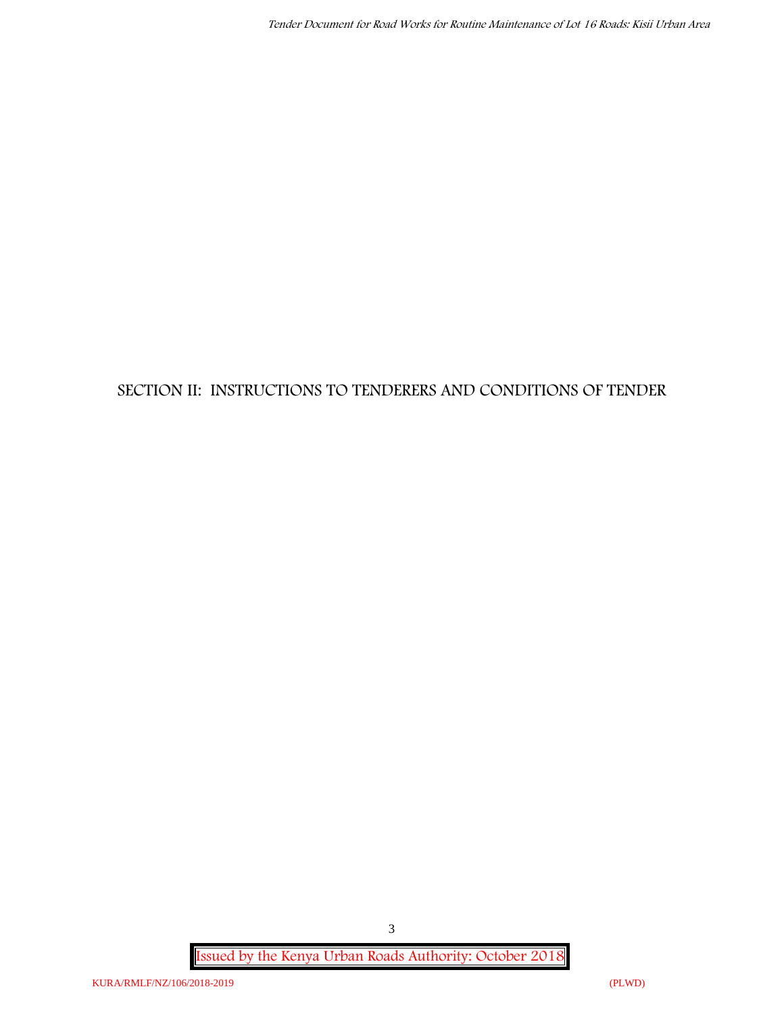# **SECTION II: INSTRUCTIONS TO TENDERERS AND CONDITIONS OF TENDER**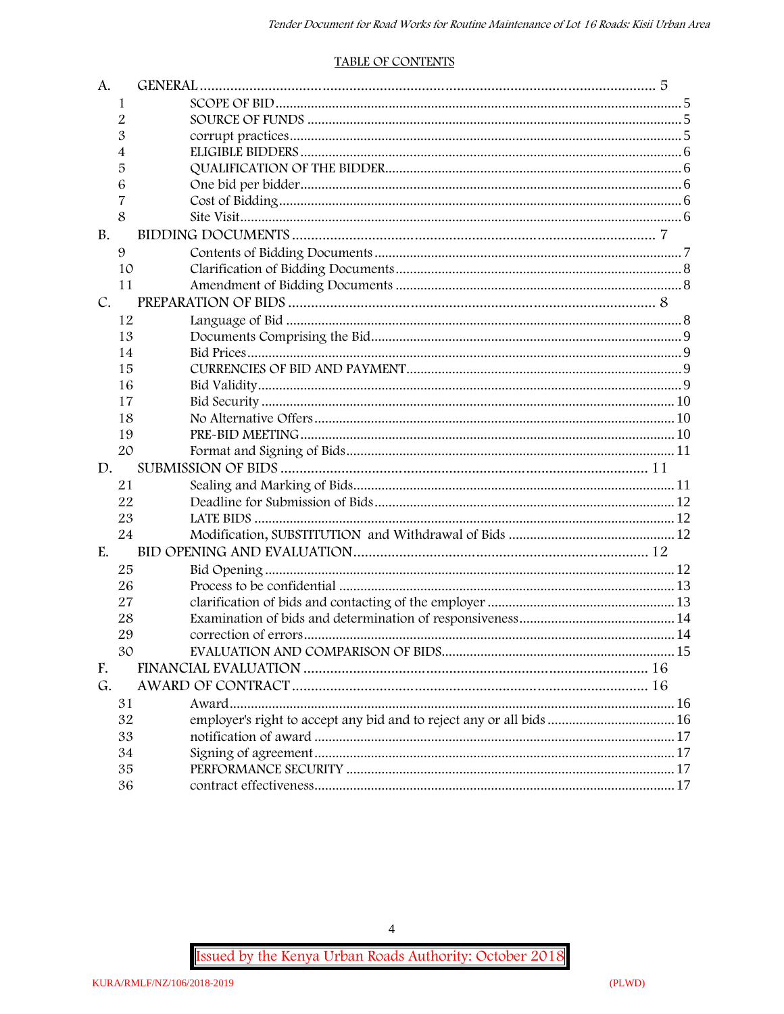#### **TABLE OF CONTENTS**

| A.            |    |                                                                      |  |
|---------------|----|----------------------------------------------------------------------|--|
|               | 1  |                                                                      |  |
|               | 2  |                                                                      |  |
|               | 3  |                                                                      |  |
|               | 4  |                                                                      |  |
|               | 5  |                                                                      |  |
|               | 6  |                                                                      |  |
|               | 7  |                                                                      |  |
|               | 8  |                                                                      |  |
| <b>B.</b>     |    |                                                                      |  |
|               | 9  |                                                                      |  |
|               | 10 |                                                                      |  |
|               | 11 |                                                                      |  |
| $C_{\bullet}$ |    |                                                                      |  |
|               | 12 |                                                                      |  |
|               | 13 |                                                                      |  |
|               | 14 |                                                                      |  |
|               | 15 |                                                                      |  |
|               | 16 |                                                                      |  |
|               | 17 |                                                                      |  |
|               | 18 |                                                                      |  |
|               | 19 |                                                                      |  |
|               | 20 |                                                                      |  |
| D.            |    |                                                                      |  |
|               | 21 |                                                                      |  |
|               | 22 |                                                                      |  |
|               | 23 |                                                                      |  |
|               | 24 |                                                                      |  |
| E.            |    |                                                                      |  |
|               | 25 |                                                                      |  |
|               | 26 |                                                                      |  |
|               | 27 |                                                                      |  |
|               | 28 |                                                                      |  |
|               | 29 |                                                                      |  |
|               | 30 |                                                                      |  |
| F.            |    |                                                                      |  |
| G.            |    |                                                                      |  |
|               | 31 |                                                                      |  |
|               | 32 | employer's right to accept any bid and to reject any or all bids  16 |  |
|               | 33 |                                                                      |  |
|               | 34 |                                                                      |  |
|               | 35 |                                                                      |  |
|               | 36 |                                                                      |  |

Issued by the Kenya Urban Roads Authority: October 2018

 $\overline{4}$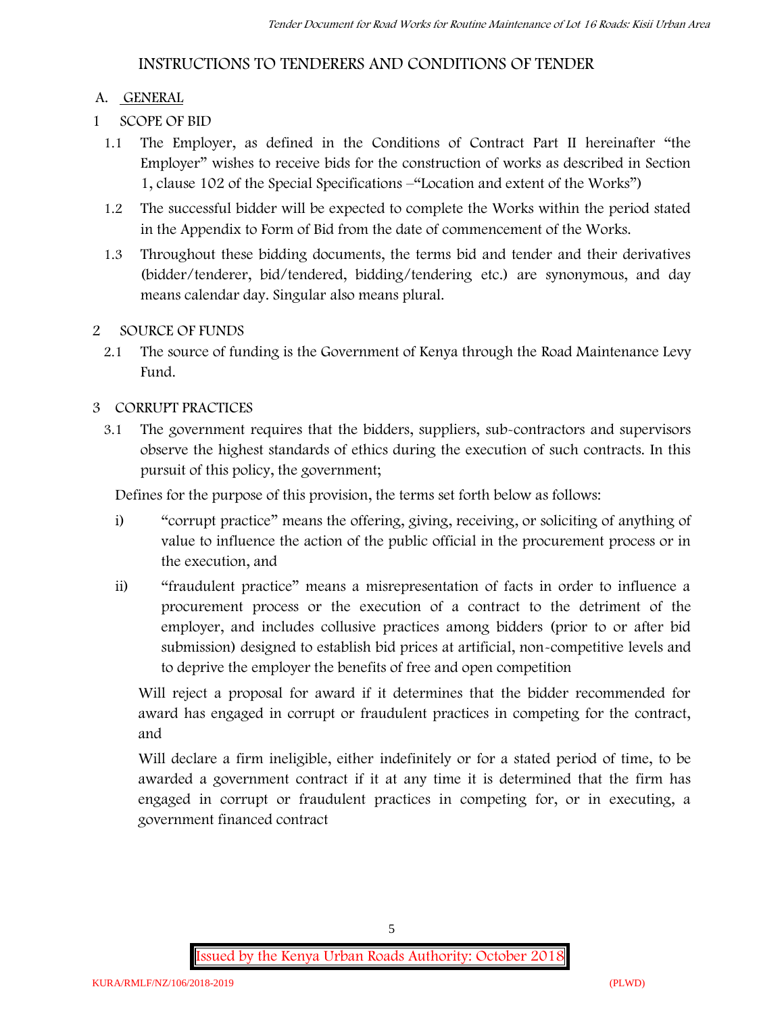# **INSTRUCTIONS TO TENDERERS AND CONDITIONS OF TENDER**

# **A. GENERAL**

- **1 SCOPE OF BID**
	- 1.1 The Employer, as defined in the Conditions of Contract Part II hereinafter "the Employer" wishes to receive bids for the construction of works as described in Section 1, clause 102 of the Special Specifications –"Location and extent of the Works")
	- 1.2 The successful bidder will be expected to complete the Works within the period stated in the Appendix to Form of Bid from the date of commencement of the Works.
	- 1.3 Throughout these bidding documents, the terms bid and tender and their derivatives (bidder/tenderer, bid/tendered, bidding/tendering etc.) are synonymous, and day means calendar day. Singular also means plural.

# **2 SOURCE OF FUNDS**

2.1 The source of funding is the Government of Kenya through the Road Maintenance Levy Fund.

# **3 CORRUPT PRACTICES**

3.1 The government requires that the bidders, suppliers, sub-contractors and supervisors observe the highest standards of ethics during the execution of such contracts. In this pursuit of this policy, the government;

Defines for the purpose of this provision, the terms set forth below as follows:

- i) "corrupt practice" means the offering, giving, receiving, or soliciting of anything of value to influence the action of the public official in the procurement process or in the execution, and
- ii) "fraudulent practice" means a misrepresentation of facts in order to influence a procurement process or the execution of a contract to the detriment of the employer, and includes collusive practices among bidders (prior to or after bid submission) designed to establish bid prices at artificial, non-competitive levels and to deprive the employer the benefits of free and open competition

Will reject a proposal for award if it determines that the bidder recommended for award has engaged in corrupt or fraudulent practices in competing for the contract, and

Will declare a firm ineligible, either indefinitely or for a stated period of time, to be awarded a government contract if it at any time it is determined that the firm has engaged in corrupt or fraudulent practices in competing for, or in executing, a government financed contract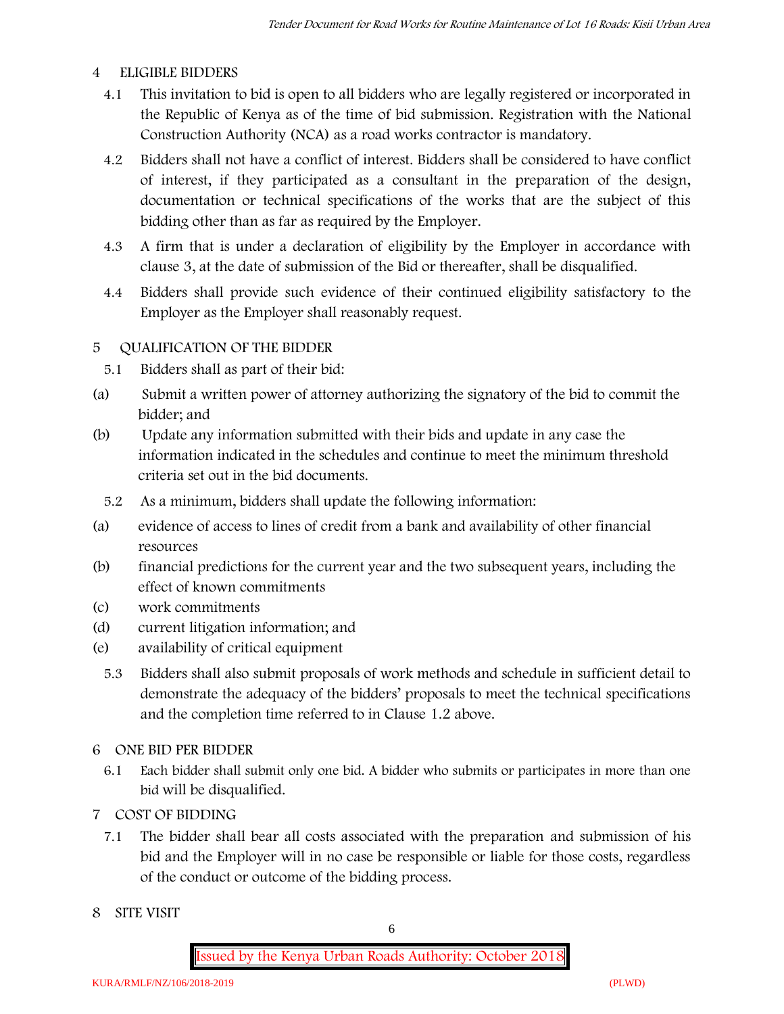#### **4 ELIGIBLE BIDDERS**

- 4.1 This invitation to bid is open to all bidders who are legally registered or incorporated in the Republic of Kenya as of the time of bid submission. Registration with the National Construction Authority (NCA) as a road works contractor is mandatory.
- 4.2 Bidders shall not have a conflict of interest. Bidders shall be considered to have conflict of interest, if they participated as a consultant in the preparation of the design, documentation or technical specifications of the works that are the subject of this bidding other than as far as required by the Employer.
- 4.3 A firm that is under a declaration of eligibility by the Employer in accordance with clause 3, at the date of submission of the Bid or thereafter, shall be disqualified.
- 4.4 Bidders shall provide such evidence of their continued eligibility satisfactory to the Employer as the Employer shall reasonably request.

# **5 QUALIFICATION OF THE BIDDER**

- 5.1 Bidders shall as part of their bid:
- (a) Submit a written power of attorney authorizing the signatory of the bid to commit the bidder; and
- (b) Update any information submitted with their bids and update in any case the information indicated in the schedules and continue to meet the minimum threshold criteria set out in the bid documents.
	- 5.2 As a minimum, bidders shall update the following information:
- (a) evidence of access to lines of credit from a bank and availability of other financial resources
- (b) financial predictions for the current year and the two subsequent years, including the effect of known commitments
- (c) work commitments
- (d) current litigation information; and
- (e) availability of critical equipment
	- 5.3 Bidders shall also submit proposals of work methods and schedule in sufficient detail to demonstrate the adequacy of the bidders' proposals to meet the technical specifications and the completion time referred to in Clause 1.2 above.
- **6 ONE BID PER BIDDER**
	- 6.1 Each bidder shall submit only one bid. A bidder who submits or participates in more than one bid will be disqualified.
- **7 COST OF BIDDING**
	- 7.1 The bidder shall bear all costs associated with the preparation and submission of his bid and the Employer will in no case be responsible or liable for those costs, regardless of the conduct or outcome of the bidding process.
- **8 SITE VISIT**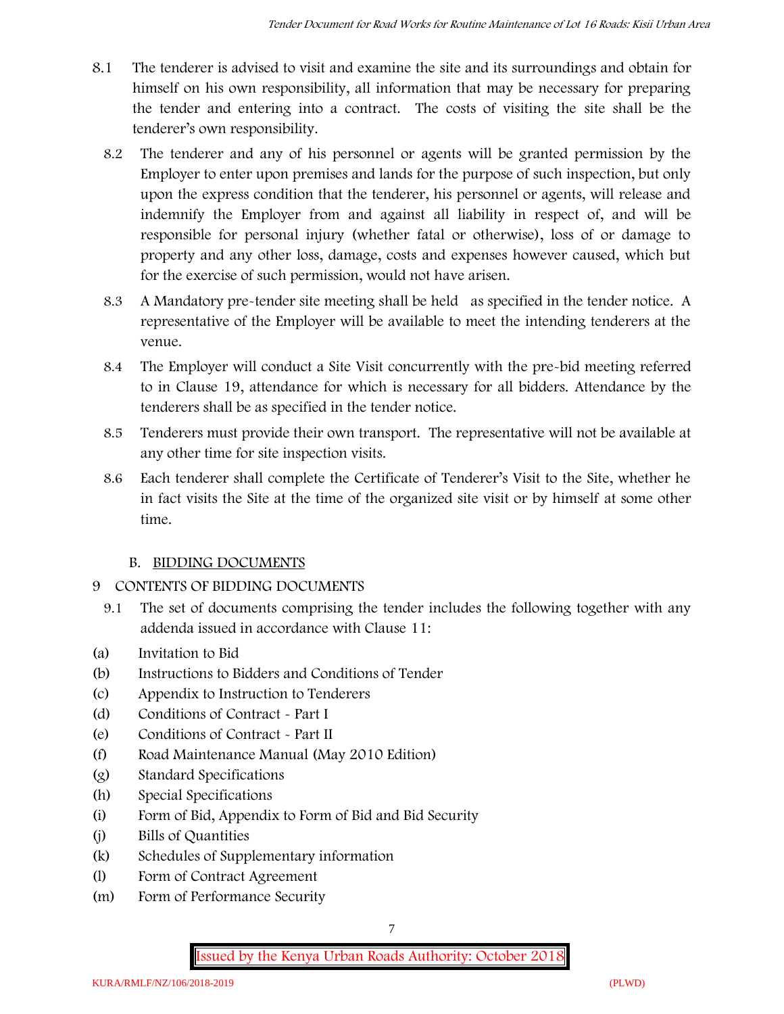- 8.1 The tenderer is advised to visit and examine the site and its surroundings and obtain for himself on his own responsibility, all information that may be necessary for preparing the tender and entering into a contract. The costs of visiting the site shall be the tenderer's own responsibility.
	- 8.2 The tenderer and any of his personnel or agents will be granted permission by the Employer to enter upon premises and lands for the purpose of such inspection, but only upon the express condition that the tenderer, his personnel or agents, will release and indemnify the Employer from and against all liability in respect of, and will be responsible for personal injury (whether fatal or otherwise), loss of or damage to property and any other loss, damage, costs and expenses however caused, which but for the exercise of such permission, would not have arisen.
	- 8.3 A Mandatory pre-tender site meeting shall be held as specified in the tender notice. A representative of the Employer will be available to meet the intending tenderers at the venue.
	- 8.4 The Employer will conduct a Site Visit concurrently with the pre-bid meeting referred to in Clause 19, attendance for which is necessary for all bidders. Attendance by the tenderers shall be as specified in the tender notice.
	- 8.5 Tenderers must provide their own transport. The representative will not be available at any other time for site inspection visits.
	- 8.6 Each tenderer shall complete the Certificate of Tenderer's Visit to the Site, whether he in fact visits the Site at the time of the organized site visit or by himself at some other time.

# **B. BIDDING DOCUMENTS**

- 9 CONTENTS OF BIDDING DOCUMENTS
	- 9.1 The set of documents comprising the tender includes the following together with any addenda issued in accordance with Clause 11:
- (a) Invitation to Bid
- (b) Instructions to Bidders and Conditions of Tender
- (c) Appendix to Instruction to Tenderers
- (d) Conditions of Contract Part I
- (e) Conditions of Contract Part II
- (f) Road Maintenance Manual (May 2010 Edition)
- (g) Standard Specifications
- (h) Special Specifications
- (i) Form of Bid, Appendix to Form of Bid and Bid Security
- (j) Bills of Quantities
- (k) Schedules of Supplementary information
- (l) Form of Contract Agreement
- (m) Form of Performance Security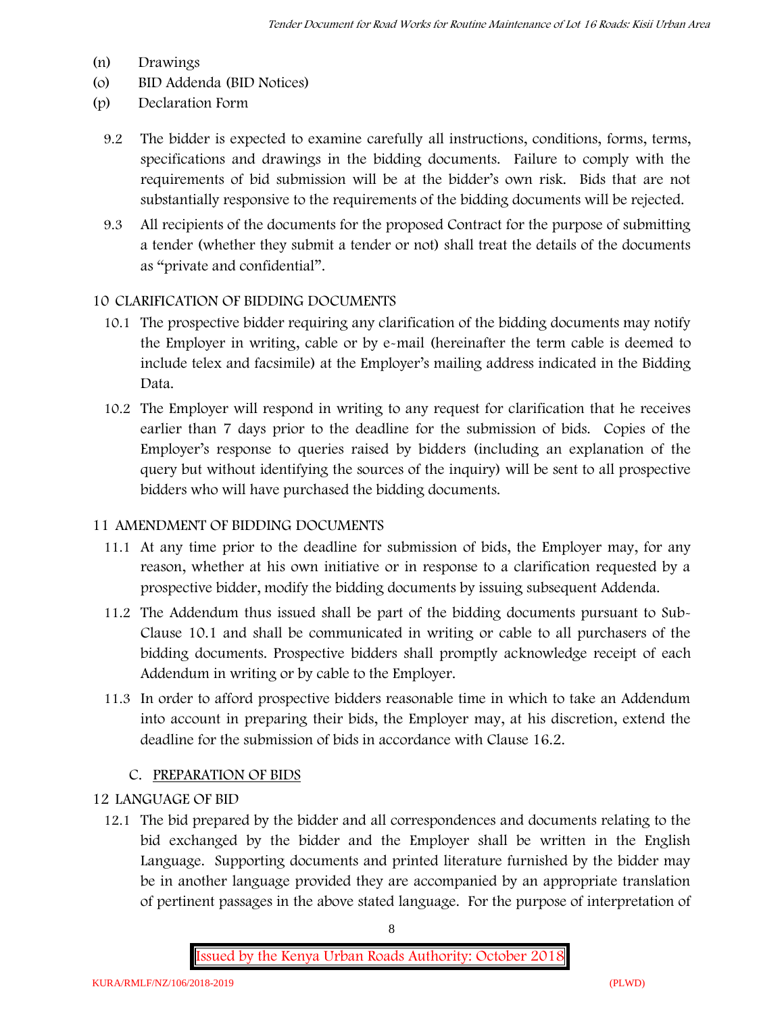- (n) Drawings
- (o) BID Addenda (BID Notices)
- (p) Declaration Form
	- 9.2 The bidder is expected to examine carefully all instructions, conditions, forms, terms, specifications and drawings in the bidding documents. Failure to comply with the requirements of bid submission will be at the bidder's own risk. Bids that are not substantially responsive to the requirements of the bidding documents will be rejected.
	- 9.3 All recipients of the documents for the proposed Contract for the purpose of submitting a tender (whether they submit a tender or not) shall treat the details of the documents as "private and confidential".

# **10 CLARIFICATION OF BIDDING DOCUMENTS**

- 10.1 The prospective bidder requiring any clarification of the bidding documents may notify the Employer in writing, cable or by e-mail (hereinafter the term cable is deemed to include telex and facsimile) at the Employer's mailing address indicated in the Bidding Data.
- 10.2 The Employer will respond in writing to any request for clarification that he receives earlier than 7 days prior to the deadline for the submission of bids. Copies of the Employer's response to queries raised by bidders (including an explanation of the query but without identifying the sources of the inquiry) will be sent to all prospective bidders who will have purchased the bidding documents.

# **11 AMENDMENT OF BIDDING DOCUMENTS**

- 11.1 At any time prior to the deadline for submission of bids, the Employer may, for any reason, whether at his own initiative or in response to a clarification requested by a prospective bidder, modify the bidding documents by issuing subsequent Addenda.
- 11.2 The Addendum thus issued shall be part of the bidding documents pursuant to Sub- Clause 10.1 and shall be communicated in writing or cable to all purchasers of the bidding documents. Prospective bidders shall promptly acknowledge receipt of each Addendum in writing or by cable to the Employer.
- 11.3 In order to afford prospective bidders reasonable time in which to take an Addendum into account in preparing their bids, the Employer may, at his discretion, extend the deadline for the submission of bids in accordance with Clause 16.2.

# **C. PREPARATION OF BIDS**

# **12 LANGUAGE OF BID**

12.1 The bid prepared by the bidder and all correspondences and documents relating to the bid exchanged by the bidder and the Employer shall be written in the English Language. Supporting documents and printed literature furnished by the bidder may be in another language provided they are accompanied by an appropriate translation of pertinent passages in the above stated language. For the purpose of interpretation of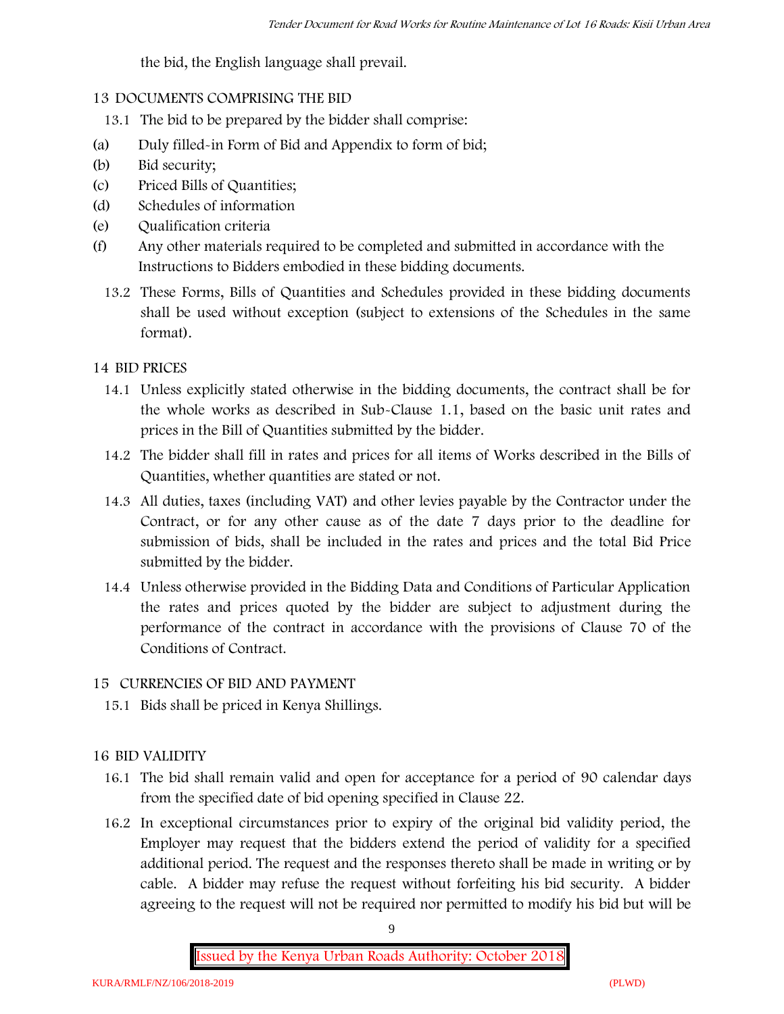the bid, the English language shall prevail.

# **13 DOCUMENTS COMPRISING THE BID**

- 13.1 The bid to be prepared by the bidder shall comprise:
- (a) Duly filled-in Form of Bid and Appendix to form of bid;
- (b) Bid security;
- (c) Priced Bills of Quantities;
- (d) Schedules of information
- (e) Qualification criteria
- (f) Any other materials required to be completed and submitted in accordance with the Instructions to Bidders embodied in these bidding documents.
	- 13.2 These Forms, Bills of Quantities and Schedules provided in these bidding documents shall be used without exception (subject to extensions of the Schedules in the same format).

# **14 BID PRICES**

- 14.1 Unless explicitly stated otherwise in the bidding documents, the contract shall be for the whole works as described in Sub-Clause 1.1, based on the basic unit rates and prices in the Bill of Quantities submitted by the bidder.
- 14.2 The bidder shall fill in rates and prices for all items of Works described in the Bills of Quantities, whether quantities are stated or not.
- 14.3 All duties, taxes (including VAT) and other levies payable by the Contractor under the Contract, or for any other cause as of the date 7 days prior to the deadline for submission of bids, shall be included in the rates and prices and the total Bid Price submitted by the bidder.
- 14.4 Unless otherwise provided in the Bidding Data and Conditions of Particular Application the rates and prices quoted by the bidder are subject to adjustment during the performance of the contract in accordance with the provisions of Clause 70 of the Conditions of Contract.

# **15 CURRENCIES OF BID AND PAYMENT**

15.1 Bids shall be priced in Kenya Shillings.

# **16 BID VALIDITY**

- 16.1 The bid shall remain valid and open for acceptance for a period of 90 calendar days from the specified date of bid opening specified in Clause 22.
- 16.2 In exceptional circumstances prior to expiry of the original bid validity period, the Employer may request that the bidders extend the period of validity for a specified additional period. The request and the responses thereto shall be made in writing or by cable. A bidder may refuse the request without forfeiting his bid security. A bidder agreeing to the request will not be required nor permitted to modify his bid but will be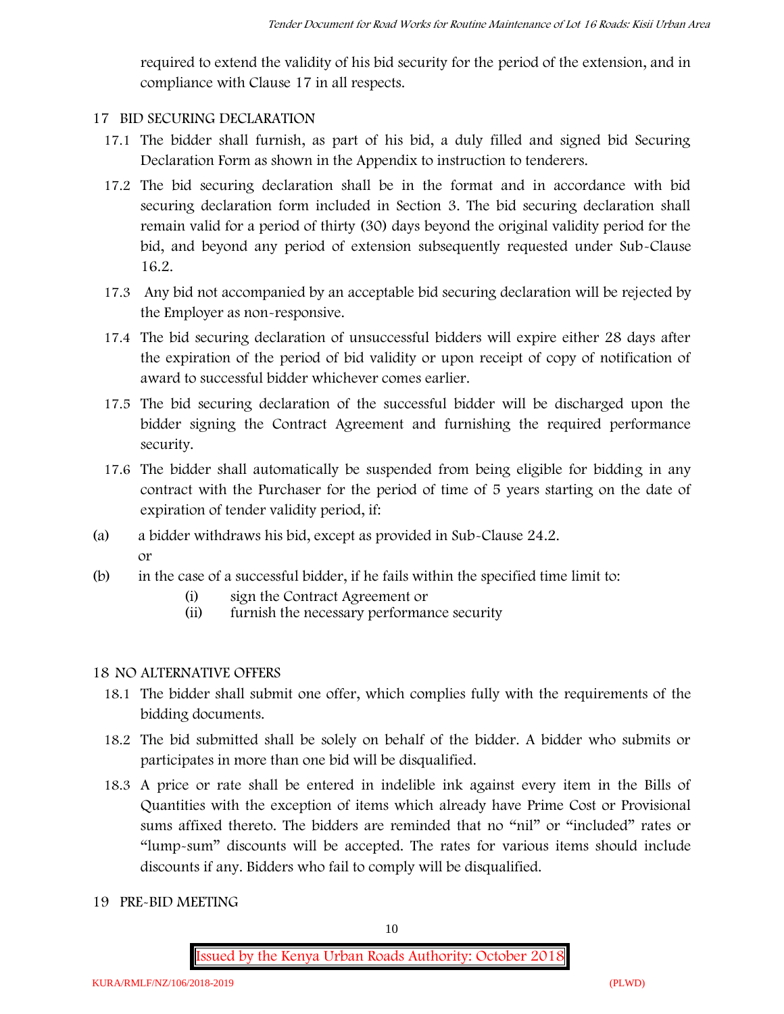required to extend the validity of his bid security for the period of the extension, and in compliance with Clause 17 in all respects.

# **17 BID SECURING DECLARATION**

- 17.1 The bidder shall furnish, as part of his bid, a duly filled and signed bid Securing Declaration Form as shown in the Appendix to instruction to tenderers.
- 17.2 The bid securing declaration shall be in the format and in accordance with bid securing declaration form included in Section 3. The bid securing declaration shall remain valid for a period of thirty (30) days beyond the original validity period for the bid, and beyond any period of extension subsequently requested under Sub-Clause 16.2.
- 17.3 Any bid not accompanied by an acceptable bid securing declaration will be rejected by the Employer as non-responsive.
- 17.4 The bid securing declaration of unsuccessful bidders will expire either 28 days after the expiration of the period of bid validity or upon receipt of copy of notification of award to successful bidder whichever comes earlier.
- 17.5 The bid securing declaration of the successful bidder will be discharged upon the bidder signing the Contract Agreement and furnishing the required performance security.
- 17.6 The bidder shall automatically be suspended from being eligible for bidding in any contract with the Purchaser for the period of time of 5 years starting on the date of expiration of tender validity period, if:
- (a) a bidder withdraws his bid, except as provided in Sub-Clause 24.2. or
- (b) in the case of a successful bidder, if he fails within the specified time limit to:
	- (i) sign the Contract Agreement or
	- (ii) furnish the necessary performance security

# **18 NO ALTERNATIVE OFFERS**

- 18.1 The bidder shall submit one offer, which complies fully with the requirements of the bidding documents.
- 18.2 The bid submitted shall be solely on behalf of the bidder. A bidder who submits or participates in more than one bid will be disqualified.
- 18.3 A price or rate shall be entered in indelible ink against every item in the Bills of Quantities with the exception of items which already have Prime Cost or Provisional sums affixed thereto. The bidders are reminded that no "nil" or "included" rates or "lump-sum" discounts will be accepted. The rates for various items should include discounts if any. Bidders who fail to comply will be disqualified.
- **19 PRE-BID MEETING**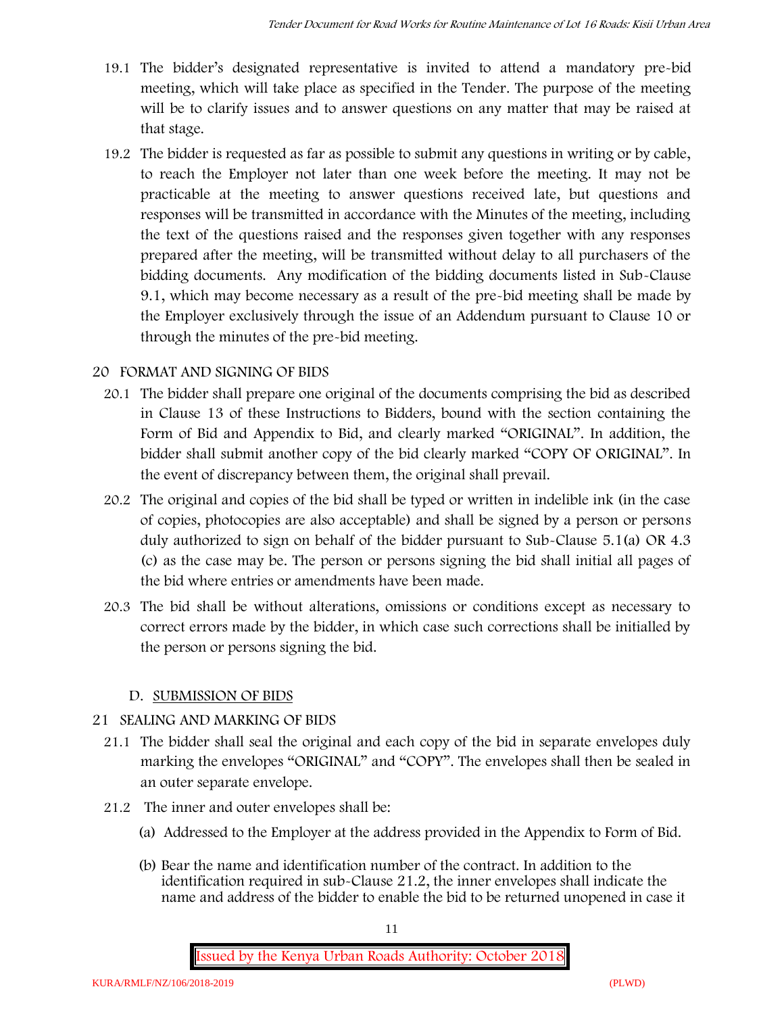- 19.1 The bidder's designated representative is invited to attend a mandatory pre-bid meeting, which will take place as specified in the Tender. The purpose of the meeting will be to clarify issues and to answer questions on any matter that may be raised at that stage.
- 19.2 The bidder is requested as far as possible to submit any questions in writing or by cable, to reach the Employer not later than one week before the meeting. It may not be practicable at the meeting to answer questions received late, but questions and responses will be transmitted in accordance with the Minutes of the meeting, including the text of the questions raised and the responses given together with any responses prepared after the meeting, will be transmitted without delay to all purchasers of the bidding documents. Any modification of the bidding documents listed in Sub-Clause 9.1, which may become necessary as a result of the pre-bid meeting shall be made by the Employer exclusively through the issue of an Addendum pursuant to Clause 10 or through the minutes of the pre-bid meeting.

# **20 FORMAT AND SIGNING OF BIDS**

- 20.1 The bidder shall prepare one original of the documents comprising the bid as described in Clause 13 of these Instructions to Bidders, bound with the section containing the Form of Bid and Appendix to Bid, and clearly marked "ORIGINAL". In addition, the bidder shall submit another copy of the bid clearly marked "COPY OF ORIGINAL". In the event of discrepancy between them, the original shall prevail.
- 20.2 The original and copies of the bid shall be typed or written in indelible ink (in the case of copies, photocopies are also acceptable) and shall be signed by a person or persons duly authorized to sign on behalf of the bidder pursuant to Sub-Clause 5.1(a) OR 4.3 (c) as the case may be. The person or persons signing the bid shall initial all pages of the bid where entries or amendments have been made.
- 20.3 The bid shall be without alterations, omissions or conditions except as necessary to correct errors made by the bidder, in which case such corrections shall be initialled by the person or persons signing the bid.

# **D. SUBMISSION OF BIDS**

# **21 SEALING AND MARKING OF BIDS**

- 21.1 The bidder shall seal the original and each copy of the bid in separate envelopes duly marking the envelopes "ORIGINAL" and "COPY". The envelopes shall then be sealed in an outer separate envelope.
- 21.2 The inner and outer envelopes shall be:
	- (a) Addressed to the Employer at the address provided in the Appendix to Form of Bid.
	- (b) Bear the name and identification number of the contract. In addition to the identification required in sub-Clause 21.2, the inner envelopes shall indicate the name and address of the bidder to enable the bid to be returned unopened in case it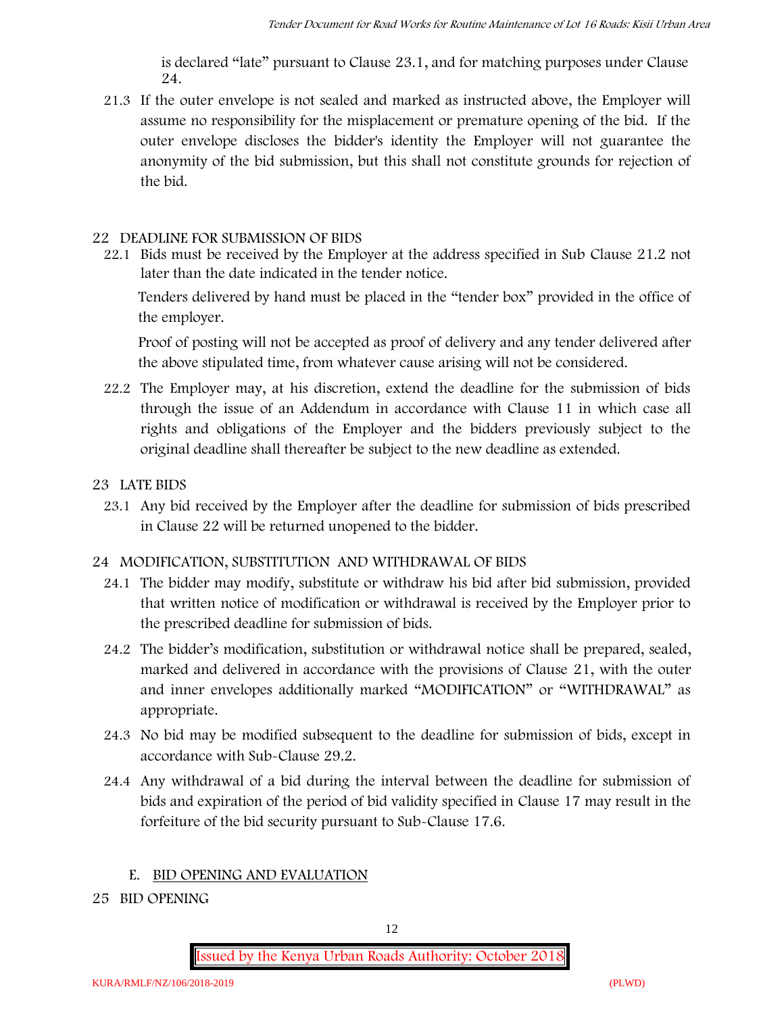is declared "late" pursuant to Clause 23.1, and for matching purposes under Clause 24.

21.3 If the outer envelope is not sealed and marked as instructed above, the Employer will assume no responsibility for the misplacement or premature opening of the bid. If the outer envelope discloses the bidder's identity the Employer will not guarantee the anonymity of the bid submission, but this shall not constitute grounds for rejection of the bid.

#### **22 DEADLINE FOR SUBMISSION OF BIDS**

22.1 Bids must be received by the Employer at the address specified in Sub Clause 21.2 not later than **the date indicated in the tender notice.**

Tenders delivered by hand must be placed in the "tender box" provided in the office of the employer.

Proof of posting will not be accepted as proof of delivery and any tender delivered after the above stipulated time, from whatever cause arising will not be considered.

- 22.2 The Employer may, at his discretion, extend the deadline for the submission of bids through the issue of an Addendum in accordance with Clause 11 in which case all rights and obligations of the Employer and the bidders previously subject to the original deadline shall thereafter be subject to the new deadline as extended.
- **23 LATE BIDS**
	- 23.1 Any bid received by the Employer after the deadline for submission of bids prescribed in Clause 22 will be returned unopened to the bidder.

# **24 MODIFICATION, SUBSTITUTION AND WITHDRAWAL OF BIDS**

- 24.1 The bidder may modify, substitute or withdraw his bid after bid submission, provided that written notice of modification or withdrawal is received by the Employer prior to the prescribed deadline for submission of bids.
- 24.2 The bidder's modification, substitution or withdrawal notice shall be prepared, sealed, marked and delivered in accordance with the provisions of Clause 21, with the outer and inner envelopes additionally marked "MODIFICATION" or "WITHDRAWAL" as appropriate.
- 24.3 No bid may be modified subsequent to the deadline for submission of bids, except in accordance with Sub-Clause 29.2.
- 24.4 Any withdrawal of a bid during the interval between the deadline for submission of bids and expiration of the period of bid validity specified in Clause 17 may result in the forfeiture of the bid security pursuant to Sub-Clause 17.6.

# **E. BID OPENING AND EVALUATION**

**25 BID OPENING**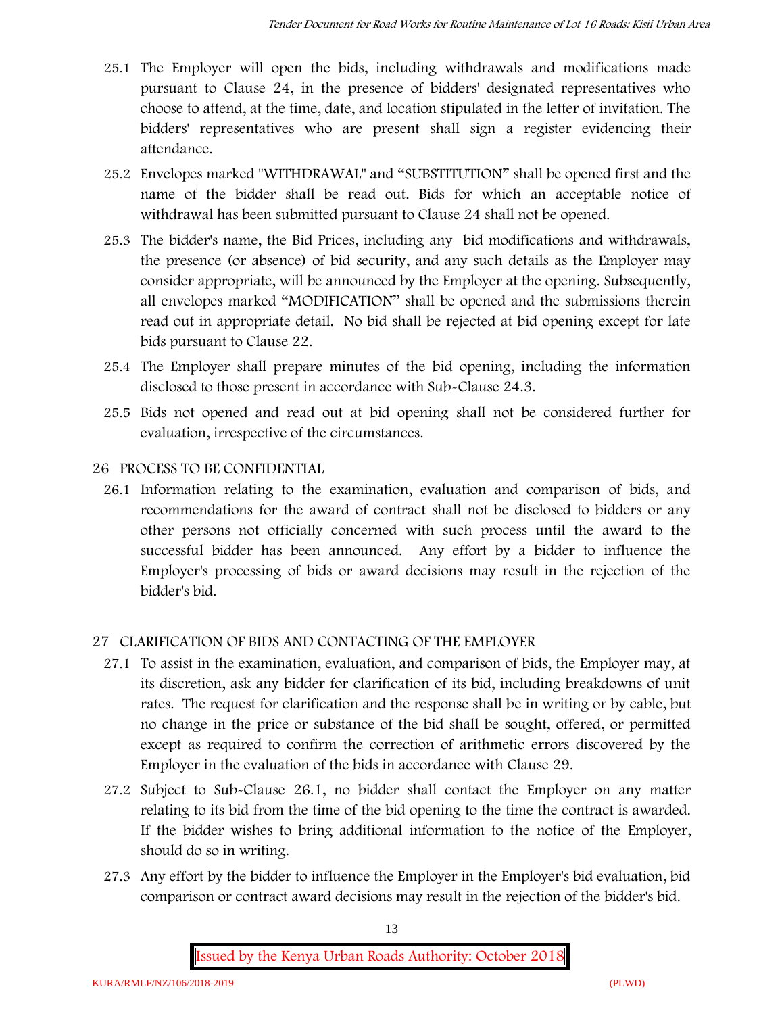- 25.1 The Employer will open the bids, including withdrawals and modifications made pursuant to Clause 24, in the presence of bidders' designated representatives who choose to attend, at the time, date, and location stipulated in the letter of invitation. The bidders' representatives who are present shall sign a register evidencing their attendance.
- 25.2 Envelopes marked "WITHDRAWAL" and "SUBSTITUTION" shall be opened first and the name of the bidder shall be read out. Bids for which an acceptable notice of withdrawal has been submitted pursuant to Clause 24 shall not be opened.
- 25.3 The bidder's name, the Bid Prices, including any bid modifications and withdrawals, the presence (or absence) of bid security, and any such details as the Employer may consider appropriate, will be announced by the Employer at the opening. Subsequently, all envelopes marked "MODIFICATION" shall be opened and the submissions therein read out in appropriate detail. No bid shall be rejected at bid opening except for late bids pursuant to Clause 22.
- 25.4 The Employer shall prepare minutes of the bid opening, including the information disclosed to those present in accordance with Sub-Clause 24.3.
- 25.5 Bids not opened and read out at bid opening shall not be considered further for evaluation, irrespective of the circumstances.

# **26 PROCESS TO BE CONFIDENTIAL**

26.1 Information relating to the examination, evaluation and comparison of bids, and recommendations for the award of contract shall not be disclosed to bidders or any other persons not officially concerned with such process until the award to the successful bidder has been announced. Any effort by a bidder to influence the Employer's processing of bids or award decisions may result in the rejection of the bidder's bid.

# **27 CLARIFICATION OF BIDS AND CONTACTING OF THE EMPLOYER**

- 27.1 To assist in the examination, evaluation, and comparison of bids, the Employer may, at its discretion, ask any bidder for clarification of its bid, including breakdowns of unit rates. The request for clarification and the response shall be in writing or by cable, but no change in the price or substance of the bid shall be sought, offered, or permitted except as required to confirm the correction of arithmetic errors discovered by the Employer in the evaluation of the bids in accordance with Clause 29.
- 27.2 Subject to Sub-Clause 26.1, no bidder shall contact the Employer on any matter relating to its bid from the time of the bid opening to the time the contract is awarded. If the bidder wishes to bring additional information to the notice of the Employer, should do so in writing.
- 27.3 Any effort by the bidder to influence the Employer in the Employer's bid evaluation, bid comparison or contract award decisions may result in the rejection of the bidder's bid.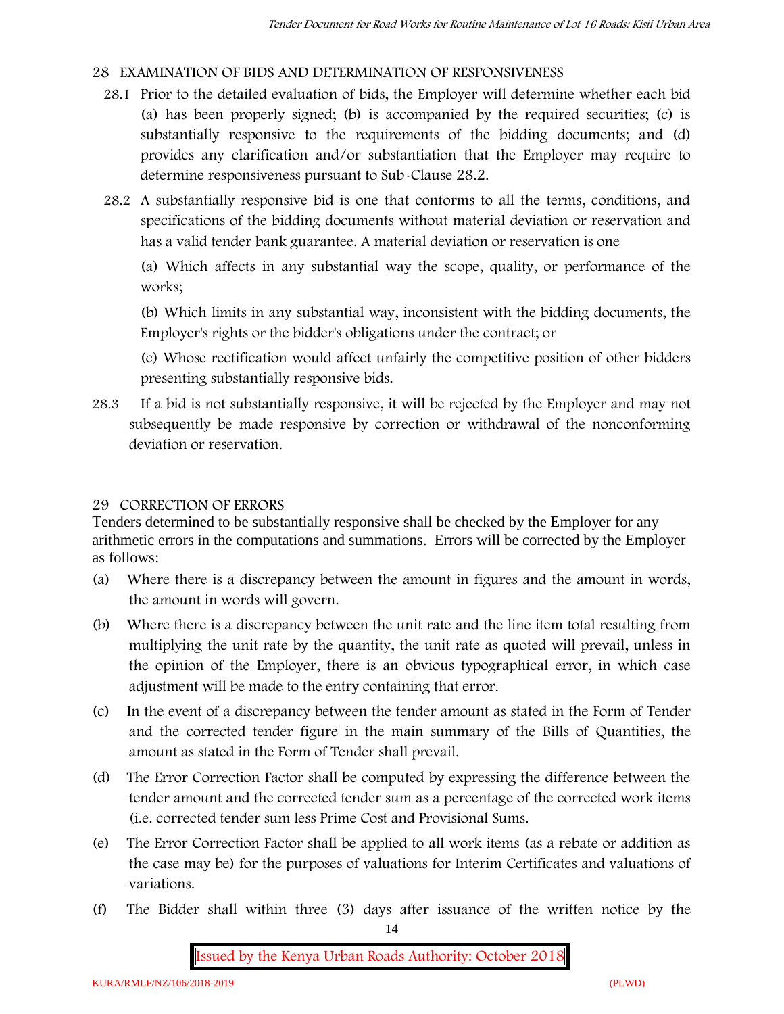# **28 EXAMINATION OF BIDS AND DETERMINATION OF RESPONSIVENESS**

- 28.1 Prior to the detailed evaluation of bids, the Employer will determine whether each bid (a) has been properly signed; (b) is accompanied by the required securities; (c) is substantially responsive to the requirements of the bidding documents; and (d) provides any clarification and/or substantiation that the Employer may require to determine responsiveness pursuant to Sub-Clause 28.2.
- 28.2 A substantially responsive bid is one that conforms to all the terms, conditions, and specifications of the bidding documents without material deviation or reservation and has a valid tender bank guarantee. A material deviation or reservation is one

(a) Which affects in any substantial way the scope, quality, or performance of the works;

(b) Which limits in any substantial way, inconsistent with the bidding documents, the Employer's rights or the bidder's obligations under the contract; or

(c) Whose rectification would affect unfairly the competitive position of other bidders presenting substantially responsive bids.

28.3 If a bid is not substantially responsive, it will be rejected by the Employer and may not subsequently be made responsive by correction or withdrawal of the nonconforming deviation or reservation.

# **29 CORRECTION OF ERRORS**

Tenders determined to be substantially responsive shall be checked by the Employer for any arithmetic errors in the computations and summations. Errors will be corrected by the Employer as follows:

- (a) Where there is a discrepancy between the amount in figures and the amount in words, the amount in words will govern.
- (b) Where there is a discrepancy between the unit rate and the line item total resulting from multiplying the unit rate by the quantity, the unit rate as quoted will prevail, unless in the opinion of the Employer, there is an obvious typographical error, in which case adjustment will be made to the entry containing that error.
- (c) In the event of a discrepancy between the tender amount as stated in the Form of Tender and the corrected tender figure in the main summary of the Bills of Quantities, the amount as stated in the Form of Tender shall prevail.
- (d) The Error Correction Factor shall be computed by expressing the difference between the tender amount and the corrected tender sum as a percentage of the corrected work items (i.e. corrected tender sum less Prime Cost and Provisional Sums.
- (e) The Error Correction Factor shall be applied to all work items (as a rebate or addition as the case may be) for the purposes of valuations for Interim Certificates and valuations of variations.
- (f) The Bidder shall within three (3) days after issuance of the written notice by the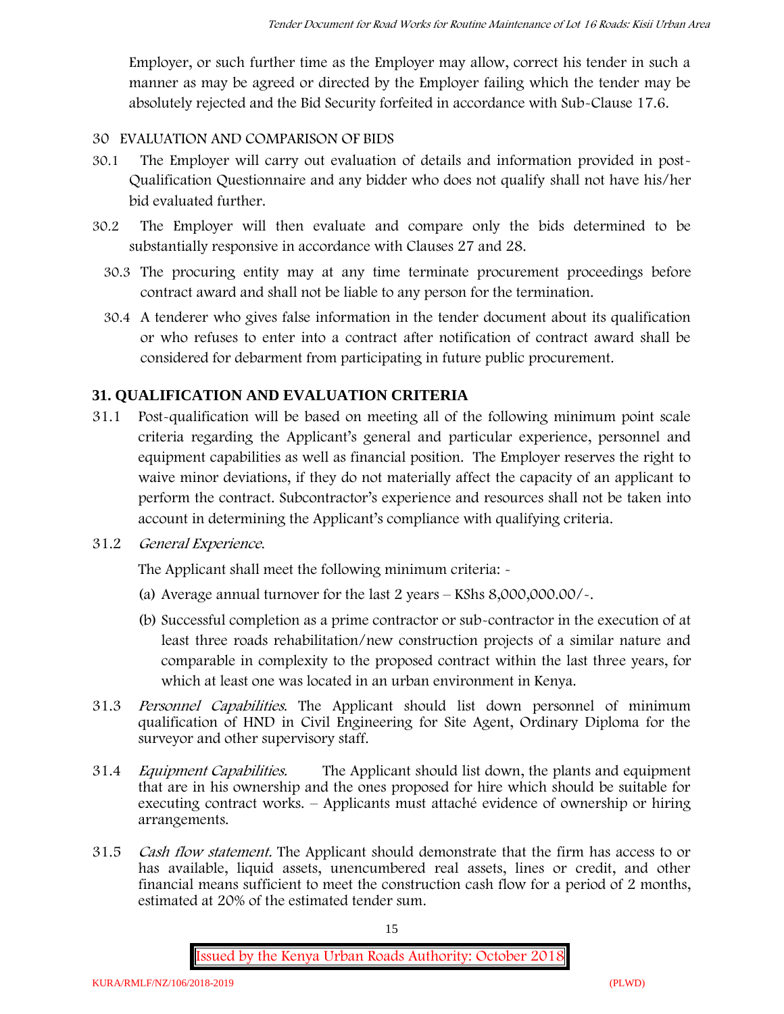Employer, or such further time as the Employer may allow, correct his tender in such a manner as may be agreed or directed by the Employer failing which the tender may be absolutely rejected and the Bid Security forfeited in accordance with Sub-Clause 17.6.

# **30 EVALUATION AND COMPARISON OF BIDS**

- 30.1 The Employer will carry out evaluation of details and information provided in post- Qualification Questionnaire and any bidder who does not qualify shall not have his/her bid evaluated further.
- 30.2 The Employer will then evaluate and compare only the bids determined to be substantially responsive in accordance with Clauses 27 and 28.
	- 30.3 The procuring entity may at any time terminate procurement proceedings before contract award and shall not be liable to any person for the termination.
	- 30.4 A tenderer who gives false information in the tender document about its qualification or who refuses to enter into a contract after notification of contract award shall be considered for debarment from participating in future public procurement.

# **31. QUALIFICATION AND EVALUATION CRITERIA**

- 31.1 Post-qualification will be based on meeting all of the following minimum point scale criteria regarding the Applicant's general and particular experience, personnel and equipment capabilities as well as financial position. The Employer reserves the right to waive minor deviations, if they do not materially affect the capacity of an applicant to perform the contract. Subcontractor's experience and resources shall not be taken into account in determining the Applicant's compliance with qualifying criteria.
- **31.2** *General Experience***.**

The Applicant shall meet the following minimum criteria: -

- (a) Average annual turnover for the last 2 years **KShs 8,000,000.00/-.**
- (b) Successful completion as a prime contractor or sub-contractor in the execution of at least three roads rehabilitation/new construction projects of a similar nature and comparable in complexity to the proposed contract within the last three years, for which at least one was located in an urban environment in Kenya.
- 31.3 *Personnel Capabilities***.** The Applicant should list down personnel of minimum qualification of HND in Civil Engineering for Site Agent, Ordinary Diploma for the surveyor and other supervisory staff.
- 31.4 *Equipment Capabilities.* The Applicant should list down, the plants and equipment that are in his ownership and the ones proposed for hire which should be suitable for executing contract works. – Applicants must attaché evidence of ownership or hiring arrangements.
- 31.5 *Cash flow statement.* The Applicant should demonstrate that the firm has access to or has available, liquid assets, unencumbered real assets, lines or credit, and other financial means sufficient to meet the construction cash flow for a period of 2 months, estimated at 20% of the estimated tender sum.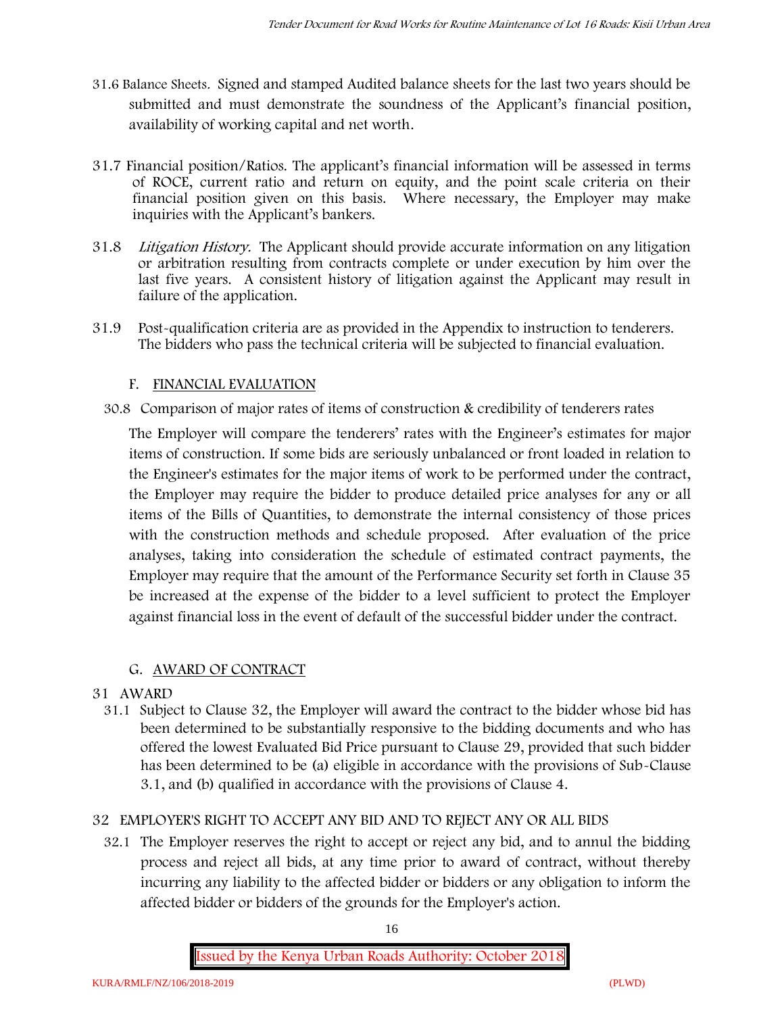- **31.6 Balance Sheets***.* Signed and stamped Audited balance sheets for the last two years should be submitted and must demonstrate the soundness of the Applicant's financial position, availability of working capital and net worth.
- **31.7 Financial position/Ratios.** The applicant's financial information will be assessed in terms of ROCE, current ratio and return on equity, and the point scale criteria on their financial position given on this basis. Where necessary, the Employer may make inquiries with the Applicant's bankers.
- 31.8 *Litigation History.* The Applicant should provide accurate information on any litigation or arbitration resulting from contracts complete or under execution by him over the last five years. A consistent history of litigation against the Applicant may result in failure of the application.
- 31.9 Post-qualification criteria are as provided in the Appendix to instruction to tenderers. The bidders who pass the technical criteria will be subjected to financial evaluation.

# **F. FINANCIAL EVALUATION**

30.8 Comparison of major rates of items of construction & credibility of tenderers rates

The Employer will compare the tenderers' rates with the Engineer's estimates for major items of construction. If some bids are seriously unbalanced or front loaded in relation to the Engineer's estimates for the major items of work to be performed under the contract, the Employer may require the bidder to produce detailed price analyses for any or all items of the Bills of Quantities, to demonstrate the internal consistency of those prices with the construction methods and schedule proposed. After evaluation of the price analyses, taking into consideration the schedule of estimated contract payments, the Employer may require that the amount of the Performance Security set forth in Clause 35 be increased at the expense of the bidder to a level sufficient to protect the Employer against financial loss in the event of default of the successful bidder under the contract.

# **G. AWARD OF CONTRACT**

# **31 AWARD**

31.1 Subject to Clause 32, the Employer will award the contract to the bidder whose bid has been determined to be substantially responsive to the bidding documents and who has offered the lowest Evaluated Bid Price pursuant to Clause 29, provided that such bidder has been determined to be (a) eligible in accordance with the provisions of Sub-Clause 3.1, and (b) qualified in accordance with the provisions of Clause 4.

# **32 EMPLOYER'S RIGHT TO ACCEPT ANY BID AND TO REJECT ANY OR ALL BIDS**

32.1 The Employer reserves the right to accept or reject any bid, and to annul the bidding process and reject all bids, at any time prior to award of contract, without thereby incurring any liability to the affected bidder or bidders or any obligation to inform the affected bidder or bidders of the grounds for the Employer's action.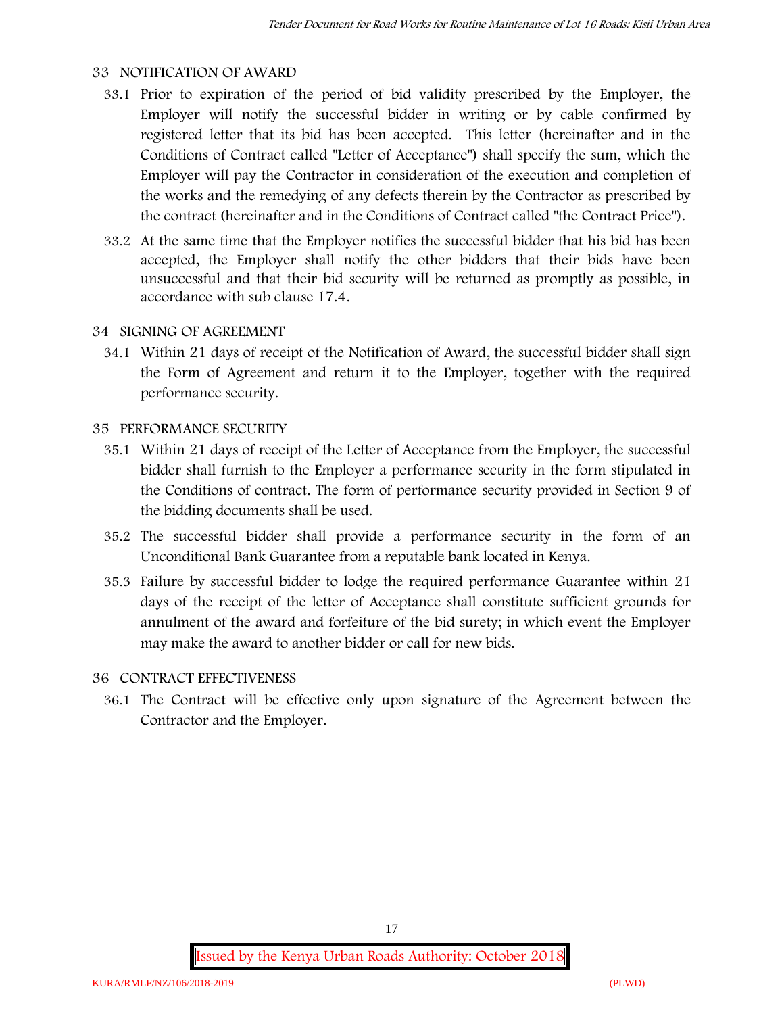#### **33 NOTIFICATION OF AWARD**

- 33.1 Prior to expiration of the period of bid validity prescribed by the Employer, the Employer will notify the successful bidder in writing or by cable confirmed by registered letter that its bid has been accepted. This letter (hereinafter and in the Conditions of Contract called "Letter of Acceptance") shall specify the sum, which the Employer will pay the Contractor in consideration of the execution and completion of the works and the remedying of any defects therein by the Contractor as prescribed by the contract (hereinafter and in the Conditions of Contract called "the Contract Price").
- 33.2 At the same time that the Employer notifies the successful bidder that his bid has been accepted, the Employer shall notify the other bidders that their bids have been unsuccessful and that their bid security will be returned as promptly as possible, in accordance with sub clause 17.4.

#### **34 SIGNING OF AGREEMENT**

34.1 Within 21 days of receipt of the Notification of Award, the successful bidder shall sign the Form of Agreement and return it to the Employer, together with the required performance security.

#### **35 PERFORMANCE SECURITY**

- 35.1 Within 21 days of receipt of the Letter of Acceptance from the Employer, the successful bidder shall furnish to the Employer a performance security in the form stipulated in the Conditions of contract. The form of performance security provided in Section 9 of the bidding documents shall be used.
- 35.2 The successful bidder shall provide a performance security in the form of an Unconditional Bank Guarantee from a reputable bank located in Kenya.
- 35.3 Failure by successful bidder to lodge the required performance Guarantee within 21 days of the receipt of the letter of Acceptance shall constitute sufficient grounds for annulment of the award and forfeiture of the bid surety; in which event the Employer may make the award to another bidder or call for new bids.

# **36 CONTRACT EFFECTIVENESS**

36.1 The Contract will be effective only upon signature of the Agreement between the Contractor and the Employer.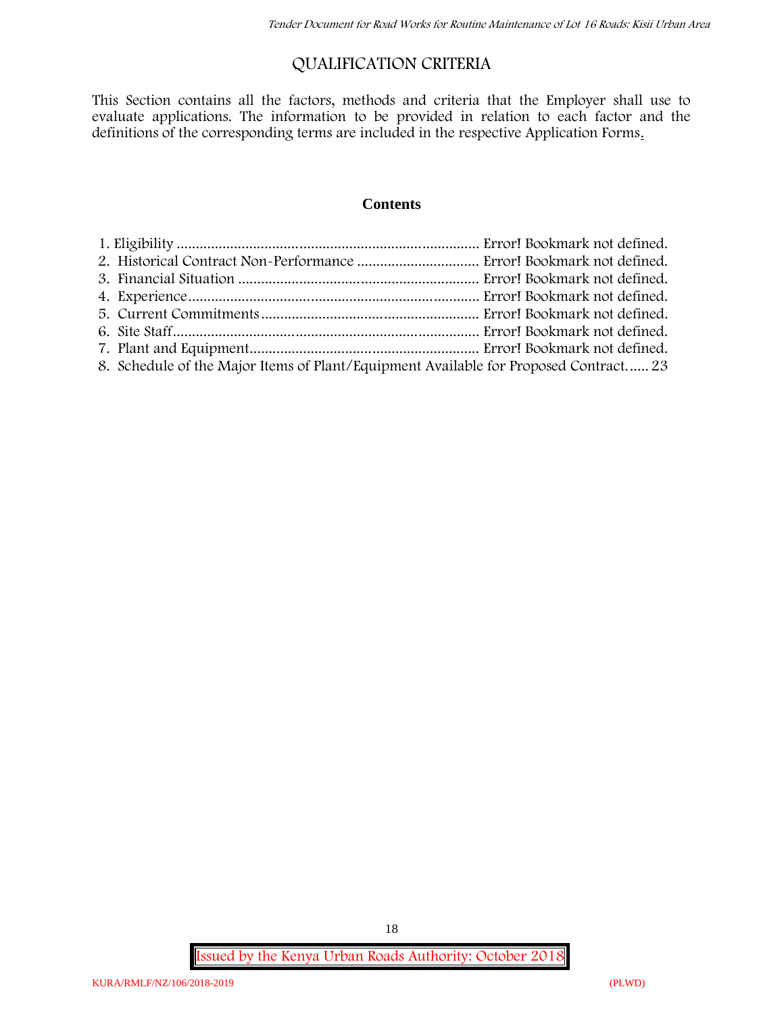# **QUALIFICATION CRITERIA**

This Section contains all the factors, methods and criteria that the Employer shall use to evaluate applications. The information to be provided in relation to each factor and the definitions of the corresponding terms are included in the respective Application Forms.

#### **Contents**

| 8. Schedule of the Major Items of Plant/Equipment Available for Proposed Contract 23 |  |
|--------------------------------------------------------------------------------------|--|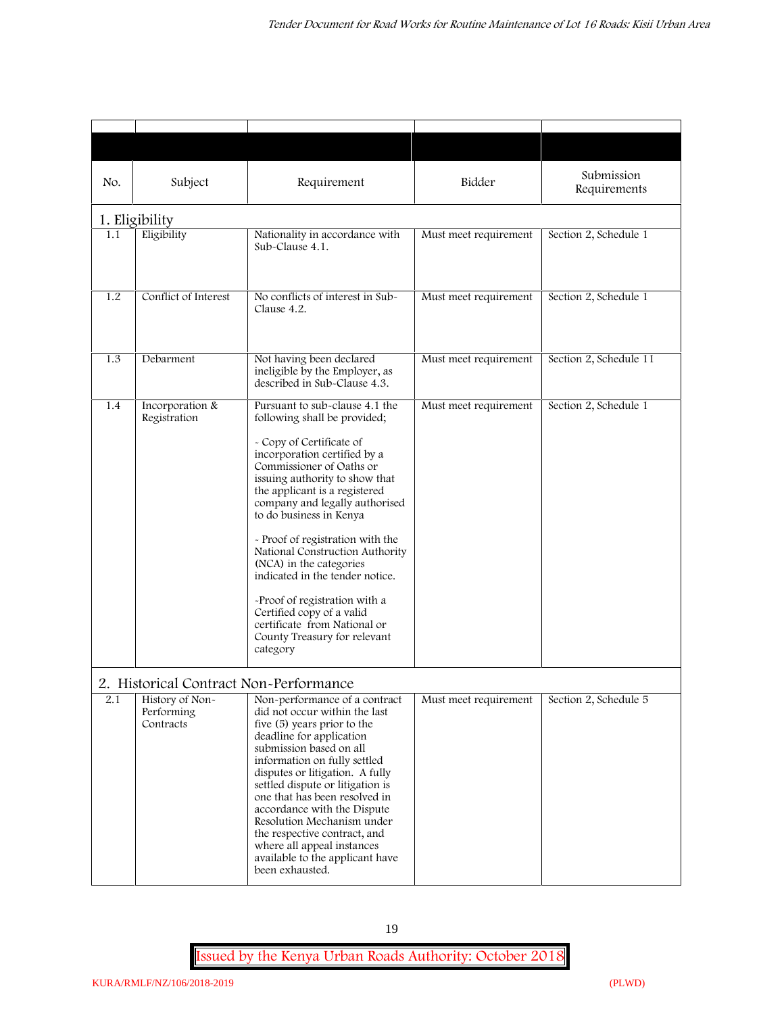| No. | Subject                                                                              | Requirement                                                                                                                                                                                                                                                                                                                                                                                                                                                                                                                                                           | Bidder                | Submission<br>Requirements |
|-----|--------------------------------------------------------------------------------------|-----------------------------------------------------------------------------------------------------------------------------------------------------------------------------------------------------------------------------------------------------------------------------------------------------------------------------------------------------------------------------------------------------------------------------------------------------------------------------------------------------------------------------------------------------------------------|-----------------------|----------------------------|
|     |                                                                                      |                                                                                                                                                                                                                                                                                                                                                                                                                                                                                                                                                                       |                       |                            |
| 1.1 | 1. Eligibility<br>Eligibility                                                        | Nationality in accordance with<br>Sub-Clause 4.1.                                                                                                                                                                                                                                                                                                                                                                                                                                                                                                                     | Must meet requirement | Section 2, Schedule 1      |
| 1.2 | Conflict of Interest                                                                 | No conflicts of interest in Sub-<br>Clause 4.2.                                                                                                                                                                                                                                                                                                                                                                                                                                                                                                                       | Must meet requirement | Section 2, Schedule 1      |
| 1.3 | Debarment                                                                            | Not having been declared<br>ineligible by the Employer, as<br>described in Sub-Clause 4.3.                                                                                                                                                                                                                                                                                                                                                                                                                                                                            | Must meet requirement | Section 2, Schedule 11     |
| 1.4 | Incorporation &<br>Registration                                                      | Pursuant to sub-clause 4.1 the<br>following shall be provided;<br>- Copy of Certificate of<br>incorporation certified by a<br>Commissioner of Oaths or<br>issuing authority to show that<br>the applicant is a registered<br>company and legally authorised<br>to do business in Kenya<br>- Proof of registration with the<br>National Construction Authority<br>(NCA) in the categories<br>indicated in the tender notice.<br>-Proof of registration with a<br>Certified copy of a valid<br>certificate from National or<br>County Treasury for relevant<br>category | Must meet requirement | Section 2, Schedule 1      |
| 2.1 | 2. Historical Contract Non-Performance<br>History of Non-<br>Performing<br>Contracts | Non-performance of a contract<br>did not occur within the last<br>five (5) years prior to the<br>deadline for application<br>submission based on all<br>information on fully settled<br>disputes or litigation. A fully<br>settled dispute or litigation is<br>one that has been resolved in<br>accordance with the Dispute<br>Resolution Mechanism under<br>the respective contract, and<br>where all appeal instances<br>available to the applicant have<br>been exhausted.                                                                                         | Must meet requirement | Section 2, Schedule 5      |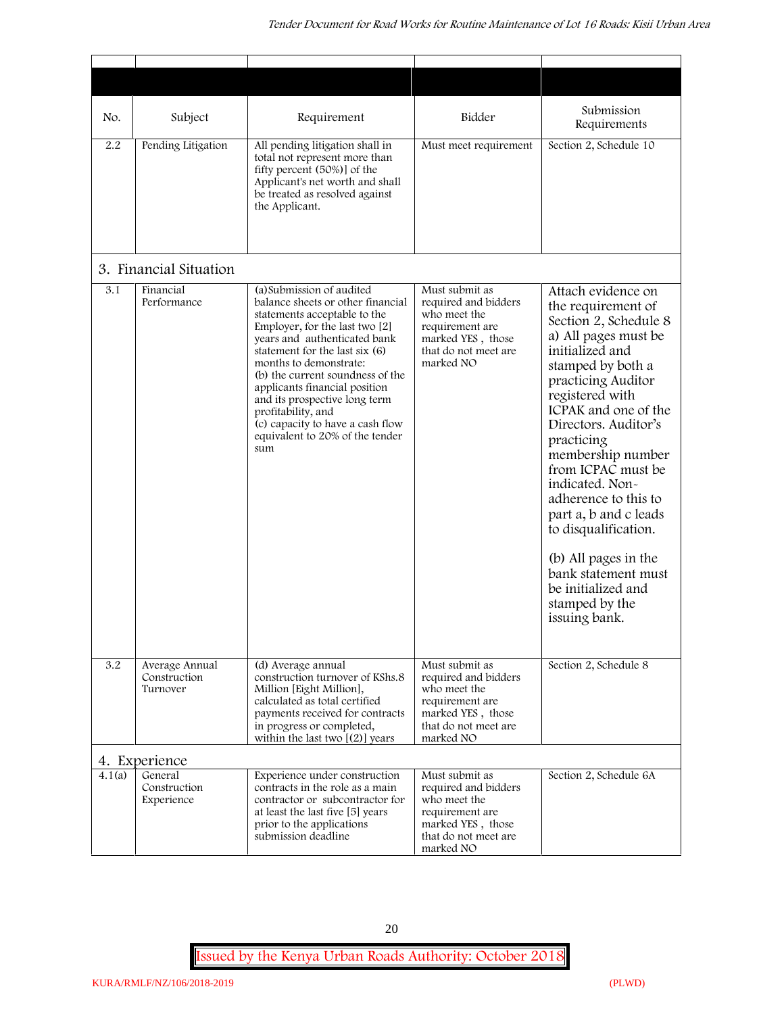| No.    | Subject                                    | Requirement                                                                                                                                                                                                                                                                                                                                                                                                                            | Bidder                                                                                                                              | Submission<br>Requirements                                                                                                                                                                                                                                                                                                                                                                                                                                                              |
|--------|--------------------------------------------|----------------------------------------------------------------------------------------------------------------------------------------------------------------------------------------------------------------------------------------------------------------------------------------------------------------------------------------------------------------------------------------------------------------------------------------|-------------------------------------------------------------------------------------------------------------------------------------|-----------------------------------------------------------------------------------------------------------------------------------------------------------------------------------------------------------------------------------------------------------------------------------------------------------------------------------------------------------------------------------------------------------------------------------------------------------------------------------------|
| 2.2    | Pending Litigation                         | All pending litigation shall in<br>total not represent more than<br>fifty percent (50%)] of the<br>Applicant's net worth and shall<br>be treated as resolved against<br>the Applicant.                                                                                                                                                                                                                                                 | Must meet requirement                                                                                                               | Section 2, Schedule 10                                                                                                                                                                                                                                                                                                                                                                                                                                                                  |
|        | 3. Financial Situation                     |                                                                                                                                                                                                                                                                                                                                                                                                                                        |                                                                                                                                     |                                                                                                                                                                                                                                                                                                                                                                                                                                                                                         |
| 3.1    | Financial<br>Performance                   | (a) Submission of audited<br>balance sheets or other financial<br>statements acceptable to the<br>Employer, for the last two [2]<br>years and authenticated bank<br>statement for the last six (6)<br>months to demonstrate:<br>(b) the current soundness of the<br>applicants financial position<br>and its prospective long term<br>profitability, and<br>(c) capacity to have a cash flow<br>equivalent to 20% of the tender<br>sum | Must submit as<br>required and bidders<br>who meet the<br>requirement are<br>marked YES, those<br>that do not meet are<br>marked NO | Attach evidence on<br>the requirement of<br>Section 2, Schedule 8<br>a) All pages must be<br>initialized and<br>stamped by both a<br>practicing Auditor<br>registered with<br>ICPAK and one of the<br>Directors. Auditor's<br>practicing<br>membership number<br>from ICPAC must be<br>indicated. Non-<br>adherence to this to<br>part a, b and c leads<br>to disqualification.<br>(b) All pages in the<br>bank statement must<br>be initialized and<br>stamped by the<br>issuing bank. |
| 3.2    | Average Annual<br>Construction<br>Turnover | (d) Average annual<br>construction turnover of KShs.8<br>Million [Eight Million],<br>calculated as total certified<br>payments received for contracts<br>in progress or completed,<br>within the last two $[(2)]$ years                                                                                                                                                                                                                | Must submit as<br>required and bidders<br>who meet the<br>requirement are<br>marked YES, those<br>that do not meet are<br>marked NO | Section 2, Schedule 8                                                                                                                                                                                                                                                                                                                                                                                                                                                                   |
|        | 4. Experience                              |                                                                                                                                                                                                                                                                                                                                                                                                                                        |                                                                                                                                     |                                                                                                                                                                                                                                                                                                                                                                                                                                                                                         |
| 4.1(a) | General<br>Construction<br>Experience      | Experience under construction<br>contracts in the role as a main<br>contractor or subcontractor for<br>at least the last five [5] years<br>prior to the applications<br>submission deadline                                                                                                                                                                                                                                            | Must submit as<br>required and bidders<br>who meet the<br>requirement are<br>marked YES, those<br>that do not meet are<br>marked NO | Section 2, Schedule 6A                                                                                                                                                                                                                                                                                                                                                                                                                                                                  |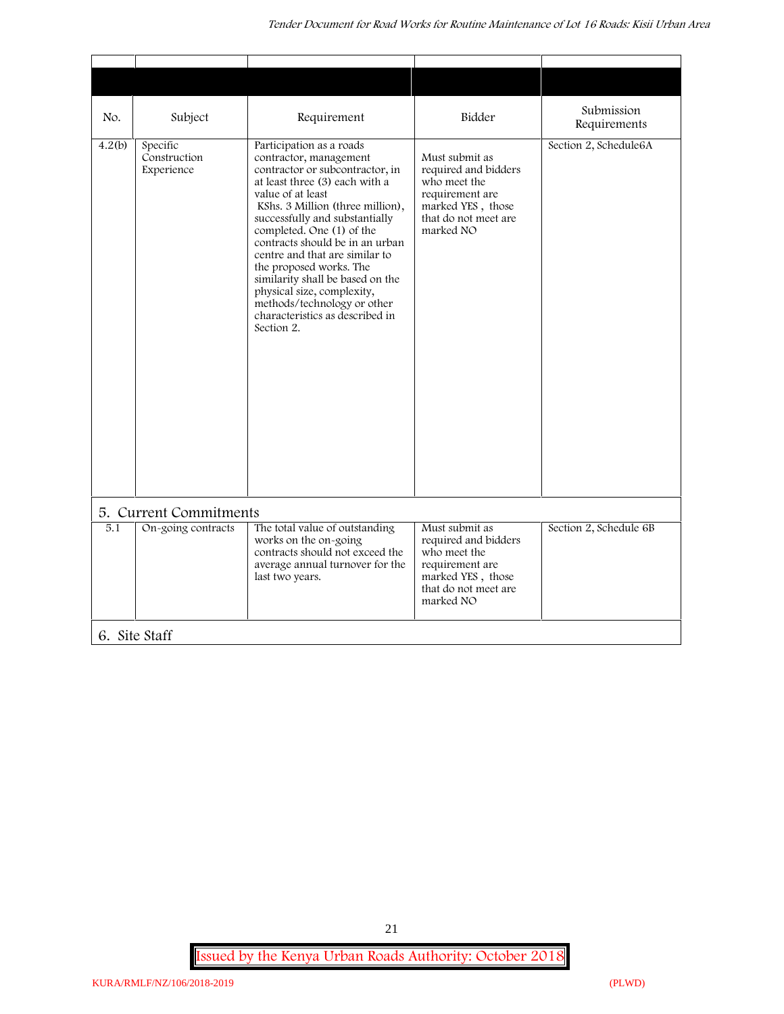| No.<br>Subject                                   | Requirement                                                                                                                                                                                                                                                                                                                                                                                                                                                                                       | Bidder                                                                                                                              | Submission<br>Requirements |
|--------------------------------------------------|---------------------------------------------------------------------------------------------------------------------------------------------------------------------------------------------------------------------------------------------------------------------------------------------------------------------------------------------------------------------------------------------------------------------------------------------------------------------------------------------------|-------------------------------------------------------------------------------------------------------------------------------------|----------------------------|
| 4.2(b)<br>Specific<br>Construction<br>Experience | Participation as a roads<br>contractor, management<br>contractor or subcontractor, in<br>at least three (3) each with a<br>value of at least<br>KShs. 3 Million (three million),<br>successfully and substantially<br>completed. One (1) of the<br>contracts should be in an urban<br>centre and that are similar to<br>the proposed works. The<br>similarity shall be based on the<br>physical size, complexity,<br>methods/technology or other<br>characteristics as described in<br>Section 2. | Must submit as<br>required and bidders<br>who meet the<br>requirement are<br>marked YES, those<br>that do not meet are<br>marked NO | Section 2, Schedule6A      |
| 5. Current Commitments                           |                                                                                                                                                                                                                                                                                                                                                                                                                                                                                                   |                                                                                                                                     |                            |
| On-going contracts<br>5.1                        | The total value of outstanding<br>works on the on-going<br>contracts should not exceed the<br>average annual turnover for the<br>last two years.                                                                                                                                                                                                                                                                                                                                                  | Must submit as<br>required and bidders<br>who meet the<br>requirement are<br>marked YES, those<br>that do not meet are<br>marked NO | Section 2, Schedule 6B     |
| 6. Site Staff                                    |                                                                                                                                                                                                                                                                                                                                                                                                                                                                                                   |                                                                                                                                     |                            |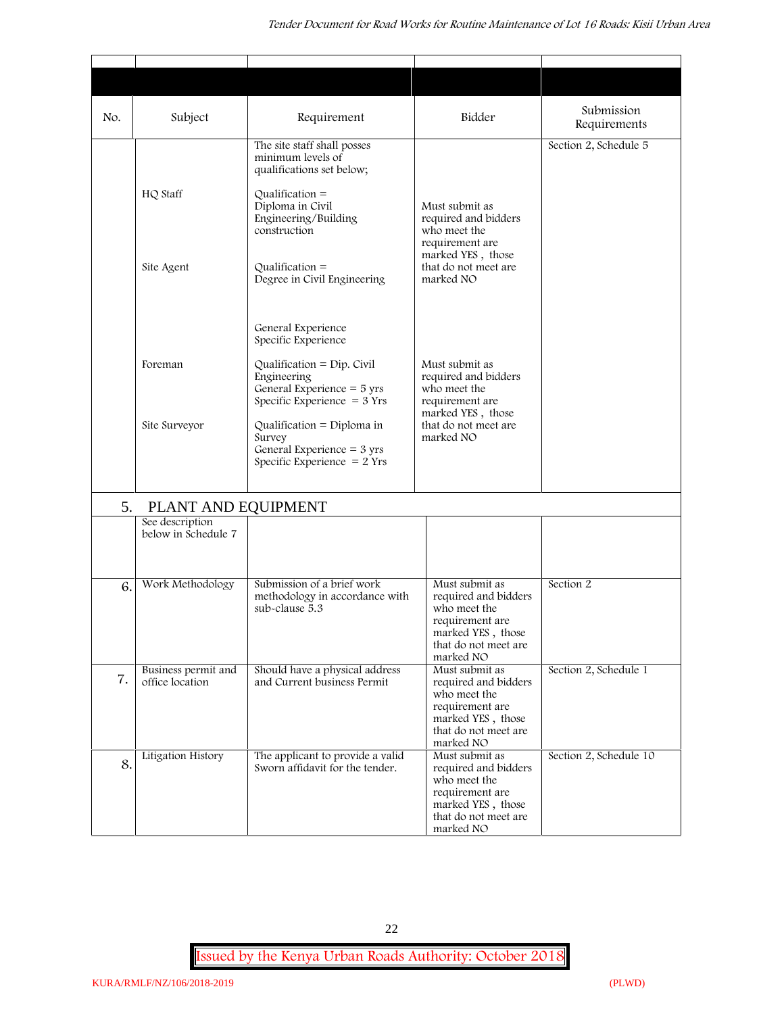| No. | Subject                                | Requirement                                                                                                                                                    | Bidder                                                                                                                              | Submission<br>Requirements |
|-----|----------------------------------------|----------------------------------------------------------------------------------------------------------------------------------------------------------------|-------------------------------------------------------------------------------------------------------------------------------------|----------------------------|
|     | HQ Staff                               | The site staff shall posses<br>minimum levels of<br>qualifications set below;<br>Qualification $=$<br>Diploma in Civil<br>Engineering/Building<br>construction | Must submit as<br>required and bidders<br>who meet the<br>requirement are                                                           | Section 2, Schedule 5      |
|     | Site Agent                             | Qualification $=$<br>Degree in Civil Engineering<br>General Experience                                                                                         | marked YES, those<br>that do not meet are<br>marked NO                                                                              |                            |
|     | Foreman                                | Specific Experience<br>Qualification = $Dip$ . Civil<br>Engineering<br>General Experience $=$ 5 yrs<br>Specific Experience $=$ 3 Yrs                           | Must submit as<br>required and bidders<br>who meet the<br>requirement are                                                           |                            |
|     | Site Surveyor                          | Qualification = Diploma in<br>Survey<br>General Experience = $3 \text{ yrs}$<br>Specific Experience $= 2$ Yrs                                                  | marked YES, those<br>that do not meet are<br>marked NO                                                                              |                            |
| 5.  | PLANT AND EQUIPMENT                    |                                                                                                                                                                |                                                                                                                                     |                            |
|     | See description<br>below in Schedule 7 |                                                                                                                                                                |                                                                                                                                     |                            |
| 6.  | Work Methodology                       | Submission of a brief work<br>methodology in accordance with<br>sub-clause 5.3                                                                                 | Must submit as<br>required and bidders<br>who meet the<br>requirement are<br>marked YES, those<br>that do not meet are<br>marked NO | Section 2                  |
| 7.  | Business permit and<br>office location | Should have a physical address<br>and Current business Permit                                                                                                  | Must submit as<br>required and bidders<br>who meet the<br>requirement are<br>marked YES, those<br>that do not meet are<br>marked NO | Section 2, Schedule 1      |
| 8.  | Litigation History                     | The applicant to provide a valid<br>Sworn affidavit for the tender.                                                                                            | Must submit as<br>required and bidders<br>who meet the<br>requirement are<br>marked YES, those<br>that do not meet are<br>marked NO | Section 2, Schedule 10     |

22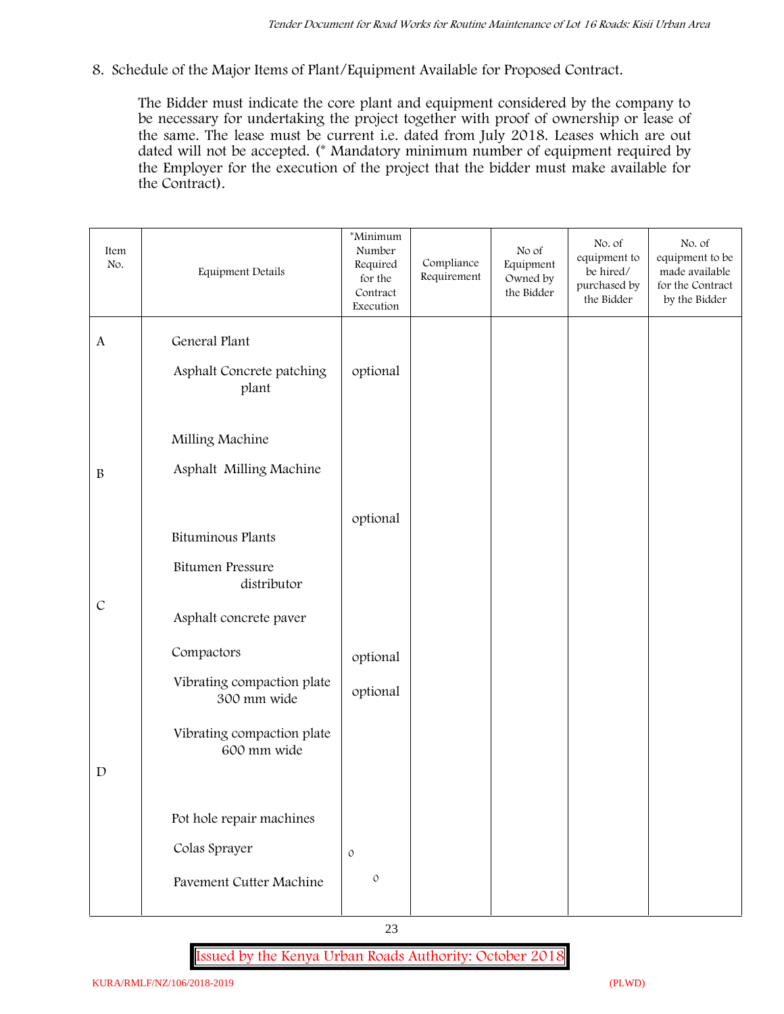**8. Schedule of the Major Items of Plant/Equipment Available for Proposed Contract.**

The Bidder must indicate the core plant and equipment considered by the company to be necessary for undertaking the project together with proof of ownership or lease of the same. The lease must be current i.e. dated from July 2018. Leases which are out dated will not be accepted. (\* Mandatory minimum number of equipment required by the Employer for the execution of the project that the bidder must make available for the Contract).

| Item<br>No.      | Equipment Details                         | *Minimum<br>Number<br>Required<br>for the<br>Contract<br>Execution | Compliance<br>Requirement | No of<br>Equipment<br>Owned by<br>the Bidder | No. of<br>equipment to<br>be hired/<br>purchased by<br>the Bidder | No. of<br>equipment to be<br>made available<br>for the Contract<br>by the Bidder |
|------------------|-------------------------------------------|--------------------------------------------------------------------|---------------------------|----------------------------------------------|-------------------------------------------------------------------|----------------------------------------------------------------------------------|
| $\boldsymbol{A}$ | General Plant                             |                                                                    |                           |                                              |                                                                   |                                                                                  |
|                  | Asphalt Concrete patching<br>plant        | optional                                                           |                           |                                              |                                                                   |                                                                                  |
|                  | Milling Machine                           |                                                                    |                           |                                              |                                                                   |                                                                                  |
| $\, {\bf B}$     | Asphalt Milling Machine                   |                                                                    |                           |                                              |                                                                   |                                                                                  |
|                  | <b>Bituminous Plants</b>                  | optional                                                           |                           |                                              |                                                                   |                                                                                  |
|                  | <b>Bitumen Pressure</b><br>distributor    |                                                                    |                           |                                              |                                                                   |                                                                                  |
| $\mathcal{C}$    | Asphalt concrete paver                    |                                                                    |                           |                                              |                                                                   |                                                                                  |
|                  | Compactors                                | optional                                                           |                           |                                              |                                                                   |                                                                                  |
|                  | Vibrating compaction plate<br>300 mm wide | optional                                                           |                           |                                              |                                                                   |                                                                                  |
|                  | Vibrating compaction plate<br>600 mm wide |                                                                    |                           |                                              |                                                                   |                                                                                  |
| $\mathbf D$      |                                           |                                                                    |                           |                                              |                                                                   |                                                                                  |
|                  | Pot hole repair machines                  |                                                                    |                           |                                              |                                                                   |                                                                                  |
|                  | Colas Sprayer                             | $\circ$                                                            |                           |                                              |                                                                   |                                                                                  |
|                  | Pavement Cutter Machine                   | $\mathfrak{O}$                                                     |                           |                                              |                                                                   |                                                                                  |
|                  |                                           |                                                                    |                           |                                              |                                                                   |                                                                                  |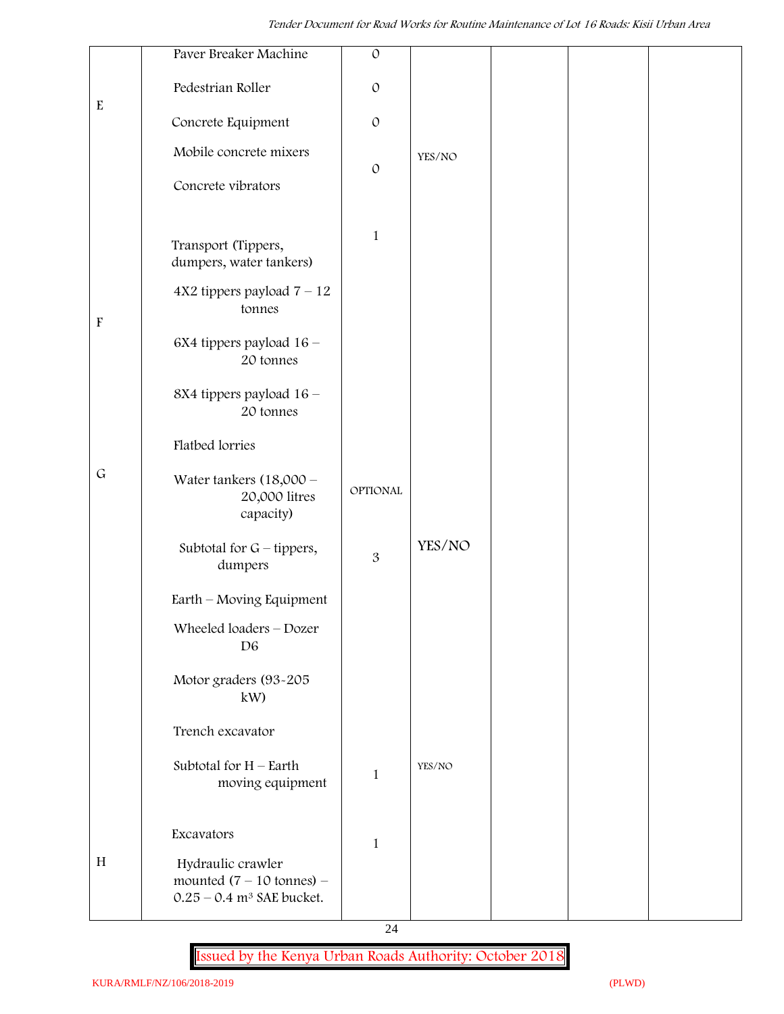|                           | Paver Breaker Machine                                                                               | $\mathcal{O}$ |        |  |  |
|---------------------------|-----------------------------------------------------------------------------------------------------|---------------|--------|--|--|
| ${\bf E}$                 | Pedestrian Roller                                                                                   | $\circ$       |        |  |  |
|                           | Concrete Equipment                                                                                  | $\circ$       |        |  |  |
|                           | Mobile concrete mixers                                                                              |               | YES/NO |  |  |
|                           | Concrete vibrators                                                                                  | $\mathcal{O}$ |        |  |  |
|                           |                                                                                                     |               |        |  |  |
|                           | Transport (Tippers,<br>dumpers, water tankers)                                                      | $\mathbf{1}$  |        |  |  |
| $\boldsymbol{\mathrm{F}}$ | $4X2$ tippers payload $7 - 12$<br>tonnes                                                            |               |        |  |  |
|                           | 6X4 tippers payload 16 -<br>20 tonnes                                                               |               |        |  |  |
|                           | 8X4 tippers payload 16 -<br>20 tonnes                                                               |               |        |  |  |
|                           | Flatbed lorries                                                                                     |               |        |  |  |
| $\mathsf G$               | Water tankers $(18,000 -$<br>20,000 litres<br>capacity)                                             | OPTIONAL      |        |  |  |
|                           | Subtotal for $G$ – tippers,<br>dumpers                                                              | 3             | YES/NO |  |  |
|                           | Earth - Moving Equipment                                                                            |               |        |  |  |
|                           | Wheeled loaders - Dozer<br>D <sub>6</sub>                                                           |               |        |  |  |
|                           | Motor graders (93-205<br>kW)                                                                        |               |        |  |  |
|                           | Trench excavator                                                                                    |               |        |  |  |
|                           | Subtotal for $H$ – Earth<br>moving equipment                                                        | 1             | YES/NO |  |  |
|                           | Excavators                                                                                          | $\mathbf{1}$  |        |  |  |
| $\, {\rm H}$              | Hydraulic crawler<br>mounted $(7 - 10 \text{ tonnes})$ -<br>$0.25 - 0.4$ m <sup>3</sup> SAE bucket. |               |        |  |  |

24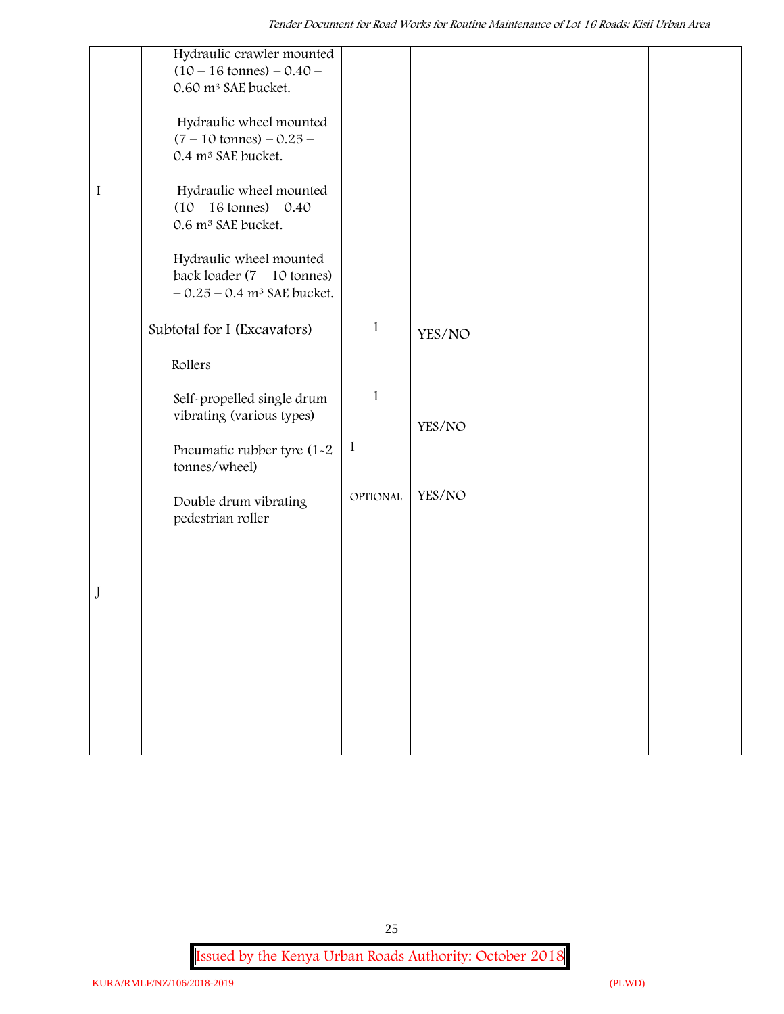|         | Hydraulic crawler mounted<br>$(10 - 16 \text{ tonnes}) - 0.40 -$<br>0.60 m <sup>3</sup> SAE bucket.  |              |        |  |
|---------|------------------------------------------------------------------------------------------------------|--------------|--------|--|
|         | Hydraulic wheel mounted<br>$(7 - 10 \text{ tonnes}) - 0.25 -$<br>0.4 m <sup>3</sup> SAE bucket.      |              |        |  |
| $\bf I$ | Hydraulic wheel mounted<br>$(10 - 16 \text{ tonnes}) - 0.40 -$<br>0.6 m <sup>3</sup> SAE bucket.     |              |        |  |
|         | Hydraulic wheel mounted<br>back loader $(7 - 10$ tonnes)<br>$-0.25 - 0.4$ m <sup>3</sup> SAE bucket. |              |        |  |
|         | Subtotal for I (Excavators)                                                                          | $\mathbf{1}$ | YES/NO |  |
|         | Rollers                                                                                              |              |        |  |
|         | Self-propelled single drum<br>vibrating (various types)                                              | $1\,$        | YES/NO |  |
|         | Pneumatic rubber tyre (1-2<br>tonnes/wheel)                                                          | $\mathbf{1}$ |        |  |
|         | Double drum vibrating<br>pedestrian roller                                                           | OPTIONAL     | YES/NO |  |
|         |                                                                                                      |              |        |  |
| J       |                                                                                                      |              |        |  |
|         |                                                                                                      |              |        |  |
|         |                                                                                                      |              |        |  |
|         |                                                                                                      |              |        |  |
|         |                                                                                                      |              |        |  |
|         |                                                                                                      |              |        |  |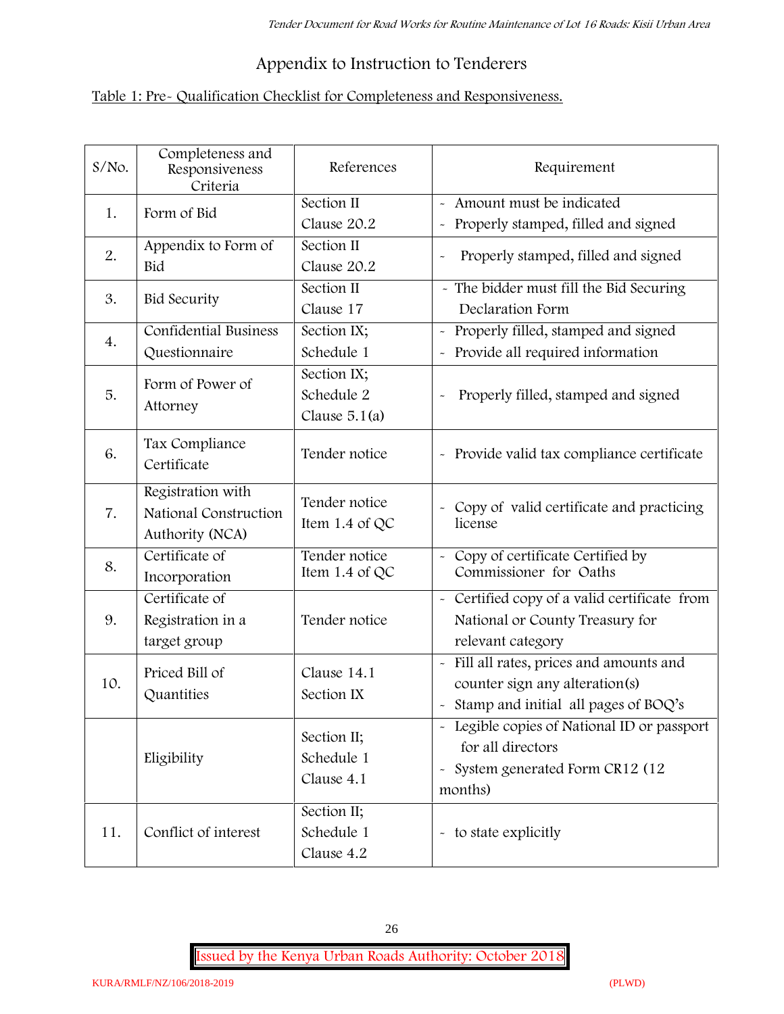# **Appendix to Instruction to Tenderers**

# **Table 1: Pre- Qualification Checklist for Completeness and Responsiveness.**

| S/No. | Completeness and<br>Responsiveness<br>Criteria                | References                                   | Requirement                                                                                                                                |  |
|-------|---------------------------------------------------------------|----------------------------------------------|--------------------------------------------------------------------------------------------------------------------------------------------|--|
| 1.    | Form of Bid                                                   | Section II<br>Clause 20.2                    | Amount must be indicated<br>Properly stamped, filled and signed<br>$\tilde{\phantom{a}}$                                                   |  |
| 2.    | Appendix to Form of<br>Bid                                    | Section II<br>Clause 20.2                    | Properly stamped, filled and signed                                                                                                        |  |
| 3.    | <b>Bid Security</b>                                           | Section II<br>Clause 17                      | - The bidder must fill the Bid Securing<br>Declaration Form                                                                                |  |
| 4.    | <b>Confidential Business</b><br>Questionnaire                 | Section IX;<br>Schedule 1                    | Properly filled, stamped and signed<br>$\tilde{\phantom{a}}$<br>Provide all required information<br>$\tilde{\phantom{a}}$                  |  |
| 5.    | Form of Power of<br>Attorney                                  | Section IX;<br>Schedule 2<br>Clause $5.1(a)$ | Properly filled, stamped and signed                                                                                                        |  |
| 6.    | Tax Compliance<br>Certificate                                 | Tender notice                                | - Provide valid tax compliance certificate                                                                                                 |  |
| 7.    | Registration with<br>National Construction<br>Authority (NCA) | Tender notice<br>Item 1.4 of QC              | - Copy of valid certificate and practicing<br>license                                                                                      |  |
| 8.    | Certificate of<br>Incorporation                               | Tender notice<br>Item 1.4 of QC              | Copy of certificate Certified by<br>Commissioner for Oaths                                                                                 |  |
| 9.    | Certificate of<br>Registration in a<br>target group           | Tender notice                                | - Certified copy of a valid certificate from<br>National or County Treasury for<br>relevant category                                       |  |
| 10.   | Priced Bill of<br>Quantities                                  | Clause 14.1<br>Section IX                    | Fill all rates, prices and amounts and<br>$\tilde{\phantom{a}}$<br>counter sign any alteration(s)<br>Stamp and initial all pages of BOQ's  |  |
|       | Eligibility                                                   | Section II;<br>Schedule 1<br>Clause 4.1      | - Legible copies of National ID or passport<br>for all directors<br>System generated Form CR12 (12<br>$\widetilde{\phantom{m}}$<br>months) |  |
| 11.   | Conflict of interest                                          | Section II;<br>Schedule 1<br>Clause 4.2      | - to state explicitly                                                                                                                      |  |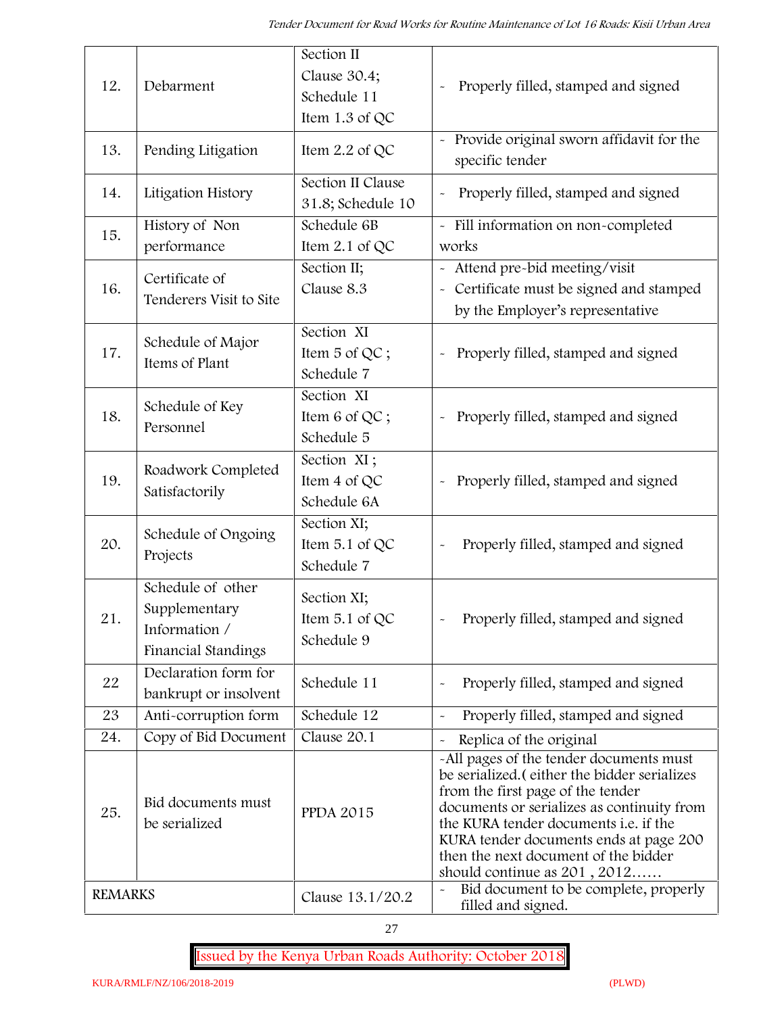| 12.            | Section II<br>Clause 30.4;<br>Debarment                                    |                                               | Properly filled, stamped and signed                                                                                                                                                                                                                                                                                                            |
|----------------|----------------------------------------------------------------------------|-----------------------------------------------|------------------------------------------------------------------------------------------------------------------------------------------------------------------------------------------------------------------------------------------------------------------------------------------------------------------------------------------------|
|                |                                                                            | Schedule 11<br>Item 1.3 of QC                 |                                                                                                                                                                                                                                                                                                                                                |
| 13.            | Pending Litigation                                                         | Item 2.2 of QC                                | Provide original sworn affidavit for the<br>specific tender                                                                                                                                                                                                                                                                                    |
| 14.            | Litigation History                                                         | Section II Clause<br>31.8; Schedule 10        | Properly filled, stamped and signed                                                                                                                                                                                                                                                                                                            |
| 15.            | History of Non<br>performance                                              | Schedule 6B<br>Item $2.1$ of QC               | - Fill information on non-completed<br>works                                                                                                                                                                                                                                                                                                   |
| 16.            | Certificate of<br>Tenderers Visit to Site                                  | Section II;<br>Clause 8.3                     | - Attend pre-bid meeting/visit<br>Certificate must be signed and stamped<br>$\tilde{\phantom{a}}$<br>by the Employer's representative                                                                                                                                                                                                          |
| 17.            | Schedule of Major<br>Items of Plant                                        | Section XI<br>Item 5 of QC;<br>Schedule 7     | Properly filled, stamped and signed<br>$\tilde{}$                                                                                                                                                                                                                                                                                              |
| 18.            | Schedule of Key<br>Personnel                                               | Section XI<br>Item 6 of QC;<br>Schedule 5     | Properly filled, stamped and signed<br>$\tilde{\phantom{a}}$                                                                                                                                                                                                                                                                                   |
| 19.            | Roadwork Completed<br>Satisfactorily                                       | Section XI;<br>Item 4 of QC<br>Schedule 6A    | - Properly filled, stamped and signed                                                                                                                                                                                                                                                                                                          |
| 20.            | Schedule of Ongoing<br>Projects                                            | Section XI;<br>Item 5.1 of QC<br>Schedule 7   | Properly filled, stamped and signed                                                                                                                                                                                                                                                                                                            |
| 21.            | Schedule of other<br>Supplementary<br>Information /<br>Financial Standings | Section XI;<br>Item $5.1$ of QC<br>Schedule 9 | Properly filled, stamped and signed                                                                                                                                                                                                                                                                                                            |
| 22             | Declaration form for<br>bankrupt or insolvent                              | Schedule 11                                   | Properly filled, stamped and signed                                                                                                                                                                                                                                                                                                            |
| 23             | Anti-corruption form                                                       | Schedule 12                                   | Properly filled, stamped and signed<br>$\tilde{\phantom{a}}$                                                                                                                                                                                                                                                                                   |
| 24.            | Copy of Bid Document                                                       | Clause 20.1                                   | Replica of the original                                                                                                                                                                                                                                                                                                                        |
| 25.            | Bid documents must<br>be serialized                                        | <b>PPDA 2015</b>                              | -All pages of the tender documents must<br>be serialized. (either the bidder serializes<br>from the first page of the tender<br>documents or serializes as continuity from<br>the KURA tender documents <i>i.e.</i> if the<br>KURA tender documents ends at page 200<br>then the next document of the bidder<br>should continue as $201, 2012$ |
| <b>REMARKS</b> |                                                                            | Clause 13.1/20.2                              | Bid document to be complete, properly<br>filled and signed.                                                                                                                                                                                                                                                                                    |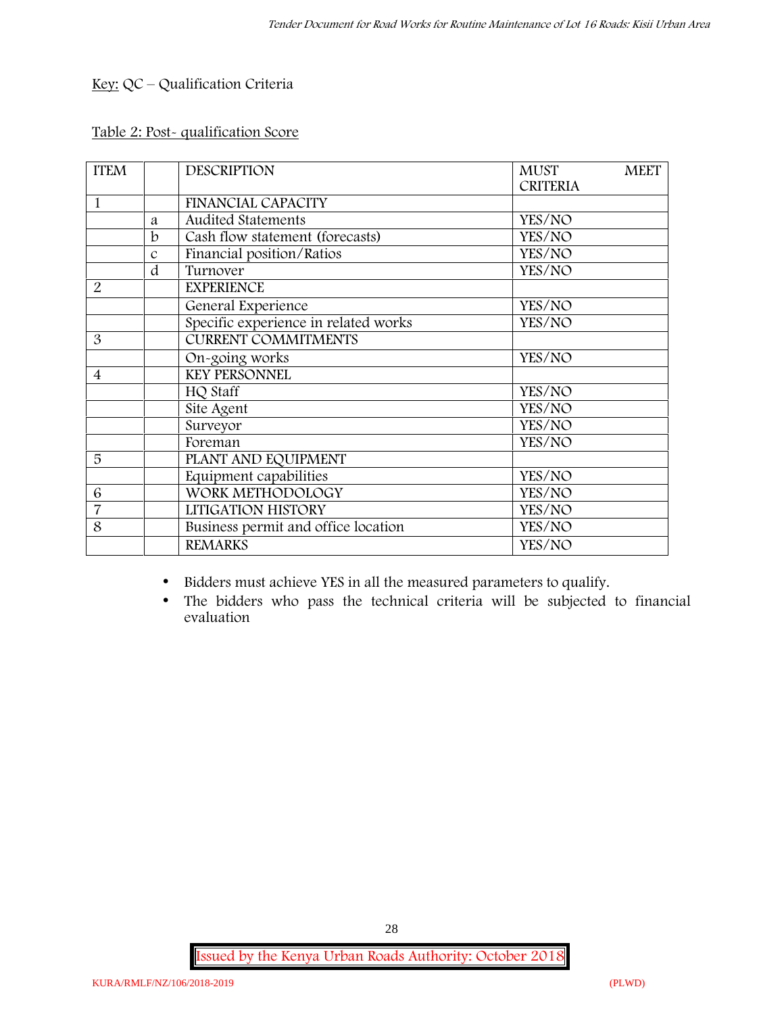# **Key:** QC – Qualification Criteria

#### **Table 2: Post- qualification Score**

| <b>ITEM</b>    |               | <b>DESCRIPTION</b>                   | <b>MUST</b>     | <b>MEET</b> |
|----------------|---------------|--------------------------------------|-----------------|-------------|
|                |               |                                      | <b>CRITERIA</b> |             |
| 1              |               | <b>FINANCIAL CAPACITY</b>            |                 |             |
|                | a             | <b>Audited Statements</b>            | YES/NO          |             |
|                | $\mathbf b$   | Cash flow statement (forecasts)      | YES/NO          |             |
|                | $\mathcal{C}$ | Financial position/Ratios            | YES/NO          |             |
|                | d             | Turnover                             | YES/NO          |             |
| 2              |               | <b>EXPERIENCE</b>                    |                 |             |
|                |               | General Experience                   | YES/NO          |             |
|                |               | Specific experience in related works | YES/NO          |             |
| 3              |               | <b>CURRENT COMMITMENTS</b>           |                 |             |
|                |               | On-going works                       | YES/NO          |             |
| $\overline{4}$ |               | <b>KEY PERSONNEL</b>                 |                 |             |
|                |               | HQ Staff                             | YES/NO          |             |
|                |               | Site Agent                           | YES/NO          |             |
|                |               | Surveyor                             | YES/NO          |             |
|                |               | Foreman                              | YES/NO          |             |
| 5              |               | PLANT AND EQUIPMENT                  |                 |             |
|                |               | Equipment capabilities               | YES/NO          |             |
| 6              |               | WORK METHODOLOGY                     | YES/NO          |             |
| 7              |               | LITIGATION HISTORY                   | YES/NO          |             |
| 8              |               | Business permit and office location  | YES/NO          |             |
|                |               | <b>REMARKS</b>                       | YES/NO          |             |

Bidders must achieve YES in all the measured parameters to qualify.

 The bidders who pass the technical criteria will be subjected to financial evaluation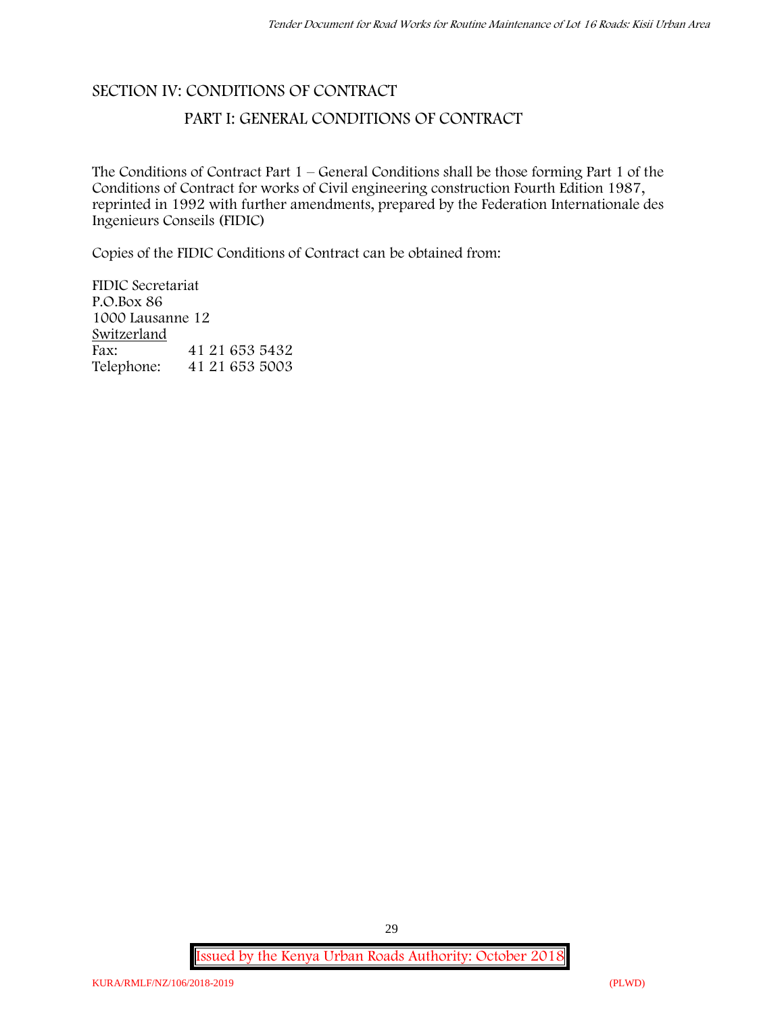# **SECTION IV: CONDITIONS OF CONTRACT**

# **PART I: GENERAL CONDITIONS OF CONTRACT**

The Conditions of Contract Part 1 – General Conditions shall be those forming Part 1 of the Conditions of Contract for works of Civil engineering construction Fourth Edition 1987, reprinted in 1992 with further amendments, prepared by the Federation Internationale des Ingenieurs Conseils (FIDIC)

Copies of the FIDIC Conditions of Contract can be obtained from:

FIDIC Secretariat P.O.Box 86 1000 Lausanne 12 **Switzerland** Fax: 41 21 653 5432 Telephone: 41 21 653 5003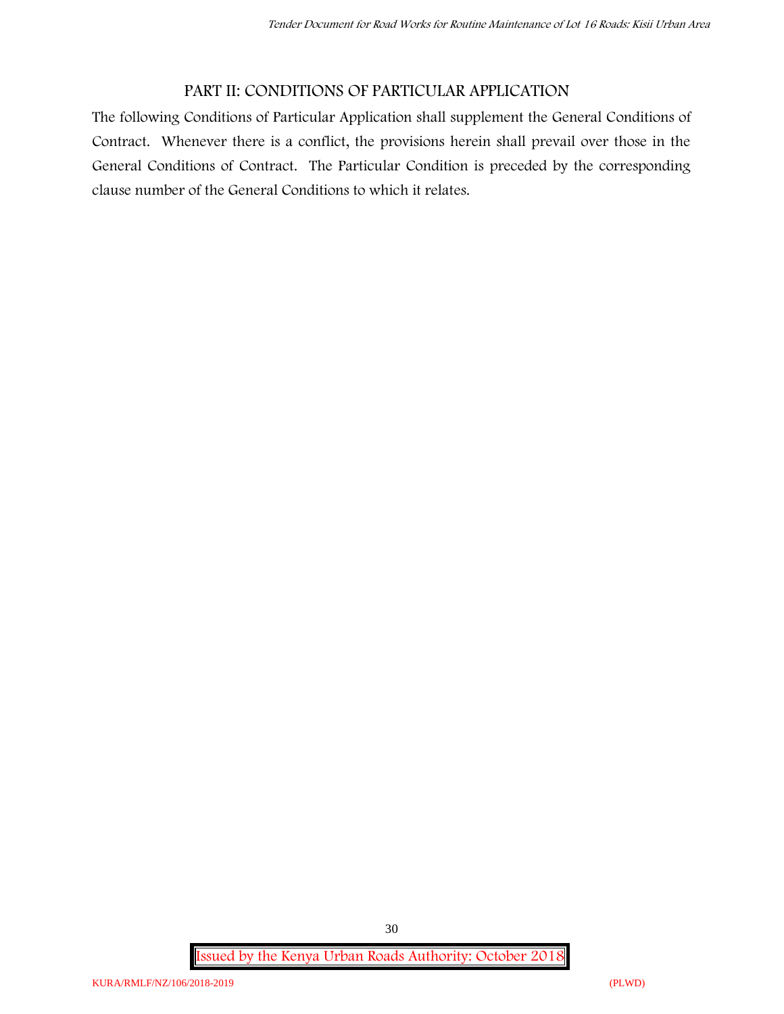# **PART II: CONDITIONS OF PARTICULAR APPLICATION**

The following Conditions of Particular Application shall supplement the General Conditions of Contract. Whenever there is a conflict, the provisions herein shall prevail over those in the General Conditions of Contract. The Particular Condition is preceded by the corresponding clause number of the General Conditions to which it relates.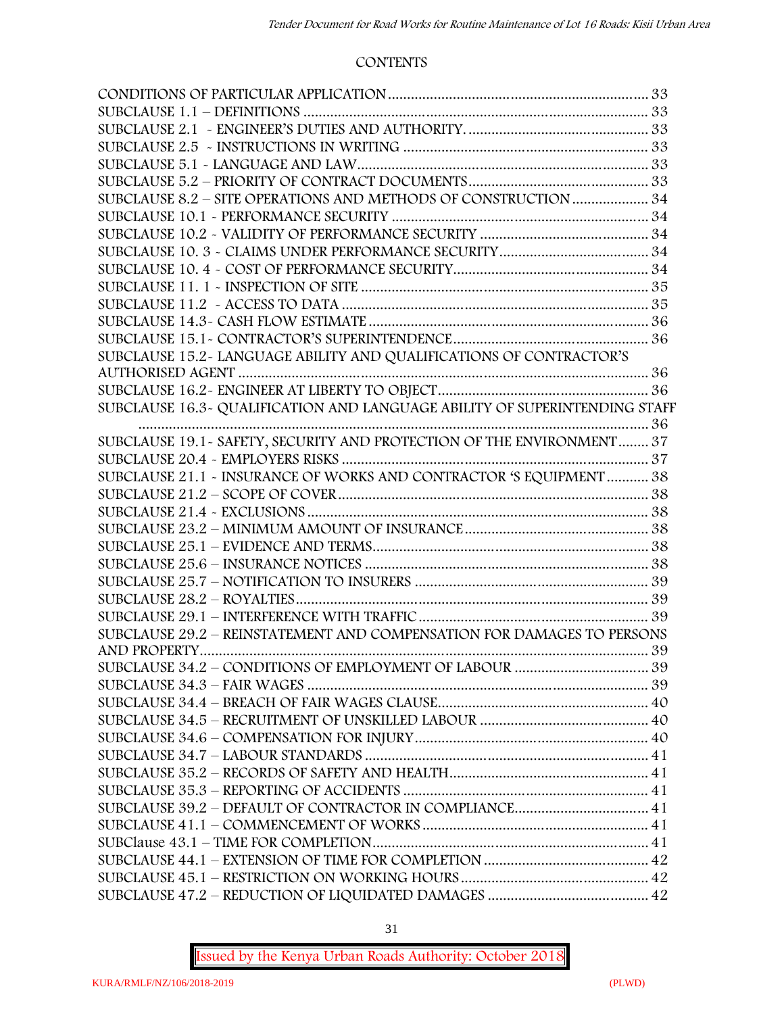#### **CONTENTS**

| SUBCLAUSE 8.2 - SITE OPERATIONS AND METHODS OF CONSTRUCTION  34            |  |
|----------------------------------------------------------------------------|--|
|                                                                            |  |
|                                                                            |  |
|                                                                            |  |
|                                                                            |  |
|                                                                            |  |
|                                                                            |  |
|                                                                            |  |
|                                                                            |  |
| SUBCLAUSE 15.2-LANGUAGE ABILITY AND QUALIFICATIONS OF CONTRACTOR'S         |  |
|                                                                            |  |
|                                                                            |  |
| SUBCLAUSE 16.3- QUALIFICATION AND LANGUAGE ABILITY OF SUPERINTENDING STAFF |  |
|                                                                            |  |
| SUBCLAUSE 19.1 - SAFETY, SECURITY AND PROTECTION OF THE ENVIRONMENT 37     |  |
|                                                                            |  |
| SUBCLAUSE 21.1 - INSURANCE OF WORKS AND CONTRACTOR 'S EQUIPMENT  38        |  |
|                                                                            |  |
|                                                                            |  |
|                                                                            |  |
|                                                                            |  |
|                                                                            |  |
|                                                                            |  |
|                                                                            |  |
|                                                                            |  |
| SUBCLAUSE 29.2 - REINSTATEMENT AND COMPENSATION FOR DAMAGES TO PERSONS     |  |
|                                                                            |  |
|                                                                            |  |
|                                                                            |  |
|                                                                            |  |
|                                                                            |  |
|                                                                            |  |
|                                                                            |  |
|                                                                            |  |
|                                                                            |  |
| SUBCLAUSE 39.2 - DEFAULT OF CONTRACTOR IN COMPLIANCE 41                    |  |
|                                                                            |  |
|                                                                            |  |
|                                                                            |  |
|                                                                            |  |
|                                                                            |  |
|                                                                            |  |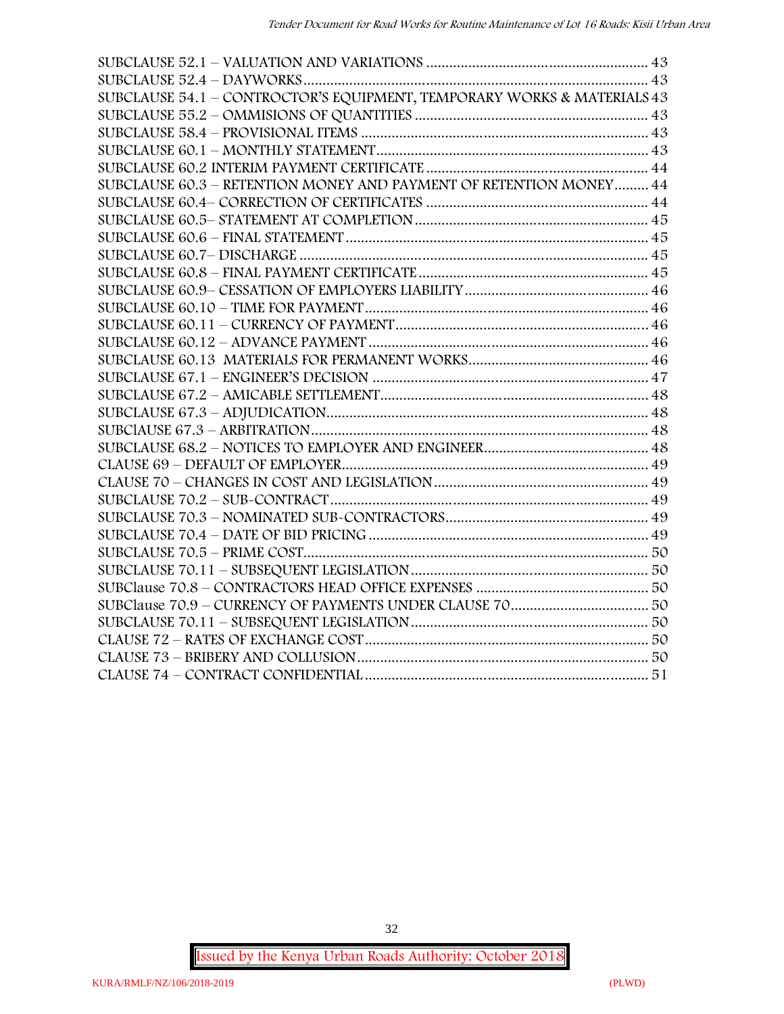| SUBCLAUSE 54.1 - CONTROCTOR'S EQUIPMENT, TEMPORARY WORKS & MATERIALS 43 |  |
|-------------------------------------------------------------------------|--|
|                                                                         |  |
|                                                                         |  |
|                                                                         |  |
|                                                                         |  |
| SUBCLAUSE 60.3 - RETENTION MONEY AND PAYMENT OF RETENTION MONEY 44      |  |
|                                                                         |  |
|                                                                         |  |
|                                                                         |  |
|                                                                         |  |
|                                                                         |  |
|                                                                         |  |
|                                                                         |  |
|                                                                         |  |
|                                                                         |  |
|                                                                         |  |
|                                                                         |  |
|                                                                         |  |
|                                                                         |  |
|                                                                         |  |
|                                                                         |  |
|                                                                         |  |
|                                                                         |  |
|                                                                         |  |
|                                                                         |  |
|                                                                         |  |
|                                                                         |  |
|                                                                         |  |
|                                                                         |  |
|                                                                         |  |
|                                                                         |  |
|                                                                         |  |
|                                                                         |  |
|                                                                         |  |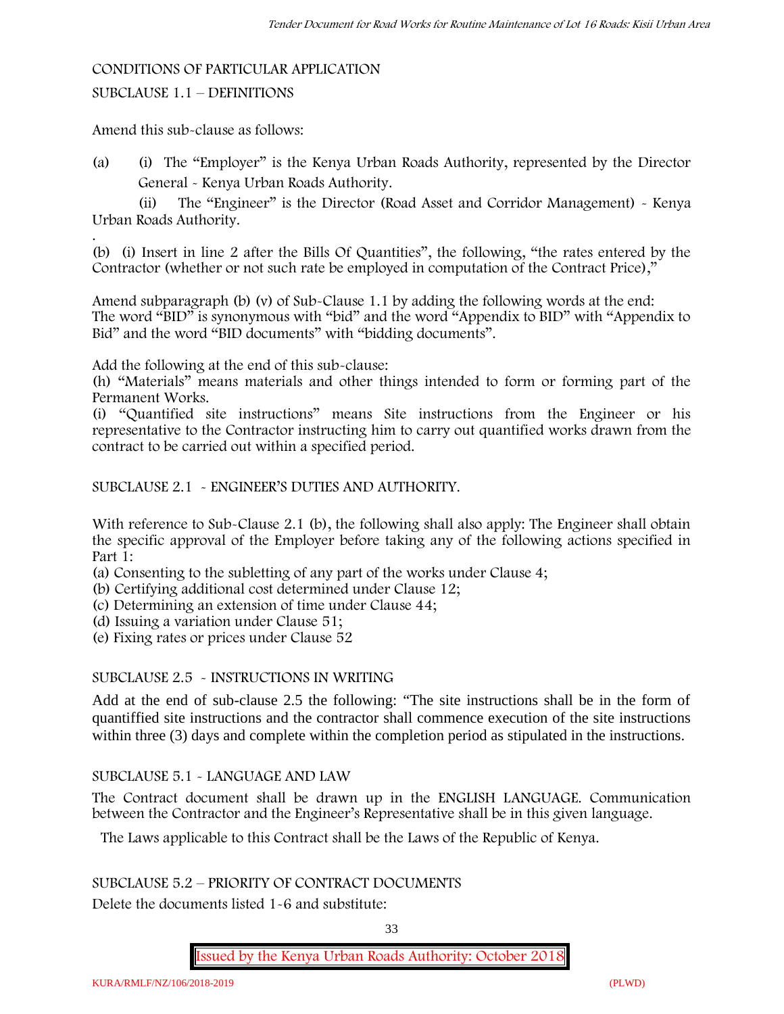#### **CONDITIONS OF PARTICULAR APPLICATION**

#### SUBCLAUSE 1.1 – DEFINITIONS

Amend this sub-clause as follows:

(a) (i) The "Employer" is the Kenya Urban Roads Authority, represented by the Director General - Kenya Urban Roads Authority.

(ii) The "Engineer" is the Director (Road Asset and Corridor Management) - Kenya Urban Roads Authority.

.(b) (i) Insert in line 2 after the Bills Of Quantities", the following, "the rates entered by the Contractor (whether or not such rate be employed in computation of the Contract Price),"

Amend subparagraph (b) (v) of Sub-Clause 1.1 by adding the following words at the end: The word "BID" is synonymous with "bid" and the word "Appendix to BID" with "Appendix to Bid" and the word "BID documents" with "bidding documents".

Add the following at the end of this sub-clause:

(h) "Materials" means materials and other things intended to form or forming part of the Permanent Works.

(i) "Quantified site instructions" means Site instructions from the Engineer or his representative to the Contractor instructing him to carry out quantified works drawn from the contract to be carried out within a specified period.

SUBCLAUSE 2.1 - ENGINEER'S DUTIES AND AUTHORITY.

With reference to Sub-Clause 2.1 (b), the following shall also apply: The Engineer shall obtain the specific approval of the Employer before taking any of the following actions specified in Part 1:

(a) Consenting to the subletting of any part of the works under Clause 4;

(b) Certifying additional cost determined under Clause 12;

(c) Determining an extension of time under Clause 44;

(d) Issuing a variation under Clause 51;

(e) Fixing rates or prices under Clause 52

#### SUBCLAUSE 2.5 - INSTRUCTIONS IN WRITING

Add at the end of sub-clause 2.5 the following: "The site instructions shall be in the form of quantiffied site instructions and the contractor shall commence execution of the site instructions within three (3) days and complete within the completion period as stipulated in the instructions.

#### SUBCLAUSE 5.1 - LANGUAGE AND LAW

The Contract document shall be drawn up in the ENGLISH LANGUAGE. Communication between the Contractor and the Engineer's Representative shall be in this given language.

The Laws applicable to this Contract shall be the Laws of the Republic of Kenya.

# SUBCLAUSE 5.2 – PRIORITY OF CONTRACT DOCUMENTS

Delete the documents listed 1-6 and substitute:

33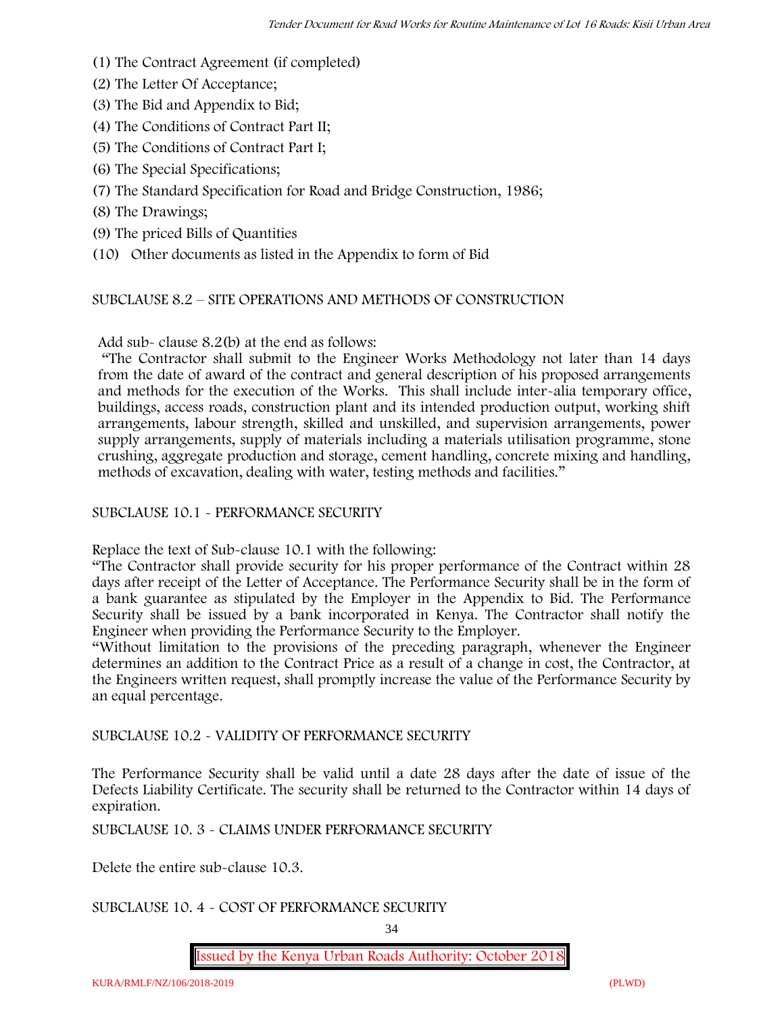- (1) The Contract Agreement (if completed)
- (2) The Letter Of Acceptance;
- (3) The Bid and Appendix to Bid;
- (4) The Conditions of Contract Part II;
- (5) The Conditions of Contract Part I;
- (6) The Special Specifications;
- (7) The Standard Specification for Road and Bridge Construction, 1986;
- (8) The Drawings;
- (9) The priced Bills of Quantities
- (10) Other documents as listed in the Appendix to form of Bid

# SUBCLAUSE 8.2 – SITE OPERATIONS AND METHODS OF CONSTRUCTION

Add sub- clause 8.2(b) at the end as follows:

"The Contractor shall submit to the Engineer Works Methodology not later than 14 days from the date of award of the contract and general description of his proposed arrangements and methods for the execution of the Works. This shall include inter-alia temporary office, buildings, access roads, construction plant and its intended production output, working shift arrangements, labour strength, skilled and unskilled, and supervision arrangements, power supply arrangements, supply of materials including a materials utilisation programme, stone crushing, aggregate production and storage, cement handling, concrete mixing and handling, methods of excavation, dealing with water, testing methods and facilities."

#### SUBCLAUSE 10.1 - PERFORMANCE SECURITY

Replace the text of Sub-clause 10.1 with the following:

"The Contractor shall provide security for his proper performance of the Contract within 28 days after receipt of the Letter of Acceptance. The Performance Security shall be in the form of a bank guarantee as stipulated by the Employer in the Appendix to Bid. The Performance Security shall be issued by a bank incorporated in Kenya. The Contractor shall notify the Engineer when providing the Performance Security to the Employer.

"Without limitation to the provisions of the preceding paragraph, whenever the Engineer determines an addition to the Contract Price as a result of a change in cost, the Contractor, at the Engineers written request, shall promptly increase the value of the Performance Security by an equal percentage.

SUBCLAUSE 10.2 - VALIDITY OF PERFORMANCE SECURITY

The Performance Security shall be valid until a date 28 days after the date of issue of the Defects Liability Certificate. The security shall be returned to the Contractor within 14 days of expiration.

SUBCLAUSE 10. 3 - CLAIMS UNDER PERFORMANCE SECURITY

Delete the entire sub-clause 10.3.

#### SUBCLAUSE 10. 4 - COST OF PERFORMANCE SECURITY

34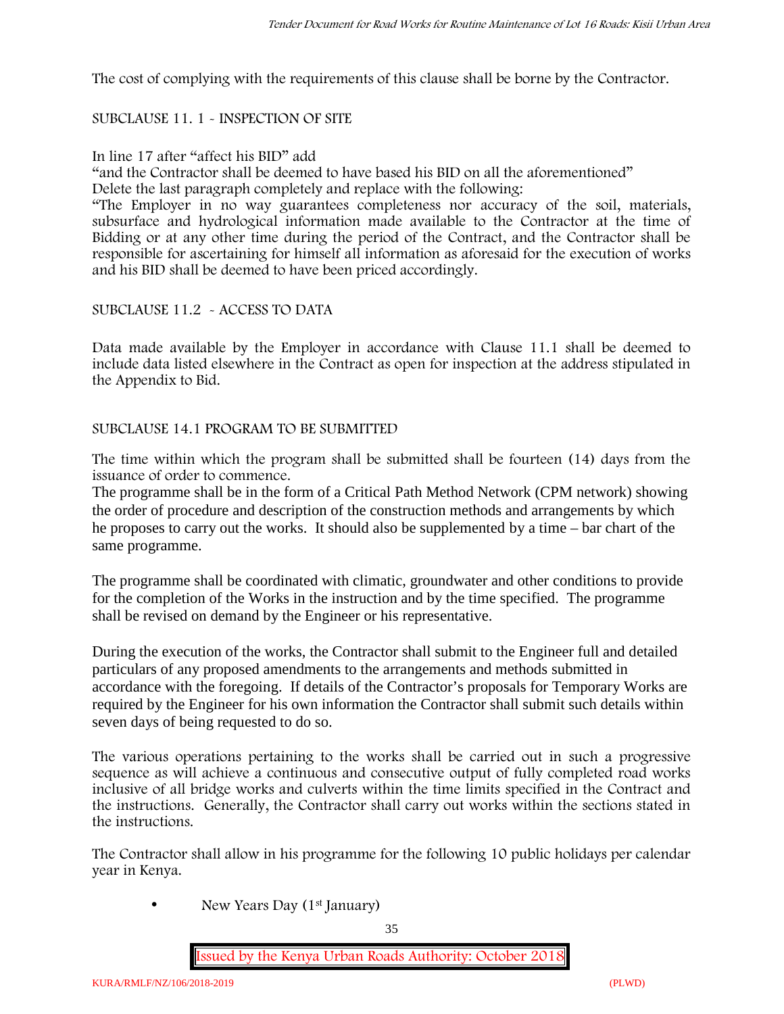The cost of complying with the requirements of this clause shall be borne by the Contractor.

# SUBCLAUSE 11. 1 - INSPECTION OF SITE

#### In line 17 after "affect his BID" add

"and the Contractor shall be deemed to have based his BID on all the aforementioned"

Delete the last paragraph completely and replace with the following:

"The Employer in no way guarantees completeness nor accuracy of the soil, materials, subsurface and hydrological information made available to the Contractor at the time of Bidding or at any other time during the period of the Contract, and the Contractor shall be responsible for ascertaining for himself all information as aforesaid for the execution of works and his BID shall be deemed to have been priced accordingly.

#### SUBCLAUSE 11.2 - ACCESS TO DATA

Data made available by the Employer in accordance with Clause 11.1 shall be deemed to include data listed elsewhere in the Contract as open for inspection at the address stipulated in the Appendix to Bid.

#### SUBCLAUSE 14.1 PROGRAM TO BE SUBMITTED

The time within which the program shall be submitted shall be fourteen (14) days from the issuance of order to commence**.**

The programme shall be in the form of a Critical Path Method Network (CPM network) showing the order of procedure and description of the construction methods and arrangements by which he proposes to carry out the works. It should also be supplemented by a time – bar chart of the same programme.

The programme shall be coordinated with climatic, groundwater and other conditions to provide for the completion of the Works in the instruction and by the time specified. The programme shall be revised on demand by the Engineer or his representative.

During the execution of the works, the Contractor shall submit to the Engineer full and detailed particulars of any proposed amendments to the arrangements and methods submitted in accordance with the foregoing. If details of the Contractor's proposals for Temporary Works are required by the Engineer for his own information the Contractor shall submit such details within seven days of being requested to do so.

The various operations pertaining to the works shall be carried out in such a progressive sequence as will achieve a continuous and consecutive output of fully completed road works inclusive of all bridge works and culverts within the time limits specified in the Contract and the instructions. Generally, the Contractor shall carry out works within the sections stated in the instructions.

The Contractor shall allow in his programme for the following 10 public holidays per calendar year in Kenya.

• New Years Day (1<sup>st</sup> January)

35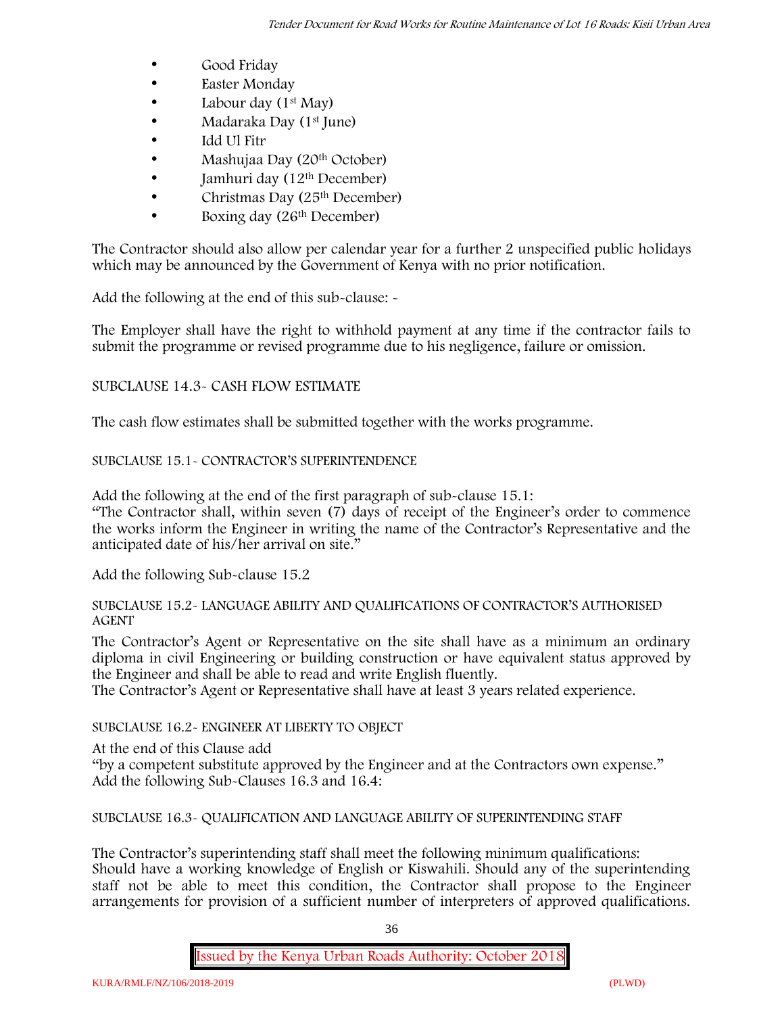- Good Friday
- **Easter Monday**
- Labour day  $(1^{st}$  May)
- Madaraka Day (1st June)
- Idd Ul Fitr
- Mashujaa Day (20th October)
- $\bullet$  Jamhuri day (12<sup>th</sup> December)
- $\bullet$  Christmas Day (25<sup>th</sup> December)
- Boxing day (26<sup>th</sup> December)

The Contractor should also allow per calendar year for a further 2 unspecified public holidays which may be announced by the Government of Kenya with no prior notification.

Add the following at the end of this sub-clause: -

The Employer shall have the right to withhold payment at any time if the contractor fails to submit the programme or revised programme due to his negligence, failure or omission.

# SUBCLAUSE 14.3- CASH FLOW ESTIMATE

The cash flow estimates shall be submitted together with the works programme.

# SUBCLAUSE 15.1- CONTRACTOR'S SUPERINTENDENCE

Add the following at the end of the first paragraph of sub-clause 15.1:

"The Contractor shall, within seven (7) days of receipt of the Engineer's order to commence the works inform the Engineer in writing the name of the Contractor's Representative and the anticipated date of his/her arrival on site."

Add the following Sub-clause 15.2

#### SUBCLAUSE 15.2- LANGUAGE ABILITY AND QUALIFICATIONS OF CONTRACTOR'S AUTHORISED AGENT

The Contractor's Agent or Representative on the site shall have as a minimum an ordinary diploma in civil Engineering or building construction or have equivalent status approved by the Engineer and shall be able to read and write English fluently.

The Contractor's Agent or Representative shall have at least 3 years related experience.

# SUBCLAUSE 16.2- ENGINEER AT LIBERTY TO OBJECT

At the end of this Clause add

"by a competent substitute approved by the Engineer and at the Contractors own expense." Add the following Sub-Clauses 16.3 and 16.4:

SUBCLAUSE 16.3- QUALIFICATION AND LANGUAGE ABILITY OF SUPERINTENDING STAFF

The Contractor's superintending staff shall meet the following minimum qualifications: Should have a working knowledge of English or Kiswahili. Should any of the superintending staff not be able to meet this condition, the Contractor shall propose to the Engineer arrangements for provision of a sufficient number of interpreters of approved qualifications.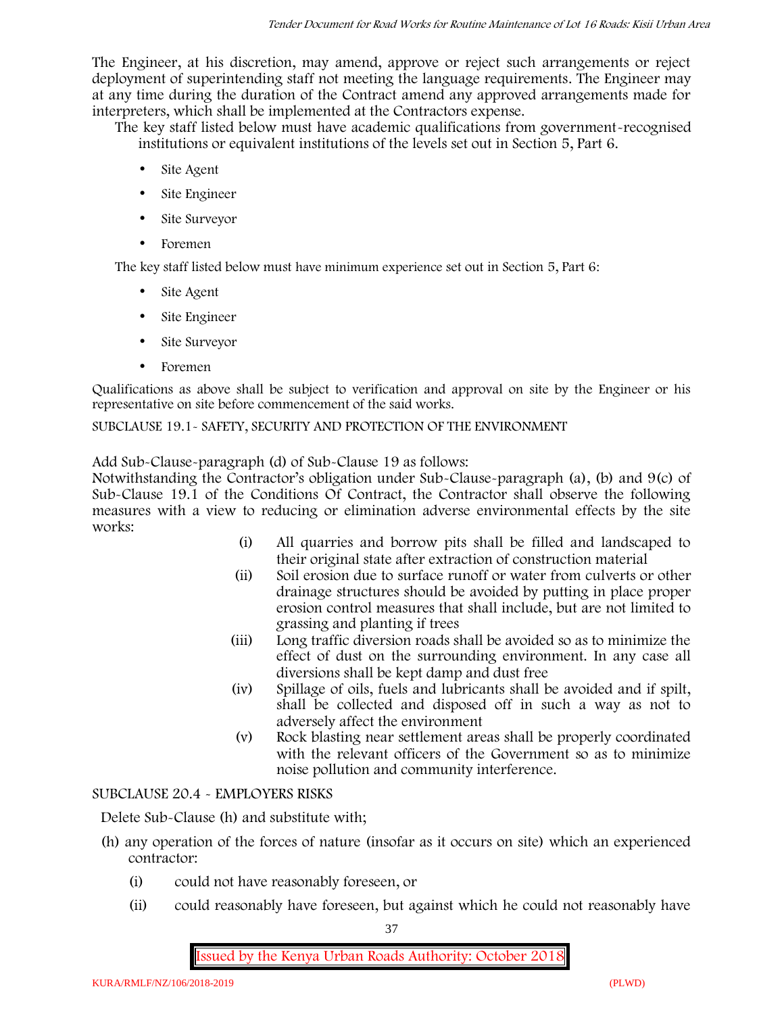The Engineer, at his discretion, may amend, approve or reject such arrangements or reject deployment of superintending staff not meeting the language requirements. The Engineer may at any time during the duration of the Contract amend any approved arrangements made for interpreters, which shall be implemented at the Contractors expense.

The key staff listed below must have academic qualifications from government-recognised institutions or equivalent institutions of the levels set out in Section 5, Part 6.

- Site Agent
- Site Engineer
- Site Surveyor
- Foremen

The key staff listed below must have minimum experience set out in Section 5, Part 6:

- Site Agent
- Site Engineer
- Site Surveyor
- Foremen

Qualifications as above shall be subject to verification and approval on site by the Engineer or his representative on site before commencement of the said works.

SUBCLAUSE 19.1- SAFETY, SECURITY AND PROTECTION OF THE ENVIRONMENT

Add Sub-Clause-paragraph (d) of Sub-Clause 19 as follows:

Notwithstanding the Contractor's obligation under Sub-Clause-paragraph (a), (b) and 9(c) of Sub-Clause 19.1 of the Conditions Of Contract, the Contractor shall observe the following measures with a view to reducing or elimination adverse environmental effects by the site works:

- (i) All quarries and borrow pits shall be filled and landscaped to their original state after extraction of construction material
- (ii) Soil erosion due to surface runoff or water from culverts or other drainage structures should be avoided by putting in place proper erosion control measures that shall include, but are not limited to grassing and planting if trees
- (iii) Long traffic diversion roads shall be avoided so as to minimize the effect of dust on the surrounding environment. In any case all diversions shall be kept damp and dust free
- (iv) Spillage of oils, fuels and lubricants shall be avoided and if spilt, shall be collected and disposed off in such a way as not to adversely affect the environment
- (v) Rock blasting near settlement areas shall be properly coordinated with the relevant officers of the Government so as to minimize noise pollution and community interference.

# SUBCLAUSE 20.4 - EMPLOYERS RISKS

Delete Sub-Clause (h) and substitute with;

- (h) any operation of the forces of nature (insofar as it occurs on site) which an experienced contractor:
	- (i) could not have reasonably foreseen, or
	- (ii) could reasonably have foreseen, but against which he could not reasonably have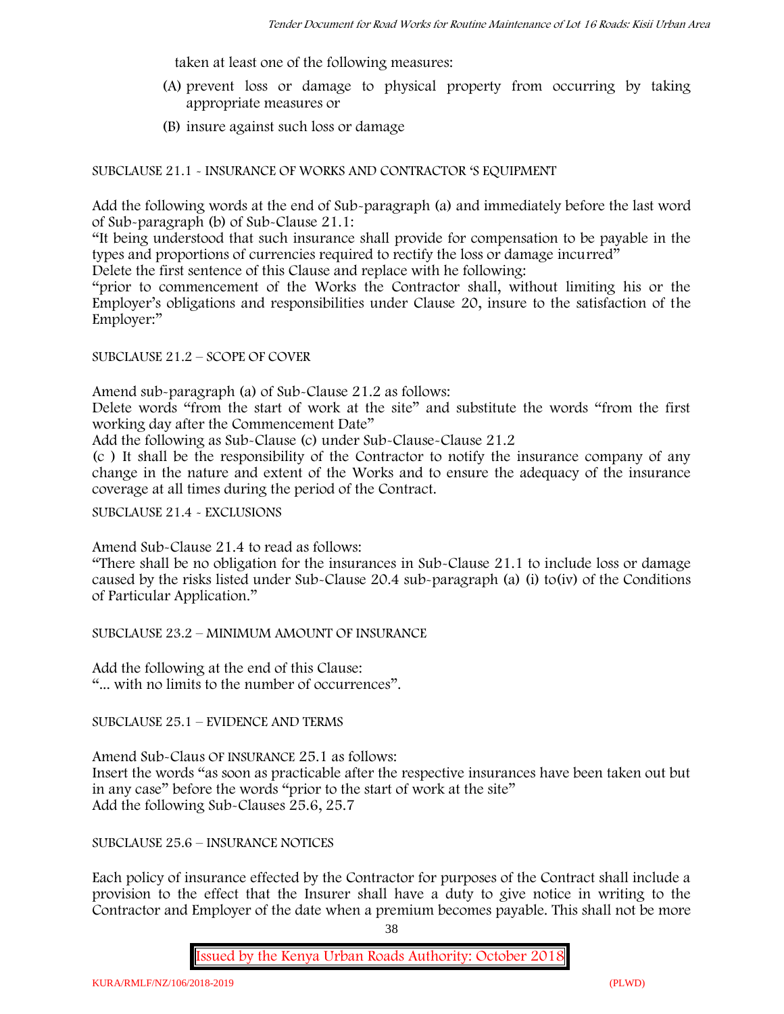taken at least one of the following measures:

- (A) prevent loss or damage to physical property from occurring by taking appropriate measures or
- (B) insure against such loss or damage

SUBCLAUSE 21.1 - INSURANCE OF WORKS AND CONTRACTOR 'S EQUIPMENT

Add the following words at the end of Sub-paragraph (a) and immediately before the last word of Sub-paragraph (b) of Sub-Clause 21.1:

"It being understood that such insurance shall provide for compensation to be payable in the types and proportions of currencies required to rectify the loss or damage incurred"

Delete the first sentence of this Clause and replace with he following:

"prior to commencement of the Works the Contractor shall, without limiting his or the Employer's obligations and responsibilities under Clause 20, insure to the satisfaction of the Employer:"

#### SUBCLAUSE 21.2 – SCOPE OF COVER

Amend sub-paragraph (a) of Sub-Clause 21.2 as follows:

Delete words "from the start of work at the site" and substitute the words "from the first working day after the Commencement Date"

Add the following as Sub-Clause (c) under Sub-Clause-Clause 21.2

(c ) It shall be the responsibility of the Contractor to notify the insurance company of any change in the nature and extent of the Works and to ensure the adequacy of the insurance coverage at all times during the period of the Contract.

SUBCLAUSE 21.4 - EXCLUSIONS

Amend Sub-Clause 21.4 to read as follows:

"There shall be no obligation for the insurances in Sub-Clause 21.1 to include loss or damage caused by the risks listed under Sub-Clause 20.4 sub-paragraph (a) (i) to(iv) of the Conditions of Particular Application."

SUBCLAUSE 23.2 – MINIMUM AMOUNT OF INSURANCE

Add the following at the end of this Clause: "... with no limits to the number of occurrences".

SUBCLAUSE 25.1 – EVIDENCE AND TERMS

Amend Sub-Claus OF INSURANCE 25.1 as follows: Insert the words "as soon as practicable after the respective insurances have been taken out but in any case" before the words "prior to the start of work at the site" Add the following Sub-Clauses 25.6, 25.7

SUBCLAUSE 25.6 – INSURANCE NOTICES

Each policy of insurance effected by the Contractor for purposes of the Contract shall include a provision to the effect that the Insurer shall have a duty to give notice in writing to the Contractor and Employer of the date when a premium becomes payable. This shall not be more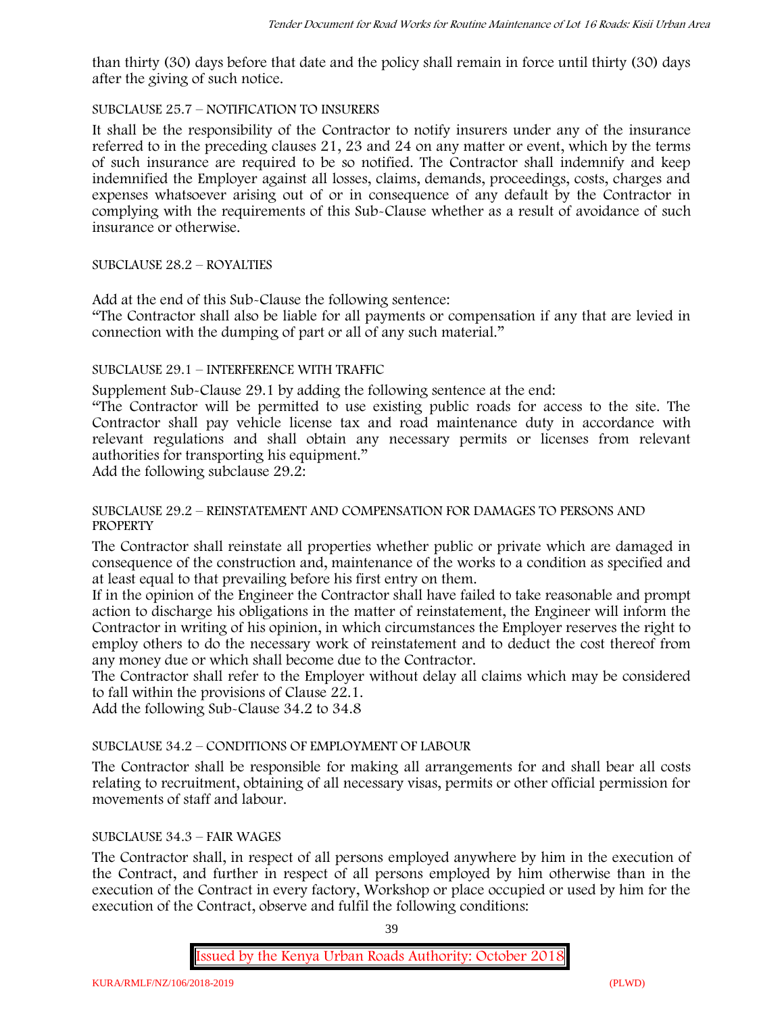than thirty (30) days before that date and the policy shall remain in force until thirty (30) days after the giving of such notice.

### SUBCLAUSE 25.7 – NOTIFICATION TO INSURERS

It shall be the responsibility of the Contractor to notify insurers under any of the insurance referred to in the preceding clauses 21, 23 and 24 on any matter or event, which by the terms of such insurance are required to be so notified. The Contractor shall indemnify and keep indemnified the Employer against all losses, claims, demands, proceedings, costs, charges and expenses whatsoever arising out of or in consequence of any default by the Contractor in complying with the requirements of this Sub-Clause whether as a result of avoidance of such insurance or otherwise.

### SUBCLAUSE 28.2 – ROYALTIES

Add at the end of this Sub-Clause the following sentence:

"The Contractor shall also be liable for all payments or compensation if any that are levied in connection with the dumping of part or all of any such material."

### SUBCLAUSE 29.1 – INTERFERENCE WITH TRAFFIC

Supplement Sub-Clause 29.1 by adding the following sentence at the end:

"The Contractor will be permitted to use existing public roads for access to the site. The Contractor shall pay vehicle license tax and road maintenance duty in accordance with relevant regulations and shall obtain any necessary permits or licenses from relevant authorities for transporting his equipment."

Add the following subclause 29.2:

### SUBCLAUSE 29.2 – REINSTATEMENT AND COMPENSATION FOR DAMAGES TO PERSONS AND **PROPERTY**

The Contractor shall reinstate all properties whether public or private which are damaged in consequence of the construction and, maintenance of the works to a condition as specified and at least equal to that prevailing before his first entry on them.

If in the opinion of the Engineer the Contractor shall have failed to take reasonable and prompt action to discharge his obligations in the matter of reinstatement, the Engineer will inform the Contractor in writing of his opinion, in which circumstances the Employer reserves the right to employ others to do the necessary work of reinstatement and to deduct the cost thereof from any money due or which shall become due to the Contractor.

The Contractor shall refer to the Employer without delay all claims which may be considered to fall within the provisions of Clause 22.1.

Add the following Sub-Clause 34.2 to 34.8

# SUBCLAUSE 34.2 – CONDITIONS OF EMPLOYMENT OF LABOUR

The Contractor shall be responsible for making all arrangements for and shall bear all costs relating to recruitment, obtaining of all necessary visas, permits or other official permission for movements of staff and labour.

### SUBCLAUSE 34.3 – FAIR WAGES

The Contractor shall, in respect of all persons employed anywhere by him in the execution of the Contract, and further in respect of all persons employed by him otherwise than in the execution of the Contract in every factory, Workshop or place occupied or used by him for the execution of the Contract, observe and fulfil the following conditions:

39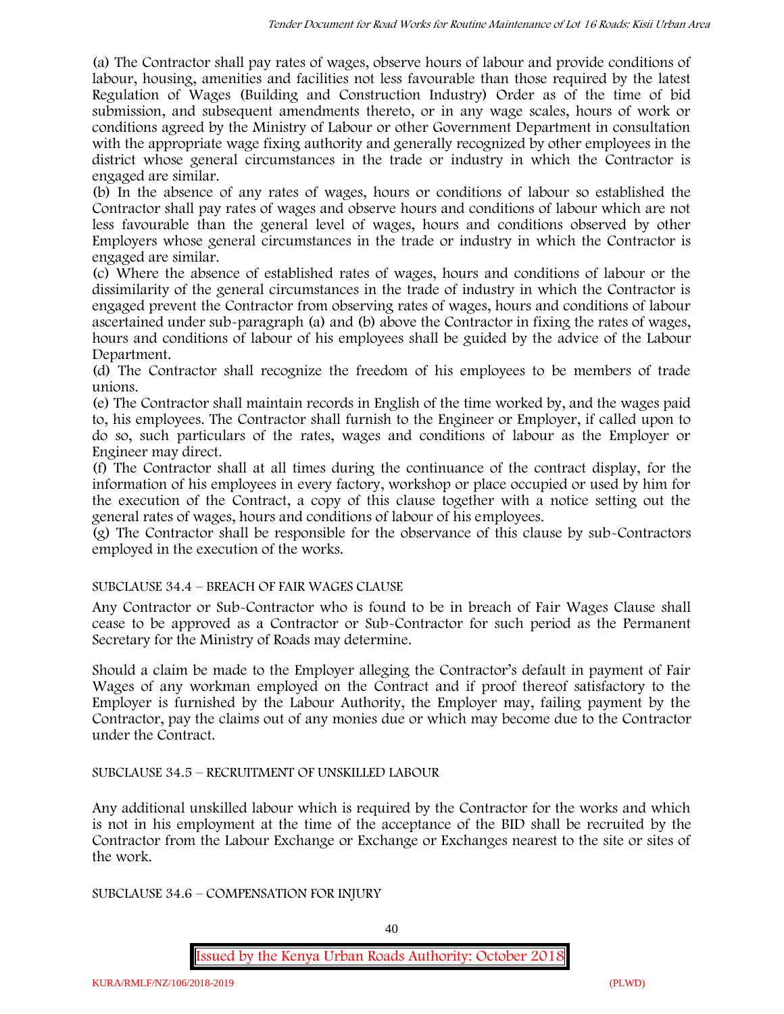(a) The Contractor shall pay rates of wages, observe hours of labour and provide conditions of labour, housing, amenities and facilities not less favourable than those required by the latest Regulation of Wages (Building and Construction Industry) Order as of the time of bid submission, and subsequent amendments thereto, or in any wage scales, hours of work or conditions agreed by the Ministry of Labour or other Government Department in consultation with the appropriate wage fixing authority and generally recognized by other employees in the district whose general circumstances in the trade or industry in which the Contractor is engaged are similar.

(b) In the absence of any rates of wages, hours or conditions of labour so established the Contractor shall pay rates of wages and observe hours and conditions of labour which are not less favourable than the general level of wages, hours and conditions observed by other Employers whose general circumstances in the trade or industry in which the Contractor is engaged are similar.

(c) Where the absence of established rates of wages, hours and conditions of labour or the dissimilarity of the general circumstances in the trade of industry in which the Contractor is engaged prevent the Contractor from observing rates of wages, hours and conditions of labour ascertained under sub-paragraph (a) and (b) above the Contractor in fixing the rates of wages, hours and conditions of labour of his employees shall be guided by the advice of the Labour Department.

(d) The Contractor shall recognize the freedom of his employees to be members of trade unions.

(e) The Contractor shall maintain records in English of the time worked by, and the wages paid to, his employees. The Contractor shall furnish to the Engineer or Employer, if called upon to do so, such particulars of the rates, wages and conditions of labour as the Employer or Engineer may direct.

(f) The Contractor shall at all times during the continuance of the contract display, for the information of his employees in every factory, workshop or place occupied or used by him for the execution of the Contract, a copy of this clause together with a notice setting out the general rates of wages, hours and conditions of labour of his employees.

(g) The Contractor shall be responsible for the observance of this clause by sub-Contractors employed in the execution of the works.

# SUBCLAUSE 34.4 – BREACH OF FAIR WAGES CLAUSE

Any Contractor or Sub-Contractor who is found to be in breach of Fair Wages Clause shall cease to be approved as a Contractor or Sub-Contractor for such period as the Permanent Secretary for the Ministry of Roads may determine.

Should a claim be made to the Employer alleging the Contractor's default in payment of Fair Wages of any workman employed on the Contract and if proof thereof satisfactory to the Employer is furnished by the Labour Authority, the Employer may, failing payment by the Contractor, pay the claims out of any monies due or which may become due to the Contractor under the Contract.

# SUBCLAUSE 34.5 – RECRUITMENT OF UNSKILLED LABOUR

Any additional unskilled labour which is required by the Contractor for the works and which is not in his employment at the time of the acceptance of the BID shall be recruited by the Contractor from the Labour Exchange or Exchange or Exchanges nearest to the site or sites of the work.

SUBCLAUSE 34.6 – COMPENSATION FOR INJURY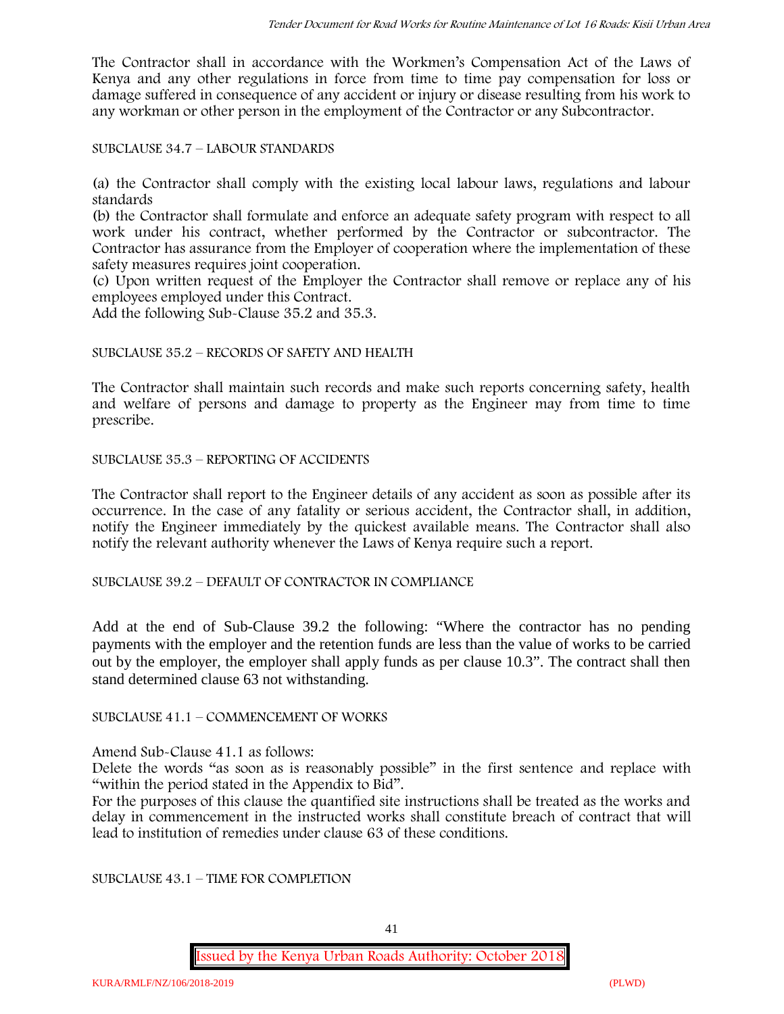The Contractor shall in accordance with the Workmen's Compensation Act of the Laws of Kenya and any other regulations in force from time to time pay compensation for loss or damage suffered in consequence of any accident or injury or disease resulting from his work to any workman or other person in the employment of the Contractor or any Subcontractor.

SUBCLAUSE 34.7 – LABOUR STANDARDS

(a) the Contractor shall comply with the existing local labour laws, regulations and labour standards

(b) the Contractor shall formulate and enforce an adequate safety program with respect to all work under his contract, whether performed by the Contractor or subcontractor. The Contractor has assurance from the Employer of cooperation where the implementation of these safety measures requires joint cooperation.

(c) Upon written request of the Employer the Contractor shall remove or replace any of his employees employed under this Contract.

Add the following Sub-Clause 35.2 and 35.3.

#### SUBCLAUSE 35.2 – RECORDS OF SAFETY AND HEALTH

The Contractor shall maintain such records and make such reports concerning safety, health and welfare of persons and damage to property as the Engineer may from time to time prescribe.

SUBCLAUSE 35.3 – REPORTING OF ACCIDENTS

The Contractor shall report to the Engineer details of any accident as soon as possible after its occurrence. In the case of any fatality or serious accident, the Contractor shall, in addition, notify the Engineer immediately by the quickest available means. The Contractor shall also notify the relevant authority whenever the Laws of Kenya require such a report.

SUBCLAUSE 39.2 – DEFAULT OF CONTRACTOR IN COMPLIANCE

Add at the end of Sub-Clause 39.2 the following: "Where the contractor has no pending payments with the employer and the retention funds are less than the value of works to be carried out by the employer, the employer shall apply funds as per clause 10.3". The contract shall then stand determined clause 63 not withstanding.

SUBCLAUSE 41.1 – COMMENCEMENT OF WORKS

Amend Sub-Clause 41.1 as follows:

Delete the words "as soon as is reasonably possible" in the first sentence and replace with "within the period stated in the Appendix to Bid".

For the purposes of this clause the quantified site instructions shall be treated as the works and delay in commencement in the instructed works shall constitute breach of contract that will lead to institution of remedies under clause 63 of these conditions.

SUBCLAUSE 43.1 – TIME FOR COMPLETION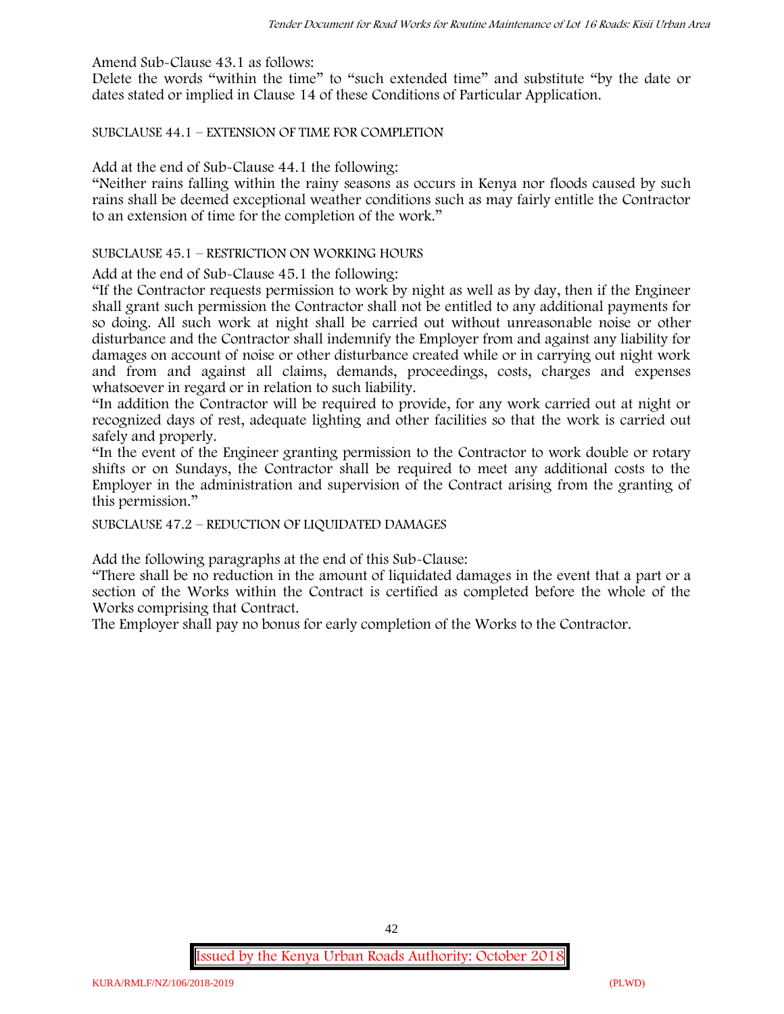Amend Sub-Clause 43.1 as follows:

Delete the words "within the time" to "such extended time" and substitute "by the date or dates stated or implied in Clause 14 of these Conditions of Particular Application.

SUBCLAUSE 44.1 – EXTENSION OF TIME FOR COMPLETION

Add at the end of Sub-Clause 44.1 the following:

"Neither rains falling within the rainy seasons as occurs in Kenya nor floods caused by such rains shall be deemed exceptional weather conditions such as may fairly entitle the Contractor to an extension of time for the completion of the work."

#### SUBCLAUSE 45.1 – RESTRICTION ON WORKING HOURS

Add at the end of Sub-Clause 45.1 the following:

"If the Contractor requests permission to work by night as well as by day, then if the Engineer shall grant such permission the Contractor shall not be entitled to any additional payments for so doing. All such work at night shall be carried out without unreasonable noise or other disturbance and the Contractor shall indemnify the Employer from and against any liability for damages on account of noise or other disturbance created while or in carrying out night work and from and against all claims, demands, proceedings, costs, charges and expenses whatsoever in regard or in relation to such liability.

"In addition the Contractor will be required to provide, for any work carried out at night or recognized days of rest, adequate lighting and other facilities so that the work is carried out safely and properly.

"In the event of the Engineer granting permission to the Contractor to work double or rotary shifts or on Sundays, the Contractor shall be required to meet any additional costs to the Employer in the administration and supervision of the Contract arising from the granting of this permission."

SUBCLAUSE 47.2 – REDUCTION OF LIQUIDATED DAMAGES

Add the following paragraphs at the end of this Sub-Clause:

"There shall be no reduction in the amount of liquidated damages in the event that a part or a section of the Works within the Contract is certified as completed before the whole of the Works comprising that Contract.

The Employer shall pay no bonus for early completion of the Works to the Contractor.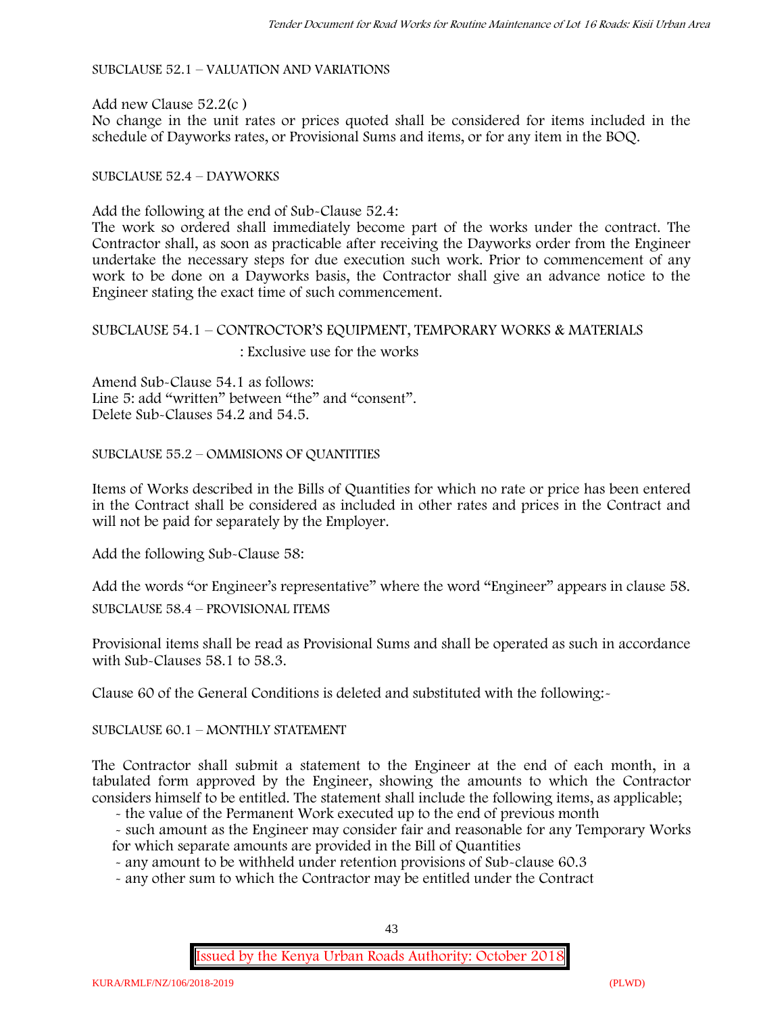SUBCLAUSE 52.1 – VALUATION AND VARIATIONS

Add new Clause 52.2(c ) No change in the unit rates or prices quoted shall be considered for items included in the schedule of Dayworks rates, or Provisional Sums and items, or for any item in the BOQ.

#### SUBCLAUSE 52.4 – DAYWORKS

Add the following at the end of Sub-Clause 52.4:

The work so ordered shall immediately become part of the works under the contract. The Contractor shall, as soon as practicable after receiving the Dayworks order from the Engineer undertake the necessary steps for due execution such work. Prior to commencement of any work to be done on a Dayworks basis, the Contractor shall give an advance notice to the Engineer stating the exact time of such commencement.

# SUBCLAUSE 54.1 – CONTROCTOR'S EQUIPMENT, TEMPORARY WORKS & MATERIALS : Exclusive use for the works

Amend Sub-Clause 54.1 as follows: Line 5: add "written" between "the" and "consent". Delete Sub-Clauses 54.2 and 54.5.

SUBCLAUSE 55.2 – OMMISIONS OF QUANTITIES

Items of Works described in the Bills of Quantities for which no rate or price has been entered in the Contract shall be considered as included in other rates and prices in the Contract and will not be paid for separately by the Employer.

Add the following Sub-Clause 58:

Add the words "or Engineer's representative" where the word "Engineer" appears in clause 58.

SUBCLAUSE 58.4 – PROVISIONAL ITEMS

Provisional items shall be read as Provisional Sums and shall be operated as such in accordance with Sub-Clauses 58.1 to 58.3.

Clause 60 of the General Conditions is deleted and substituted with the following:-

SUBCLAUSE 60.1 – MONTHLY STATEMENT

The Contractor shall submit a statement to the Engineer at the end of each month, in a tabulated form approved by the Engineer, showing the amounts to which the Contractor considers himself to be entitled. The statement shall include the following items, as applicable;

- the value of the Permanent Work executed up to the end of previous month

- such amount as the Engineer may consider fair and reasonable for any Temporary Works for which separate amounts are provided in the Bill of Quantities

- any amount to be withheld under retention provisions of Sub-clause 60.3

- any other sum to which the Contractor may be entitled under the Contract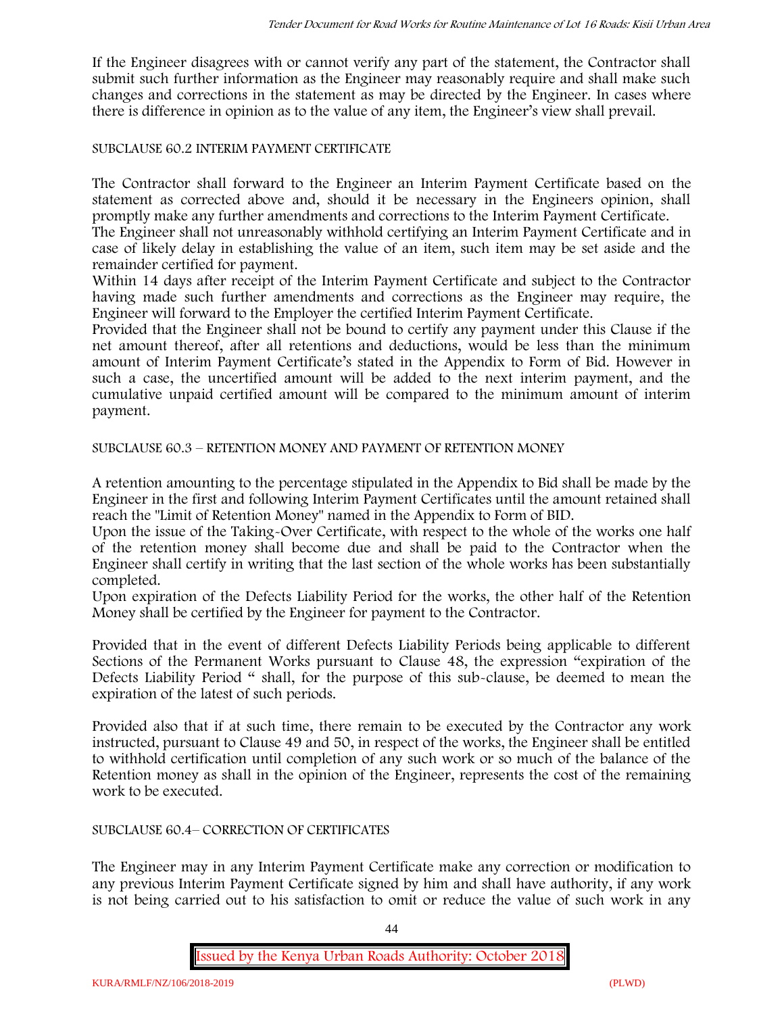If the Engineer disagrees with or cannot verify any part of the statement, the Contractor shall submit such further information as the Engineer may reasonably require and shall make such changes and corrections in the statement as may be directed by the Engineer. In cases where there is difference in opinion as to the value of any item, the Engineer's view shall prevail.

### SUBCLAUSE 60.2 INTERIM PAYMENT CERTIFICATE

The Contractor shall forward to the Engineer an Interim Payment Certificate based on the statement as corrected above and, should it be necessary in the Engineers opinion, shall promptly make any further amendments and corrections to the Interim Payment Certificate.

The Engineer shall not unreasonably withhold certifying an Interim Payment Certificate and in case of likely delay in establishing the value of an item, such item may be set aside and the remainder certified for payment.

Within 14 days after receipt of the Interim Payment Certificate and subject to the Contractor having made such further amendments and corrections as the Engineer may require, the Engineer will forward to the Employer the certified Interim Payment Certificate.

Provided that the Engineer shall not be bound to certify any payment under this Clause if the net amount thereof, after all retentions and deductions, would be less than the minimum amount of Interim Payment Certificate's stated in the Appendix to Form of Bid. However in such a case, the uncertified amount will be added to the next interim payment, and the cumulative unpaid certified amount will be compared to the minimum amount of interim payment.

SUBCLAUSE 60.3 – RETENTION MONEY AND PAYMENT OF RETENTION MONEY

A retention amounting to the percentage stipulated in the Appendix to Bid shall be made by the Engineer in the first and following Interim Payment Certificates until the amount retained shall reach the "Limit of Retention Money" named in the Appendix to Form of BID.

Upon the issue of the Taking-Over Certificate, with respect to the whole of the works one half of the retention money shall become due and shall be paid to the Contractor when the Engineer shall certify in writing that the last section of the whole works has been substantially completed.

Upon expiration of the Defects Liability Period for the works, the other half of the Retention Money shall be certified by the Engineer for payment to the Contractor.

Provided that in the event of different Defects Liability Periods being applicable to different Sections of the Permanent Works pursuant to Clause 48, the expression "expiration of the Defects Liability Period " shall, for the purpose of this sub-clause, be deemed to mean the expiration of the latest of such periods.

Provided also that if at such time, there remain to be executed by the Contractor any work instructed, pursuant to Clause 49 and 50, in respect of the works, the Engineer shall be entitled to withhold certification until completion of any such work or so much of the balance of the Retention money as shall in the opinion of the Engineer, represents the cost of the remaining work to be executed.

#### SUBCLAUSE 60.4– CORRECTION OF CERTIFICATES

The Engineer may in any Interim Payment Certificate make any correction or modification to any previous Interim Payment Certificate signed by him and shall have authority, if any work is not being carried out to his satisfaction to omit or reduce the value of such work in any

44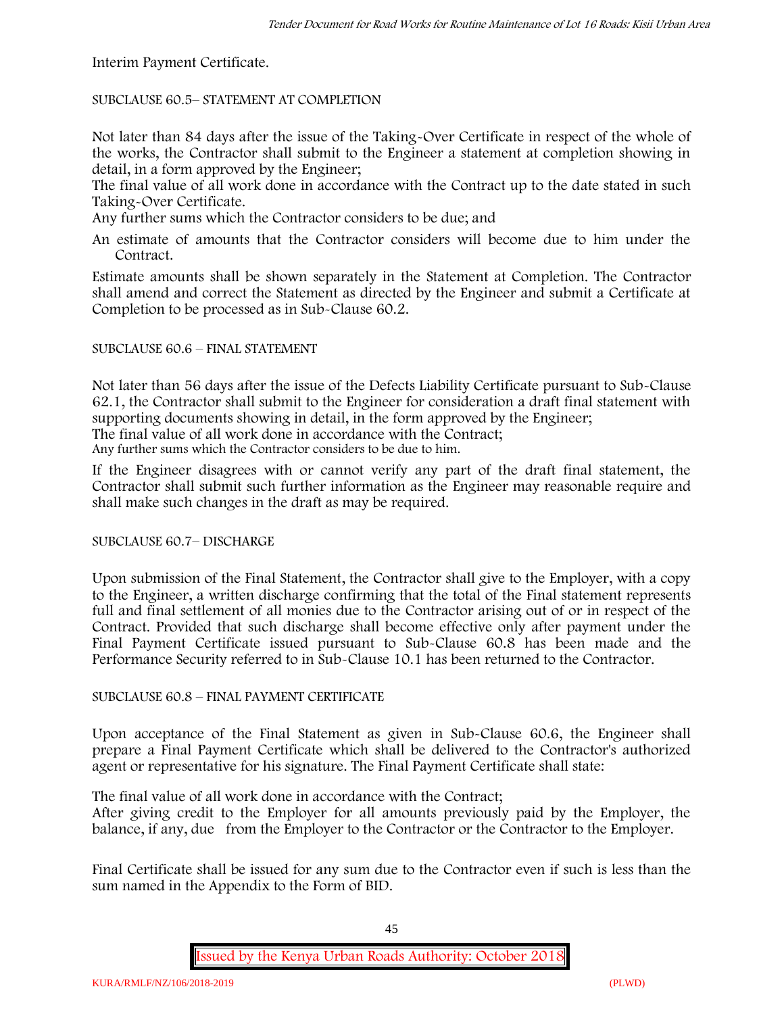Interim Payment Certificate.

SUBCLAUSE 60.5– STATEMENT AT COMPLETION

Not later than 84 days after the issue of the Taking-Over Certificate in respect of the whole of the works, the Contractor shall submit to the Engineer a statement at completion showing in detail, in a form approved by the Engineer;

The final value of all work done in accordance with the Contract up to the date stated in such Taking-Over Certificate.

Any further sums which the Contractor considers to be due; and

An estimate of amounts that the Contractor considers will become due to him under the Contract.

Estimate amounts shall be shown separately in the Statement at Completion. The Contractor shall amend and correct the Statement as directed by the Engineer and submit a Certificate at Completion to be processed as in Sub-Clause 60.2.

# SUBCLAUSE 60.6 – FINAL STATEMENT

Not later than 56 days after the issue of the Defects Liability Certificate pursuant to Sub-Clause 62.1, the Contractor shall submit to the Engineer for consideration a draft final statement with supporting documents showing in detail, in the form approved by the Engineer; The final value of all work done in accordance with the Contract;

Any further sums which the Contractor considers to be due to him.

If the Engineer disagrees with or cannot verify any part of the draft final statement, the Contractor shall submit such further information as the Engineer may reasonable require and shall make such changes in the draft as may be required.

SUBCLAUSE 60.7– DISCHARGE

Upon submission of the Final Statement, the Contractor shall give to the Employer, with a copy to the Engineer, a written discharge confirming that the total of the Final statement represents full and final settlement of all monies due to the Contractor arising out of or in respect of the Contract. Provided that such discharge shall become effective only after payment under the Final Payment Certificate issued pursuant to Sub-Clause 60.8 has been made and the Performance Security referred to in Sub-Clause 10.1 has been returned to the Contractor.

# SUBCLAUSE 60.8 – FINAL PAYMENT CERTIFICATE

Upon acceptance of the Final Statement as given in Sub-Clause 60.6, the Engineer shall prepare a Final Payment Certificate which shall be delivered to the Contractor's authorized agent or representative for his signature. The Final Payment Certificate shall state:

The final value of all work done in accordance with the Contract;

After giving credit to the Employer for all amounts previously paid by the Employer, the balance, if any, due from the Employer to the Contractor or the Contractor to the Employer.

Final Certificate shall be issued for any sum due to the Contractor even if such is less than the sum named in the Appendix to the Form of BID.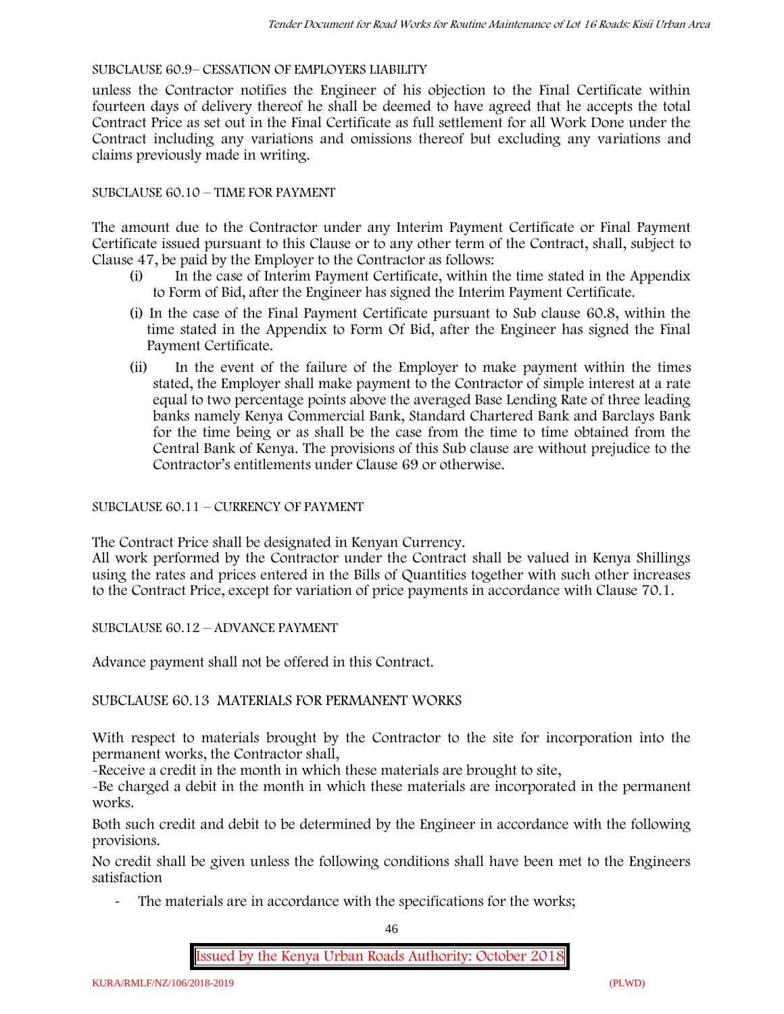### SUBCLAUSE 60.9– CESSATION OF EMPLOYERS LIABILITY

unless the Contractor notifies the Engineer of his objection to the Final Certificate within fourteen days of delivery thereof he shall be deemed to have agreed that he accepts the total Contract Price as set out in the Final Certificate as full settlement for all Work Done under the Contract including any variations and omissions thereof but excluding any variations and claims previously made in writing.

#### SUBCLAUSE 60.10 – TIME FOR PAYMENT

The amount due to the Contractor under any Interim Payment Certificate or Final Payment Certificate issued pursuant to this Clause or to any other term of the Contract, shall, subject to Clause 47, be paid by the Employer to the Contractor as follows:

- (i) In the case of Interim Payment Certificate, within the time stated in the Appendix to Form of Bid, after the Engineer has signed the Interim Payment Certificate.
- (i) In the case of the Final Payment Certificate pursuant to Sub clause 60.8, within the time stated in the Appendix to Form Of Bid, after the Engineer has signed the Final Payment Certificate.
- (ii) In the event of the failure of the Employer to make payment within the times stated, the Employer shall make payment to the Contractor of simple interest at a rate equal to two percentage points above the averaged Base Lending Rate of three leading banks namely Kenya Commercial Bank, Standard Chartered Bank and Barclays Bank for the time being or as shall be the case from the time to time obtained from the Central Bank of Kenya. The provisions of this Sub clause are without prejudice to the Contractor's entitlements under Clause 69 or otherwise.

#### SUBCLAUSE 60.11 – CURRENCY OF PAYMENT

The Contract Price shall be designated in Kenyan Currency.

All work performed by the Contractor under the Contract shall be valued in Kenya Shillings using the rates and prices entered in the Bills of Quantities together with such other increases to the Contract Price, except for variation of price payments in accordance with Clause 70.1.

SUBCLAUSE 60.12 – ADVANCE PAYMENT

Advance payment shall not be offered in this Contract.

### SUBCLAUSE 60.13 MATERIALS FOR PERMANENT WORKS

With respect to materials brought by the Contractor to the site for incorporation into the permanent works, the Contractor shall,

-Receive a credit in the month in which these materials are brought to site,

-Be charged a debit in the month in which these materials are incorporated in the permanent works.

Both such credit and debit to be determined by the Engineer in accordance with the following provisions.

No credit shall be given unless the following conditions shall have been met to the Engineers satisfaction

- The materials are in accordance with the specifications for the works;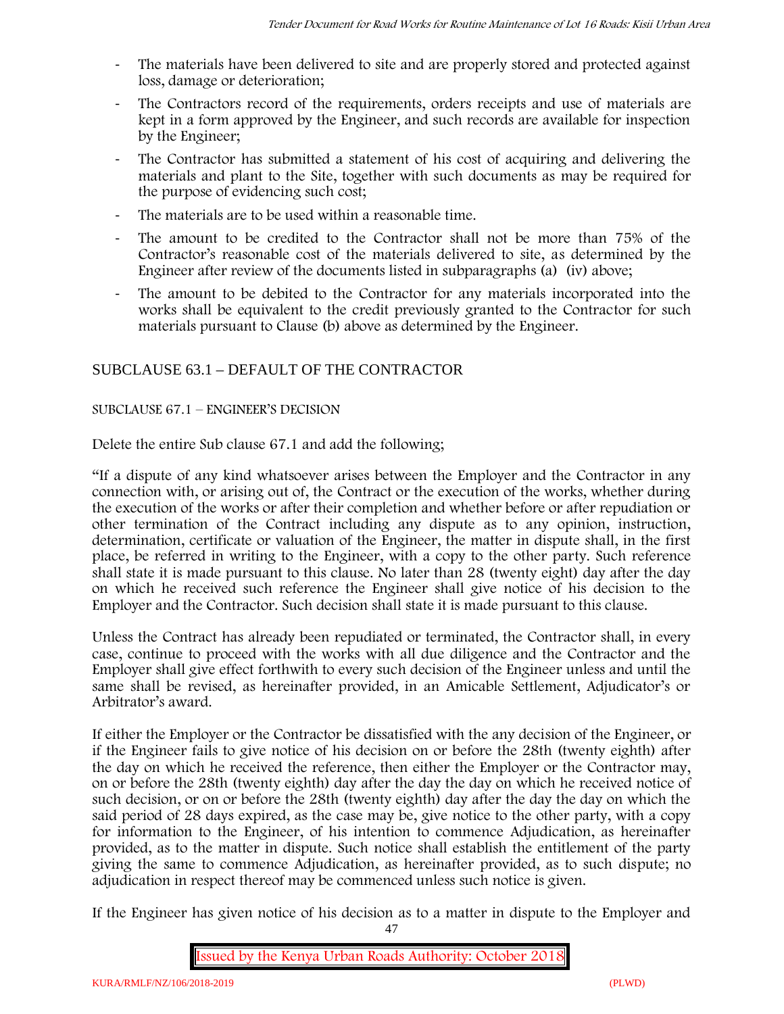- The materials have been delivered to site and are properly stored and protected against loss, damage or deterioration;
- The Contractors record of the requirements, orders receipts and use of materials are kept in a form approved by the Engineer, and such records are available for inspection by the Engineer;
- The Contractor has submitted a statement of his cost of acquiring and delivering the materials and plant to the Site, together with such documents as may be required for the purpose of evidencing such cost;
- The materials are to be used within a reasonable time.
- The amount to be credited to the Contractor shall not be more than 75% of the Contractor's reasonable cost of the materials delivered to site, as determined by the Engineer after review of the documents listed in subparagraphs (a) (iv) above;
- The amount to be debited to the Contractor for any materials incorporated into the works shall be equivalent to the credit previously granted to the Contractor for such materials pursuant to Clause (b) above as determined by the Engineer.

# SUBCLAUSE 63.1 – DEFAULT OF THE CONTRACTOR

### SUBCLAUSE 67.1 – ENGINEER'S DECISION

Delete the entire Sub clause 67.1 and add the following;

"If a dispute of any kind whatsoever arises between the Employer and the Contractor in any connection with, or arising out of, the Contract or the execution of the works, whether during the execution of the works or after their completion and whether before or after repudiation or other termination of the Contract including any dispute as to any opinion, instruction, determination, certificate or valuation of the Engineer, the matter in dispute shall, in the first place, be referred in writing to the Engineer, with a copy to the other party. Such reference shall state it is made pursuant to this clause. No later than 28 (twenty eight) day after the day on which he received such reference the Engineer shall give notice of his decision to the Employer and the Contractor. Such decision shall state it is made pursuant to this clause.

Unless the Contract has already been repudiated or terminated, the Contractor shall, in every case, continue to proceed with the works with all due diligence and the Contractor and the Employer shall give effect forthwith to every such decision of the Engineer unless and until the same shall be revised, as hereinafter provided, in an Amicable Settlement, Adjudicator's or Arbitrator's award.

If either the Employer or the Contractor be dissatisfied with the any decision of the Engineer, or if the Engineer fails to give notice of his decision on or before the 28th (twenty eighth) after the day on which he received the reference, then either the Employer or the Contractor may, on or before the 28th (twenty eighth) day after the day the day on which he received notice of such decision, or on or before the 28th (twenty eighth) day after the day the day on which the said period of 28 days expired, as the case may be, give notice to the other party, with a copy for information to the Engineer, of his intention to commence Adjudication, as hereinafter provided, as to the matter in dispute. Such notice shall establish the entitlement of the party giving the same to commence Adjudication, as hereinafter provided, as to such dispute; no adjudication in respect thereof may be commenced unless such notice is given.

If the Engineer has given notice of his decision as to a matter in dispute to the Employer and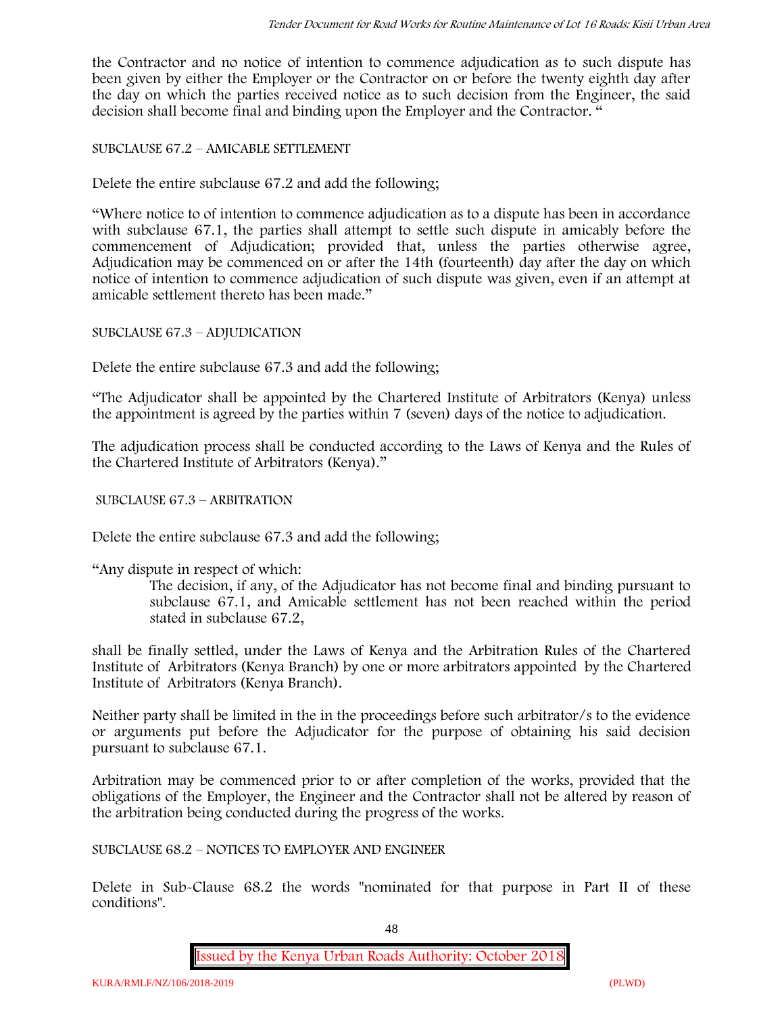the Contractor and no notice of intention to commence adjudication as to such dispute has been given by either the Employer or the Contractor on or before the twenty eighth day after the day on which the parties received notice as to such decision from the Engineer, the said decision shall become final and binding upon the Employer and the Contractor. "

SUBCLAUSE 67.2 – AMICABLE SETTLEMENT

Delete the entire subclause 67.2 and add the following;

"Where notice to of intention to commence adjudication as to a dispute has been in accordance with subclause 67.1, the parties shall attempt to settle such dispute in amicably before the commencement of Adjudication; provided that, unless the parties otherwise agree, Adjudication may be commenced on or after the 14th (fourteenth) day after the day on which notice of intention to commence adjudication of such dispute was given, even if an attempt at amicable settlement thereto has been made."

SUBCLAUSE 67.3 – ADJUDICATION

Delete the entire subclause 67.3 and add the following;

"The Adjudicator shall be appointed by the Chartered Institute of Arbitrators (Kenya) unless the appointment is agreed by the parties within 7 (seven) days of the notice to adjudication.

The adjudication process shall be conducted according to the Laws of Kenya and the Rules of the Chartered Institute of Arbitrators (Kenya)."

SUBCLAUSE 67.3 – ARBITRATION

Delete the entire subclause 67.3 and add the following;

"Any dispute in respect of which:

The decision, if any, of the Adjudicator has not become final and binding pursuant to subclause 67.1, and Amicable settlement has not been reached within the period stated in subclause 67.2,

shall be finally settled, under the Laws of Kenya and the Arbitration Rules of the Chartered Institute of Arbitrators (Kenya Branch) by one or more arbitrators appointed by the Chartered Institute of Arbitrators (Kenya Branch).

Neither party shall be limited in the in the proceedings before such arbitrator/s to the evidence or arguments put before the Adjudicator for the purpose of obtaining his said decision pursuant to subclause 67.1.

Arbitration may be commenced prior to or after completion of the works, provided that the obligations of the Employer, the Engineer and the Contractor shall not be altered by reason of the arbitration being conducted during the progress of the works.

SUBCLAUSE 68.2 – NOTICES TO EMPLOYER AND ENGINEER

Delete in Sub-Clause 68.2 the words "nominated for that purpose in Part II of these conditions".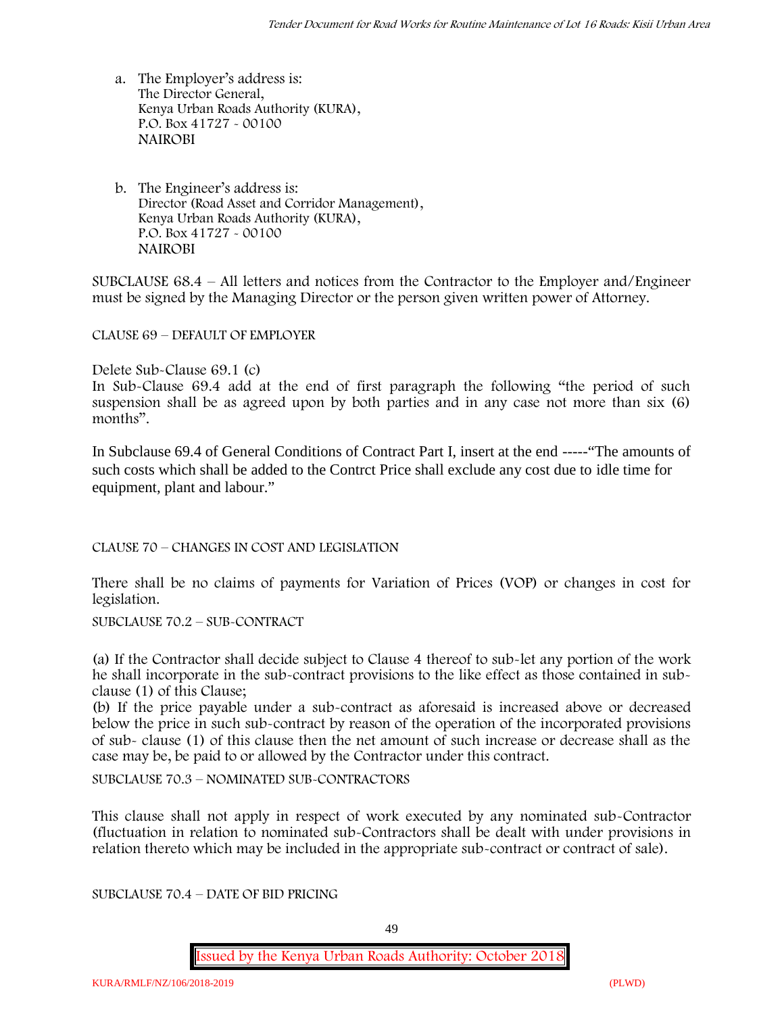- a. The Employer's address is: The Director General, Kenya Urban Roads Authority (KURA), P.O. Box 41727 - 00100 **NAIROBI**
- b. The Engineer's address is: Director (Road Asset and Corridor Management), Kenya Urban Roads Authority (KURA), P.O. Box 41727 - 00100 **NAIROBI**

SUBCLAUSE 68.4 – All letters and notices from the Contractor to the Employer and/Engineer must be signed by the Managing Director or the person given written power of Attorney.

CLAUSE 69 – DEFAULT OF EMPLOYER

Delete Sub-Clause 69.1 (c)

In Sub-Clause 69.4 add at the end of first paragraph the following "the period of such suspension shall be as agreed upon by both parties and in any case not more than six (6) months".

In Subclause 69.4 of General Conditions of Contract Part I, insert at the end -----"The amounts of such costs which shall be added to the Contrct Price shall exclude any cost due to idle time for equipment, plant and labour."

CLAUSE 70 – CHANGES IN COST AND LEGISLATION

There shall be no claims of payments for Variation of Prices (VOP) or changes in cost for legislation.

SUBCLAUSE 70.2 – SUB-CONTRACT

(a) If the Contractor shall decide subject to Clause 4 thereof to sub-let any portion of the work he shall incorporate in the sub-contract provisions to the like effect as those contained in subclause (1) of this Clause;

(b) If the price payable under a sub-contract as aforesaid is increased above or decreased below the price in such sub-contract by reason of the operation of the incorporated provisions of sub- clause (1) of this clause then the net amount of such increase or decrease shall as the case may be, be paid to or allowed by the Contractor under this contract.

SUBCLAUSE 70.3 – NOMINATED SUB-CONTRACTORS

This clause shall not apply in respect of work executed by any nominated sub-Contractor (fluctuation in relation to nominated sub-Contractors shall be dealt with under provisions in relation thereto which may be included in the appropriate sub-contract or contract of sale).

SUBCLAUSE 70.4 – DATE OF BID PRICING

49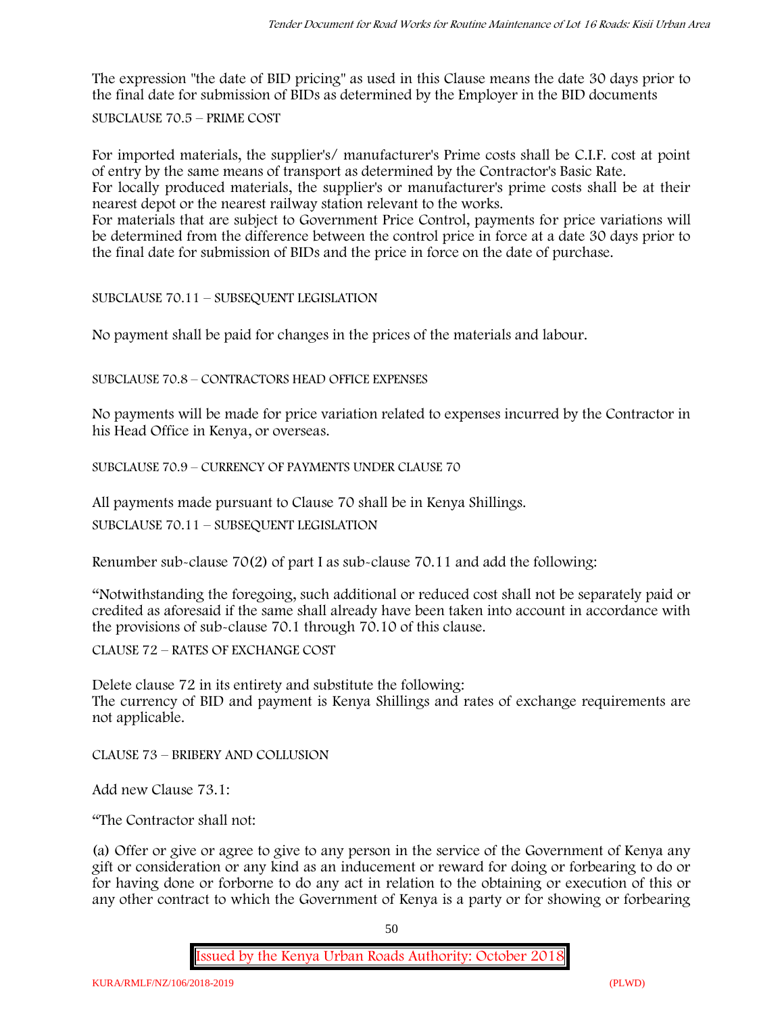The expression "the date of BID pricing" as used in this Clause means the date 30 days prior to the final date for submission of BIDs as determined by the Employer in the BID documents

SUBCLAUSE 70.5 – PRIME COST

For imported materials, the supplier's/ manufacturer's Prime costs shall be C.I.F. cost at point of entry by the same means of transport as determined by the Contractor's Basic Rate.

For locally produced materials, the supplier's or manufacturer's prime costs shall be at their nearest depot or the nearest railway station relevant to the works.

For materials that are subject to Government Price Control, payments for price variations will be determined from the difference between the control price in force at a date 30 days prior to the final date for submission of BIDs and the price in force on the date of purchase.

SUBCLAUSE 70.11 – SUBSEQUENT LEGISLATION

No payment shall be paid for changes in the prices of the materials and labour.

SUBCLAUSE 70.8 – CONTRACTORS HEAD OFFICE EXPENSES

No payments will be made for price variation related to expenses incurred by the Contractor in his Head Office in Kenya, or overseas.

SUBCLAUSE 70.9 – CURRENCY OF PAYMENTS UNDER CLAUSE 70

All payments made pursuant to Clause 70 shall be in Kenya Shillings.

SUBCLAUSE 70.11 – SUBSEQUENT LEGISLATION

Renumber sub-clause 70(2) of part I as sub-clause 70.11 and add the following:

"Notwithstanding the foregoing, such additional or reduced cost shall not be separately paid or credited as aforesaid if the same shall already have been taken into account in accordance with the provisions of sub-clause 70.1 through 70.10 of this clause.

CLAUSE 72 – RATES OF EXCHANGE COST

Delete clause 72 in its entirety and substitute the following: The currency of BID and payment is Kenya Shillings and rates of exchange requirements are not applicable.

CLAUSE 73 – BRIBERY AND COLLUSION

Add new Clause 73.1:

"The Contractor shall not:

(a) Offer or give or agree to give to any person in the service of the Government of Kenya any gift or consideration or any kind as an inducement or reward for doing or forbearing to do or for having done or forborne to do any act in relation to the obtaining or execution of this or any other contract to which the Government of Kenya is a party or for showing or forbearing

50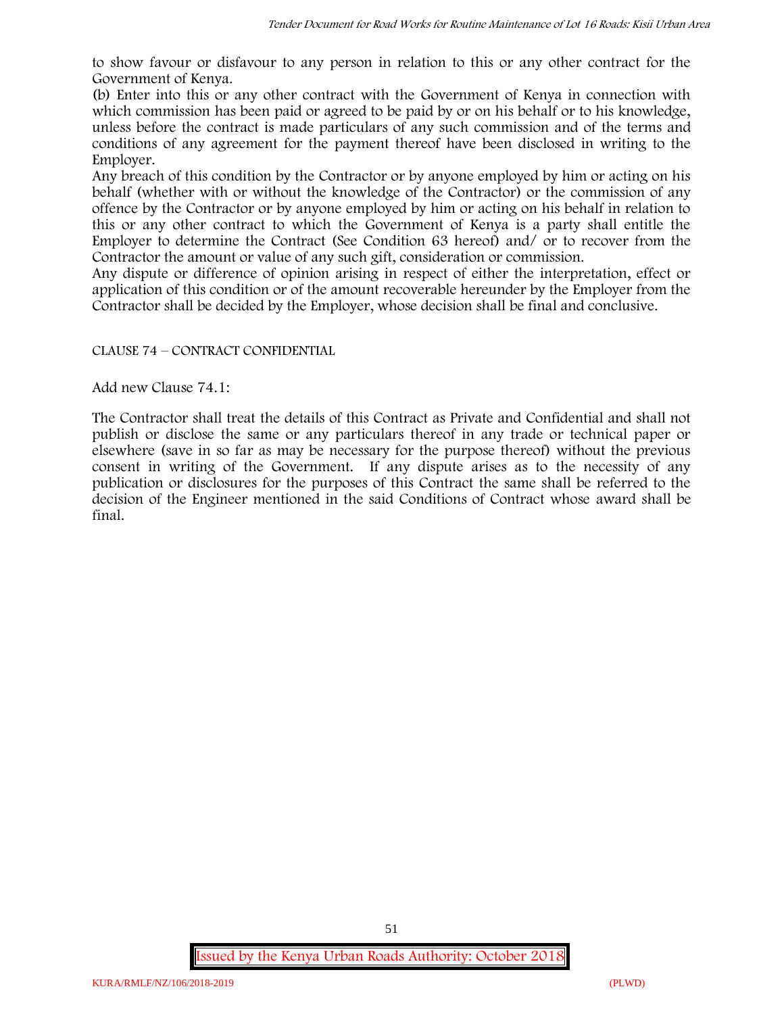to show favour or disfavour to any person in relation to this or any other contract for the Government of Kenya.

(b) Enter into this or any other contract with the Government of Kenya in connection with which commission has been paid or agreed to be paid by or on his behalf or to his knowledge, unless before the contract is made particulars of any such commission and of the terms and conditions of any agreement for the payment thereof have been disclosed in writing to the Employer.

Any breach of this condition by the Contractor or by anyone employed by him or acting on his behalf (whether with or without the knowledge of the Contractor) or the commission of any offence by the Contractor or by anyone employed by him or acting on his behalf in relation to this or any other contract to which the Government of Kenya is a party shall entitle the Employer to determine the Contract (See Condition 63 hereof) and/ or to recover from the Contractor the amount or value of any such gift, consideration or commission.

Any dispute or difference of opinion arising in respect of either the interpretation, effect or application of this condition or of the amount recoverable hereunder by the Employer from the Contractor shall be decided by the Employer, whose decision shall be final and conclusive.

### CLAUSE 74 – CONTRACT CONFIDENTIAL

Add new Clause 74.1:

The Contractor shall treat the details of this Contract as Private and Confidential and shall not publish or disclose the same or any particulars thereof in any trade or technical paper or elsewhere (save in so far as may be necessary for the purpose thereof) without the previous consent in writing of the Government. If any dispute arises as to the necessity of any publication or disclosures for the purposes of this Contract the same shall be referred to the decision of the Engineer mentioned in the said Conditions of Contract whose award shall be final.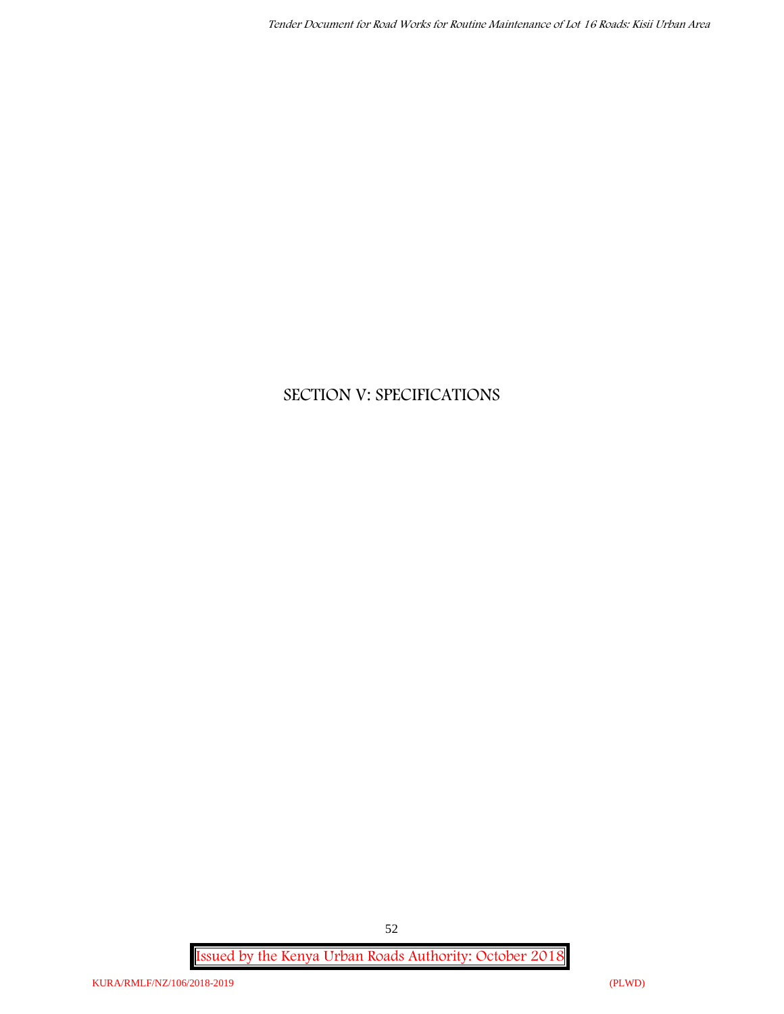# **SECTION V: SPECIFICATIONS**

**Issued by the Kenya Urban Roads Authority: October 2018**

52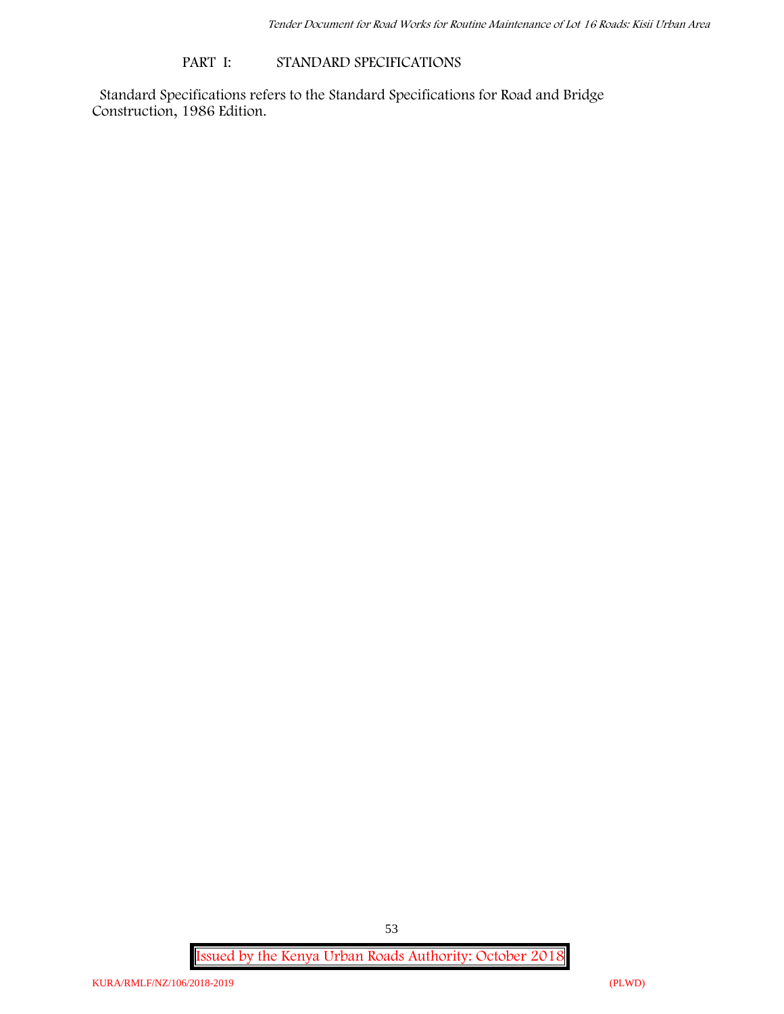#### **PART I: STANDARD SPECIFICATIONS**

Standard Specifications refers to the Standard Specifications for Road and Bridge Construction, 1986 Edition.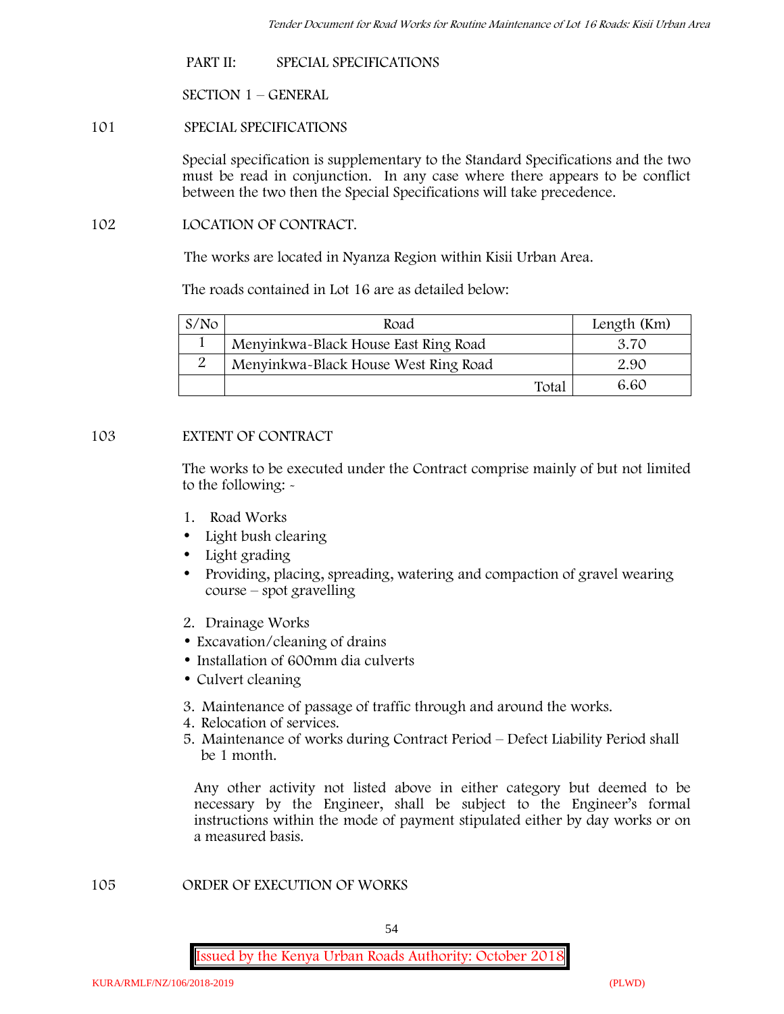**PART II: SPECIAL SPECIFICATIONS**

**SECTION 1 – GENERAL**

**101 SPECIAL SPECIFICATIONS**

Special specification is supplementary to the Standard Specifications and the two must be read in conjunction. In any case where there appears to be conflict between the two then the Special Specifications will take precedence.

**102 LOCATION OF CONTRACT.**

The works are located in Nyanza Region within Kisii Urban Area.

The roads contained in Lot 16 are as detailed below:

| S/N <sub>O</sub> | Road                                 | Length (Km)   |
|------------------|--------------------------------------|---------------|
|                  | Menyinkwa-Black House East Ring Road | 3.70          |
|                  | Menyinkwa-Black House West Ring Road | 2.90          |
|                  |                                      | 6.60<br>Total |

# **103 EXTENT OF CONTRACT**

The works to be executed under the Contract comprise mainly of but not limited to the following: -

- **1. Road Works**
- Light bush clearing
- Light grading
- Providing, placing, spreading, watering and compaction of gravel wearing course – spot gravelling
- **2. Drainage Works**
- Excavation/cleaning of drains
- Installation of 600mm dia culverts
- Culvert cleaning
- **3. Maintenance of passage of traffic through and around the works.**
- **4. Relocation of services.**
- **5. Maintenance of works during Contract Period – Defect Liability Period shall be 1 month.**

Any other activity not listed above in either category but deemed to be necessary by the Engineer, shall be subject to the Engineer's formal instructions within the mode of payment stipulated either by day works or on a measured basis.

**105 ORDER OF EXECUTION OF WORKS**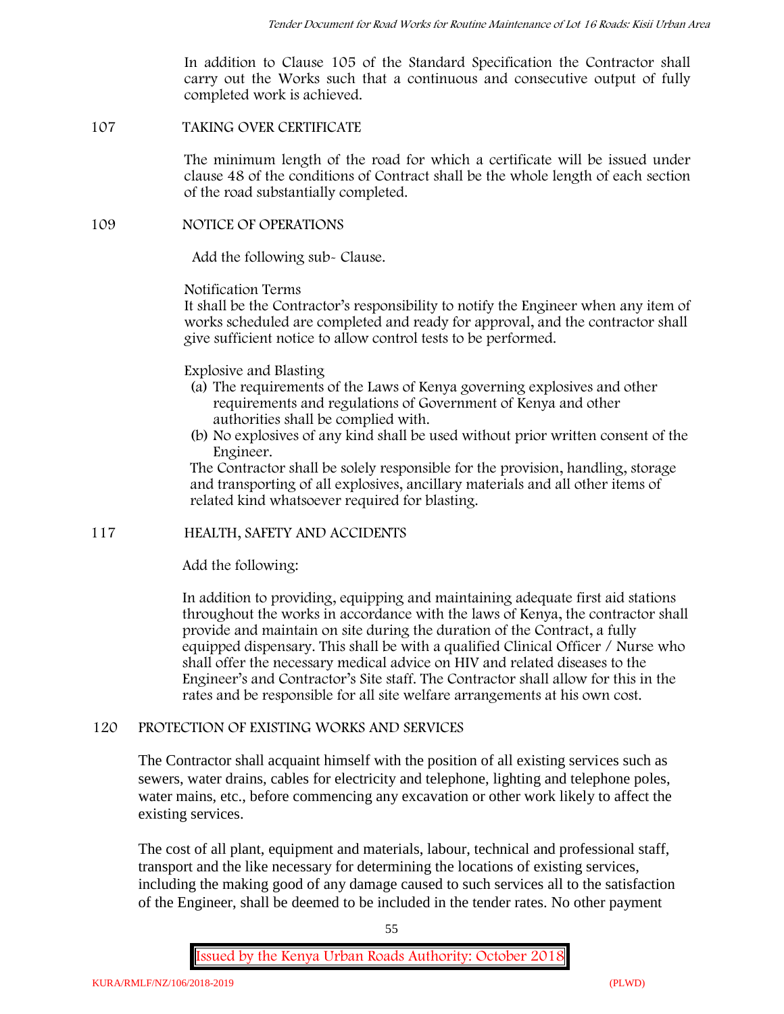In addition to Clause 105 of the Standard Specification the Contractor shall carry out the Works such that a continuous and consecutive output of fully completed work is achieved.

#### **107 TAKING OVER CERTIFICATE**

The minimum length of the road for which a certificate will be issued under clause 48 of the conditions of Contract shall be the whole length of each section of the road substantially completed.

### **109 NOTICE OF OPERATIONS**

Add the following sub- Clause.

Notification Terms

It shall be the Contractor's responsibility to notify the Engineer when any item of works scheduled are completed and ready for approval, and the contractor shall give sufficient notice to allow control tests to be performed.

#### Explosive and Blasting

- (a) The requirements of the Laws of Kenya governing explosives and other requirements and regulations of Government of Kenya and other authorities shall be complied with.
- (b) No explosives of any kind shall be used without prior written consent of the Engineer.

The Contractor shall be solely responsible for the provision, handling, storage and transporting of all explosives, ancillary materials and all other items of related kind whatsoever required for blasting.

### **117 HEALTH, SAFETY AND ACCIDENTS**

Add the following:

In addition to providing, equipping and maintaining adequate first aid stations throughout the works in accordance with the laws of Kenya, the contractor shall provide and maintain on site during the duration of the Contract, a fully equipped dispensary. This shall be with a qualified Clinical Officer / Nurse who shall offer the necessary medical advice on HIV and related diseases to the Engineer's and Contractor's Site staff. The Contractor shall allow for this in the rates and be responsible for all site welfare arrangements at his own cost.

### **120 PROTECTION OF EXISTING WORKS AND SERVICES**

The Contractor shall acquaint himself with the position of all existing services such as sewers, water drains, cables for electricity and telephone, lighting and telephone poles, water mains, etc., before commencing any excavation or other work likely to affect the existing services.

The cost of all plant, equipment and materials, labour, technical and professional staff, transport and the like necessary for determining the locations of existing services, including the making good of any damage caused to such services all to the satisfaction of the Engineer, shall be deemed to be included in the tender rates. No other payment

55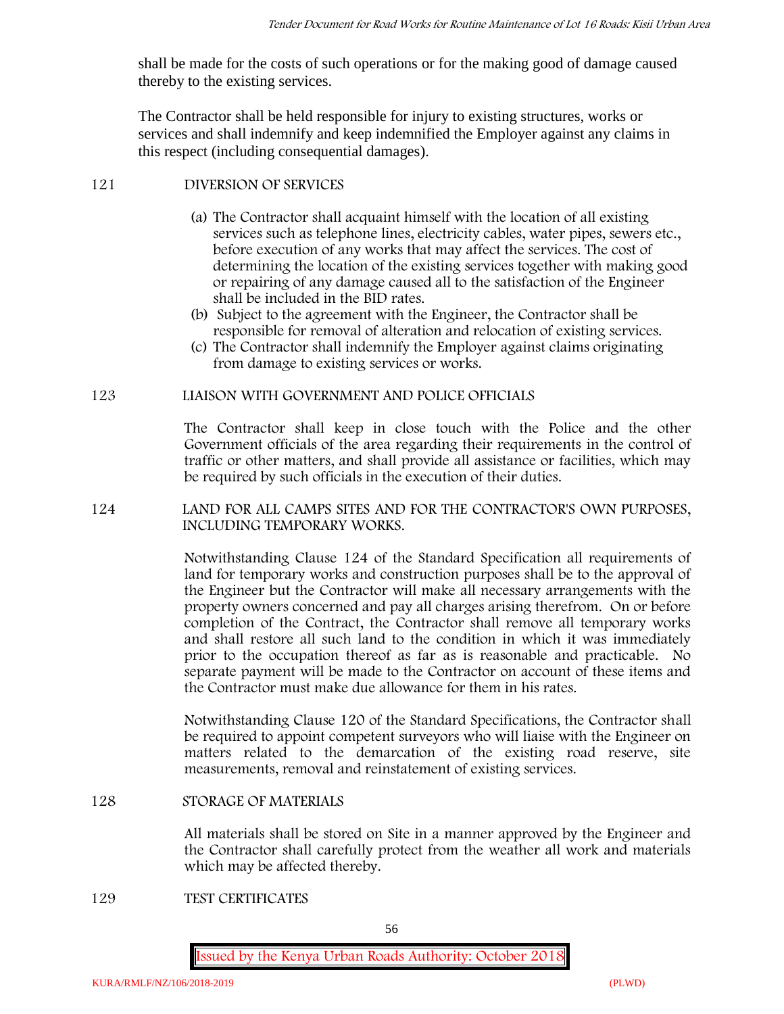shall be made for the costs of such operations or for the making good of damage caused thereby to the existing services.

The Contractor shall be held responsible for injury to existing structures, works or services and shall indemnify and keep indemnified the Employer against any claims in this respect (including consequential damages).

# **121 DIVERSION OF SERVICES**

- (a) The Contractor shall acquaint himself with the location of all existing services such as telephone lines, electricity cables, water pipes, sewers etc., before execution of any works that may affect the services. The cost of determining the location of the existing services together with making good or repairing of any damage caused all to the satisfaction of the Engineer shall be included in the BID rates.
- (b) Subject to the agreement with the Engineer, the Contractor shall be responsible for removal of alteration and relocation of existing services.
- (c) The Contractor shall indemnify the Employer against claims originating from damage to existing services or works.

# **123 LIAISON WITH GOVERNMENT AND POLICE OFFICIALS**

The Contractor shall keep in close touch with the Police and the other Government officials of the area regarding their requirements in the control of traffic or other matters, and shall provide all assistance or facilities, which may be required by such officials in the execution of their duties.

# **124 LAND FOR ALL CAMPS SITES AND FOR THE CONTRACTOR'S OWN PURPOSES, INCLUDING TEMPORARY WORKS.**

Notwithstanding Clause 124 of the Standard Specification all requirements of land for temporary works and construction purposes shall be to the approval of the Engineer but the Contractor will make all necessary arrangements with the property owners concerned and pay all charges arising therefrom. On or before completion of the Contract, the Contractor shall remove all temporary works and shall restore all such land to the condition in which it was immediately prior to the occupation thereof as far as is reasonable and practicable. No separate payment will be made to the Contractor on account of these items and the Contractor must make due allowance for them in his rates.

Notwithstanding Clause 120 of the Standard Specifications, the Contractor shall be required to appoint competent surveyors who will liaise with the Engineer on matters related to the demarcation of the existing road reserve, site measurements, removal and reinstatement of existing services.

### **128 STORAGE OF MATERIALS**

All materials shall be stored on Site in a manner approved by the Engineer and the Contractor shall carefully protect from the weather all work and materials which may be affected thereby.

### **129 TEST CERTIFICATES**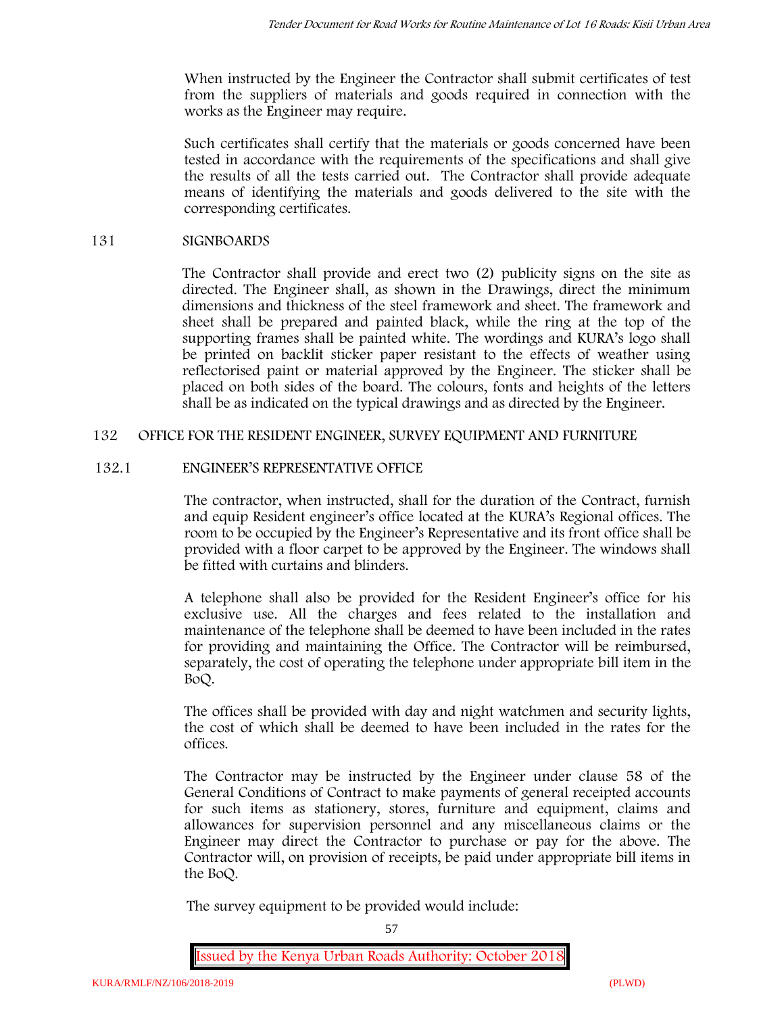When instructed by the Engineer the Contractor shall submit certificates of test from the suppliers of materials and goods required in connection with the works as the Engineer may require.

Such certificates shall certify that the materials or goods concerned have been tested in accordance with the requirements of the specifications and shall give the results of all the tests carried out. The Contractor shall provide adequate means of identifying the materials and goods delivered to the site with the corresponding certificates.

### **131 SIGNBOARDS**

The Contractor shall provide and erect two (2) publicity signs on the site as directed. The Engineer shall, as shown in the Drawings, direct the minimum dimensions and thickness of the steel framework and sheet. The framework and sheet shall be prepared and painted black, while the ring at the top of the supporting frames shall be painted white. The wordings and KURA's logo shall be printed on backlit sticker paper resistant to the effects of weather using reflectorised paint or material approved by the Engineer. The sticker shall be placed on both sides of the board. The colours, fonts and heights of the letters shall be as indicated on the typical drawings and as directed by the Engineer.

# **132 OFFICE FOR THE RESIDENT ENGINEER, SURVEY EQUIPMENT AND FURNITURE**

# **132.1 ENGINEER'S REPRESENTATIVE OFFICE**

The contractor, when instructed, shall for the duration of the Contract, furnish and equip Resident engineer's office located at the KURA's Regional offices. The room to be occupied by the Engineer's Representative and its front office shall be provided with a floor carpet to be approved by the Engineer. The windows shall be fitted with curtains and blinders.

A telephone shall also be provided for the Resident Engineer's office for his exclusive use. All the charges and fees related to the installation and maintenance of the telephone shall be deemed to have been included in the rates for providing and maintaining the Office. The Contractor will be reimbursed, separately, the cost of operating the telephone under appropriate bill item in the BoQ.

The offices shall be provided with day and night watchmen and security lights, the cost of which shall be deemed to have been included in the rates for the offices.

The Contractor may be instructed by the Engineer under clause 58 of the General Conditions of Contract to make payments of general receipted accounts for such items as stationery, stores, furniture and equipment, claims and allowances for supervision personnel and any miscellaneous claims or the Engineer may direct the Contractor to purchase or pay for the above. The Contractor will, on provision of receipts, be paid under appropriate bill items in the BoQ.

**The survey equipment to be provided would include:**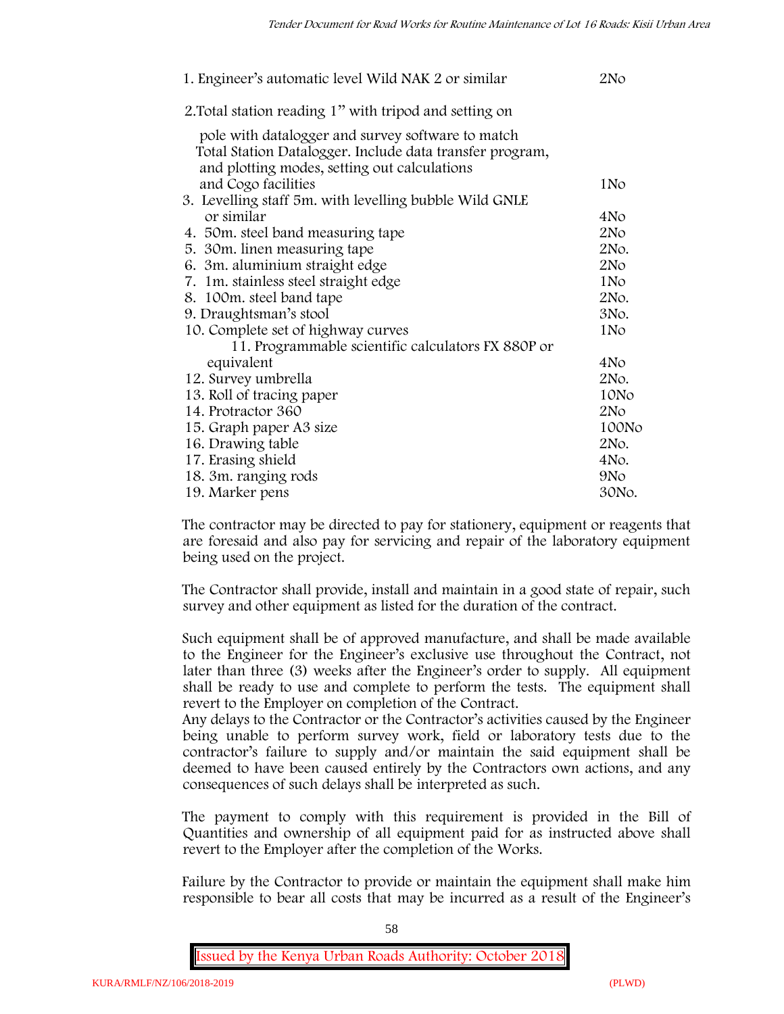| 1. Engineer's automatic level Wild NAK 2 or similar                                                      | 2N <sub>O</sub> |
|----------------------------------------------------------------------------------------------------------|-----------------|
| 2. Total station reading 1" with tripod and setting on                                                   |                 |
| pole with datalogger and survey software to match                                                        |                 |
| Total Station Datalogger. Include data transfer program,<br>and plotting modes, setting out calculations |                 |
| and Cogo facilities                                                                                      | 1No             |
| 3. Levelling staff 5m. with levelling bubble Wild GNLE                                                   |                 |
| or similar                                                                                               | 4No             |
| 4. 50 m. steel band measuring tape                                                                       | 2N <sub>O</sub> |
| 5. 30 m. linen measuring tape                                                                            | 2No.            |
| 6. 3m. aluminium straight edge                                                                           | 2N <sub>O</sub> |
| 7. 1m. stainless steel straight edge                                                                     | 1N <sub>o</sub> |
| 8. 100m. steel band tape                                                                                 | 2No.            |
| 9. Draughtsman's stool                                                                                   | 3No.            |
| 10. Complete set of highway curves                                                                       | 1No             |
| 11. Programmable scientific calculators FX 880P or                                                       |                 |
| equivalent                                                                                               | 4No             |
| 12. Survey umbrella                                                                                      | 2No.            |
| 13. Roll of tracing paper                                                                                | 10No            |
| 14. Protractor 360                                                                                       | 2N <sub>O</sub> |
| 15. Graph paper A3 size                                                                                  | 100No           |
| 16. Drawing table                                                                                        | 2No.            |
| 17. Erasing shield                                                                                       | 4No.            |
| 18. 3m. ranging rods                                                                                     | 9No             |
| 19. Marker pens                                                                                          | 30No.           |

The contractor may be directed to pay for stationery, equipment or reagents that are foresaid and also pay for servicing and repair of the laboratory equipment being used on the project.

The Contractor shall provide, install and maintain in a good state of repair, such survey and other equipment as listed for the duration of the contract.

Such equipment shall be of approved manufacture, and shall be made available to the Engineer for the Engineer's exclusive use throughout the Contract, not later than three (3) weeks after the Engineer's order to supply. All equipment shall be ready to use and complete to perform the tests. The equipment shall revert to the Employer on completion of the Contract.

Any delays to the Contractor or the Contractor's activities caused by the Engineer being unable to perform survey work, field or laboratory tests due to the contractor's failure to supply and/or maintain the said equipment shall be deemed to have been caused entirely by the Contractors own actions, and any consequences of such delays shall be interpreted as such.

The payment to comply with this requirement is provided in the Bill of Quantities and ownership of all equipment paid for as instructed above shall revert to the Employer after the completion of the Works.

Failure by the Contractor to provide or maintain the equipment shall make him responsible to bear all costs that may be incurred as a result of the Engineer's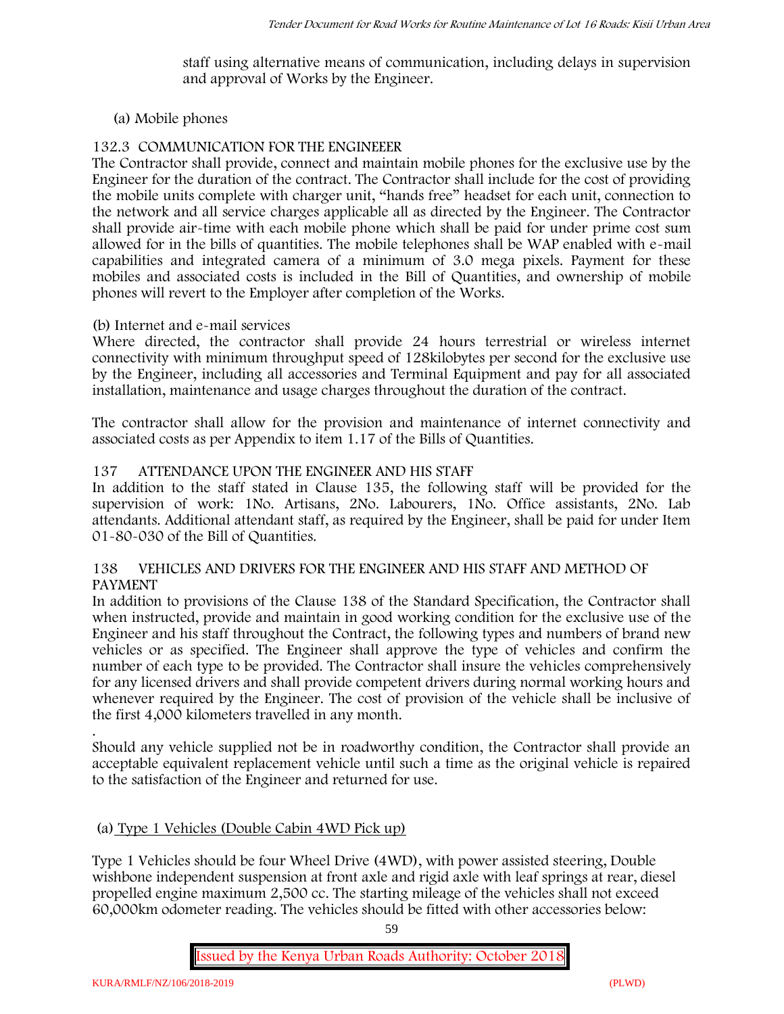staff using alternative means of communication, including delays in supervision and approval of Works by the Engineer.

### **(a) Mobile phones**

# **132.3 COMMUNICATION FOR THE ENGINEEER**

The Contractor shall provide, connect and maintain mobile phones for the exclusive use by the Engineer for the duration of the contract. The Contractor shall include for the cost of providing the mobile units complete with charger unit, "hands free" headset for each unit, connection to the network and all service charges applicable all as directed by the Engineer. The Contractor shall provide air-time with each mobile phone which shall be paid for under prime cost sum allowed for in the bills of quantities. The mobile telephones shall be WAP enabled with e-mail capabilities and integrated camera of a minimum of 3.0 mega pixels. Payment for these mobiles and associated costs is included in the Bill of Quantities, and ownership of mobile phones will revert to the Employer after completion of the Works.

### **(b) Internet and e-mail services**

Where directed, the contractor shall provide 24 hours terrestrial or wireless internet connectivity with minimum throughput speed of 128kilobytes per second for the exclusive use by the Engineer, including all accessories and Terminal Equipment and pay for all associated installation, maintenance and usage charges throughout the duration of the contract.

The contractor shall allow for the provision and maintenance of internet connectivity and associated costs as per Appendix to item 1.17 of the Bills of Quantities.

# **137 ATTENDANCE UPON THE ENGINEER AND HIS STAFF**

In addition to the staff stated in Clause 135, the following staff will be provided for the supervision of work: 1No. Artisans, 2No. Labourers, 1No. Office assistants, 2No. Lab attendants. Additional attendant staff, as required by the Engineer, shall be paid for under Item 01-80-030 of the Bill of Quantities.

### **138 VEHICLES AND DRIVERS FOR THE ENGINEER AND HIS STAFF AND METHOD OF PAYMENT**

In addition to provisions of the Clause 138 of the Standard Specification, the Contractor shall when instructed, provide and maintain in good working condition for the exclusive use of the Engineer and his staff throughout the Contract, the following types and numbers of brand new vehicles or as specified. The Engineer shall approve the type of vehicles and confirm the number of each type to be provided. The Contractor shall insure the vehicles comprehensively for any licensed drivers and shall provide competent drivers during normal working hours and whenever required by the Engineer. The cost of provision of the vehicle shall be inclusive of the first 4,000 kilometers travelled in any month.

.Should any vehicle supplied not be in roadworthy condition, the Contractor shall provide an acceptable equivalent replacement vehicle until such a time as the original vehicle is repaired to the satisfaction of the Engineer and returned for use.

# **(a) Type 1 Vehicles (Double Cabin 4WD Pick up)**

Type 1 Vehicles should be four Wheel Drive (4WD), with power assisted steering, Double wishbone independent suspension at front axle and rigid axle with leaf springs at rear, diesel propelled engine maximum 2,500 cc. The starting mileage of the vehicles shall not exceed 60,000km odometer reading. The vehicles should be fitted with other accessories below:

59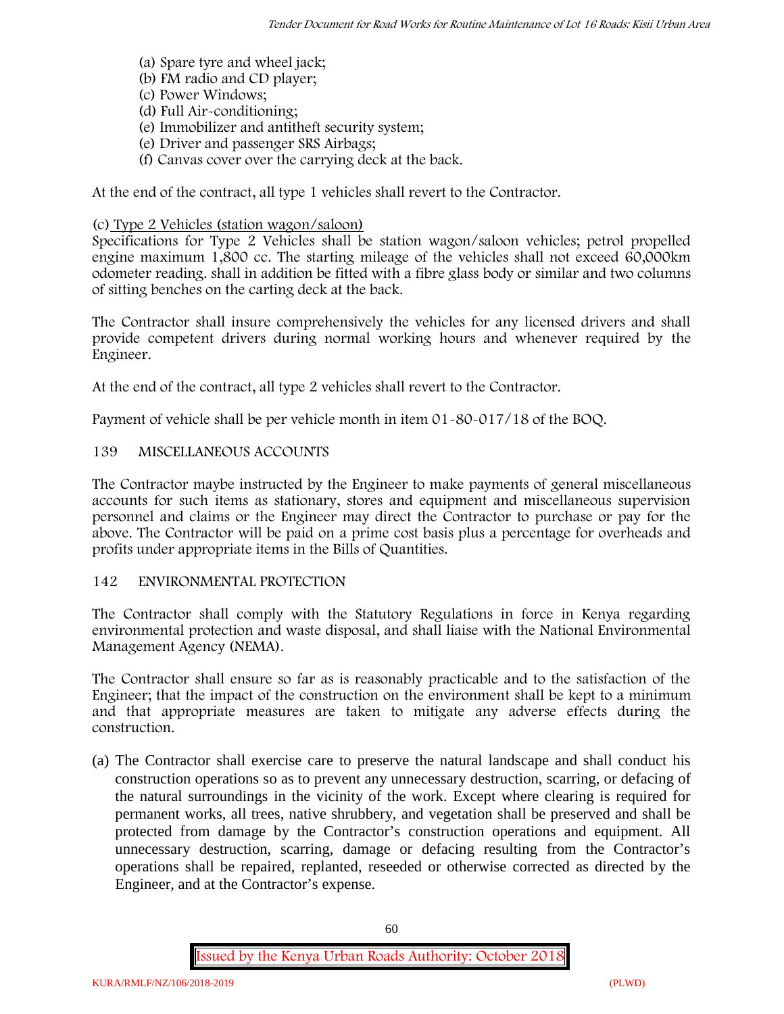- (a) Spare tyre and wheel jack;
- (b) FM radio and CD player;
- (c) Power Windows;
- (d) Full Air-conditioning;
- (e) Immobilizer and antitheft security system;
- (e) Driver and passenger SRS Airbags;
- (f) Canvas cover over the carrying deck at the back.

At the end of the contract, all type 1 vehicles shall revert to the Contractor.

# **(c) Type 2 Vehicles (station wagon/saloon)**

Specifications for Type 2 Vehicles shall be station wagon/saloon vehicles; petrol propelled engine maximum 1,800 cc. The starting mileage of the vehicles shall not exceed 60,000km odometer reading. shall in addition be fitted with a fibre glass body or similar and two columns of sitting benches on the carting deck at the back.

The Contractor shall insure comprehensively the vehicles for any licensed drivers and shall provide competent drivers during normal working hours and whenever required by the Engineer.

At the end of the contract, all type 2 vehicles shall revert to the Contractor.

Payment of vehicle shall be per vehicle month in item 01-80-017/18 of the BOQ.

# **139 MISCELLANEOUS ACCOUNTS**

The Contractor maybe instructed by the Engineer to make payments of general miscellaneous accounts for such items as stationary, stores and equipment and miscellaneous supervision personnel and claims or the Engineer may direct the Contractor to purchase or pay for the above. The Contractor will be paid on a prime cost basis plus a percentage for overheads and profits under appropriate items in the Bills of Quantities.

### **142 ENVIRONMENTAL PROTECTION**

The Contractor shall comply with the Statutory Regulations in force in Kenya regarding environmental protection and waste disposal, and shall liaise with the National Environmental Management Agency (NEMA).

The Contractor shall ensure so far as is reasonably practicable and to the satisfaction of the Engineer; that the impact of the construction on the environment shall be kept to a minimum and that appropriate measures are taken to mitigate any adverse effects during the construction.

(a) The Contractor shall exercise care to preserve the natural landscape and shall conduct his construction operations so as to prevent any unnecessary destruction, scarring, or defacing of the natural surroundings in the vicinity of the work. Except where clearing is required for permanent works, all trees, native shrubbery, and vegetation shall be preserved and shall be protected from damage by the Contractor's construction operations and equipment. All unnecessary destruction, scarring, damage or defacing resulting from the Contractor's operations shall be repaired, replanted, reseeded or otherwise corrected as directed by the Engineer, and at the Contractor's expense.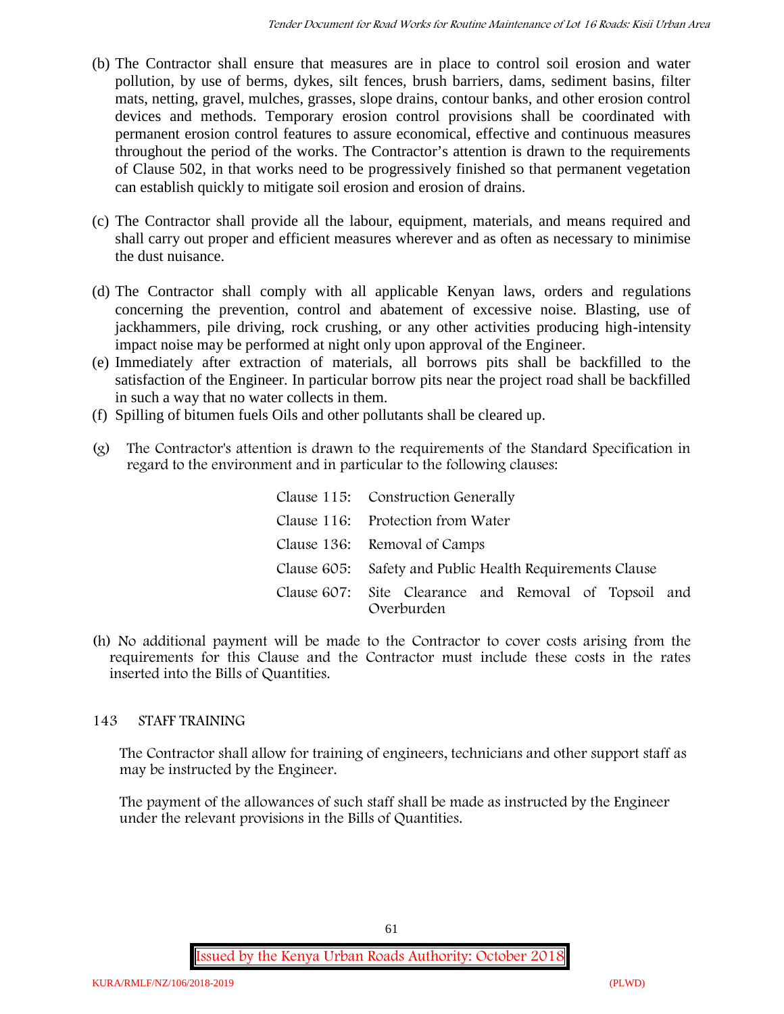- (b) The Contractor shall ensure that measures are in place to control soil erosion and water pollution, by use of berms, dykes, silt fences, brush barriers, dams, sediment basins, filter mats, netting, gravel, mulches, grasses, slope drains, contour banks, and other erosion control devices and methods. Temporary erosion control provisions shall be coordinated with permanent erosion control features to assure economical, effective and continuous measures throughout the period of the works. The Contractor's attention is drawn to the requirements of Clause 502, in that works need to be progressively finished so that permanent vegetation can establish quickly to mitigate soil erosion and erosion of drains.
- (c) The Contractor shall provide all the labour, equipment, materials, and means required and shall carry out proper and efficient measures wherever and as often as necessary to minimise the dust nuisance.
- (d) The Contractor shall comply with all applicable Kenyan laws, orders and regulations concerning the prevention, control and abatement of excessive noise. Blasting, use of jackhammers, pile driving, rock crushing, or any other activities producing high-intensity impact noise may be performed at night only upon approval of the Engineer.
- (e) Immediately after extraction of materials, all borrows pits shall be backfilled to the satisfaction of the Engineer. In particular borrow pits near the project road shall be backfilled in such a way that no water collects in them.
- (f) Spilling of bitumen fuels Oils and other pollutants shall be cleared up.
- (g) The Contractor's attention is drawn to the requirements of the Standard Specification in regard to the environment and in particular to the following clauses:

| Clause 115: Construction Generally                                  |
|---------------------------------------------------------------------|
| Clause 116: Protection from Water                                   |
| Clause 136: Removal of Camps                                        |
| Clause 605: Safety and Public Health Requirements Clause            |
| Clause 607: Site Clearance and Removal of Topsoil and<br>Overburden |

(h) No additional payment will be made to the Contractor to cover costs arising from the requirements for this Clause and the Contractor must include these costs in the rates inserted into the Bills of Quantities.

# **143 STAFF TRAINING**

The Contractor shall allow for training of engineers, technicians and other support staff as may be instructed by the Engineer.

The payment of the allowances of such staff shall be made as instructed by the Engineer under the relevant provisions in the Bills of Quantities.

<sup>61</sup>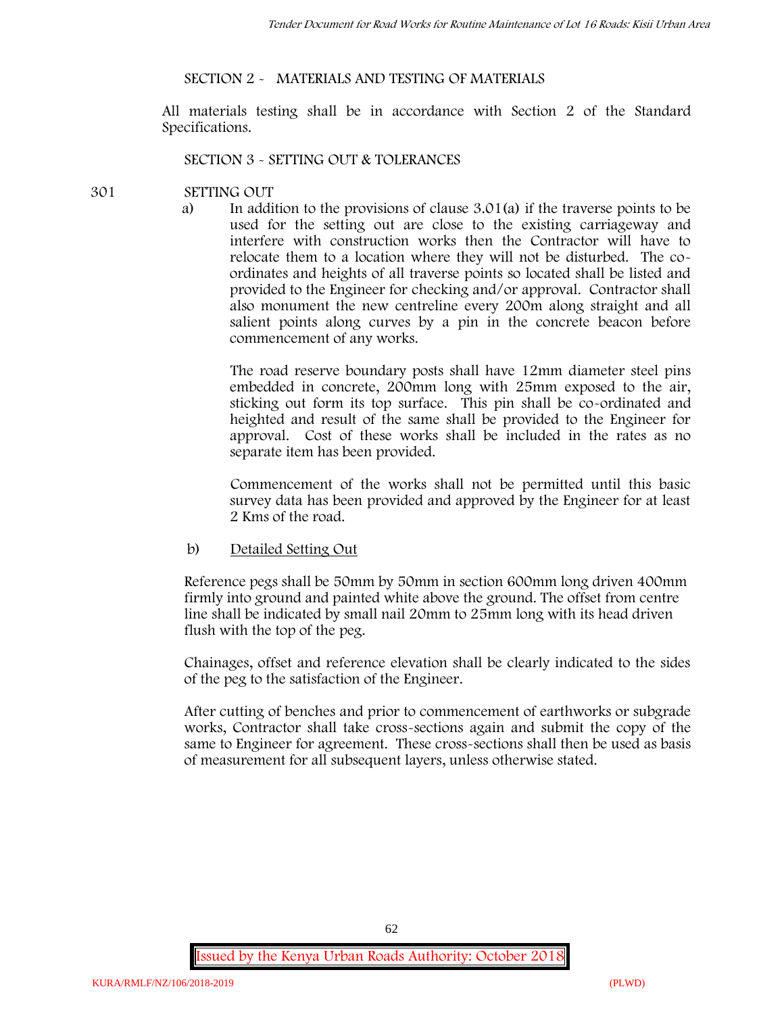#### **SECTION 2 - MATERIALS AND TESTING OF MATERIALS**

All materials testing shall be in accordance with Section 2 of the Standard Specifications.

#### **SECTION 3 - SETTING OUT & TOLERANCES**

#### **301 SETTING OUT**

a) In addition to the provisions of clause 3.01(a) if the traverse points to be used for the setting out are close to the existing carriageway and interfere with construction works then the Contractor will have to relocate them to a location where they will not be disturbed. The co ordinates and heights of all traverse points so located shall be listed and provided to the Engineer for checking and/or approval. Contractor shall also monument the new centreline every 200m along straight and all salient points along curves by a pin in the concrete beacon before commencement of any works.

The road reserve boundary posts shall have 12mm diameter steel pins embedded in concrete, 200mm long with 25mm exposed to the air, sticking out form its top surface. This pin shall be co-ordinated and heighted and result of the same shall be provided to the Engineer for approval. Cost of these works shall be included in the rates as no separate item has been provided.

Commencement of the works shall not be permitted until this basic survey data has been provided and approved by the Engineer for at least 2 Kms of the road.

b) Detailed Setting Out

Reference pegs shall be 50mm by 50mm in section 600mm long driven 400mm firmly into ground and painted white above the ground. The offset from centre line shall be indicated by small nail 20mm to 25mm long with its head driven flush with the top of the peg.

Chainages, offset and reference elevation shall be clearly indicated to the sides of the peg to the satisfaction of the Engineer.

After cutting of benches and prior to commencement of earthworks or subgrade works, Contractor shall take cross-sections again and submit the copy of the same to Engineer for agreement. These cross-sections shall then be used as basis of measurement for all subsequent layers, unless otherwise stated.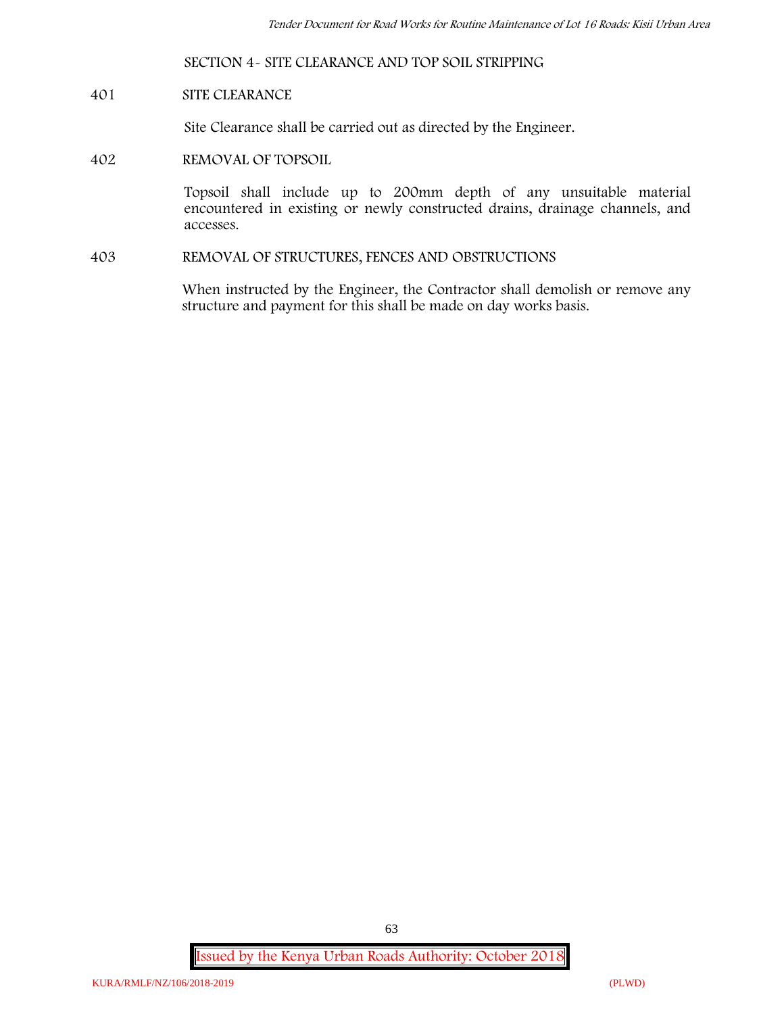#### **SECTION 4- SITE CLEARANCE AND TOP SOIL STRIPPING**

#### **401 SITE CLEARANCE**

Site Clearance shall be carried out as directed by the Engineer.

#### **402 REMOVAL OF TOPSOIL**

Topsoil shall include up to 200mm depth of any unsuitable material encountered in existing or newly constructed drains, drainage channels, and accesses.

**403 REMOVAL OF STRUCTURES, FENCES AND OBSTRUCTIONS**

When instructed by the Engineer, the Contractor shall demolish or remove any structure and payment for this shall be made on day works basis.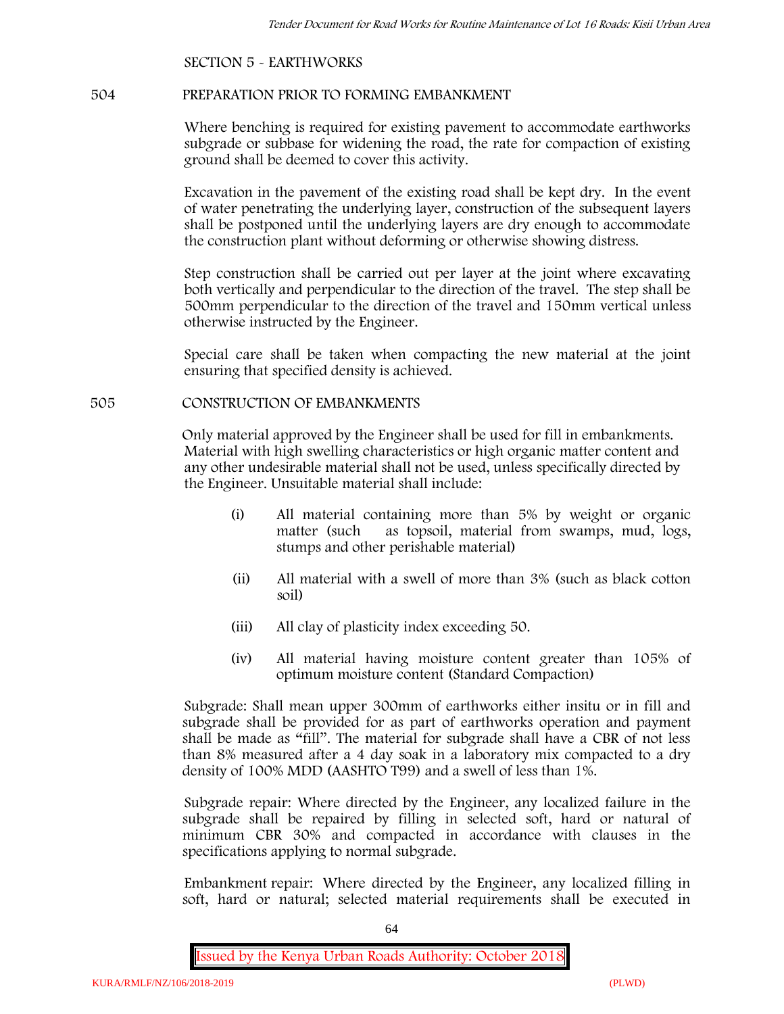# **SECTION 5 - EARTHWORKS**

#### **504 PREPARATION PRIOR TO FORMING EMBANKMENT**

Where benching is required for existing pavement to accommodate earthworks subgrade or subbase for widening the road, the rate for compaction of existing ground shall be deemed to cover this activity.

Excavation in the pavement of the existing road shall be kept dry. In the event of water penetrating the underlying layer, construction of the subsequent layers shall be postponed until the underlying layers are dry enough to accommodate the construction plant without deforming or otherwise showing distress.

Step construction shall be carried out per layer at the joint where excavating both vertically and perpendicular to the direction of the travel. The step shall be 500mm perpendicular to the direction of the travel and 150mm vertical unless otherwise instructed by the Engineer.

Special care shall be taken when compacting the new material at the joint ensuring that specified density is achieved.

#### **505 CONSTRUCTION OF EMBANKMENTS**

Only material approved by the Engineer shall be used for fill in embankments. Material with high swelling characteristics or high organic matter content and any other undesirable material shall not be used, unless specifically directed by the Engineer. Unsuitable material shall include:

- (i) All material containing more than 5% by weight or organic matter (such as topsoil, material from swamps, mud, logs, stumps and other perishable material)
- (ii) All material with a swell of more than 3% (such as black cotton soil)
- (iii) All clay of plasticity index exceeding 50.
- (iv) All material having moisture content greater than 105% of optimum moisture content (Standard Compaction)

Subgrade: Shall mean upper 300mm of earthworks either insitu or in fill and subgrade shall be provided for as part of earthworks operation and payment shall be made as "fill". The material for subgrade shall have a CBR of not less than 8% measured after a 4 day soak in a laboratory mix compacted to a dry density of 100% MDD (AASHTO T99) and a swell of less than 1%.

Subgrade repair: Where directed by the Engineer, any localized failure in the subgrade shall be repaired by filling in selected soft, hard or natural of minimum CBR 30% and compacted in accordance with clauses in the specifications applying to normal subgrade.

Embankment repair: Where directed by the Engineer, any localized filling in soft, hard or natural; selected material requirements shall be executed in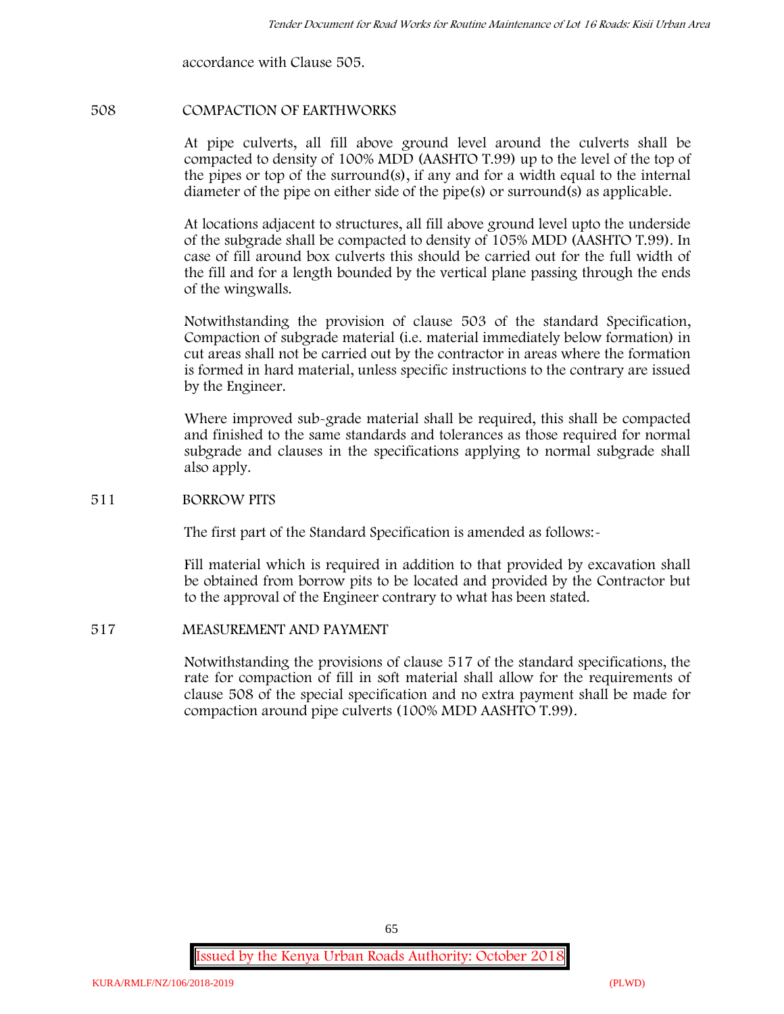accordance with Clause 505.

#### **508 COMPACTION OF EARTHWORKS**

At pipe culverts, all fill above ground level around the culverts shall be compacted to density of 100% MDD (AASHTO T.99) up to the level of the top of the pipes or top of the surround(s), if any and for a width equal to the internal diameter of the pipe on either side of the pipe(s) or surround(s) as applicable.

At locations adjacent to structures, all fill above ground level upto the underside of the subgrade shall be compacted to density of 105% MDD (AASHTO T.99). In case of fill around box culverts this should be carried out for the full width of the fill and for a length bounded by the vertical plane passing through the ends of the wingwalls.

Notwithstanding the provision of clause 503 of the standard Specification, Compaction of subgrade material (i.e. material immediately below formation) in cut areas shall not be carried out by the contractor in areas where the formation is formed in hard material, unless specific instructions to the contrary are issued by the Engineer.

Where improved sub-grade material shall be required, this shall be compacted and finished to the same standards and tolerances as those required for normal subgrade and clauses in the specifications applying to normal subgrade shall also apply.

#### **511 BORROW PITS**

The first part of the Standard Specification is amended as follows:-

Fill material which is required in addition to that provided by excavation shall be obtained from borrow pits to be located and provided by the Contractor but to the approval of the Engineer contrary to what has been stated.

#### **517 MEASUREMENT AND PAYMENT**

Notwithstanding the provisions of clause 517 of the standard specifications, the rate for compaction of fill in soft material shall allow for the requirements of clause 508 of the special specification and no extra payment shall be made for compaction around pipe culverts (100% MDD AASHTO T.99).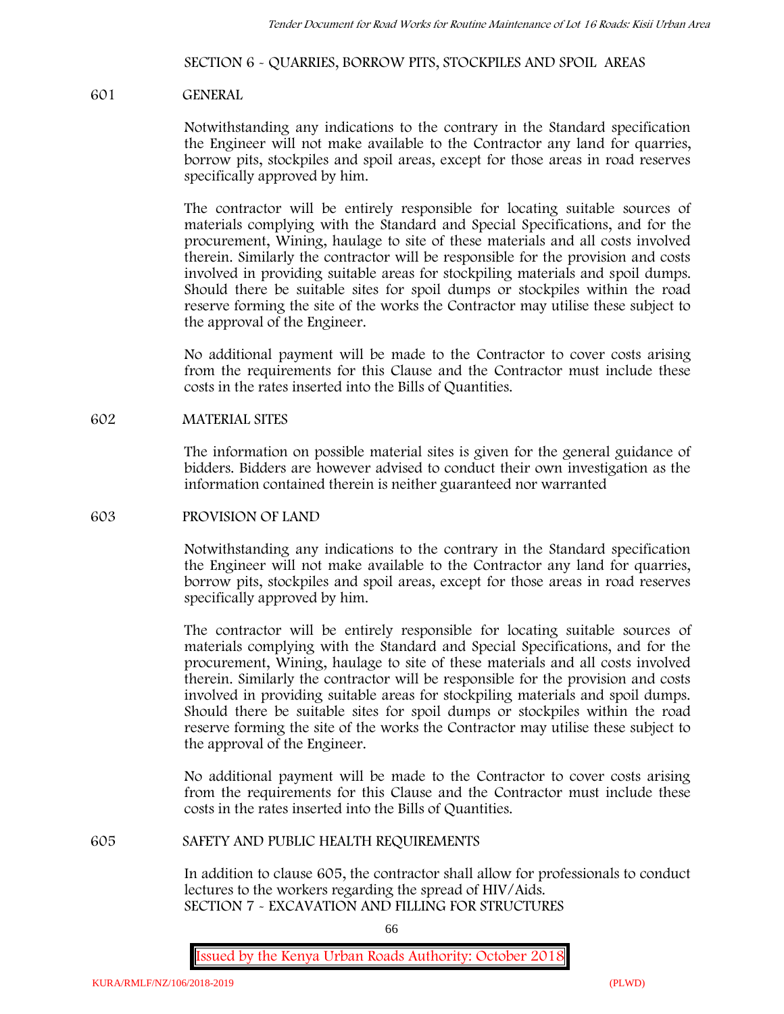#### **SECTION 6 - QUARRIES, BORROW PITS, STOCKPILES AND SPOIL AREAS**

#### **601 GENERAL**

Notwithstanding any indications to the contrary in the Standard specification the Engineer will not make available to the Contractor any land for quarries, borrow pits, stockpiles and spoil areas, except for those areas in road reserves specifically approved by him.

The contractor will be entirely responsible for locating suitable sources of materials complying with the Standard and Special Specifications, and for the procurement, Wining, haulage to site of these materials and all costs involved therein. Similarly the contractor will be responsible for the provision and costs involved in providing suitable areas for stockpiling materials and spoil dumps. Should there be suitable sites for spoil dumps or stockpiles within the road reserve forming the site of the works the Contractor may utilise these subject to the approval of the Engineer.

No additional payment will be made to the Contractor to cover costs arising from the requirements for this Clause and the Contractor must include these costs in the rates inserted into the Bills of Quantities.

#### **602 MATERIAL SITES**

The information on possible material sites is given for the general guidance of bidders. Bidders are however advised to conduct their own investigation as the information contained therein is neither guaranteed nor warranted

#### **603 PROVISION OF LAND**

Notwithstanding any indications to the contrary in the Standard specification the Engineer will not make available to the Contractor any land for quarries, borrow pits, stockpiles and spoil areas, except for those areas in road reserves specifically approved by him.

The contractor will be entirely responsible for locating suitable sources of materials complying with the Standard and Special Specifications, and for the procurement, Wining, haulage to site of these materials and all costs involved therein. Similarly the contractor will be responsible for the provision and costs involved in providing suitable areas for stockpiling materials and spoil dumps. Should there be suitable sites for spoil dumps or stockpiles within the road reserve forming the site of the works the Contractor may utilise these subject to the approval of the Engineer.

No additional payment will be made to the Contractor to cover costs arising from the requirements for this Clause and the Contractor must include these costs in the rates inserted into the Bills of Quantities.

#### **605 SAFETY AND PUBLIC HEALTH REQUIREMENTS**

In addition to clause 605, the contractor shall allow for professionals to conduct lectures to the workers regarding the spread of HIV/Aids. **SECTION 7 - EXCAVATION AND FILLING FOR STRUCTURES**

66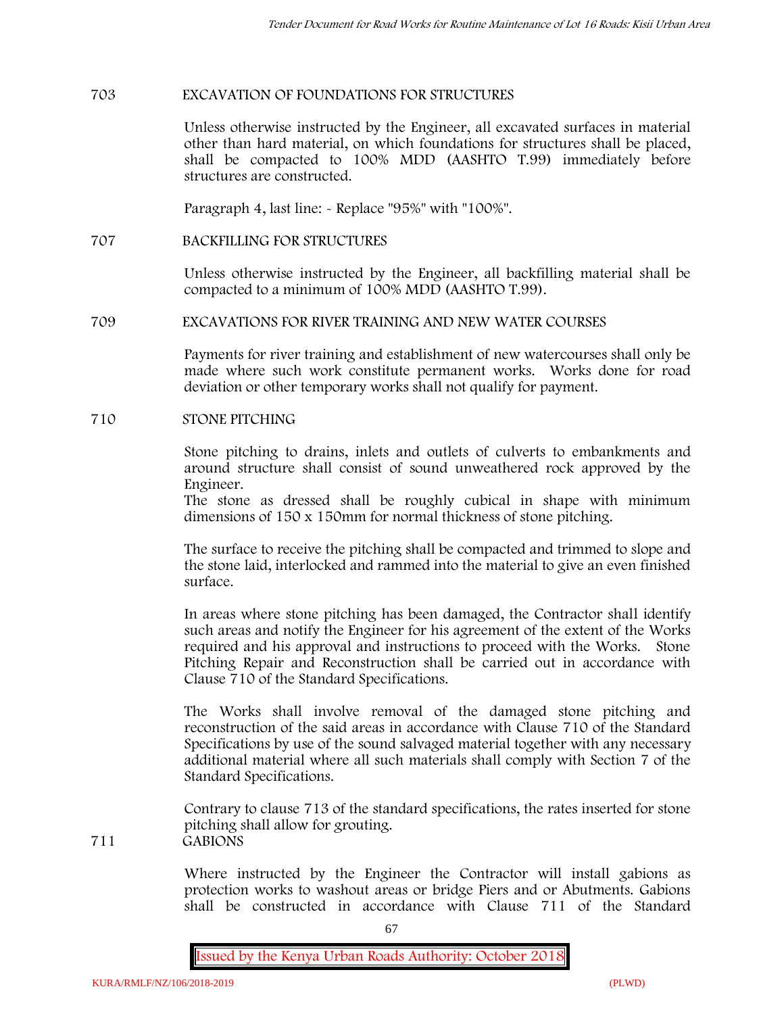#### **703 EXCAVATION OF FOUNDATIONS FOR STRUCTURES**

Unless otherwise instructed by the Engineer, all excavated surfaces in material other than hard material, on which foundations for structures shall be placed, shall be compacted to 100% MDD (AASHTO T.99) immediately before structures are constructed.

Paragraph 4, last line: - Replace "95%" with "100%".

**707 BACKFILLING FOR STRUCTURES**

Unless otherwise instructed by the Engineer, all backfilling material shall be compacted to a minimum of 100% MDD (AASHTO T.99).

#### **709 EXCAVATIONS FOR RIVER TRAINING AND NEW WATER COURSES**

Payments for river training and establishment of new watercourses shall only be made where such work constitute permanent works. Works done for road deviation or other temporary works shall not qualify for payment.

#### **710 STONE PITCHING**

Stone pitching to drains, inlets and outlets of culverts to embankments and around structure shall consist of sound unweathered rock approved by the Engineer.

The stone as dressed shall be roughly cubical in shape with minimum dimensions of 150 x 150mm for normal thickness of stone pitching.

The surface to receive the pitching shall be compacted and trimmed to slope and the stone laid, interlocked and rammed into the material to give an even finished surface.

In areas where stone pitching has been damaged, the Contractor shall identify such areas and notify the Engineer for his agreement of the extent of the Works required and his approval and instructions to proceed with the Works. Stone Pitching Repair and Reconstruction shall be carried out in accordance with Clause 710 of the Standard Specifications.

The Works shall involve removal of the damaged stone pitching and reconstruction of the said areas in accordance with Clause 710 of the Standard Specifications by use of the sound salvaged material together with any necessary additional material where all such materials shall comply with Section 7 of the Standard Specifications.

Contrary to clause 713 of the standard specifications, the rates inserted for stone pitching shall allow for grouting. **711 GABIONS**

> Where instructed by the Engineer the Contractor will install gabions as protection works to washout areas or bridge Piers and or Abutments. Gabions shall be constructed in accordance with Clause 711 of the Standard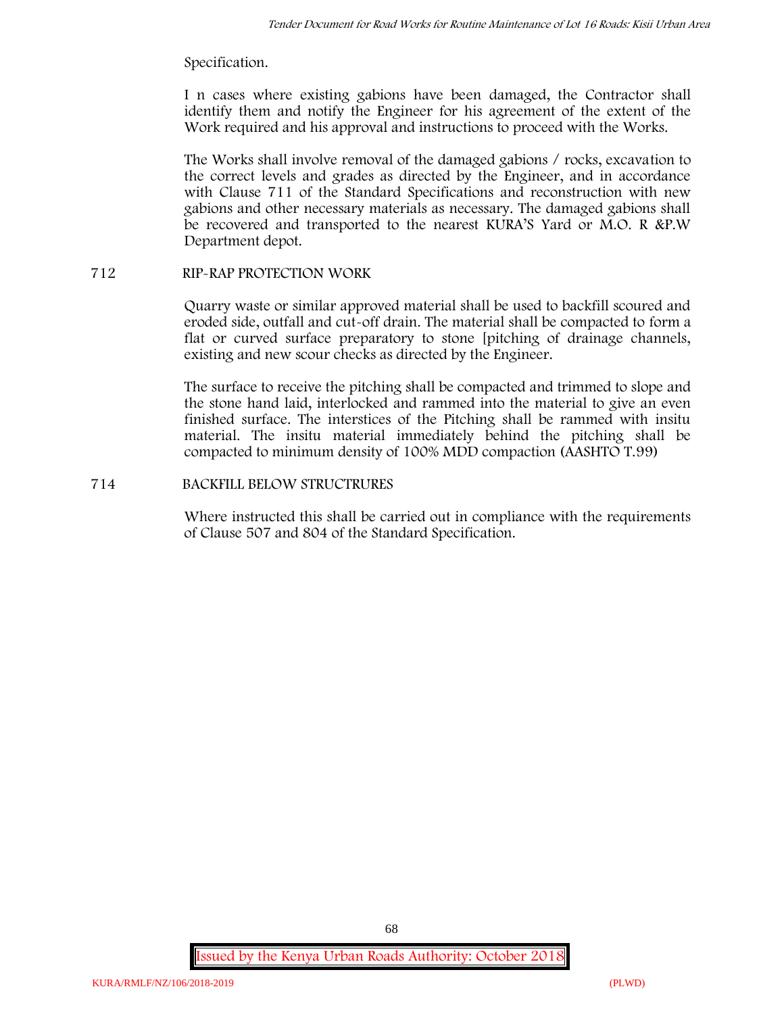### Specification.

I n cases where existing gabions have been damaged, the Contractor shall identify them and notify the Engineer for his agreement of the extent of the Work required and his approval and instructions to proceed with the Works.

The Works shall involve removal of the damaged gabions / rocks, excavation to the correct levels and grades as directed by the Engineer, and in accordance with Clause 711 of the Standard Specifications and reconstruction with new gabions and other necessary materials as necessary. The damaged gabions shall be recovered and transported to the nearest KURA'S Yard or M.O. R &P.W Department depot.

# **712 RIP-RAP PROTECTION WORK**

Quarry waste or similar approved material shall be used to backfill scoured and eroded side, outfall and cut-off drain. The material shall be compacted to form a flat or curved surface preparatory to stone [pitching of drainage channels, existing and new scour checks as directed by the Engineer.

The surface to receive the pitching shall be compacted and trimmed to slope and the stone hand laid, interlocked and rammed into the material to give an even finished surface. The interstices of the Pitching shall be rammed with insitu material. The insitu material immediately behind the pitching shall be compacted to minimum density of 100% MDD compaction (AASHTO T.99)

### **714 BACKFILL BELOW STRUCTRURES**

Where instructed this shall be carried out in compliance with the requirements of Clause 507 and 804 of the Standard Specification.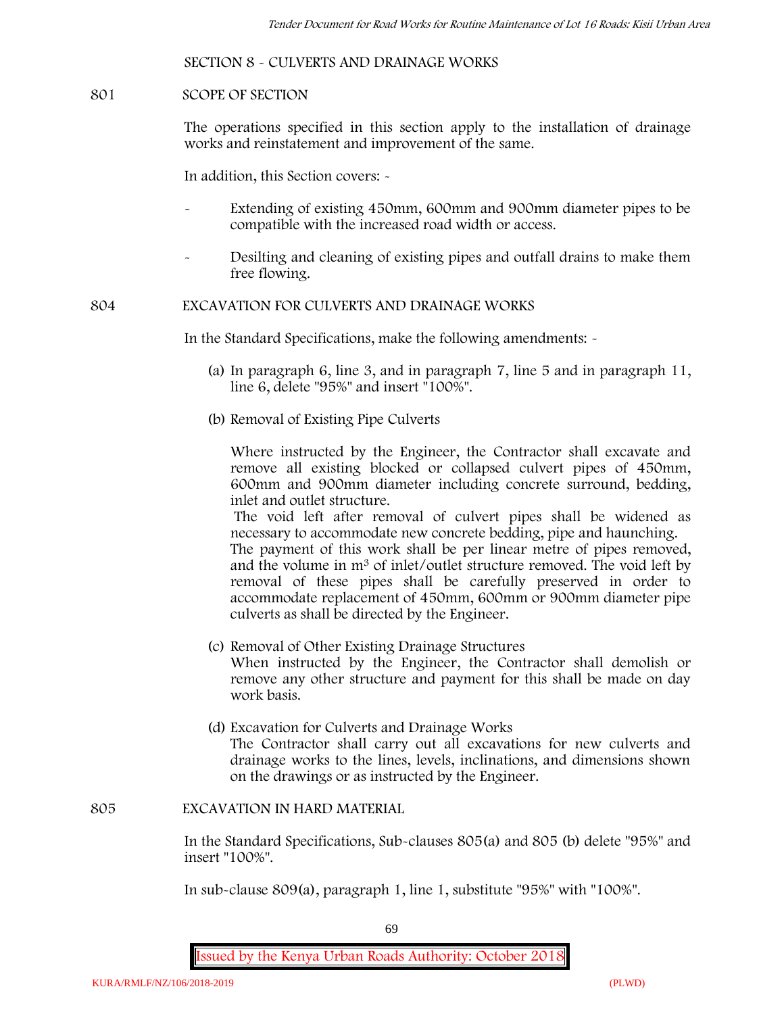### **SECTION 8 - CULVERTS AND DRAINAGE WORKS**

#### **801 SCOPE OF SECTION**

The operations specified in this section apply to the installation of drainage works and reinstatement and improvement of the same.

In addition, this Section covers: -

- Extending of existing 450mm, 600mm and 900mm diameter pipes to be compatible with the increased road width or access.
- Desilting and cleaning of existing pipes and outfall drains to make them free flowing.

**804 EXCAVATION FOR CULVERTS AND DRAINAGE WORKS**

In the Standard Specifications, make the following amendments: -

- (a) In paragraph 6, line 3, and in paragraph 7, line 5 and in paragraph 11, line 6, delete "95%" and insert "100%".
- (b) Removal of Existing Pipe Culverts

Where instructed by the Engineer, the Contractor shall excavate and remove all existing blocked or collapsed culvert pipes of 450mm, 600mm and 900mm diameter including concrete surround, bedding, inlet and outlet structure.

The void left after removal of culvert pipes shall be widened as necessary to accommodate new concrete bedding, pipe and haunching. The payment of this work shall be per linear metre of pipes removed,

and the volume in m<sup>3</sup> of inlet/outlet structure removed. The void left by removal of these pipes shall be carefully preserved in order to accommodate replacement of 450mm, 600mm or 900mm diameter pipe culverts as shall be directed by the Engineer.

- (c) Removal of Other Existing Drainage Structures When instructed by the Engineer, the Contractor shall demolish or remove any other structure and payment for this shall be made on day work basis.
- (d) Excavation for Culverts and Drainage Works The Contractor shall carry out all excavations for new culverts and drainage works to the lines, levels, inclinations, and dimensions shown on the drawings or as instructed by the Engineer.

#### **805 EXCAVATION IN HARD MATERIAL**

In the Standard Specifications, Sub-clauses 805(a) and 805 (b) delete "95%" and insert "100%".

In sub-clause 809(a), paragraph 1, line 1, substitute "95%" with "100%".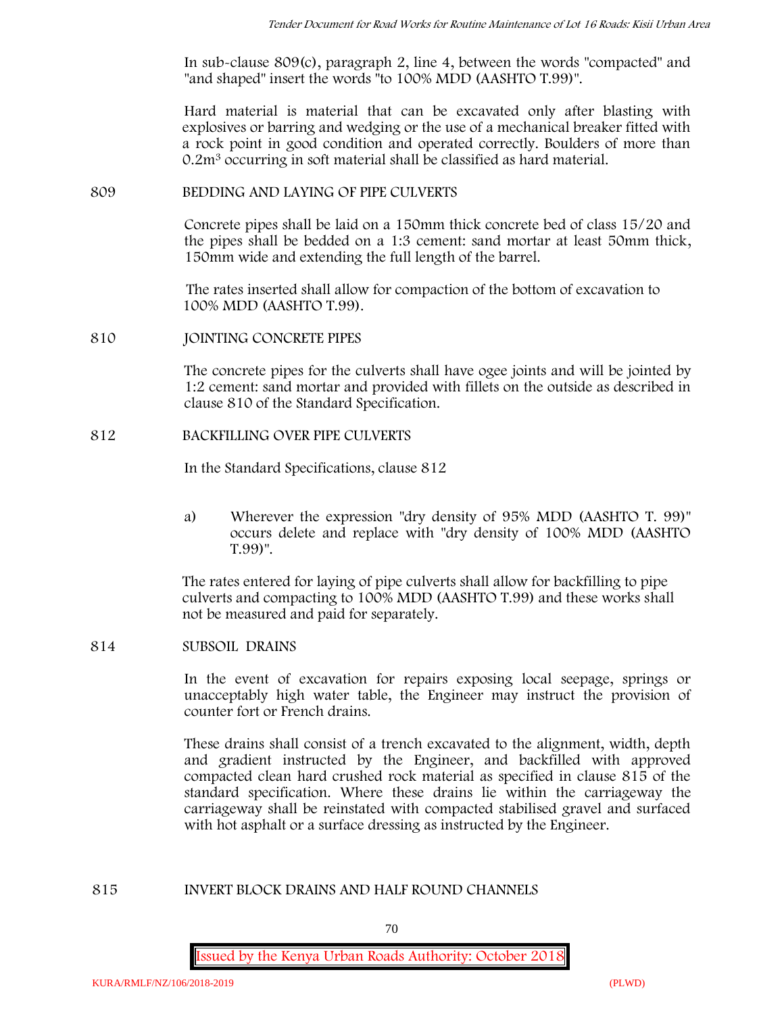In sub-clause 809(c), paragraph 2, line 4, between the words "compacted" and "and shaped" insert the words "to 100% MDD (AASHTO T.99)".

Hard material is material that can be excavated only after blasting with explosives or barring and wedging or the use of a mechanical breaker fitted with a rock point in good condition and operated correctly. Boulders of more than 0.2m<sup>3</sup> occurring in soft material shall be classified as hard material.

### **809 BEDDING AND LAYING OF PIPE CULVERTS**

Concrete pipes shall be laid on a 150mm thick concrete bed of class 15/20 and the pipes shall be bedded on a 1:3 cement: sand mortar at least 50mm thick, 150mm wide and extending the full length of the barrel.

The rates inserted shall allow for compaction of the bottom of excavation to 100% MDD (AASHTO T.99).

**810 JOINTING CONCRETE PIPES**

The concrete pipes for the culverts shall have ogee joints and will be jointed by 1:2 cement: sand mortar and provided with fillets on the outside as described in clause 810 of the Standard Specification.

### **812 BACKFILLING OVER PIPE CULVERTS**

In the Standard Specifications, clause 812

a) Wherever the expression "dry density of 95% MDD (AASHTO T. 99)" occurs delete and replace with "dry density of 100% MDD (AASHTO T.99)".

The rates entered for laying of pipe culverts shall allow for backfilling to pipe culverts and compacting to 100% MDD (AASHTO T.99) and these works shall not be measured and paid for separately.

### **814 SUBSOIL DRAINS**

In the event of excavation for repairs exposing local seepage, springs or unacceptably high water table, the Engineer may instruct the provision of counter fort or French drains.

These drains shall consist of a trench excavated to the alignment, width, depth and gradient instructed by the Engineer, and backfilled with approved compacted clean hard crushed rock material as specified in clause 815 of the standard specification. Where these drains lie within the carriageway the carriageway shall be reinstated with compacted stabilised gravel and surfaced with hot asphalt or a surface dressing as instructed by the Engineer.

# **815 INVERT BLOCK DRAINS AND HALF ROUND CHANNELS**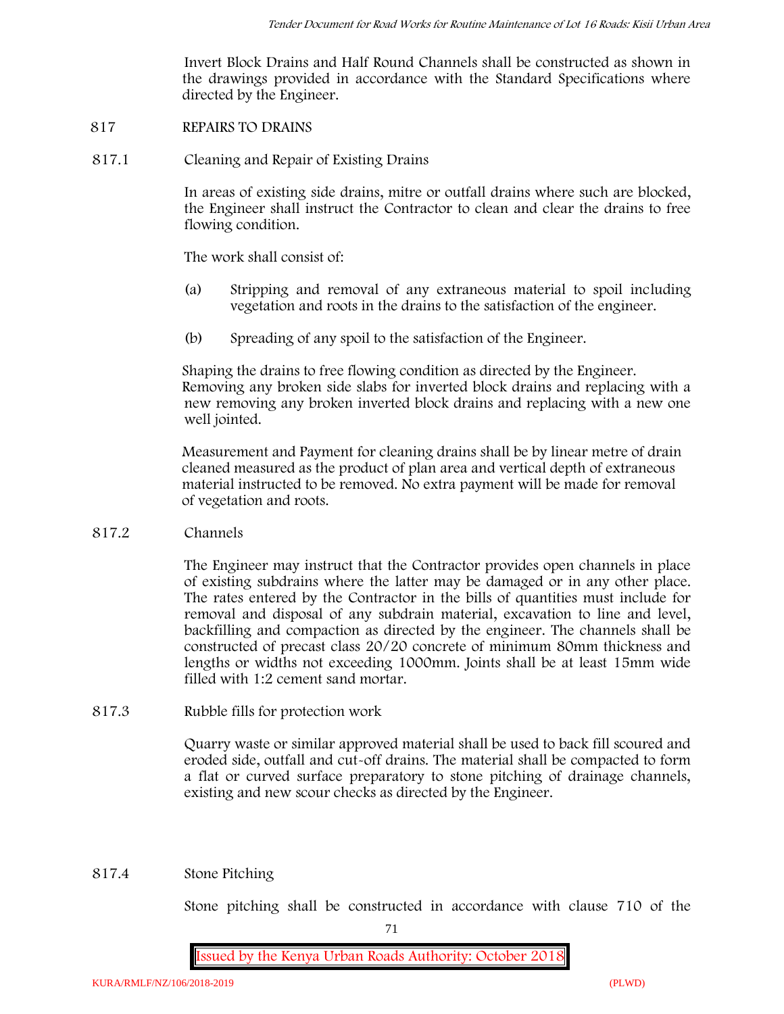Invert Block Drains and Half Round Channels shall be constructed as shown in the drawings provided in accordance with the Standard Specifications where directed by the Engineer.

- **817 REPAIRS TO DRAINS**
- **817.1 Cleaning and Repair of Existing Drains**

In areas of existing side drains, mitre or outfall drains where such are blocked, the Engineer shall instruct the Contractor to clean and clear the drains to free flowing condition.

The work shall consist of:

- (a) Stripping and removal of any extraneous material to spoil including vegetation and roots in the drains to the satisfaction of the engineer.
- (b) Spreading of any spoil to the satisfaction of the Engineer.

Shaping the drains to free flowing condition as directed by the Engineer. Removing any broken side slabs for inverted block drains and replacing with a new removing any broken inverted block drains and replacing with a new one well jointed.

Measurement and Payment for cleaning drains shall be by linear metre of drain cleaned measured as the product of plan area and vertical depth of extraneous material instructed to be removed. No extra payment will be made for removal of vegetation and roots.

**817.2 Channels**

The Engineer may instruct that the Contractor provides open channels in place of existing subdrains where the latter may be damaged or in any other place. The rates entered by the Contractor in the bills of quantities must include for removal and disposal of any subdrain material, excavation to line and level, backfilling and compaction as directed by the engineer. The channels shall be constructed of precast class 20/20 concrete of minimum 80mm thickness and lengths or widths not exceeding 1000mm. Joints shall be at least 15mm wide filled with 1:2 cement sand mortar.

**817.3 Rubble fills for protection work**

Quarry waste or similar approved material shall be used to back fill scoured and eroded side, outfall and cut-off drains. The material shall be compacted to form a flat or curved surface preparatory to stone pitching of drainage channels, existing and new scour checks as directed by the Engineer.

### **817.4 Stone Pitching**

Stone pitching shall be constructed in accordance with clause 710 of the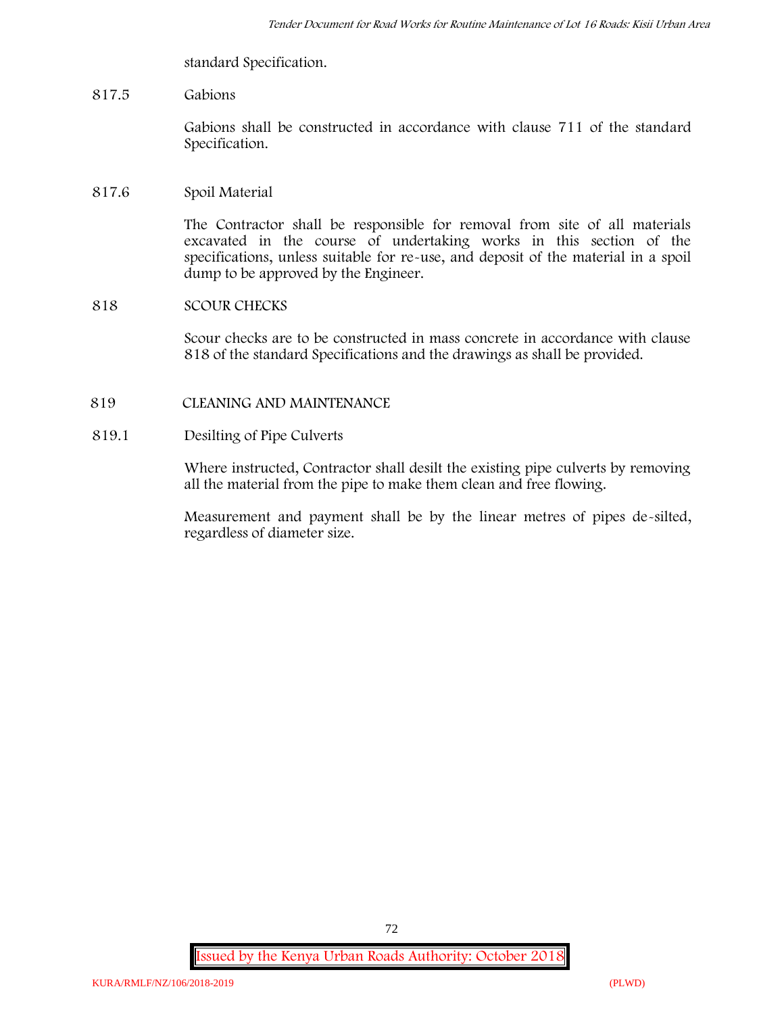standard Specification.

# **817.5 Gabions**

Gabions shall be constructed in accordance with clause 711 of the standard Specification.

#### **817.6 Spoil Material**

The Contractor shall be responsible for removal from site of all materials excavated in the course of undertaking works in this section of the specifications, unless suitable for re-use, and deposit of the material in a spoil dump to be approved by the Engineer.

### **818 SCOUR CHECKS**

Scour checks are to be constructed in mass concrete in accordance with clause 818 of the standard Specifications and the drawings as shall be provided.

#### **819 CLEANING AND MAINTENANCE**

#### **819.1 Desilting of Pipe Culverts**

Where instructed, Contractor shall desilt the existing pipe culverts by removing all the material from the pipe to make them clean and free flowing.

Measurement and payment shall be by the linear metres of pipes de-silted, regardless of diameter size.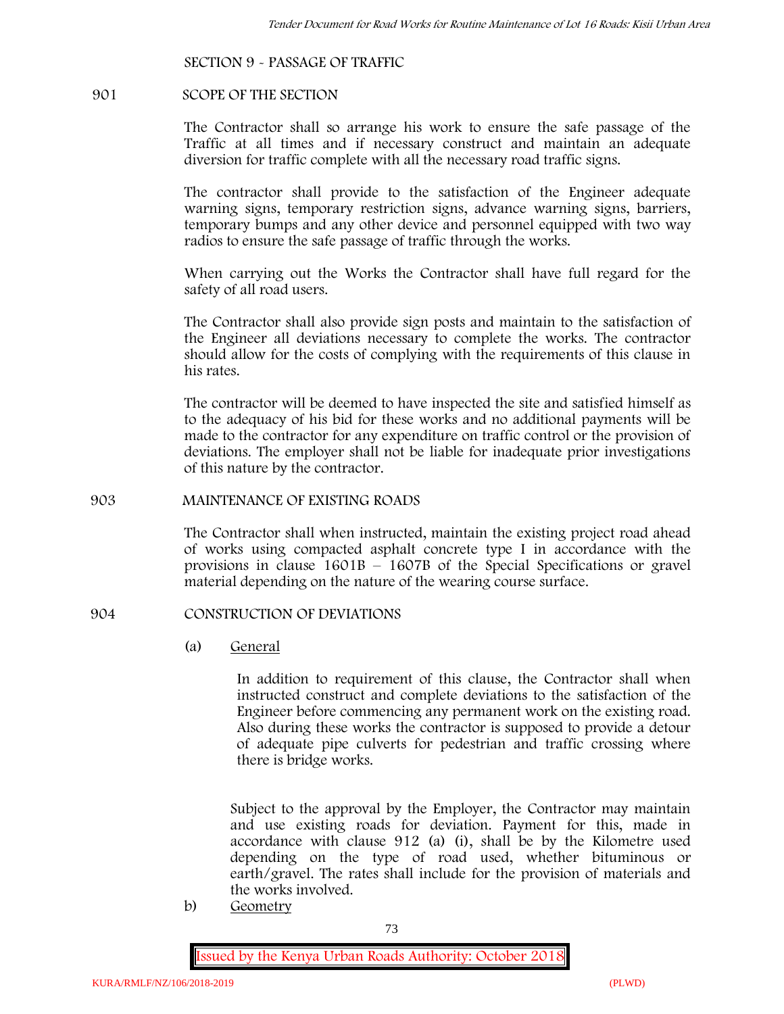### **SECTION 9 - PASSAGE OF TRAFFIC**

#### **901 SCOPE OF THE SECTION**

The Contractor shall so arrange his work to ensure the safe passage of the Traffic at all times and if necessary construct and maintain an adequate diversion for traffic complete with all the necessary road traffic signs.

The contractor shall provide to the satisfaction of the Engineer adequate warning signs, temporary restriction signs, advance warning signs, barriers, temporary bumps and any other device and personnel equipped with two way radios to ensure the safe passage of traffic through the works.

When carrying out the Works the Contractor shall have full regard for the safety of all road users.

The Contractor shall also provide sign posts and maintain to the satisfaction of the Engineer all deviations necessary to complete the works. The contractor should allow for the costs of complying with the requirements of this clause in his rates.

The contractor will be deemed to have inspected the site and satisfied himself as to the adequacy of his bid for these works and no additional payments will be made to the contractor for any expenditure on traffic control or the provision of deviations. The employer shall not be liable for inadequate prior investigations of this nature by the contractor.

#### **903 MAINTENANCE OF EXISTING ROADS**

The Contractor shall when instructed, maintain the existing project road ahead of works using compacted asphalt concrete type I in accordance with the provisions in clause 1601B – 1607B of the Special Specifications or gravel material depending on the nature of the wearing course surface.

#### **904 CONSTRUCTION OF DEVIATIONS**

(a) **General**

In addition to requirement of this clause, the Contractor shall when instructed construct and complete deviations to the satisfaction of the Engineer before commencing any permanent work on the existing road. Also during these works the contractor is supposed to provide a detour of adequate pipe culverts for pedestrian and traffic crossing where there is bridge works.

Subject to the approval by the Employer, the Contractor may maintain and use existing roads for deviation. Payment for this, made in accordance with clause 912 (a) (i), shall be by the Kilometre used depending on the type of road used, whether bituminous or earth/gravel. The rates shall include for the provision of materials and the works involved.

b) **Geometry**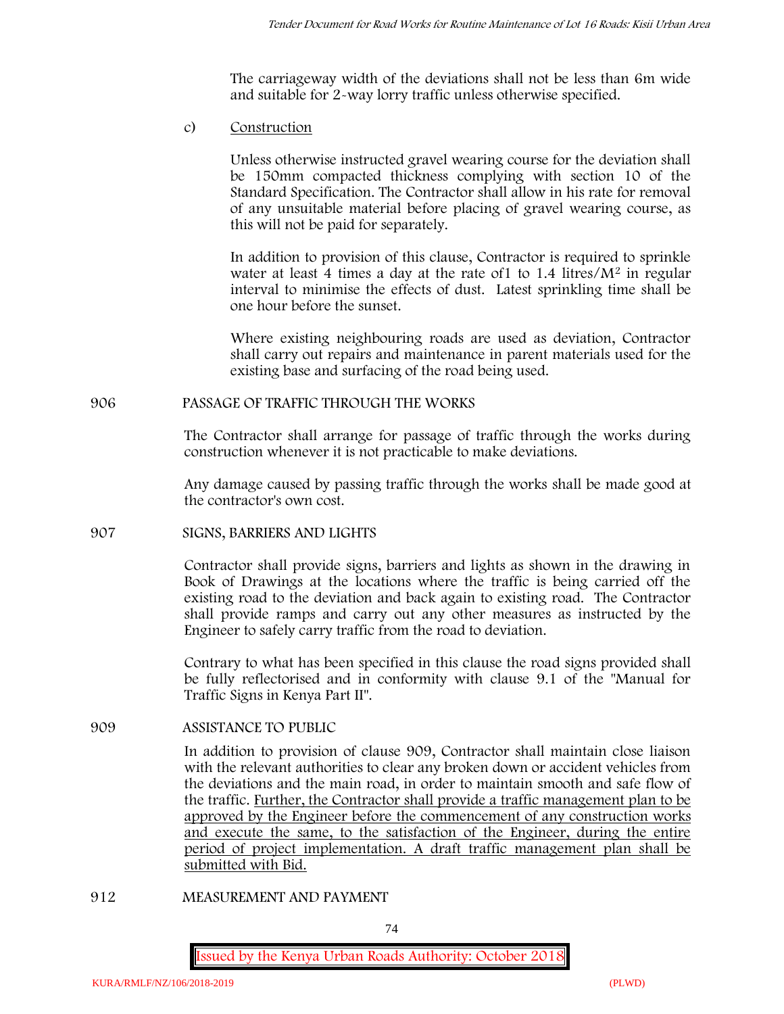The carriageway width of the deviations shall not be less than 6m wide and suitable for 2-way lorry traffic unless otherwise specified.

c) **Construction**

Unless otherwise instructed gravel wearing course for the deviation shall be 150mm compacted thickness complying with section 10 of the Standard Specification. The Contractor shall allow in his rate for removal of any unsuitable material before placing of gravel wearing course, as this will not be paid for separately.

In addition to provision of this clause, Contractor is required to sprinkle water at least 4 times a day at the rate of  $1$  to  $1.4$  litres/ $M<sup>2</sup>$  in regular interval to minimise the effects of dust. Latest sprinkling time shall be one hour before the sunset.

Where existing neighbouring roads are used as deviation, Contractor shall carry out repairs and maintenance in parent materials used for the existing base and surfacing of the road being used.

### **906 PASSAGE OF TRAFFIC THROUGH THE WORKS**

The Contractor shall arrange for passage of traffic through the works during construction whenever it is not practicable to make deviations.

Any damage caused by passing traffic through the works shall be made good at the contractor's own cost.

### **907 SIGNS, BARRIERS AND LIGHTS**

Contractor shall provide signs, barriers and lights as shown in the drawing in Book of Drawings at the locations where the traffic is being carried off the existing road to the deviation and back again to existing road. The Contractor shall provide ramps and carry out any other measures as instructed by the Engineer to safely carry traffic from the road to deviation.

Contrary to what has been specified in this clause the road signs provided shall be fully reflectorised and in conformity with clause 9.1 of the "Manual for Traffic Signs in Kenya Part II".

### **909 ASSISTANCE TO PUBLIC**

In addition to provision of clause 909, Contractor shall maintain close liaison with the relevant authorities to clear any broken down or accident vehicles from the deviations and the main road, in order to maintain smooth and safe flow of the traffic. Further, the Contractor shall provide a traffic management plan to be approved by the Engineer before the commencement of any construction works and execute the same, to the satisfaction of the Engineer, during the entire period of project implementation. A draft traffic management plan shall be submitted with Bid.

**912 MEASUREMENT AND PAYMENT**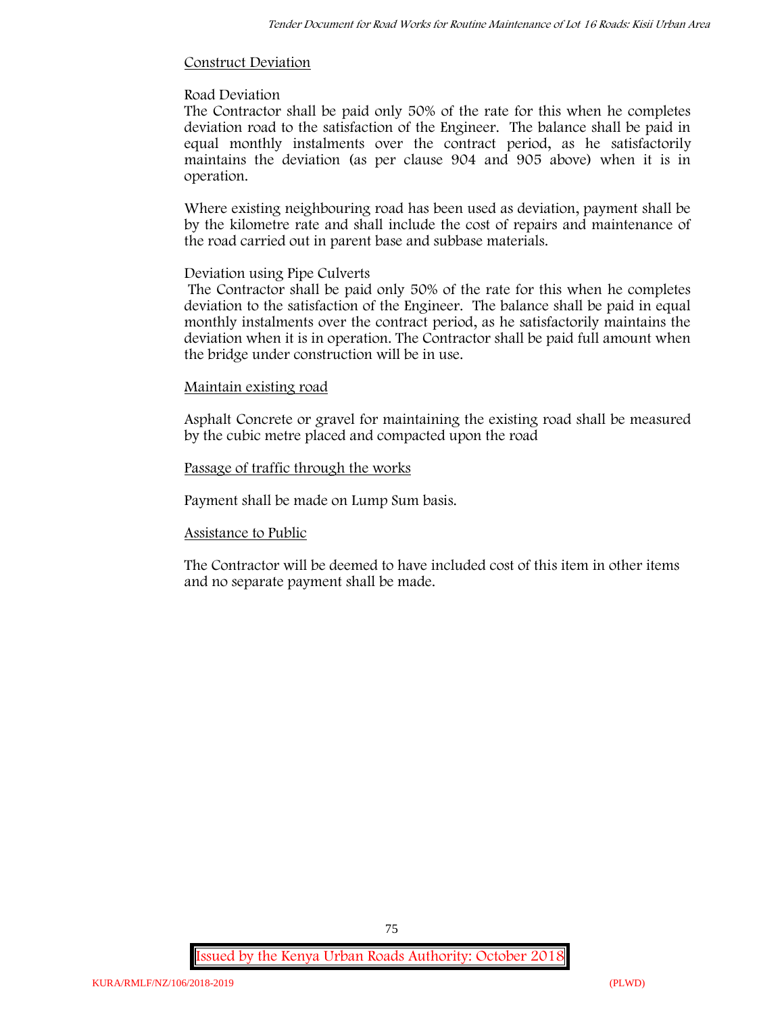# **Construct Deviation**

# **Road Deviation**

The Contractor shall be paid only 50% of the rate for this when he completes deviation road to the satisfaction of the Engineer. The balance shall be paid in equal monthly instalments over the contract period, as he satisfactorily maintains the deviation (as per clause 904 and 905 above) when it is in operation.

Where existing neighbouring road has been used as deviation, payment shall be by the kilometre rate and shall include the cost of repairs and maintenance of the road carried out in parent base and subbase materials.

# **Deviation using Pipe Culverts**

The Contractor shall be paid only 50% of the rate for this when he completes deviation to the satisfaction of the Engineer. The balance shall be paid in equal monthly instalments over the contract period, as he satisfactorily maintains the deviation when it is in operation. The Contractor shall be paid full amount when the bridge under construction will be in use.

# **Maintain existing road**

Asphalt Concrete or gravel for maintaining the existing road shall be measured by the cubic metre placed and compacted upon the road

# **Passage of traffic through the works**

Payment shall be made on Lump Sum basis.

# **Assistance to Public**

The Contractor will be deemed to have included cost of this item in other items and no separate payment shall be made.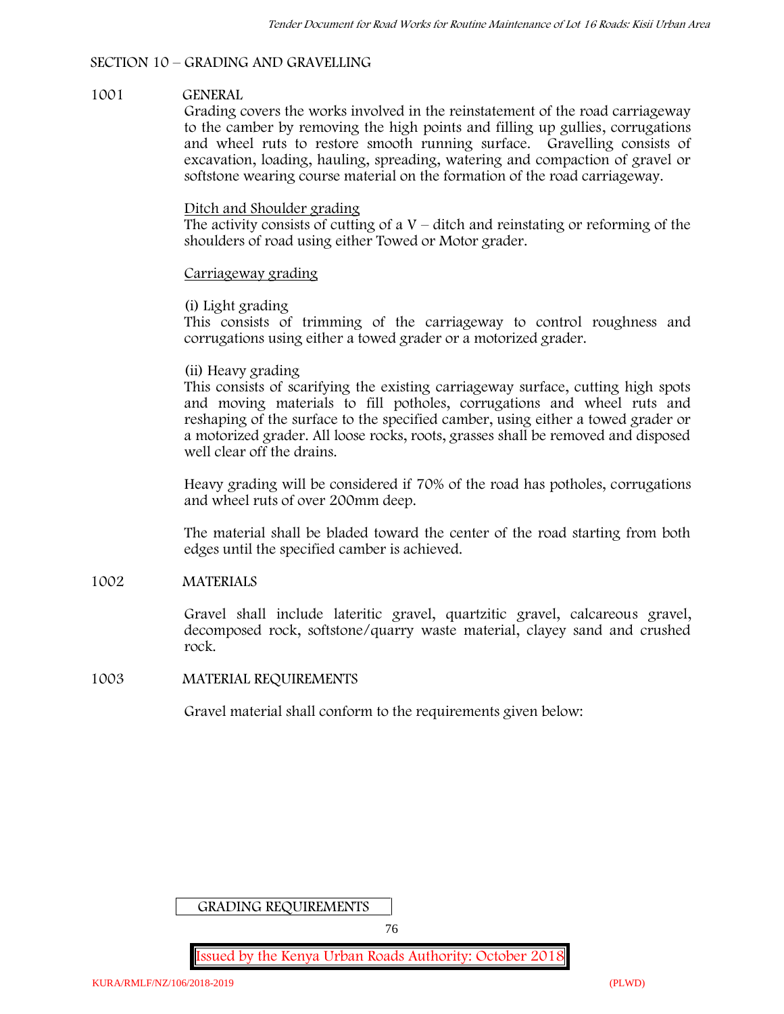# **SECTION 10 – GRADING AND GRAVELLING**

### **1001 GENERAL**

Grading covers the works involved in the reinstatement of the road carriageway to the camber by removing the high points and filling up gullies, corrugations and wheel ruts to restore smooth running surface. Gravelling consists of excavation, loading, hauling, spreading, watering and compaction of gravel or softstone wearing course material on the formation of the road carriageway.

#### Ditch and Shoulder grading

The activity consists of cutting of a  $V$  – ditch and reinstating or reforming of the shoulders of road using either Towed or Motor grader.

#### Carriageway grading

### **(i) Light grading**

This consists of trimming of the carriageway to control roughness and corrugations using either a towed grader or a motorized grader.

#### **(ii) Heavy grading**

This consists of scarifying the existing carriageway surface, cutting high spots and moving materials to fill potholes, corrugations and wheel ruts and reshaping of the surface to the specified camber, using either a towed grader or a motorized grader. All loose rocks, roots, grasses shall be removed and disposed well clear off the drains.

Heavy grading will be considered if 70% of the road has potholes, corrugations and wheel ruts of over 200mm deep.

The material shall be bladed toward the center of the road starting from both edges until the specified camber is achieved.

### **1002 MATERIALS**

Gravel shall include lateritic gravel, quartzitic gravel, calcareous gravel, decomposed rock, softstone/quarry waste material, clayey sand and crushed rock.

### **1003 MATERIAL REQUIREMENTS**

Gravel material shall conform to the requirements given below:

GRADING REQUIREMENTS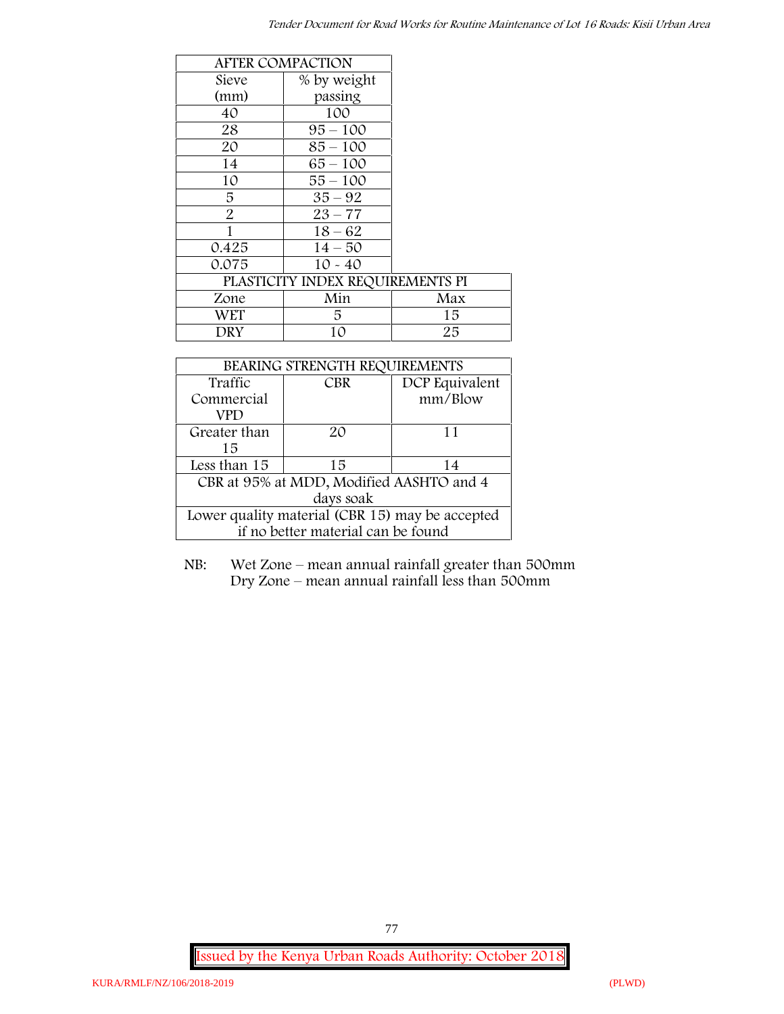|                                  | <b>AFTER COMPACTION</b> |     |
|----------------------------------|-------------------------|-----|
| Sieve                            | % by weight             |     |
| (mm)                             | passing                 |     |
| 40                               | 100                     |     |
| 28                               | $95 - 100$              |     |
| 20                               | $85 - 100$              |     |
| 14                               | $65 - 100$              |     |
| 10                               | $55 - 100$              |     |
| 5                                | $35 - 92$               |     |
| $\overline{2}$                   | $23 - 77$               |     |
| 1                                | $18 - 62$               |     |
| 0.425                            | $14 - 50$               |     |
| 0.075                            | $10 - 40$               |     |
| PLASTICITY INDEX REQUIREMENTS PI |                         |     |
| Zone                             | Min                     | Max |
| <b>WET</b>                       | 5                       | 15  |
| DRY                              | 10                      | 25  |

| BEARING STRENGTH REQUIREMENTS                   |                              |         |  |  |
|-------------------------------------------------|------------------------------|---------|--|--|
| Traffic                                         | DCP Equivalent<br><b>CBR</b> |         |  |  |
| Commercial                                      |                              | mm/Blow |  |  |
| VPD                                             |                              |         |  |  |
| Greater than                                    | $2\Omega$                    | 11      |  |  |
| 15                                              |                              |         |  |  |
| Less than 15                                    | 15                           | 14      |  |  |
| CBR at 95% at MDD, Modified AASHTO and 4        |                              |         |  |  |
| days soak                                       |                              |         |  |  |
| Lower quality material (CBR 15) may be accepted |                              |         |  |  |
| if no better material can be found              |                              |         |  |  |

NB: Wet Zone – mean annual rainfall greater than 500mm Dry Zone – mean annual rainfall less than 500mm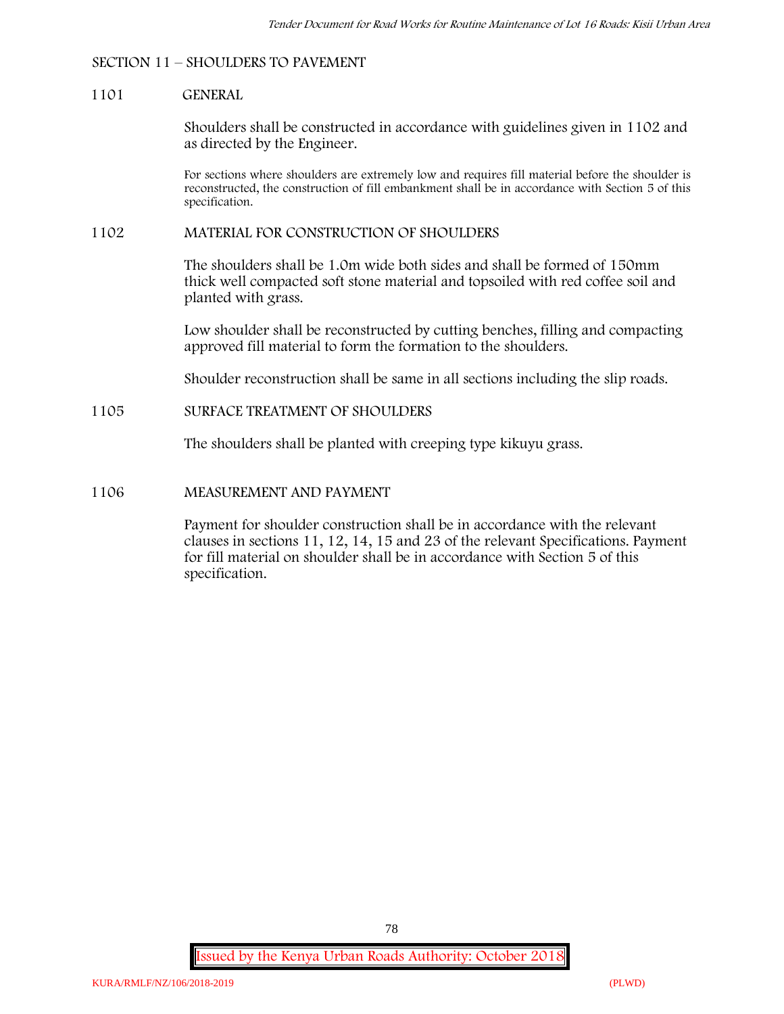# **SECTION 11 – SHOULDERS TO PAVEMENT**

#### **1101 GENERAL**

Shoulders shall be constructed in accordance with guidelines given in 1102 and as directed by the Engineer.

For sections where shoulders are extremely low and requires fill material before the shoulder is reconstructed, the construction of fill embankment shall be in accordance with Section 5 of this specification.

#### **1102 MATERIAL FOR CONSTRUCTION OF SHOULDERS**

The shoulders shall be 1.0m wide both sides and shall be formed of 150mm thick well compacted soft stone material and topsoiled with red coffee soil and planted with grass.

Low shoulder shall be reconstructed by cutting benches, filling and compacting approved fill material to form the formation to the shoulders.

Shoulder reconstruction shall be same in all sections including the slip roads.

#### **1105 SURFACE TREATMENT OF SHOULDERS**

The shoulders shall be planted with creeping type kikuyu grass.

# **1106 MEASUREMENT AND PAYMENT**

Payment for shoulder construction shall be in accordance with the relevant clauses in sections 11, 12, 14, 15 and 23 of the relevant Specifications. Payment for fill material on shoulder shall be in accordance with Section 5 of this specification.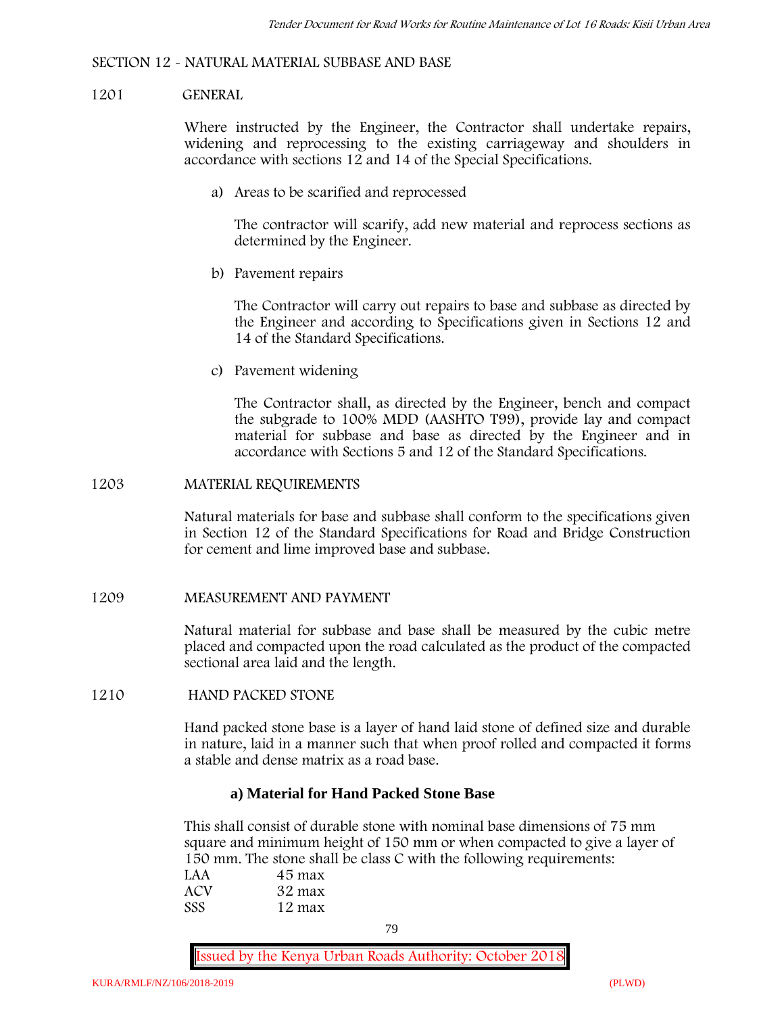#### **SECTION 12 - NATURAL MATERIAL SUBBASE AND BASE**

#### **1201 GENERAL**

Where instructed by the Engineer, the Contractor shall undertake repairs, widening and reprocessing to the existing carriageway and shoulders in accordance with sections 12 and 14 of the Special Specifications.

**a) Areas to be scarified and reprocessed**

The contractor will scarify, add new material and reprocess sections as determined by the Engineer.

**b) Pavement repairs**

The Contractor will carry out repairs to base and subbase as directed by the Engineer and according to Specifications given in Sections 12 and 14 of the Standard Specifications.

**c) Pavement widening**

The Contractor shall, as directed by the Engineer, bench and compact the subgrade to 100% MDD (AASHTO T99), provide lay and compact material for subbase and base as directed by the Engineer and in accordance with Sections 5 and 12 of the Standard Specifications.

#### **1203 MATERIAL REQUIREMENTS**

Natural materials for base and subbase shall conform to the specifications given in Section 12 of the Standard Specifications for Road and Bridge Construction for cement and lime improved base and subbase.

#### **1209 MEASUREMENT AND PAYMENT**

Natural material for subbase and base shall be measured by the cubic metre placed and compacted upon the road calculated as the product of the compacted sectional area laid and the length.

#### **1210 HAND PACKED STONE**

Hand packed stone base is a layer of hand laid stone of defined size and durable in nature, laid in a manner such that when proof rolled and compacted it forms a stable and dense matrix as a road base.

# **a) Material for Hand Packed Stone Base**

This shall consist of durable stone with nominal base dimensions of 75 mm square and minimum height of 150 mm or when compacted to give a layer of 150 mm. The stone shall be class C with the following requirements:

| LAA | 45 max |  |
|-----|--------|--|
| ACV | 32 max |  |
| SSS | 12 max |  |

79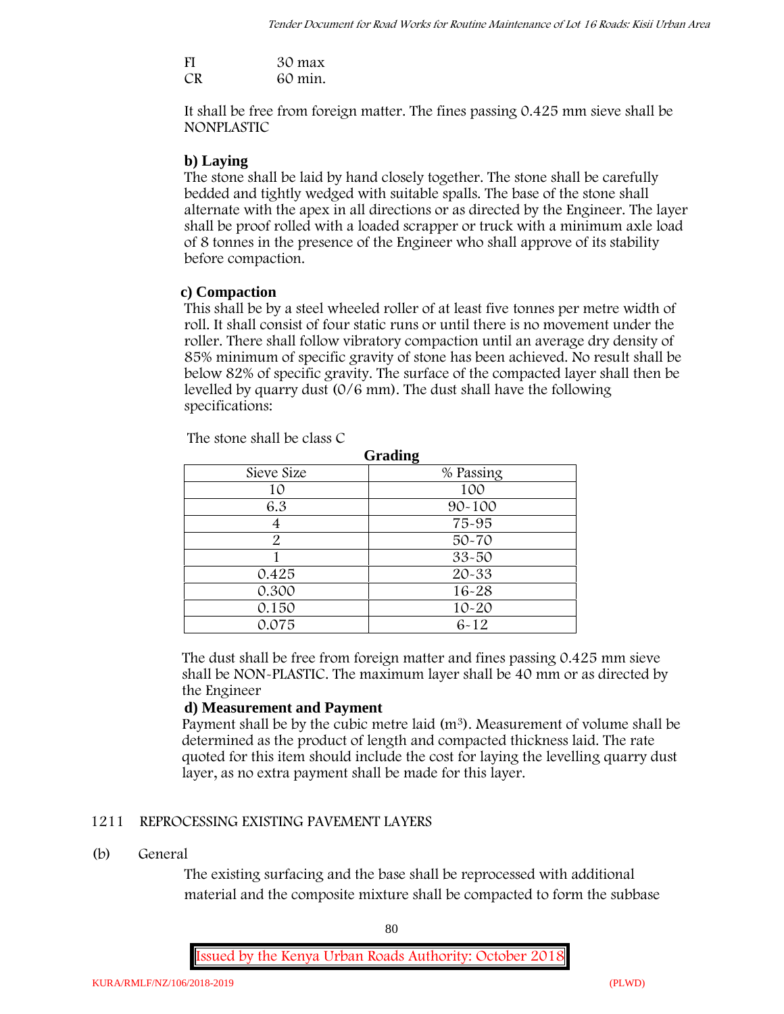| FI | 30 max  |
|----|---------|
| CR | 60 min. |

It shall be free from foreign matter. The fines passing 0.425 mm sieve shall be **NONPLASTIC**

# **b) Laying**

The stone shall be laid by hand closely together. The stone shall be carefully bedded and tightly wedged with suitable spalls. The base of the stone shall alternate with the apex in all directions or as directed by the Engineer. The layer shall be proof rolled with a loaded scrapper or truck with a minimum axle load of 8 tonnes in the presence of the Engineer who shall approve of its stability before compaction.

### **c) Compaction**

This shall be by a steel wheeled roller of at least five tonnes per metre width of roll. It shall consist of four static runs or until there is no movement under the roller. There shall follow vibratory compaction until an average dry density of 85% minimum of specific gravity of stone has been achieved. No result shall be below 82% of specific gravity. The surface of the compacted layer shall then be levelled by quarry dust (0/6 mm). The dust shall have the following specifications:

| Grading       |            |  |
|---------------|------------|--|
| Sieve Size    | % Passing  |  |
| 10            | 100        |  |
| 6.3           | $90 - 100$ |  |
|               | 75-95      |  |
| $\mathcal{P}$ | $50 - 70$  |  |
|               | $33 - 50$  |  |
| 0.425         | 20-33      |  |
| 0.300         | 16-28      |  |
| 0.150         | $10 - 20$  |  |
| 0.075         | $6 - 12$   |  |

The stone shall be class C

The dust shall be free from foreign matter and fines passing 0.425 mm sieve shall be **NON-PLASTIC**. The maximum layer shall be 40 mm or as directed by the Engineer

### **d) Measurement and Payment**

Payment shall be by the cubic metre laid (m<sup>3</sup>). Measurement of volume shall be determined as the product of length and compacted thickness laid. The rate quoted for this item should include the cost for laying the levelling quarry dust layer, as no extra payment shall be made for this layer.

# **1211 REPROCESSING EXISTING PAVEMENT LAYERS**

### **(b) General**

The existing surfacing and the base shall be reprocessed with additional material and the composite mixture shall be compacted to form the subbase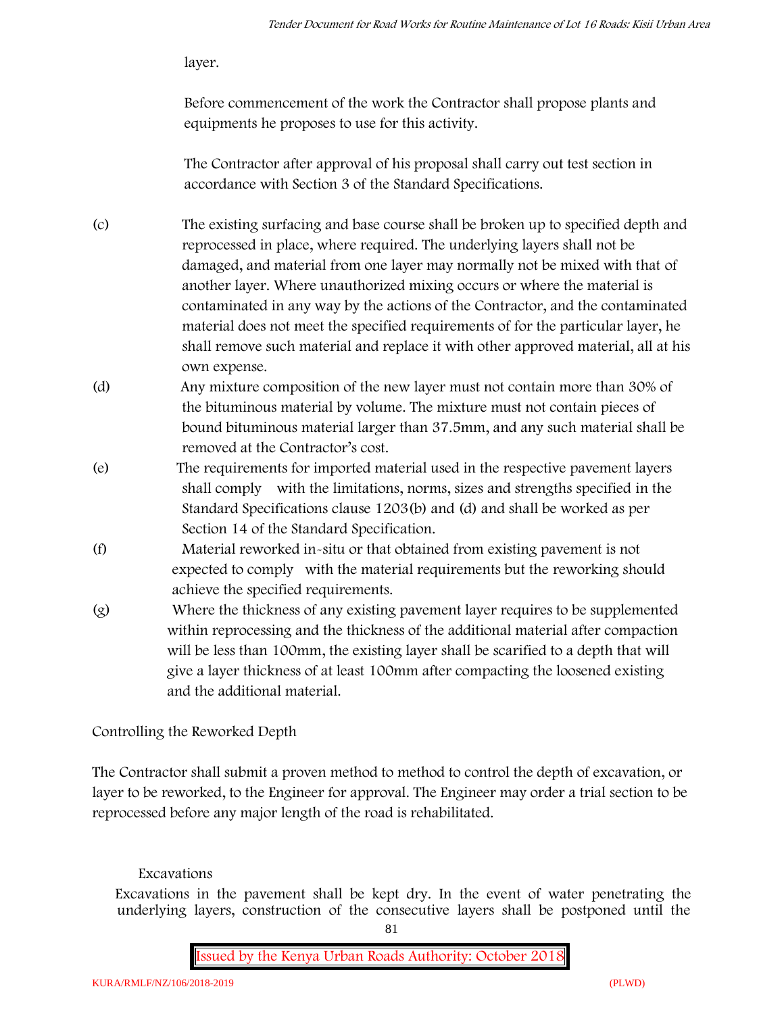layer.

Before commencement of the work the Contractor shall propose plants and equipments he proposes to use for this activity.

The Contractor after approval of his proposal shall carry out test section in accordance with Section 3 of the Standard Specifications.

- (c) The existing surfacing and base course shall be broken up to specified depth and reprocessed in place, where required. The underlying layers shall not be damaged, and material from one layer may normally not be mixed with that of another layer. Where unauthorized mixing occurs or where the material is contaminated in any way by the actions of the Contractor, and the contaminated material does not meet the specified requirements of for the particular layer, he shall remove such material and replace it with other approved material, all at his own expense.
- (d) Any mixture composition of the new layer must not contain more than 30% of the bituminous material by volume. The mixture must not contain pieces of bound bituminous material larger than 37.5mm, and any such material shall be removed at the Contractor's cost.
- (e) The requirements for imported material used in the respective pavement layers shall comply with the limitations, norms, sizes and strengths specified in the Standard Specifications clause 1203(b) and (d) and shall be worked as per Section 14 of the Standard Specification.
- (f) Material reworked in-situ or that obtained from existing pavement is not expected to comply with the material requirements but the reworking should achieve the specified requirements.
- (g) Where the thickness of any existing pavement layer requires to be supplemented within reprocessing and the thickness of the additional material after compaction will be less than 100mm, the existing layer shall be scarified to a depth that will give a layer thickness of at least 100mm after compacting the loosened existing and the additional material.

# **Controlling the Reworked Depth**

The Contractor shall submit a proven method to method to control the depth of excavation, or layer to be reworked, to the Engineer for approval. The Engineer may order a trial section to be reprocessed before any major length of the road is rehabilitated.

# **Excavations**

Excavations in the pavement shall be kept dry. In the event of water penetrating the underlying layers, construction of the consecutive layers shall be postponed until the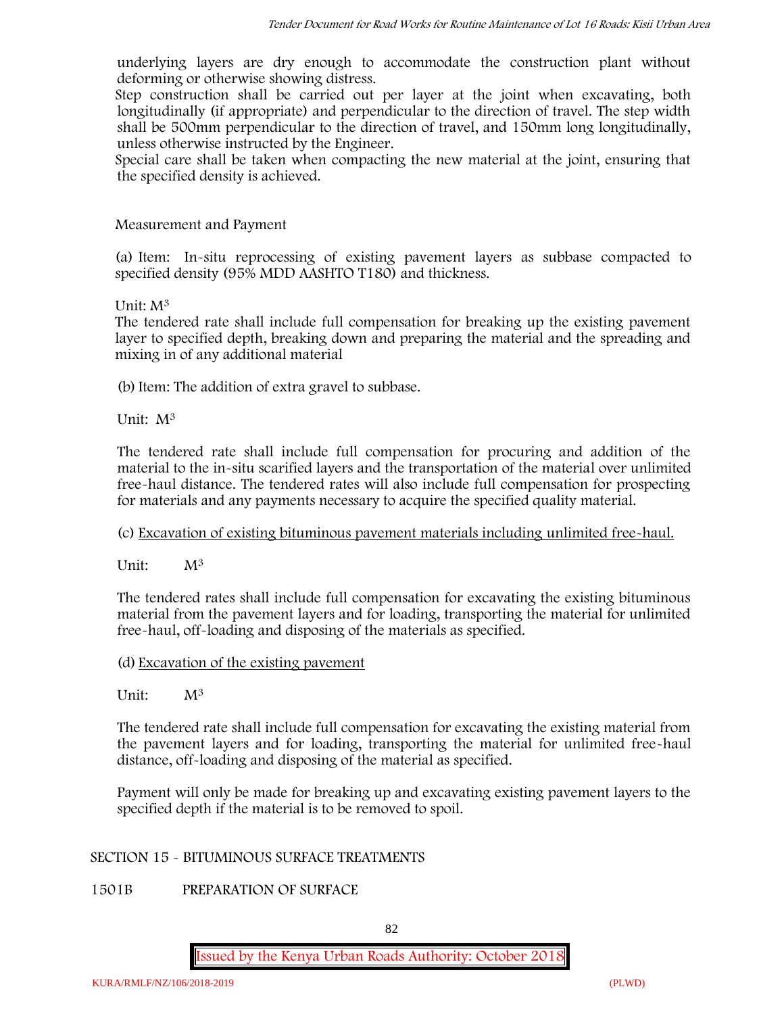underlying layers are dry enough to accommodate the construction plant without deforming or otherwise showing distress.

Step construction shall be carried out per layer at the joint when excavating, both longitudinally (if appropriate) and perpendicular to the direction of travel. The step width shall be 500mm perpendicular to the direction of travel, and 150mm long longitudinally, unless otherwise instructed by the Engineer.

Special care shall be taken when compacting the new material at the joint, ensuring that the specified density is achieved.

### **Measurement and Payment**

(a) Item: In-situ reprocessing of existing pavement layers as subbase compacted to specified density (95% MDD AASHTO T180) and thickness.

#### Unit: M<sup>3</sup>

The tendered rate shall include full compensation for breaking up the existing pavement layer to specified depth, breaking down and preparing the material and the spreading and mixing in of any additional material

(b) Item: The addition of extra gravel to subbase.

Unit: M<sup>3</sup>

The tendered rate shall include full compensation for procuring and addition of the material to the in-situ scarified layers and the transportation of the material over unlimited free-haul distance. The tendered rates will also include full compensation for prospecting for materials and any payments necessary to acquire the specified quality material.

# (c) Excavation of existing bituminous pavement materials including unlimited free-haul.

Unit:  $M^3$ 

The tendered rates shall include full compensation for excavating the existing bituminous material from the pavement layers and for loading, transporting the material for unlimited free-haul, off-loading and disposing of the materials as specified.

#### (d) Excavation of the existing pavement

Unit:  $M^3$ 

The tendered rate shall include full compensation for excavating the existing material from the pavement layers and for loading, transporting the material for unlimited free-haul distance, off-loading and disposing of the material as specified.

Payment will only be made for breaking up and excavating existing pavement layers to the specified depth if the material is to be removed to spoil.

#### **SECTION 15 - BITUMINOUS SURFACE TREATMENTS**

**1501B PREPARATION OF SURFACE**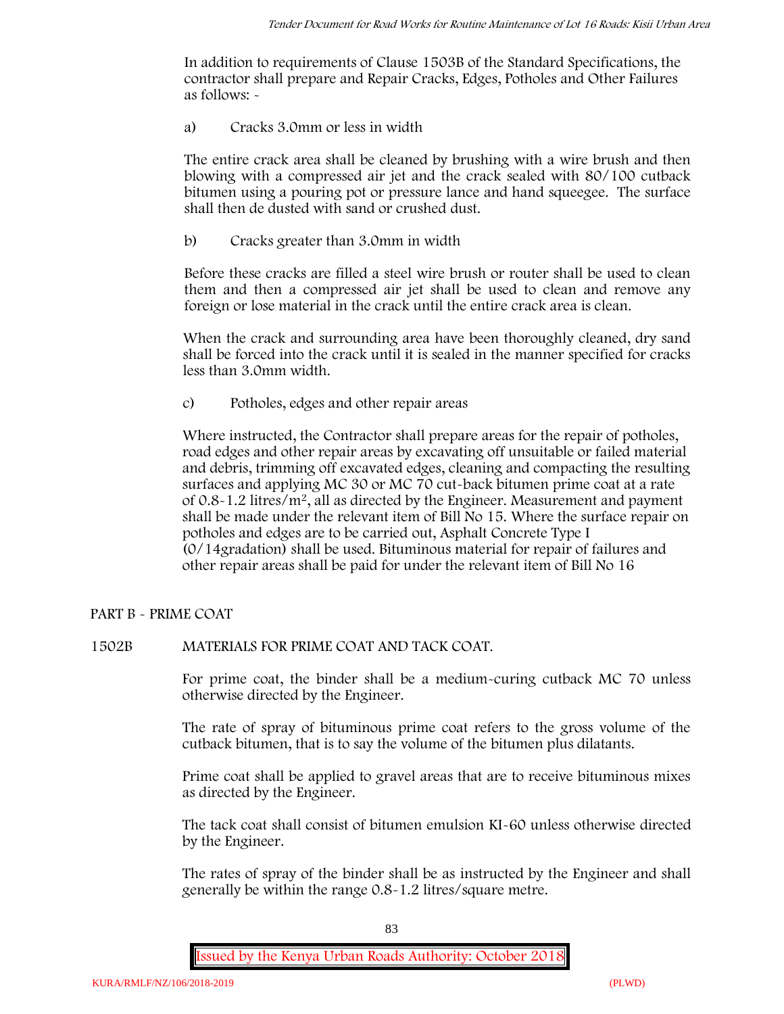In addition to requirements of Clause 1503B of the Standard Specifications, the contractor shall prepare and Repair Cracks, Edges, Potholes and Other Failures as follows: **-**

a) **Cracks 3.0mm or less in width**

The entire crack area shall be cleaned by brushing with a wire brush and then blowing with a compressed air jet and the crack sealed with 80/100 cutback bitumen using a pouring pot or pressure lance and hand squeegee. The surface shall then de dusted with sand or crushed dust.

b) **Cracks greater than 3.0mm in width**

Before these cracks are filled a steel wire brush or router shall be used to clean them and then a compressed air jet shall be used to clean and remove any foreign or lose material in the crack until the entire crack area is clean.

When the crack and surrounding area have been thoroughly cleaned, dry sand shall be forced into the crack until it is sealed in the manner specified for cracks less than 3.0mm width.

c) **Potholes, edges and other repair areas**

Where instructed, the Contractor shall prepare areas for the repair of potholes, road edges and other repair areas by excavating off unsuitable or failed material and debris, trimming off excavated edges, cleaning and compacting the resulting surfaces and applying MC 30 or MC 70 cut-back bitumen prime coat at a rate of 0.8-1.2 litres/m2, all as directed by the Engineer. Measurement and payment shall be made under the relevant item of Bill No 15. Where the surface repair on potholes and edges are to be carried out, Asphalt Concrete Type I (0/14gradation) shall be used. Bituminous material for repair of failures and other repair areas shall be paid for under the relevant item of Bill No 16

# **PART B - PRIME COAT**

### **1502B MATERIALS FOR PRIME COAT AND TACK COAT.**

For prime coat, the binder shall be a medium-curing cutback MC 70 unless otherwise directed by the Engineer.

The rate of spray of bituminous prime coat refers to the gross volume of the cutback bitumen, that is to say the volume of the bitumen plus dilatants.

Prime coat shall be applied to gravel areas that are to receive bituminous mixes as directed by the Engineer.

The tack coat shall consist of bitumen emulsion KI-60 unless otherwise directed by the Engineer.

The rates of spray of the binder shall be as instructed by the Engineer and shall generally be within the range 0.8-1.2 litres/square metre.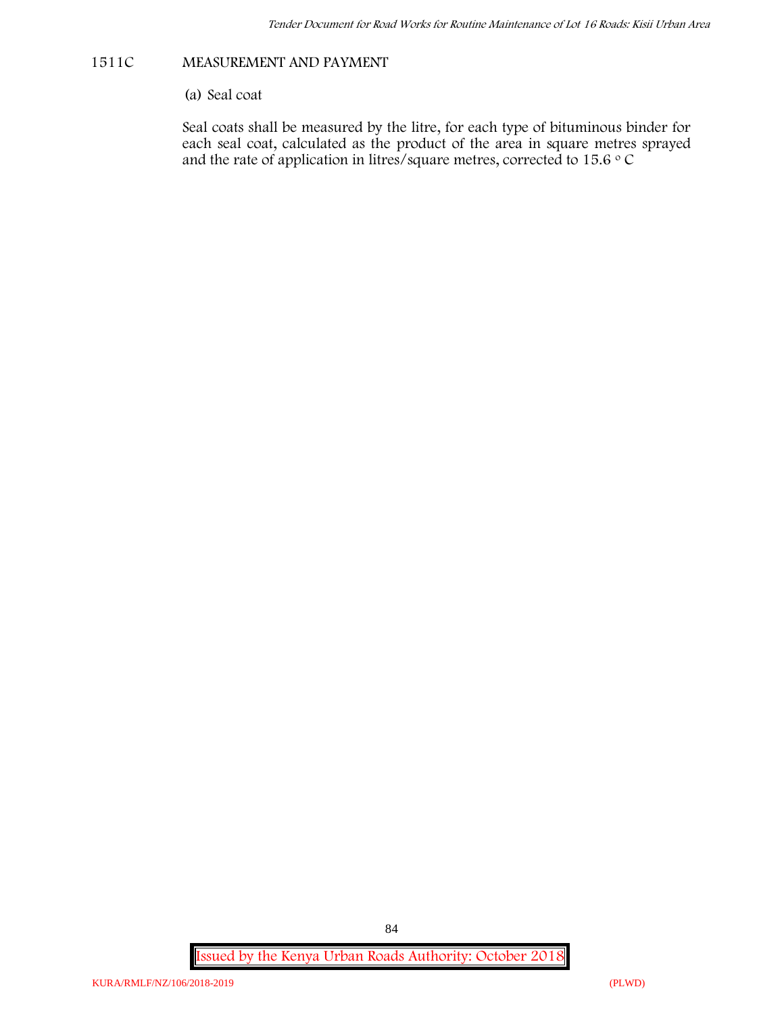#### **1511C MEASUREMENT AND PAYMENT**

(a) Seal coat

Seal coats shall be measured by the litre, for each type of bituminous binder for each seal coat, calculated as the product of the area in square metres sprayed and the rate of application in litres/square metres, corrected to 15.6  $\circ$  C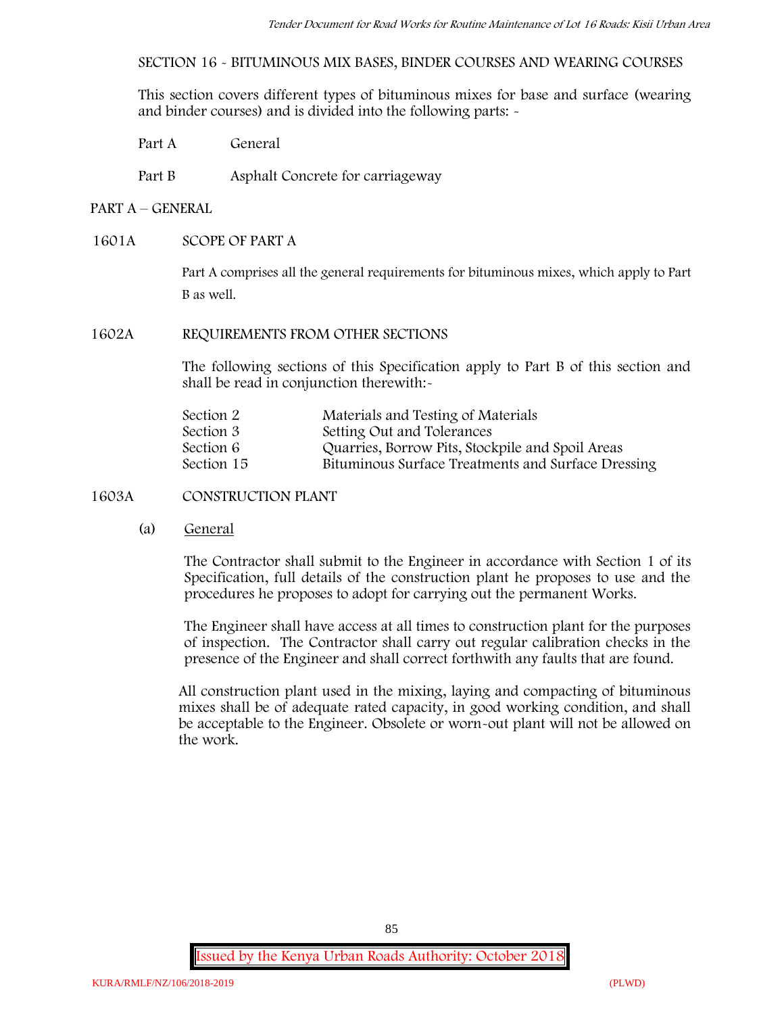**SECTION 16 - BITUMINOUS MIX BASES, BINDER COURSES AND WEARING COURSES**

This section covers different types of bituminous mixes for base and surface (wearing and binder courses) and is divided into the following parts: -

- Part A General
- Part B Asphalt Concrete for carriageway

#### **PART A –GENERAL**

#### **1601A SCOPE OF PART A**

Part A comprises all the general requirements for bituminous mixes, which apply to Part B as well.

#### **1602A REQUIREMENTS FROM OTHER SECTIONS**

The following sections of this Specification apply to Part B of this section and shall be read in conjunction therewith:-

| Materials and Testing of Materials                 |
|----------------------------------------------------|
| Setting Out and Tolerances                         |
| Quarries, Borrow Pits, Stockpile and Spoil Areas   |
| Bituminous Surface Treatments and Surface Dressing |
|                                                    |

# **1603A CONSTRUCTION PLANT**

(a) **General**

The Contractor shall submit to the Engineer in accordance with Section 1 of its Specification, full details of the construction plant he proposes to use and the procedures he proposes to adopt for carrying out the permanent Works.

The Engineer shall have access at all times to construction plant for the purposes of inspection. The Contractor shall carry out regular calibration checks in the presence of the Engineer and shall correct forthwith any faults that are found.

All construction plant used in the mixing, laying and compacting of bituminous mixes shall be of adequate rated capacity, in good working condition, and shall be acceptable to the Engineer. Obsolete or worn-out plant will not be allowed on the work.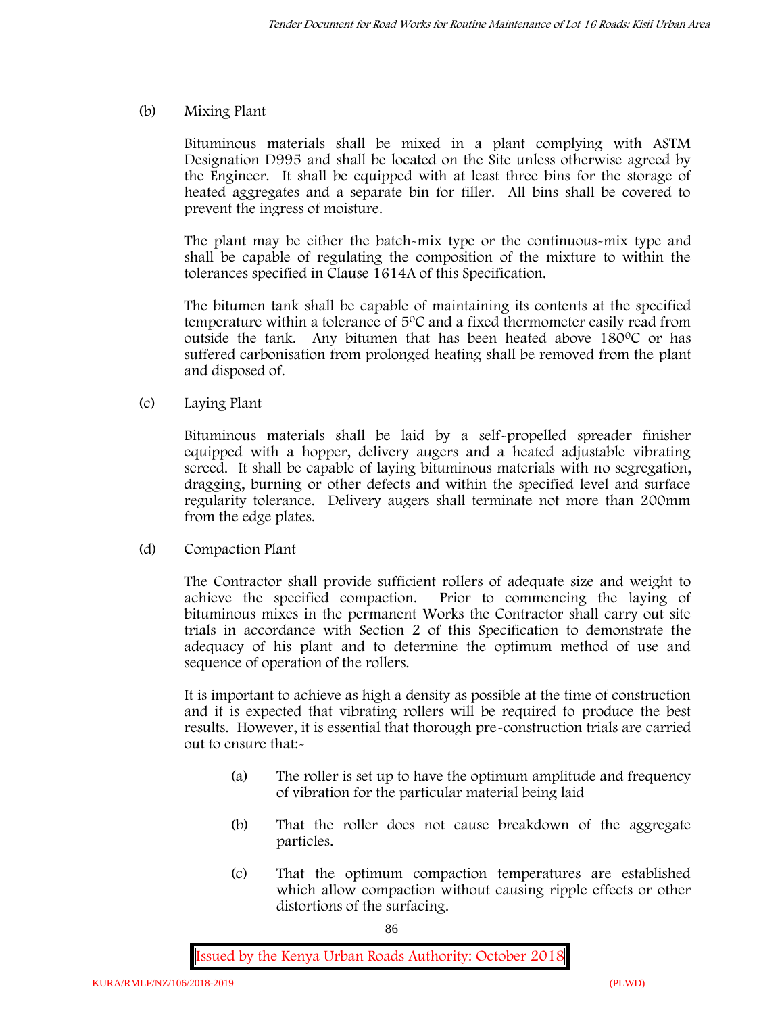# (b) **Mixing Plant**

Bituminous materials shall be mixed in a plant complying with ASTM Designation D995 and shall be located on the Site unless otherwise agreed by the Engineer. It shall be equipped with at least three bins for the storage of heated aggregates and a separate bin for filler. All bins shall be covered to prevent the ingress of moisture.

The plant may be either the batch-mix type or the continuous-mix type and shall be capable of regulating the composition of the mixture to within the tolerances specified in Clause 1614A of this Specification.

The bitumen tank shall be capable of maintaining its contents at the specified temperature within a tolerance of  $5^{\circ}$ C and a fixed thermometer easily read from outside the tank. Any bitumen that has been heated above  $180^{\circ}$ C or has suffered carbonisation from prolonged heating shall be removed from the plant and disposed of.

# (c) **Laying Plant**

Bituminous materials shall be laid by a self-propelled spreader finisher equipped with a hopper, delivery augers and a heated adjustable vibrating screed. It shall be capable of laying bituminous materials with no segregation, dragging, burning or other defects and within the specified level and surface regularity tolerance. Delivery augers shall terminate not more than 200mm from the edge plates.

### (d) **Compaction Plant**

The Contractor shall provide sufficient rollers of adequate size and weight to achieve the specified compaction. Prior to commencing the laying of bituminous mixes in the permanent Works the Contractor shall carry out site trials in accordance with Section 2 of this Specification to demonstrate the adequacy of his plant and to determine the optimum method of use and sequence of operation of the rollers.

It is important to achieve as high a density as possible at the time of construction and it is expected that vibrating rollers will be required to produce the best results. However, it is essential that thorough pre-construction trials are carried out to ensure that:-

- (a) The roller is set up to have the optimum amplitude and frequency of vibration for the particular material being laid
- (b) That the roller does not cause breakdown of the aggregate particles.
- (c) That the optimum compaction temperatures are established which allow compaction without causing ripple effects or other distortions of the surfacing.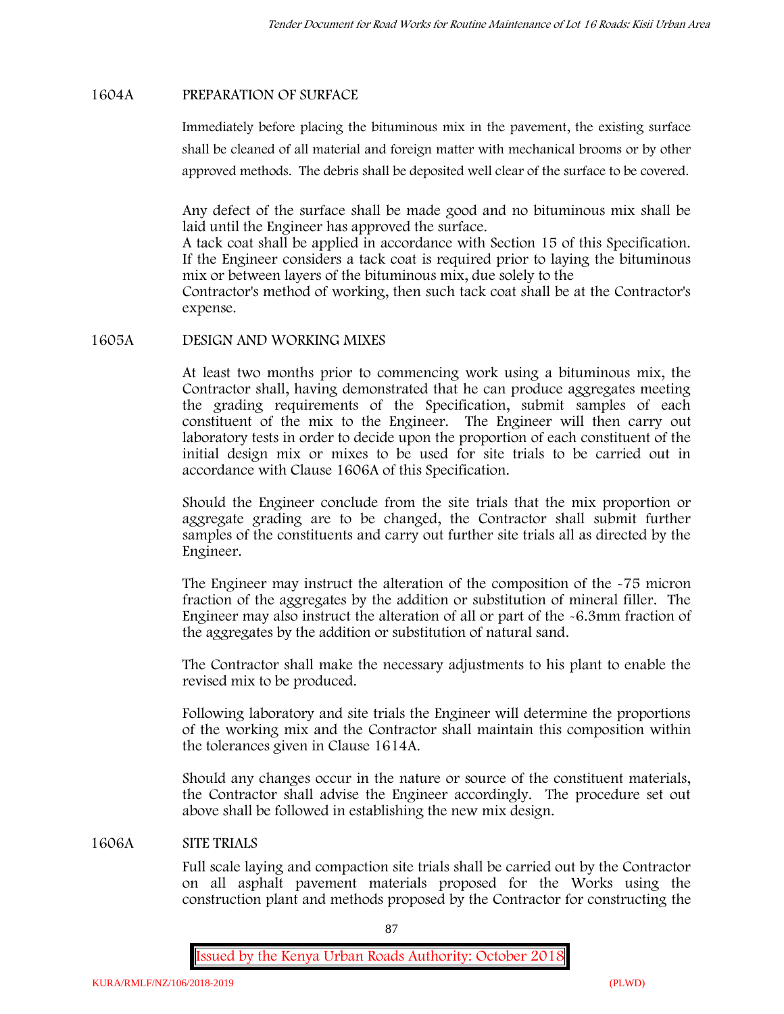### **1604A PREPARATION OF SURFACE**

Immediately before placing the bituminous mix in the pavement, the existing surface shall be cleaned of all material and foreign matter with mechanical brooms or by other approved methods. The debris shall be deposited well clear of the surface to be covered.

Any defect of the surface shall be made good and no bituminous mix shall be laid until the Engineer has approved the surface.

A tack coat shall be applied in accordance with Section 15 of this Specification. If the Engineer considers a tack coat is required prior to laying the bituminous mix or between layers of the bituminous mix, due solely to the

Contractor's method of working, then such tack coat shall be at the Contractor's expense.

#### **1605A DESIGN AND WORKING MIXES**

At least two months prior to commencing work using a bituminous mix, the Contractor shall, having demonstrated that he can produce aggregates meeting the grading requirements of the Specification, submit samples of each constituent of the mix to the Engineer. The Engineer will then carry out laboratory tests in order to decide upon the proportion of each constituent of the initial design mix or mixes to be used for site trials to be carried out in accordance with Clause 1606A of this Specification.

Should the Engineer conclude from the site trials that the mix proportion or aggregate grading are to be changed, the Contractor shall submit further samples of the constituents and carry out further site trials all as directed by the Engineer.

The Engineer may instruct the alteration of the composition of the -75 micron fraction of the aggregates by the addition or substitution of mineral filler. The Engineer may also instruct the alteration of all or part of the -6.3mm fraction of the aggregates by the addition or substitution of natural sand.

The Contractor shall make the necessary adjustments to his plant to enable the revised mix to be produced.

Following laboratory and site trials the Engineer will determine the proportions of the working mix and the Contractor shall maintain this composition within the tolerances given in Clause 1614A.

Should any changes occur in the nature or source of the constituent materials, the Contractor shall advise the Engineer accordingly. The procedure set out above shall be followed in establishing the new mix design.

#### **1606A SITE TRIALS**

Full scale laying and compaction site trials shall be carried out by the Contractor on all asphalt pavement materials proposed for the Works using the construction plant and methods proposed by the Contractor for constructing the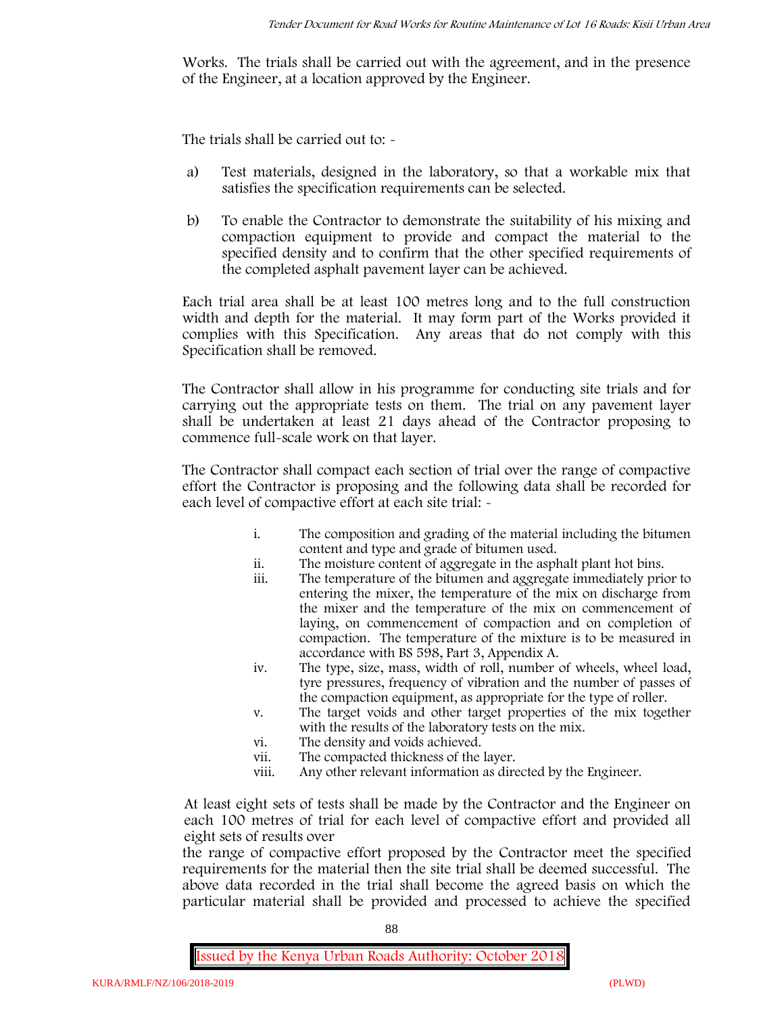Works. The trials shall be carried out with the agreement, and in the presence of the Engineer, at a location approved by the Engineer.

The trials shall be carried out to: -

- a) Test materials, designed in the laboratory, so that a workable mix that satisfies the specification requirements can be selected.
- b) To enable the Contractor to demonstrate the suitability of his mixing and compaction equipment to provide and compact the material to the specified density and to confirm that the other specified requirements of the completed asphalt pavement layer can be achieved.

Each trial area shall be at least 100 metres long and to the full construction width and depth for the material. It may form part of the Works provided it complies with this Specification. Any areas that do not comply with this Specification shall be removed.

The Contractor shall allow in his programme for conducting site trials and for carrying out the appropriate tests on them. The trial on any pavement layer shall be undertaken at least 21 days ahead of the Contractor proposing to commence full-scale work on that layer.

The Contractor shall compact each section of trial over the range of compactive effort the Contractor is proposing and the following data shall be recorded for each level of compactive effort at each site trial:  $\sim$ 

- i. The composition and grading of the material including the bitumen content and type and grade of bitumen used.
- ii. The moisture content of aggregate in the asphalt plant hot bins.
- iii. The temperature of the bitumen and aggregate immediately prior to entering the mixer, the temperature of the mix on discharge from the mixer and the temperature of the mix on commencement of laying, on commencement of compaction and on completion of compaction. The temperature of the mixture is to be measured in accordance with BS 598, Part 3, Appendix A.
- iv. The type, size, mass, width of roll, number of wheels, wheel load, tyre pressures, frequency of vibration and the number of passes of the compaction equipment, as appropriate for the type of roller.
- v. The target voids and other target properties of the mix together with the results of the laboratory tests on the mix.
- vi. The density and voids achieved.
- vii. The compacted thickness of the layer.
- viii. Any other relevant information as directed by the Engineer.

At least eight sets of tests shall be made by the Contractor and the Engineer on each 100 metres of trial for each level of compactive effort and provided all eight sets of results over

the range of compactive effort proposed by the Contractor meet the specified requirements for the material then the site trial shall be deemed successful. The above data recorded in the trial shall become the agreed basis on which the particular material shall be provided and processed to achieve the specified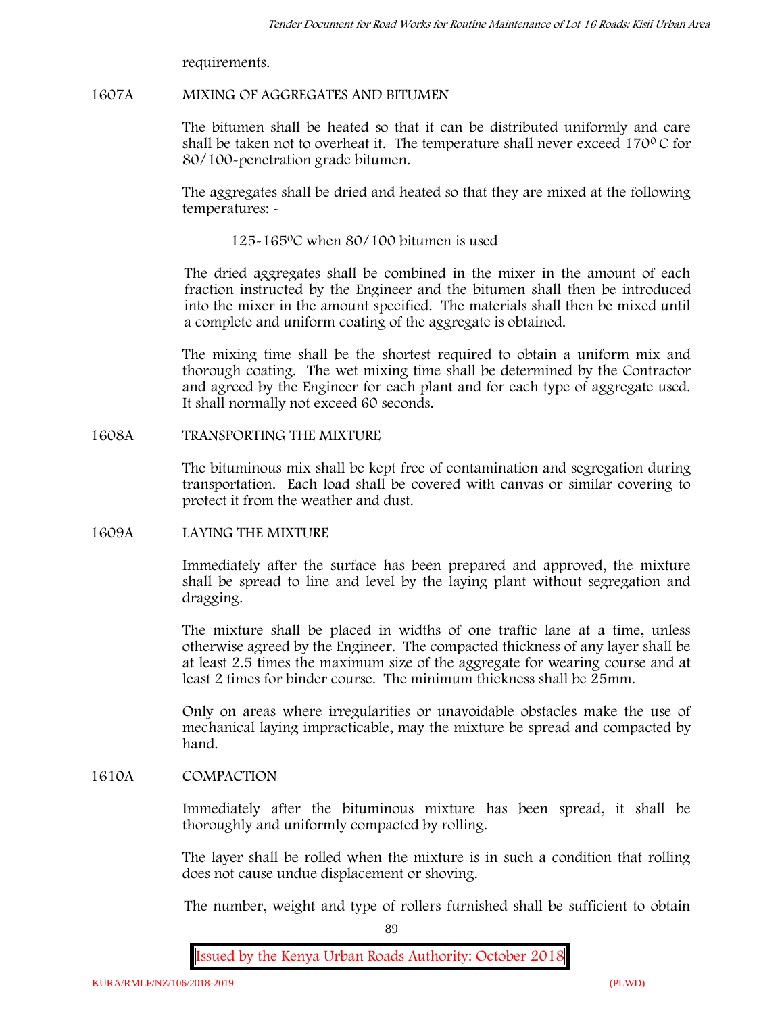requirements.

#### **1607A MIXING OF AGGREGATES AND BITUMEN**

The bitumen shall be heated so that it can be distributed uniformly and care shall be taken not to overheat it. The temperature shall never exceed 170 $\degree$ C for 80/100-penetration grade bitumen.

The aggregates shall be dried and heated so that they are mixed at the following temperatures: -

125-1650C when 80/100 bitumen is used

The dried aggregates shall be combined in the mixer in the amount of each fraction instructed by the Engineer and the bitumen shall then be introduced into the mixer in the amount specified. The materials shall then be mixed until a complete and uniform coating of the aggregate is obtained.

The mixing time shall be the shortest required to obtain a uniform mix and thorough coating. The wet mixing time shall be determined by the Contractor and agreed by the Engineer for each plant and for each type of aggregate used. It shall normally not exceed 60 seconds.

#### **1608A TRANSPORTING THE MIXTURE**

The bituminous mix shall be kept free of contamination and segregation during transportation. Each load shall be covered with canvas or similar covering to protect it from the weather and dust.

### **1609A LAYING THE MIXTURE**

Immediately after the surface has been prepared and approved, the mixture shall be spread to line and level by the laying plant without segregation and dragging.

The mixture shall be placed in widths of one traffic lane at a time, unless otherwise agreed by the Engineer. The compacted thickness of any layer shall be at least 2.5 times the maximum size of the aggregate for wearing course and at least 2 times for binder course. The minimum thickness shall be 25mm.

Only on areas where irregularities or unavoidable obstacles make the use of mechanical laying impracticable, may the mixture be spread and compacted by hand.

# **1610A COMPACTION**

Immediately after the bituminous mixture has been spread, it shall be thoroughly and uniformly compacted by rolling.

The layer shall be rolled when the mixture is in such a condition that rolling does not cause undue displacement or shoving.

The number, weight and type of rollers furnished shall be sufficient to obtain

89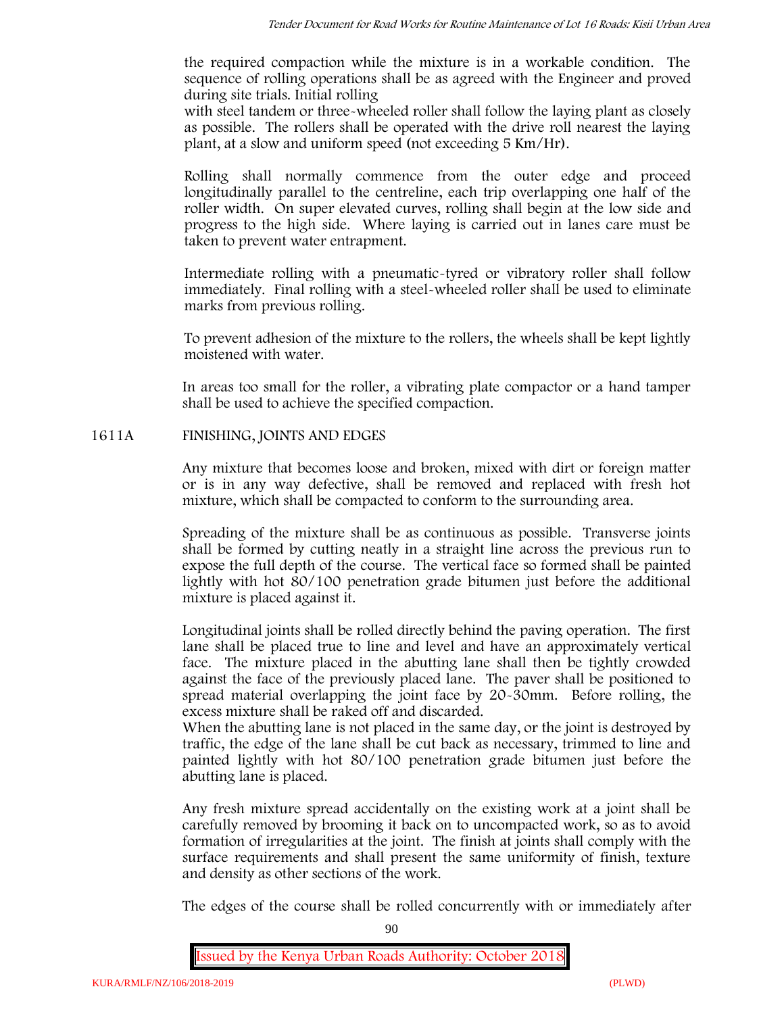the required compaction while the mixture is in a workable condition. The sequence of rolling operations shall be as agreed with the Engineer and proved during site trials. Initial rolling

with steel tandem or three-wheeled roller shall follow the laying plant as closely as possible. The rollers shall be operated with the drive roll nearest the laying plant, at a slow and uniform speed (not exceeding 5 Km/Hr).

Rolling shall normally commence from the outer edge and proceed longitudinally parallel to the centreline, each trip overlapping one half of the roller width. On super elevated curves, rolling shall begin at the low side and progress to the high side. Where laying is carried out in lanes care must be taken to prevent water entrapment.

Intermediate rolling with a pneumatic-tyred or vibratory roller shall follow immediately. Final rolling with a steel-wheeled roller shall be used to eliminate marks from previous rolling.

To prevent adhesion of the mixture to the rollers, the wheels shall be kept lightly moistened with water.

In areas too small for the roller, a vibrating plate compactor or a hand tamper shall be used to achieve the specified compaction.

### **1611A FINISHING, JOINTS AND EDGES**

Any mixture that becomes loose and broken, mixed with dirt or foreign matter or is in any way defective, shall be removed and replaced with fresh hot mixture, which shall be compacted to conform to the surrounding area.

Spreading of the mixture shall be as continuous as possible. Transverse joints shall be formed by cutting neatly in a straight line across the previous run to expose the full depth of the course. The vertical face so formed shall be painted lightly with hot 80/100 penetration grade bitumen just before the additional mixture is placed against it.

Longitudinal joints shall be rolled directly behind the paving operation. The first lane shall be placed true to line and level and have an approximately vertical face. The mixture placed in the abutting lane shall then be tightly crowded against the face of the previously placed lane. The paver shall be positioned to spread material overlapping the joint face by 20-30mm. Before rolling, the excess mixture shall be raked off and discarded.

When the abutting lane is not placed in the same day, or the joint is destroyed by traffic, the edge of the lane shall be cut back as necessary, trimmed to line and painted lightly with hot 80/100 penetration grade bitumen just before the abutting lane is placed.

Any fresh mixture spread accidentally on the existing work at a joint shall be carefully removed by brooming it back on to uncompacted work, so as to avoid formation of irregularities at the joint. The finish at joints shall comply with the surface requirements and shall present the same uniformity of finish, texture and density as other sections of the work.

The edges of the course shall be rolled concurrently with or immediately after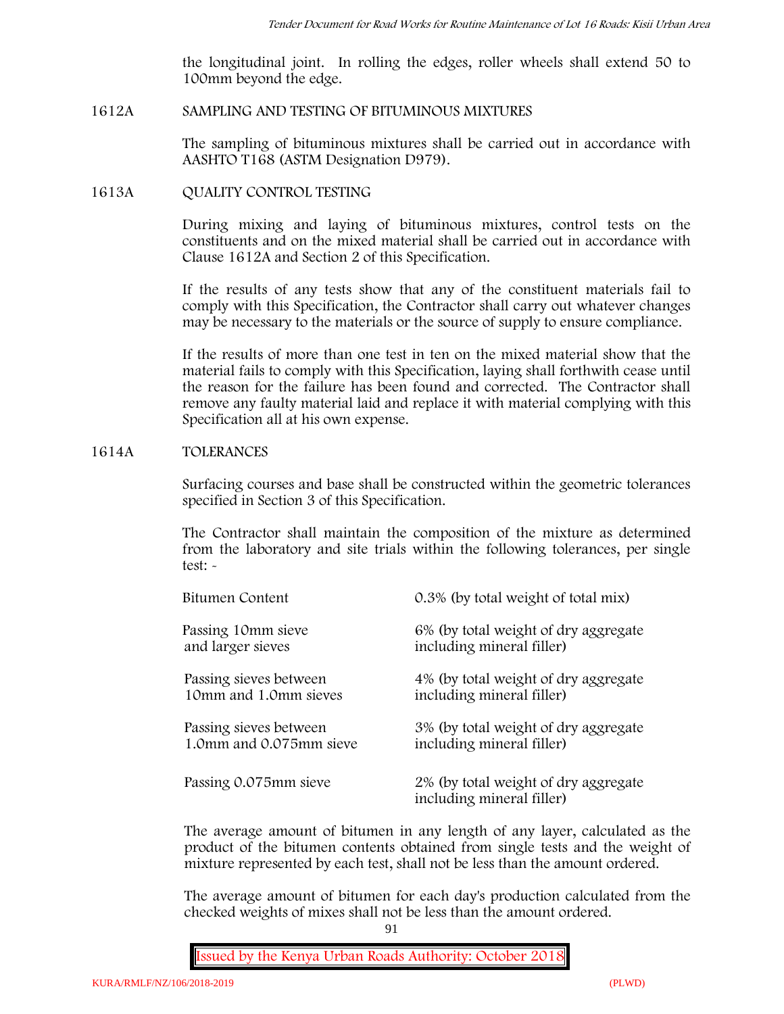the longitudinal joint. In rolling the edges, roller wheels shall extend 50 to 100mm beyond the edge.

#### **1612A SAMPLING AND TESTING OF BITUMINOUS MIXTURES**

The sampling of bituminous mixtures shall be carried out in accordance with AASHTO T168 (ASTM Designation D979).

#### **1613A QUALITY CONTROL TESTING**

During mixing and laying of bituminous mixtures, control tests on the constituents and on the mixed material shall be carried out in accordance with Clause 1612A and Section 2 of this Specification.

If the results of any tests show that any of the constituent materials fail to comply with this Specification, the Contractor shall carry out whatever changes may be necessary to the materials or the source of supply to ensure compliance.

If the results of more than one test in ten on the mixed material show that the material fails to comply with this Specification, laying shall forthwith cease until the reason for the failure has been found and corrected. The Contractor shall remove any faulty material laid and replace it with material complying with this Specification all at his own expense.

#### **1614A TOLERANCES**

Surfacing courses and base shall be constructed within the geometric tolerances specified in Section 3 of this Specification.

The Contractor shall maintain the composition of the mixture as determined from the laboratory and site trials within the following tolerances, per single test: -

| Bitumen Content         | 0.3% (by total weight of total mix)                               |
|-------------------------|-------------------------------------------------------------------|
| Passing 10mm sieve      | 6% (by total weight of dry aggregate                              |
| and larger sieves       | including mineral filler)                                         |
| Passing sieves between  | 4% (by total weight of dry aggregate                              |
| 10mm and 1.0mm sieves   | including mineral filler)                                         |
| Passing sieves between  | 3% (by total weight of dry aggregate                              |
| 1.0mm and 0.075mm sieve | including mineral filler)                                         |
| Passing 0.075mm sieve   | 2% (by total weight of dry aggregate<br>including mineral filler) |

The average amount of bitumen in any length of any layer, calculated as the product of the bitumen contents obtained from single tests and the weight of mixture represented by each test, shall not be less than the amount ordered.

The average amount of bitumen for each day's production calculated from the checked weights of mixes shall not be less than the amount ordered.

91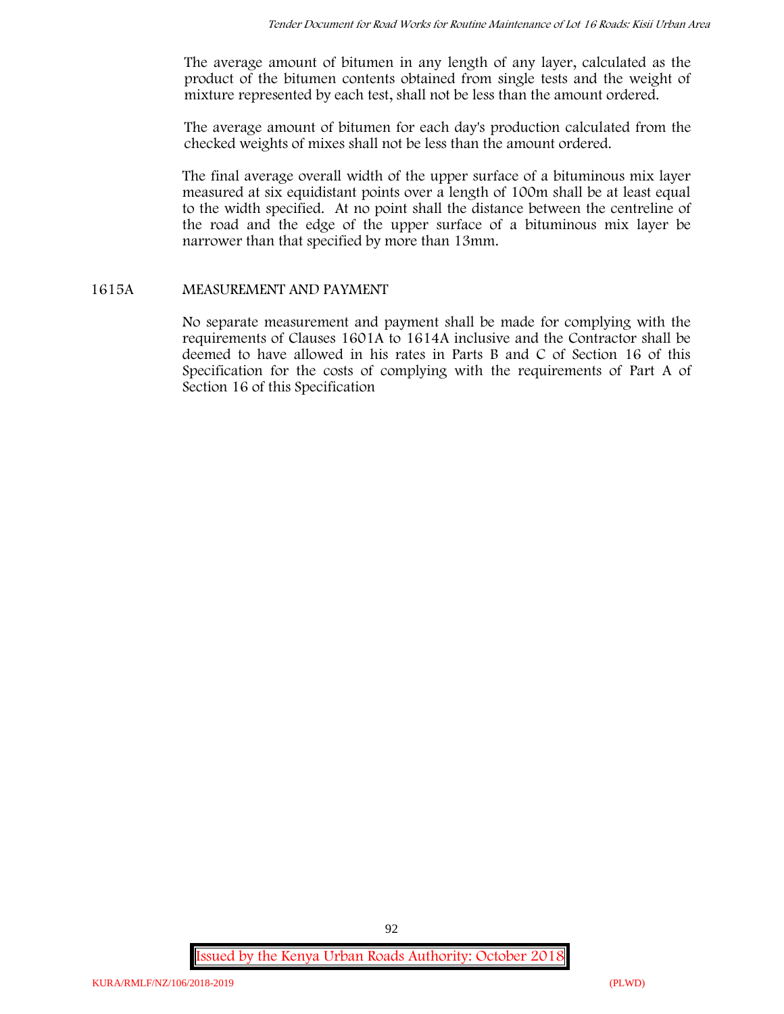The average amount of bitumen in any length of any layer, calculated as the product of the bitumen contents obtained from single tests and the weight of mixture represented by each test, shall not be less than the amount ordered.

The average amount of bitumen for each day's production calculated from the checked weights of mixes shall not be less than the amount ordered.

The final average overall width of the upper surface of a bituminous mix layer measured at six equidistant points over a length of 100m shall be at least equal to the width specified. At no point shall the distance between the centreline of the road and the edge of the upper surface of a bituminous mix layer be narrower than that specified by more than 13mm.

# **1615A MEASUREMENT AND PAYMENT**

No separate measurement and payment shall be made for complying with the requirements of Clauses 1601A to 1614A inclusive and the Contractor shall be deemed to have allowed in his rates in Parts B and C of Section 16 of this Specification for the costs of complying with the requirements of Part A of Section 16 of this Specification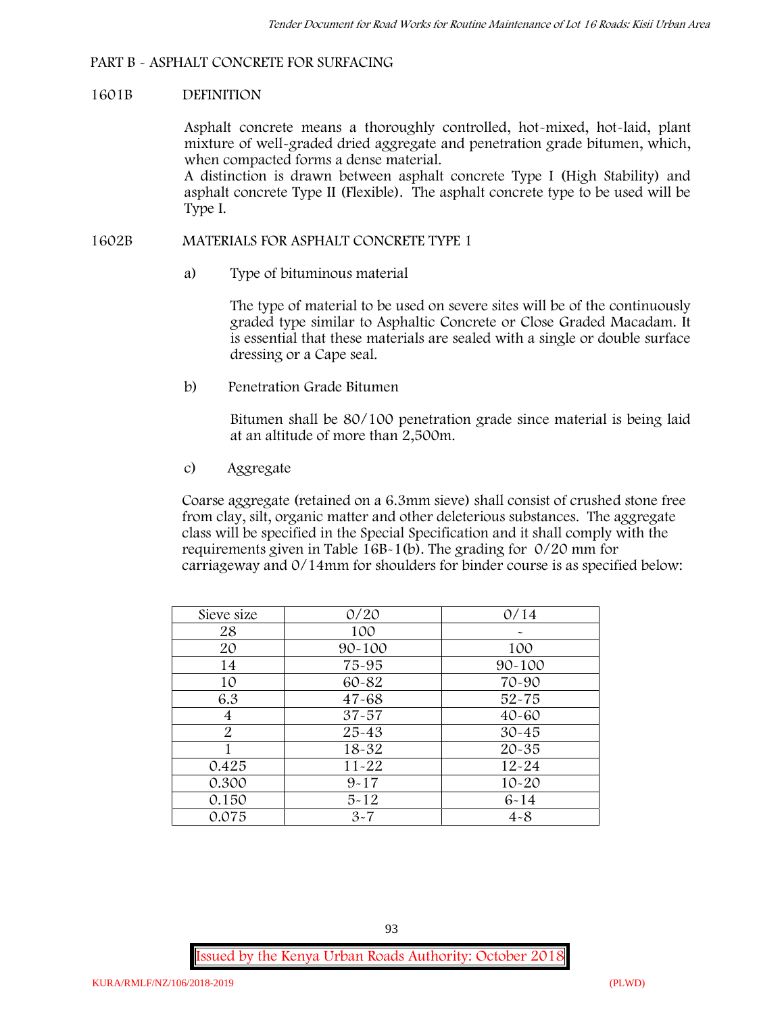### **PART B - ASPHALT CONCRETE FOR SURFACING**

#### **1601B DEFINITION**

Asphalt concrete means a thoroughly controlled, hot-mixed, hot-laid, plant mixture of well-graded dried aggregate and penetration grade bitumen, which, when compacted forms a dense material.

A distinction is drawn between asphalt concrete Type I (High Stability) and asphalt concrete Type II (Flexible). The asphalt concrete type to be used will be Type I.

#### **1602B MATERIALS FOR ASPHALT CONCRETE TYPE 1**

a) **Type of bituminous material**

The type of material to be used on severe sites will be of the continuously graded type similar to Asphaltic Concrete or Close Graded Macadam. It is essential that these materials are sealed with a single or double surface dressing or a Cape seal.

b) **Penetration Grade Bitumen**

Bitumen shall be 80/100 penetration grade since material is being laid at an altitude of more than 2,500m.

c) **Aggregate**

Coarse aggregate (retained on a 6.3mm sieve) shall consist of crushed stone free from clay, silt, organic matter and other deleterious substances. The aggregate class will be specified in the Special Specification and it shall comply with the requirements given in Table 16B-1(b). The grading for 0/20 mm for carriageway and 0/14mm for shoulders for binder course is as specified below:

| Sieve size | 0/20       | 0/14       |
|------------|------------|------------|
| 28         | 100        |            |
| 20         | $90 - 100$ | 100        |
| 14         | 75-95      | $90 - 100$ |
| 10         | 60-82      | 70-90      |
| 6.3        | $47 - 68$  | $52 - 75$  |
| 4          | $37 - 57$  | $40 - 60$  |
| 2          | $25 - 43$  | $30 - 45$  |
|            | 18-32      | $20 - 35$  |
| 0.425      | $11 - 22$  | $12 - 24$  |
| 0.300      | $9 - 17$   | $10 - 20$  |
| 0.150      | $5 - 12$   | $6 - 14$   |
| 0.075      | $3 - 7$    | $4 - 8$    |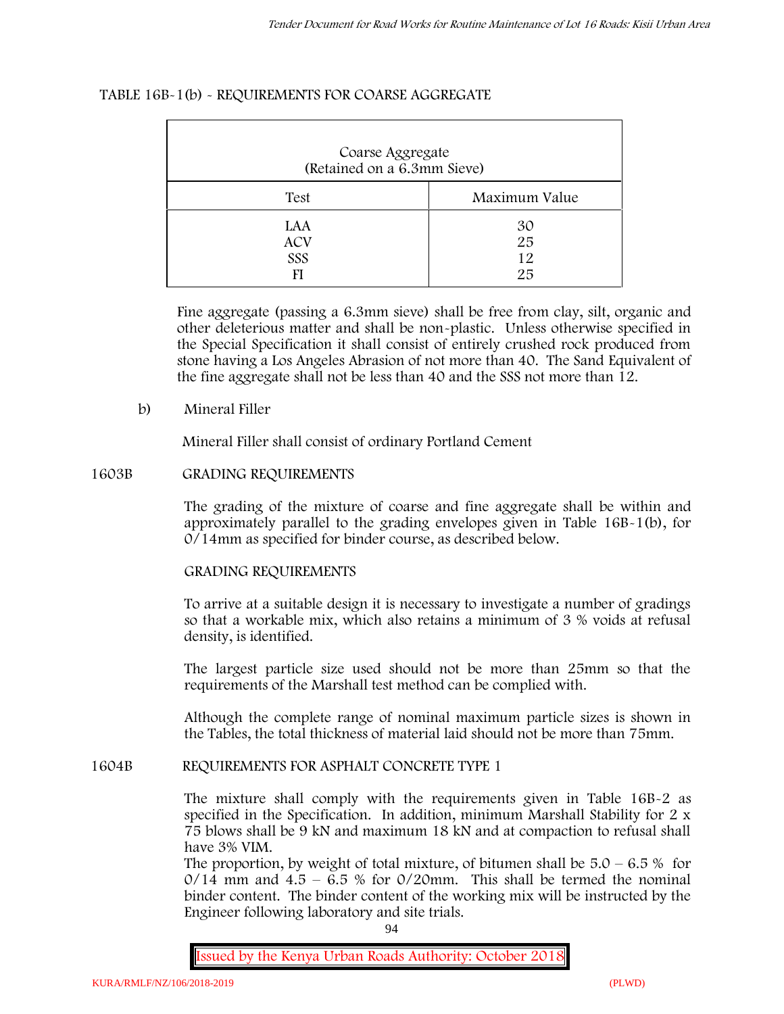# **TABLE 16B-1(b) - REQUIREMENTS FOR COARSE AGGREGATE**

| Coarse Aggregate<br>(Retained on a 6.3mm Sieve) |                       |  |  |
|-------------------------------------------------|-----------------------|--|--|
| Test                                            | Maximum Value         |  |  |
| LAA<br><b>ACV</b><br>SSS                        | 30<br>25<br>12.<br>25 |  |  |

Fine aggregate (passing a 6.3mm sieve) shall be free from clay, silt, organic and other deleterious matter and shall be non-plastic. Unless otherwise specified in the Special Specification it shall consist of entirely crushed rock produced from stone having a Los Angeles Abrasion of not more than 40. The Sand Equivalent of the fine aggregate shall not be less than 40 and the SSS not more than 12.

### **b) Mineral Filler**

Mineral Filler shall consist of ordinary Portland Cement

# **1603B GRADING REQUIREMENTS**

The grading of the mixture of coarse and fine aggregate shall be within and approximately parallel to the grading envelopes given in Table 16B-1(b), for 0/14mm as specified for binder course, as described below.

### **GRADING REQUIREMENTS**

To arrive at a suitable design it is necessary to investigate a number of gradings so that a workable mix, which also retains a minimum of 3 % voids at refusal density, is identified.

The largest particle size used should not be more than 25mm so that the requirements of the Marshall test method can be complied with.

Although the complete range of nominal maximum particle sizes is shown in the Tables, the total thickness of material laid should not be more than 75mm.

### **1604B REQUIREMENTS FOR ASPHALT CONCRETE TYPE 1**

The mixture shall comply with the requirements given in Table 16B-2 as specified in the Specification. In addition, minimum Marshall Stability for 2 x 75 blows shall be 9 kN and maximum 18 kN and at compaction to refusal shall have 3% VIM.

The proportion, by weight of total mixture, of bitumen shall be  $5.0 - 6.5 %$  for  $0/14$  mm and  $4.5 - 6.5$  % for  $0/20$ mm. This shall be termed the nominal binder content. The binder content of the working mix will be instructed by the Engineer following laboratory and site trials.

94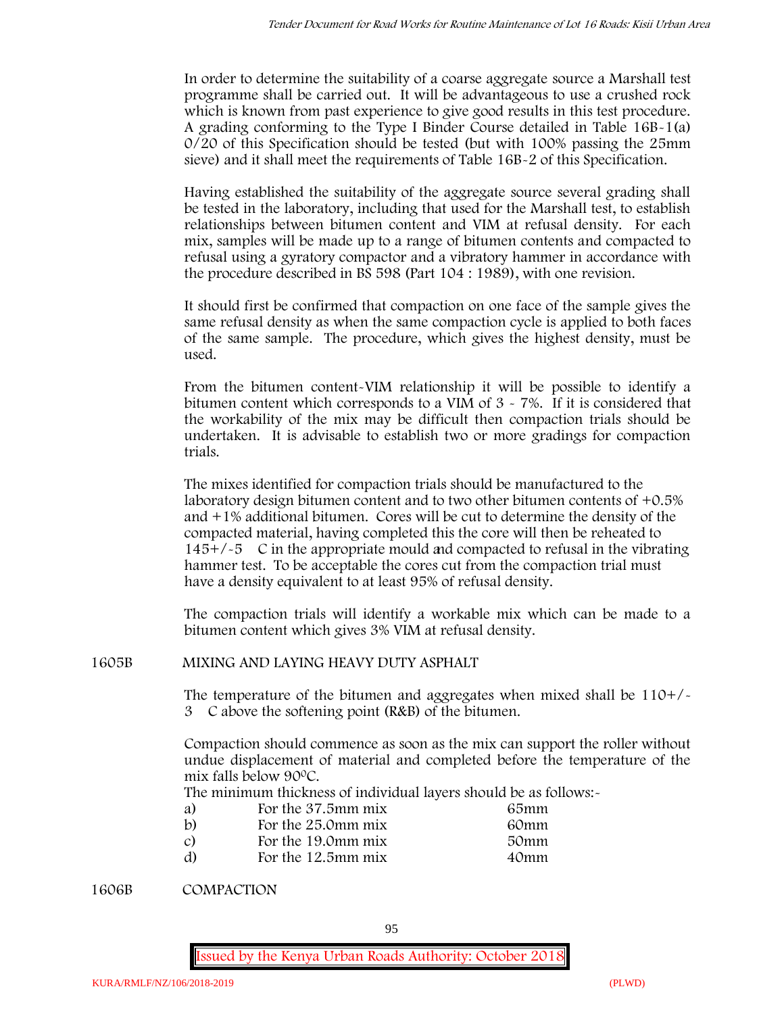In order to determine the suitability of a coarse aggregate source a Marshall test programme shall be carried out. It will be advantageous to use a crushed rock which is known from past experience to give good results in this test procedure. A grading conforming to the Type I Binder Course detailed in Table 16B-1(a) 0/20 of this Specification should be tested (but with 100% passing the 25mm sieve) and it shall meet the requirements of Table 16B-2 of this Specification.

Having established the suitability of the aggregate source several grading shall be tested in the laboratory, including that used for the Marshall test, to establish relationships between bitumen content and VIM at refusal density. For each mix, samples will be made up to a range of bitumen contents and compacted to refusal using a gyratory compactor and a vibratory hammer in accordance with the procedure described in BS 598 (Part 104 : 1989), with one revision.

It should first be confirmed that compaction on one face of the sample gives the same refusal density as when the same compaction cycle is applied to both faces of the same sample. The procedure, which gives the highest density, must be used.

From the bitumen content-VIM relationship it will be possible to identify a bitumen content which corresponds to a VIM of  $3 \times 7\%$ . If it is considered that the workability of the mix may be difficult then compaction trials should be undertaken. It is advisable to establish two or more gradings for compaction trials.

The mixes identified for compaction trials should be manufactured to the laboratory design bitumen content and to two other bitumen contents of +0.5% and +1% additional bitumen. Cores will be cut to determine the density of the compacted material, having completed this the core will then be reheated to  $145+/5$  C in the appropriate mould and compacted to refusal in the vibrating hammer test. To be acceptable the cores cut from the compaction trial must have a density equivalent to at least 95% of refusal density.

The compaction trials will identify a workable mix which can be made to a bitumen content which gives 3% VIM at refusal density.

**1605B MIXING AND LAYING HEAVY DUTY ASPHALT**

The temperature of the bitumen and aggregates when mixed shall be  $110+/$ 3C above the softening point (R&B) of the bitumen.

Compaction should commence as soon as the mix can support the roller without undue displacement of material and completed before the temperature of the mix falls below 900C.

The minimum thickness of individual layers should be as follows:-

| a) | For the 37.5mm mix | 65mm |  |
|----|--------------------|------|--|
| b) | For the 25.0mm mix | 60mm |  |
| C) | For the 19.0mm mix | 50mm |  |
| d) | For the 12.5mm mix | 40mm |  |

**1606B COMPACTION**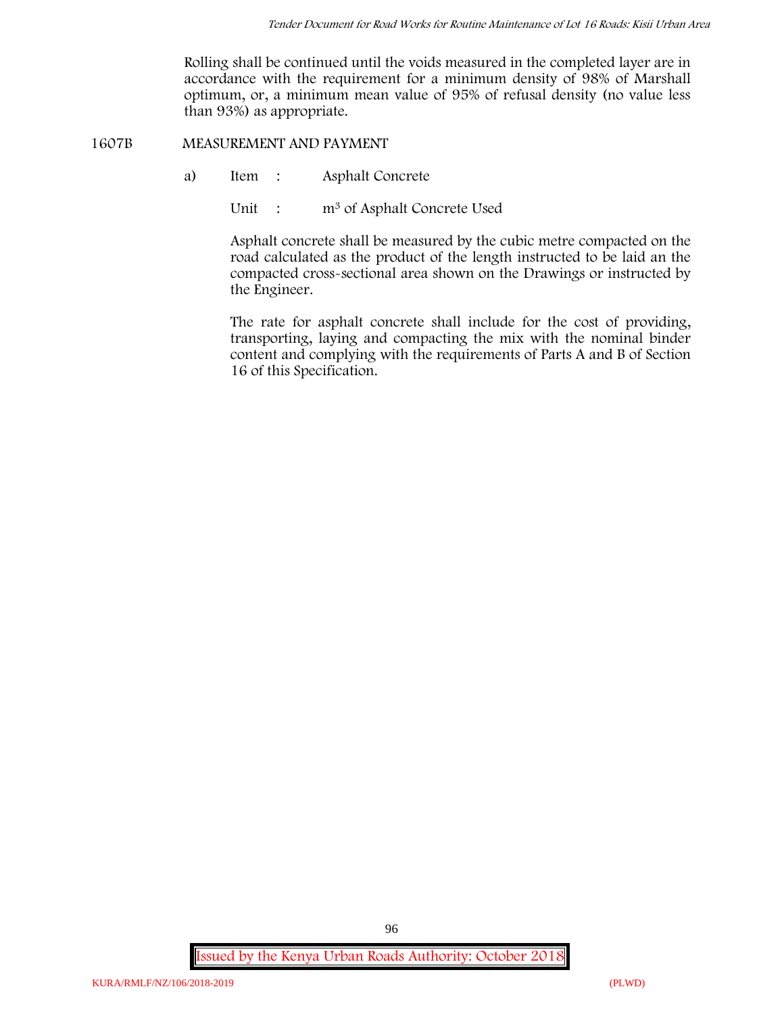Rolling shall be continued until the voids measured in the completed layer are in accordance with the requirement for a minimum density of 98% of Marshall optimum, or, a minimum mean value of 95% of refusal density (no value less than 93%) as appropriate.

**1607B MEASUREMENT AND PAYMENT**

- a) Item : Asphalt Concrete
	- Unit : m<sup>3</sup> of Asphalt Concrete Used

Asphalt concrete shall be measured by the cubic metre compacted on the road calculated as the product of the length instructed to be laid an the compacted cross-sectional area shown on the Drawings or instructed by the Engineer.

The rate for asphalt concrete shall include for the cost of providing, transporting, laying and compacting the mix with the nominal binder content and complying with the requirements of Parts A and B of Section 16 of this Specification.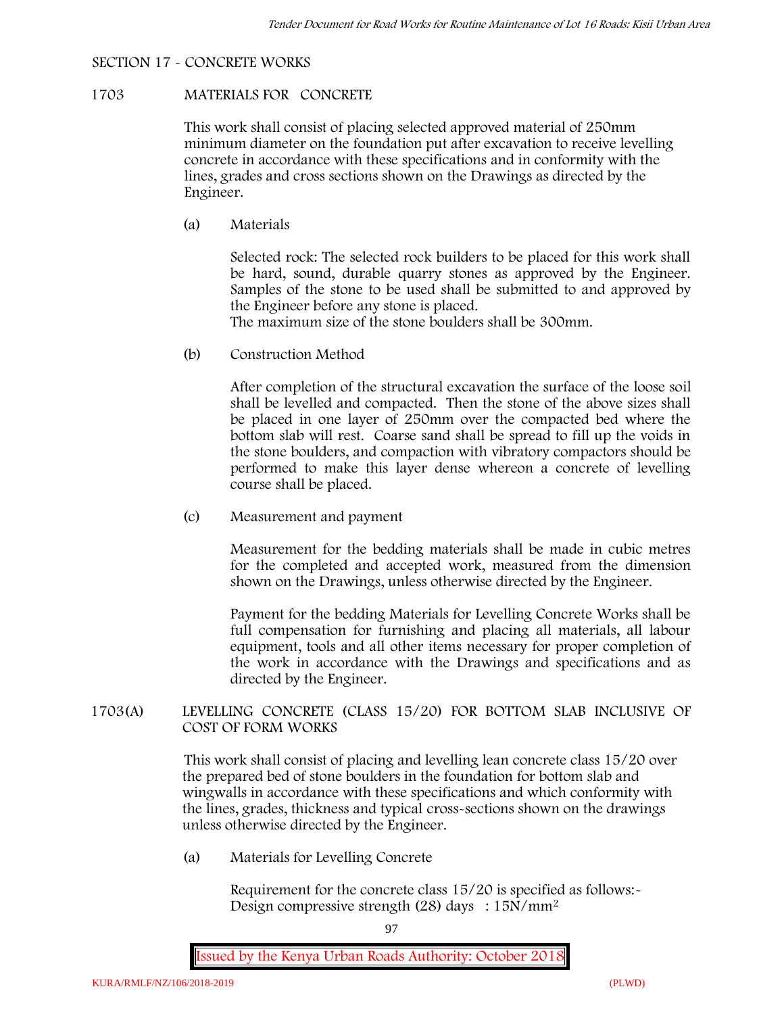# **SECTION 17 - CONCRETE WORKS**

#### **1703 MATERIALS FOR CONCRETE**

This work shall consist of placing selected approved material of 250mm minimum diameter on the foundation put after excavation to receive levelling concrete in accordance with these specifications and in conformity with the lines, grades and cross sections shown on the Drawings as directed by the Engineer.

(a) **Materials**

Selected rock: The selected rock builders to be placed for this work shall be hard, sound, durable quarry stones as approved by the Engineer. Samples of the stone to be used shall be submitted to and approved by the Engineer before any stone is placed.

The maximum size of the stone boulders shall be 300mm.

(b) **Construction Method**

After completion of the structural excavation the surface of the loose soil shall be levelled and compacted. Then the stone of the above sizes shall be placed in one layer of 250mm over the compacted bed where the bottom slab will rest. Coarse sand shall be spread to fill up the voids in the stone boulders, and compaction with vibratory compactors should be performed to make this layer dense whereon a concrete of levelling course shall be placed.

(c) **Measurement and payment**

Measurement for the bedding materials shall be made in cubic metres for the completed and accepted work, measured from the dimension shown on the Drawings, unless otherwise directed by the Engineer.

Payment for the bedding Materials for Levelling Concrete Works shall be full compensation for furnishing and placing all materials, all labour equipment, tools and all other items necessary for proper completion of the work in accordance with the Drawings and specifications and as directed by the Engineer.

# **1703(A) LEVELLING CONCRETE (CLASS 15/20) FOR BOTTOM SLAB INCLUSIVE OF COST OF FORM WORKS**

This work shall consist of placing and levelling lean concrete class 15/20 over the prepared bed of stone boulders in the foundation for bottom slab and wingwalls in accordance with these specifications and which conformity with the lines, grades, thickness and typical cross-sections shown on the drawings unless otherwise directed by the Engineer.

(a) **Materials for Levelling Concrete**

Requirement for the concrete class 15/20 is specified as follows:- Design compressive strength (28) days :  $15N/mm^2$ 

97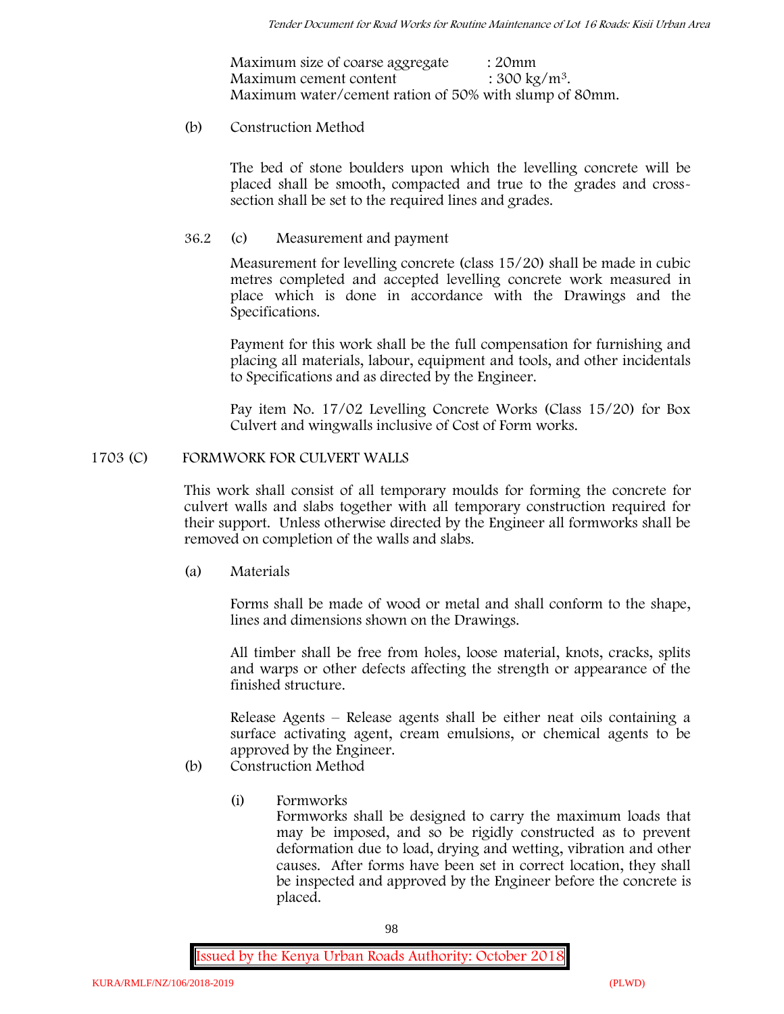| Maximum size of coarse aggregate                       | : 20mm                   |
|--------------------------------------------------------|--------------------------|
| Maximum cement content                                 | : $300 \text{ kg/m}^3$ . |
| Maximum water/cement ration of 50% with slump of 80mm. |                          |

### (b) **Construction Method**

The bed of stone boulders upon which the levelling concrete will be placed shall be smooth, compacted and true to the grades and crosssection shall be set to the required lines and grades.

### **36.2** (c) **Measurement and payment**

Measurement for levelling concrete (class 15/20) shall be made in cubic metres completed and accepted levelling concrete work measured in place which is done in accordance with the Drawings and the Specifications.

Payment for this work shall be the full compensation for furnishing and placing all materials, labour, equipment and tools, and other incidentals to Specifications and as directed by the Engineer.

Pay item No. 17/02 Levelling Concrete Works (Class 15/20) for Box Culvert and wingwalls inclusive of Cost of Form works.

# **1703 (C) FORMWORK FOR CULVERT WALLS**

This work shall consist of all temporary moulds for forming the concrete for culvert walls and slabs together with all temporary construction required for their support. Unless otherwise directed by the Engineer all formworks shall be removed on completion of the walls and slabs.

(a) **Materials**

Forms shall be made of wood or metal and shall conform to the shape, lines and dimensions shown on the Drawings.

All timber shall be free from holes, loose material, knots, cracks, splits and warps or other defects affecting the strength or appearance of the finished structure.

Release Agents – Release agents shall be either neat oils containing a surface activating agent, cream emulsions, or chemical agents to be approved by the Engineer.

- (b) **Construction Method**
	- (i) **Formworks**

Formworks shall be designed to carry the maximum loads that may be imposed, and so be rigidly constructed as to prevent deformation due to load, drying and wetting, vibration and other causes. After forms have been set in correct location, they shall be inspected and approved by the Engineer before the concrete is placed.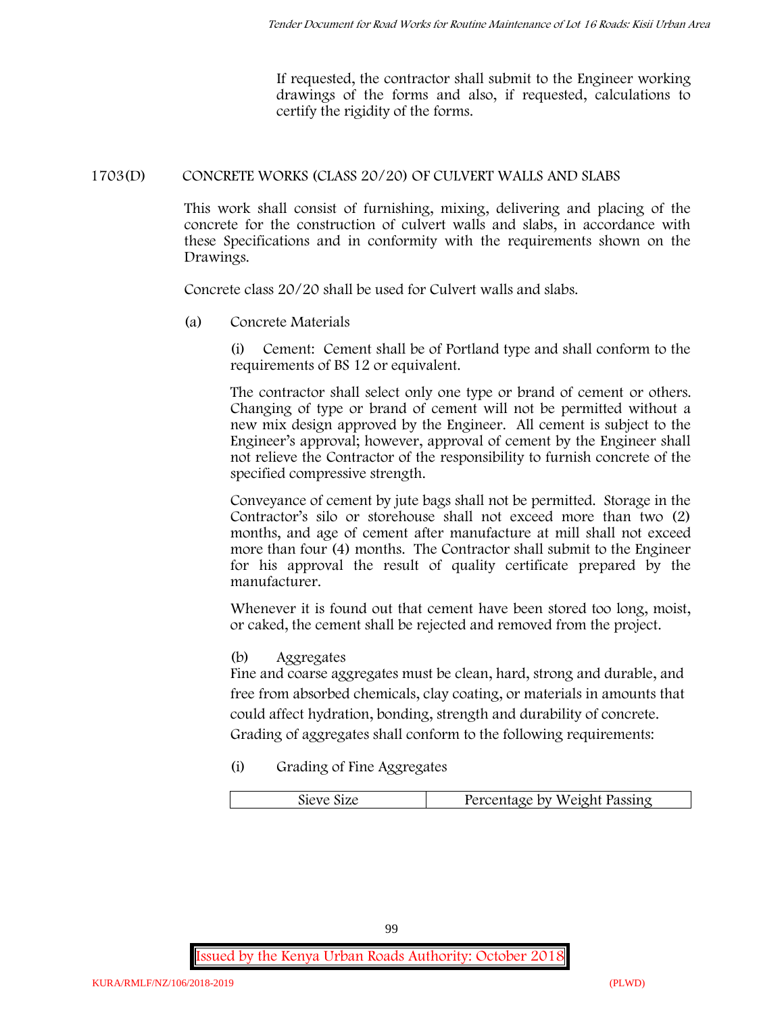If requested, the contractor shall submit to the Engineer working drawings of the forms and also, if requested, calculations to certify the rigidity of the forms.

# **1703(D) CONCRETE WORKS (CLASS 20/20) OF CULVERT WALLS AND SLABS**

This work shall consist of furnishing, mixing, delivering and placing of the concrete for the construction of culvert walls and slabs, in accordance with these Specifications and in conformity with the requirements shown on the Drawings.

Concrete class 20/20 shall be used for Culvert walls and slabs.

**(a) Concrete Materials**

(i) Cement: Cement shall be of Portland type and shall conform to the requirements of BS 12 or equivalent.

The contractor shall select only one type or brand of cement or others. Changing of type or brand of cement will not be permitted without a new mix design approved by the Engineer. All cement is subject to the Engineer's approval; however, approval of cement by the Engineer shall not relieve the Contractor of the responsibility to furnish concrete of the specified compressive strength.

Conveyance of cement by jute bags shall not be permitted. Storage in the Contractor's silo or storehouse shall not exceed more than two (2) months, and age of cement after manufacture at mill shall not exceed more than four (4) months. The Contractor shall submit to the Engineer for his approval the result of quality certificate prepared by the manufacturer.

Whenever it is found out that cement have been stored too long, moist, or caked, the cement shall be rejected and removed from the project.

**(b) Aggregates**

Fine and coarse aggregates must be clean, hard, strong and durable, and free from absorbed chemicals, clay coating, or materials in amounts that could affect hydration, bonding, strength and durability of concrete. Grading of aggregates shall conform to the following requirements:

**(i) Grading of Fine Aggregates**

| Percentage by Weight Passing |  |
|------------------------------|--|
|                              |  |

99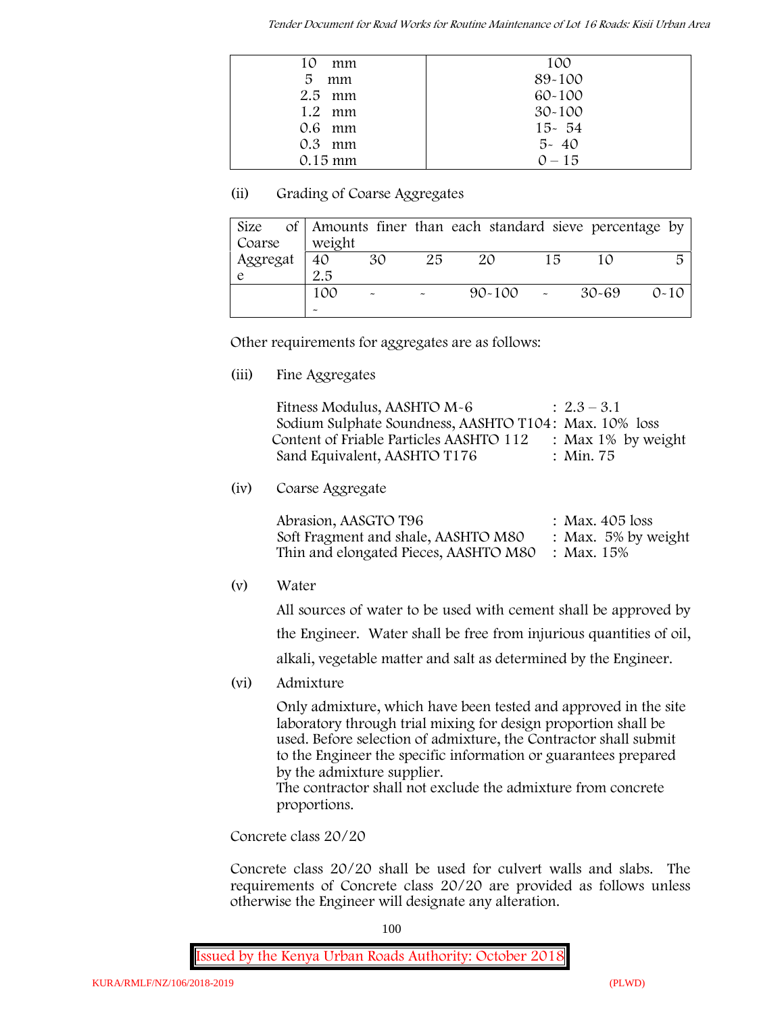*Tender Document for Road Works for Routine Maintenance of Lot 16 Roads: Kisii Urban Area*

| 10<br>mm          | 100        |
|-------------------|------------|
| 5<br>mm           | 89-100     |
| $2.5$ mm          | $60 - 100$ |
| $1.2$ mm          | $30 - 100$ |
| $0.6$ mm          | $15 - 54$  |
| $0.3$ mm          | $5 - 40$   |
| $0.15 \text{ mm}$ | $0 - 15$   |

# **(ii) Grading of Coarse Aggregates**

| Size     |                       |                           |    | of Amounts finer than each standard sieve percentage by |    |       |          |
|----------|-----------------------|---------------------------|----|---------------------------------------------------------|----|-------|----------|
| Coarse   | weight                |                           |    |                                                         |    |       |          |
| Aggregat | 40                    | 30                        | 25 | 20                                                      | 15 |       | 局        |
|          | 2.5                   |                           |    |                                                         |    |       |          |
|          | 100                   | $\widetilde{\phantom{m}}$ |    | $90 - 100$ -                                            |    | 30-69 | $0 - 10$ |
|          | $\tilde{\phantom{a}}$ |                           |    |                                                         |    |       |          |

Other requirements for aggregates are as follows:

**(iii) Fine Aggregates**

| Fitness Modulus, AASHTO M-6                           | $: 2.3 - 3.1$         |
|-------------------------------------------------------|-----------------------|
| Sodium Sulphate Soundness, AASHTO T104: Max. 10% loss |                       |
| Content of Friable Particles AASHTO 112               | : Max $1\%$ by weight |
| Sand Equivalent, AASHTO T176                          | : Min. 75             |

**(iv) Coarse Aggregate**

Abrasion, AASGTO T96 : Max. 405 loss Soft Fragment and shale, AASHTO M80 : Max. 5% by weight Thin and elongated Pieces, AASHTO M80 : Max. 15%

**(v) Water**

All sources of water to be used with cement shall be approved by

the Engineer. Water shall be free from injurious quantities of oil,

alkali, vegetable matter and salt as determined by the Engineer.

**(vi) Admixture**

Only admixture, which have been tested and approved in the site laboratory through trial mixing for design proportion shall be used. Before selection of admixture, the Contractor shall submit to the Engineer the specific information or guarantees prepared by the admixture supplier.

The contractor shall not exclude the admixture from concrete proportions.

**Concrete class 20/20**

Concrete class 20/20 shall be used for culvert walls and slabs. The requirements of Concrete class 20/20 are provided as follows unless otherwise the Engineer will designate any alteration.

100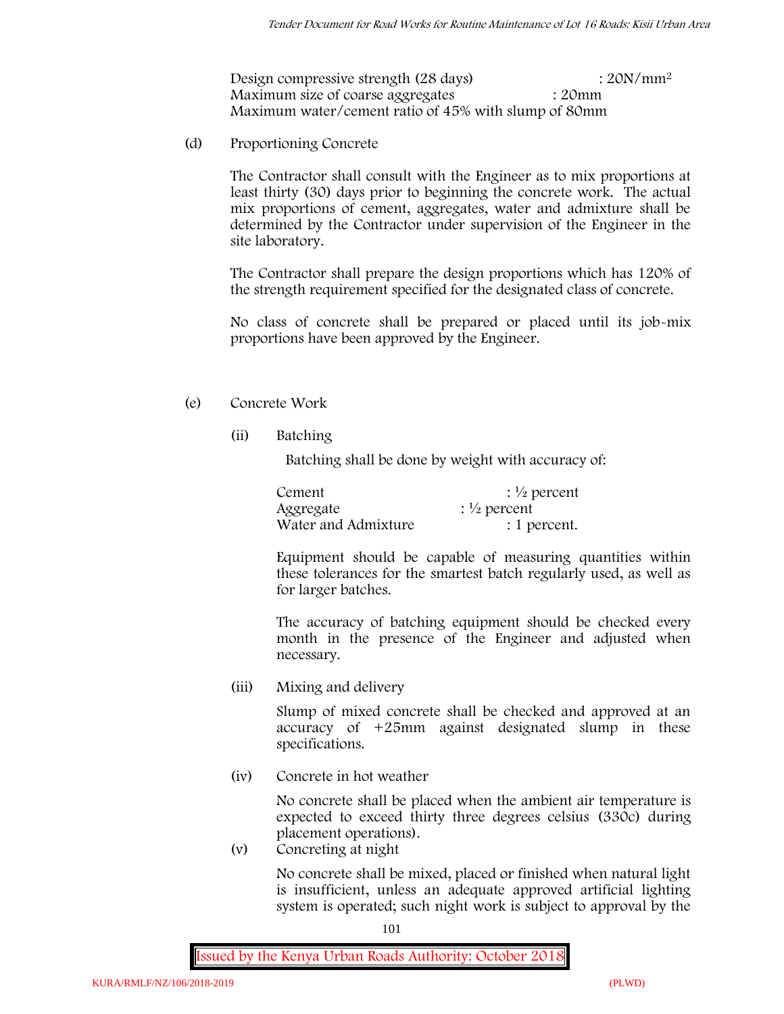Design compressive strength (28 days) : 20N/mm<sup>2</sup> Maximum size of coarse aggregates : 20mm Maximum water/cement ratio of 45% with slump of 80mm

(d) **Proportioning Concrete**

The Contractor shall consult with the Engineer as to mix proportions at least thirty (30) days prior to beginning the concrete work. The actual mix proportions of cement, aggregates, water and admixture shall be determined by the Contractor under supervision of the Engineer in the site laboratory.

The Contractor shall prepare the design proportions which has 120% of the strength requirement specified for the designated class of concrete.

No class of concrete shall be prepared or placed until its job-mix proportions have been approved by the Engineer.

# (e) **Concrete Work**

**(ii) Batching**

Batching shall be done by weight with accuracy of:

| Cement              | $\frac{1}{2}$ percent |
|---------------------|-----------------------|
| Aggregate           | $\frac{1}{2}$ percent |
| Water and Admixture | : 1 percent.          |

Equipment should be capable of measuring quantities within these tolerances for the smartest batch regularly used, as well as for larger batches.

The accuracy of batching equipment should be checked every month in the presence of the Engineer and adjusted when necessary.

**(iii) Mixing and delivery**

Slump of mixed concrete shall be checked and approved at an accuracy of +25mm against designated slump in these specifications.

**(iv) Concrete in hot weather**

No concrete shall be placed when the ambient air temperature is expected to exceed thirty three degrees celsius (330c) during placement operations).

**(v) Concreting at night**

No concrete shall be mixed, placed or finished when natural light is insufficient, unless an adequate approved artificial lighting system is operated; such night work is subject to approval by the

101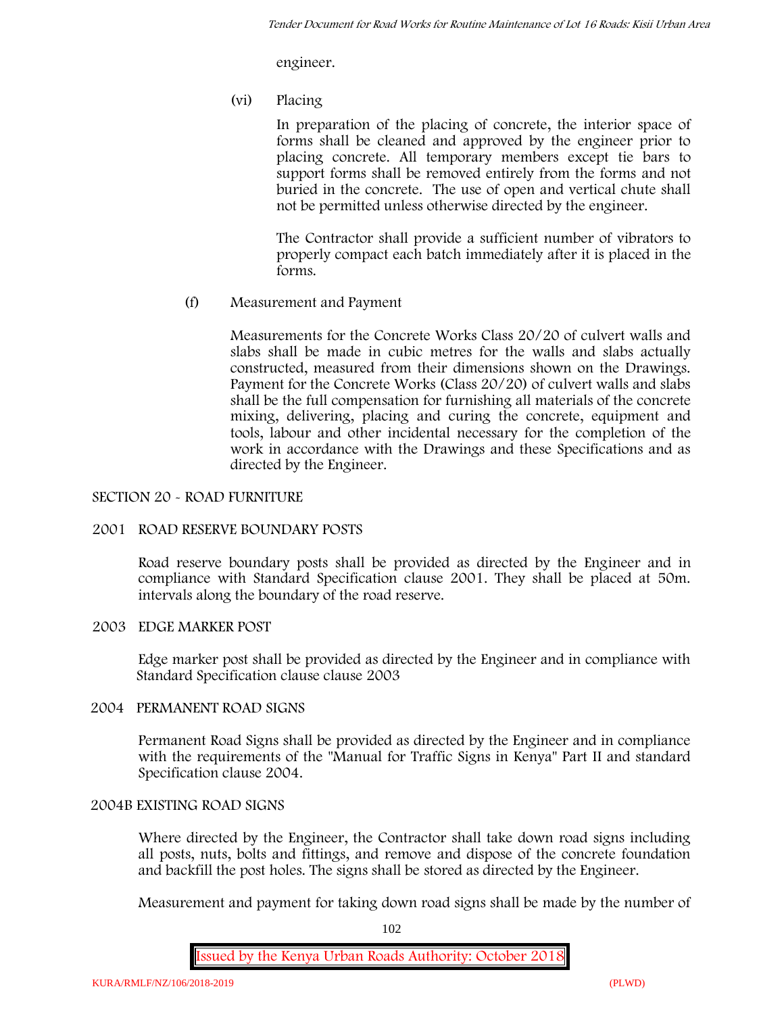engineer.

**(vi) Placing**

In preparation of the placing of concrete, the interior space of forms shall be cleaned and approved by the engineer prior to placing concrete. All temporary members except tie bars to support forms shall be removed entirely from the forms and not buried in the concrete. The use of open and vertical chute shall not be permitted unless otherwise directed by the engineer.

The Contractor shall provide a sufficient number of vibrators to properly compact each batch immediately after it is placed in the forms.

(f) **Measurement and Payment**

Measurements for the Concrete Works Class 20/20 of culvert walls and slabs shall be made in cubic metres for the walls and slabs actually constructed, measured from their dimensions shown on the Drawings. Payment for the Concrete Works (Class 20/20) of culvert walls and slabs shall be the full compensation for furnishing all materials of the concrete mixing, delivering, placing and curing the concrete, equipment and tools, labour and other incidental necessary for the completion of the work in accordance with the Drawings and these Specifications and as directed by the Engineer.

### **SECTION 20 - ROAD FURNITURE**

### **2001 ROAD RESERVE BOUNDARY POSTS**

Road reserve boundary posts shall be provided as directed by the Engineer and in compliance with Standard Specification clause 2001. They shall be placed at 50m. intervals along the boundary of the road reserve.

# **2003 EDGE MARKER POST**

Edge marker post shall be provided as directed by the Engineer and in compliance with Standard Specification clause clause 2003

# **2004 PERMANENT ROAD SIGNS**

Permanent Road Signs shall be provided as directed by the Engineer and in compliance with the requirements of the "Manual for Traffic Signs in Kenya" Part II and standard Specification clause 2004.

# **2004B EXISTING ROAD SIGNS**

Where directed by the Engineer, the Contractor shall take down road signs including all posts, nuts, bolts and fittings, and remove and dispose of the concrete foundation and backfill the post holes. The signs shall be stored as directed by the Engineer.

Measurement and payment for taking down road signs shall be made by the number of

102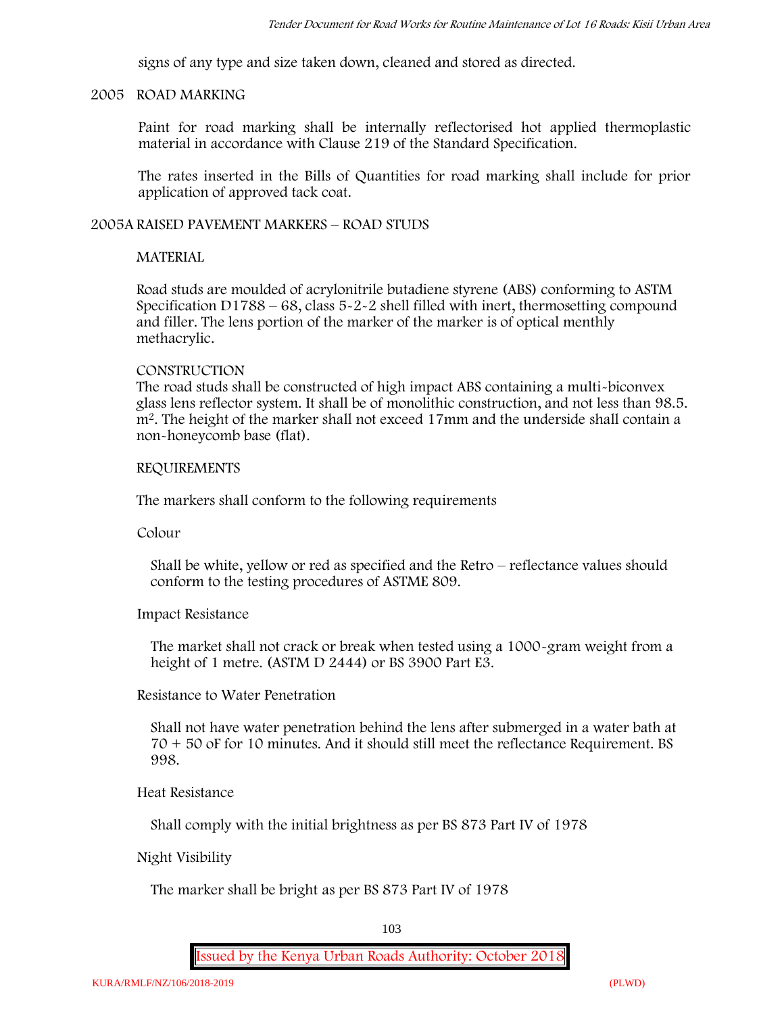signs of any type and size taken down, cleaned and stored as directed.

#### **2005 ROAD MARKING**

Paint for road marking shall be internally reflectorised hot applied thermoplastic material in accordance with Clause 219 of the Standard Specification.

The rates inserted in the Bills of Quantities for road marking shall include for prior application of approved tack coat.

### **2005A RAISED PAVEMENT MARKERS – ROAD STUDS**

### **MATERIAL**

Road studs are moulded of acrylonitrile butadiene styrene (ABS) conforming to ASTM Specification D1788 – 68, class 5-2-2 shell filled with inert, thermosetting compound and filler. The lens portion of the marker of the marker is of optical menthly methacrylic.

#### **CONSTRUCTION**

The road studs shall be constructed of high impact ABS containing a multi-biconvex glass lens reflector system. It shall be of monolithic construction, and not less than 98.5. m2. The height of the marker shall not exceed 17mm and the underside shall contain a non-honeycomb base (flat).

#### **REQUIREMENTS**

The markers shall conform to the following requirements

**Colour**

Shall be white, yellow or red as specified and the Retro – reflectance values should conform to the testing procedures of ASTME 809.

**Impact Resistance**

The market shall not crack or break when tested using a 1000**-**gram weight from a height of 1 metre. (ASTM D 2444) or BS 3900 Part E3.

**Resistance to Water Penetration**

Shall not have water penetration behind the lens after submerged in a water bath at 70 + 50 oF for 10 minutes. And it should still meet the reflectance Requirement. BS 998.

**Heat Resistance**

Shall comply with the initial brightness as per BS 873 Part IV of 1978

#### **Night Visibility**

The marker shall be bright as per BS 873 Part IV of 1978

103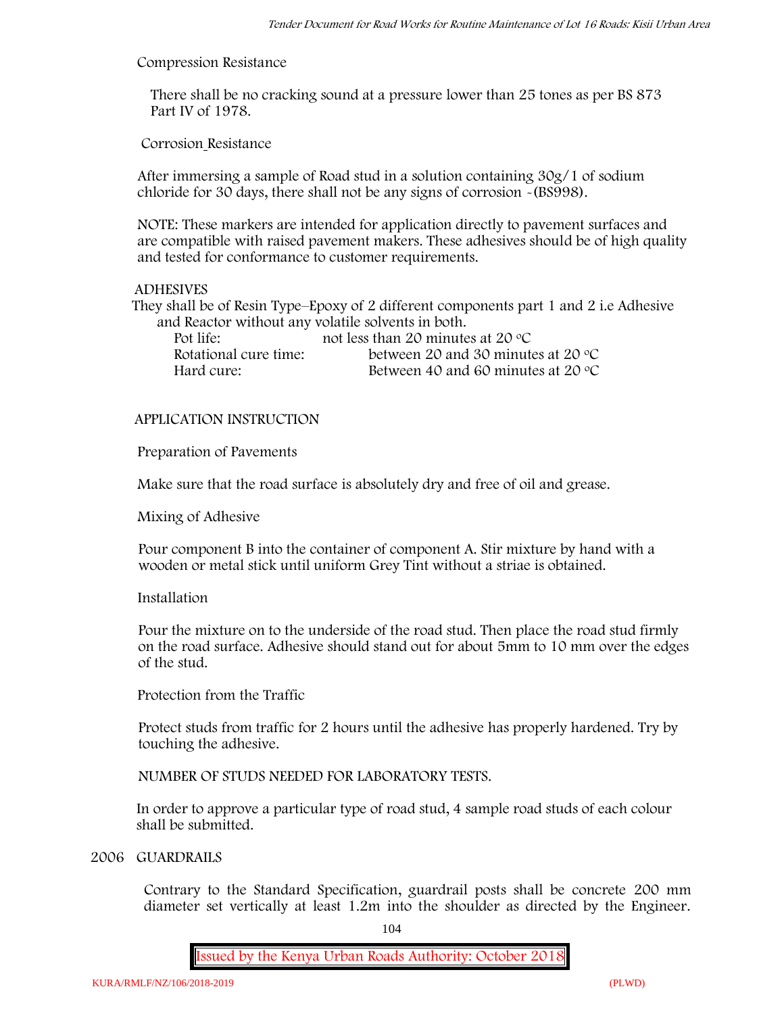#### **Compression Resistance**

There shall be no cracking sound at a pressure lower than 25 tones as per BS 873 Part IV of 1978.

**Corrosion Resistance**

After immersing a sample of Road stud in a solution containing 30g/1 of sodium chloride for 30 days, there shall not be any signs of corrosion **-**(BS998).

**NOTE**: These markers are intended for application directly to pavement surfaces and are compatible with raised pavement makers. These adhesives should be of high quality and tested for conformance to customer requirements.

#### **ADHESIVES**

They shall be of Resin Type–Epoxy of 2 different components part 1 and 2 i.e Adhesive and Reactor without any volatile solvents in both.

| Pot life:             | not less than 20 minutes at 20 $\degree$ C  |
|-----------------------|---------------------------------------------|
| Rotational cure time: | between 20 and 30 minutes at 20 $\degree$ C |
| Hard cure:            | Between 40 and 60 minutes at 20 $\degree$ C |

#### **APPLICATION INSTRUCTION**

**Preparation of Pavements**

Make sure that the road surface is absolutely dry and free of oil and grease**.**

**Mixing of Adhesive**

Pour component B into the container of component A. Stir mixture by hand with a wooden or metal stick until uniform Grey Tint without a striae is obtained.

#### **Installation**

Pour the mixture on to the underside of the road stud. Then place the road stud firmly on the road surface. Adhesive should stand out for about 5mm to 10 mm over the edges of the stud.

**Protection from the Traffic**

Protect studs from traffic for 2 hours until the adhesive has properly hardened. Try by touching the adhesive.

**NUMBER OF STUDS NEEDED FOR LABORATORY TESTS.**

In order to approve a particular type of road stud, 4 sample road studs of each colour shall be submitted.

#### **2006 GUARDRAILS**

Contrary to the Standard Specification, guardrail posts shall be concrete 200 mm diameter set vertically at least 1.2m into the shoulder as directed by the Engineer.

104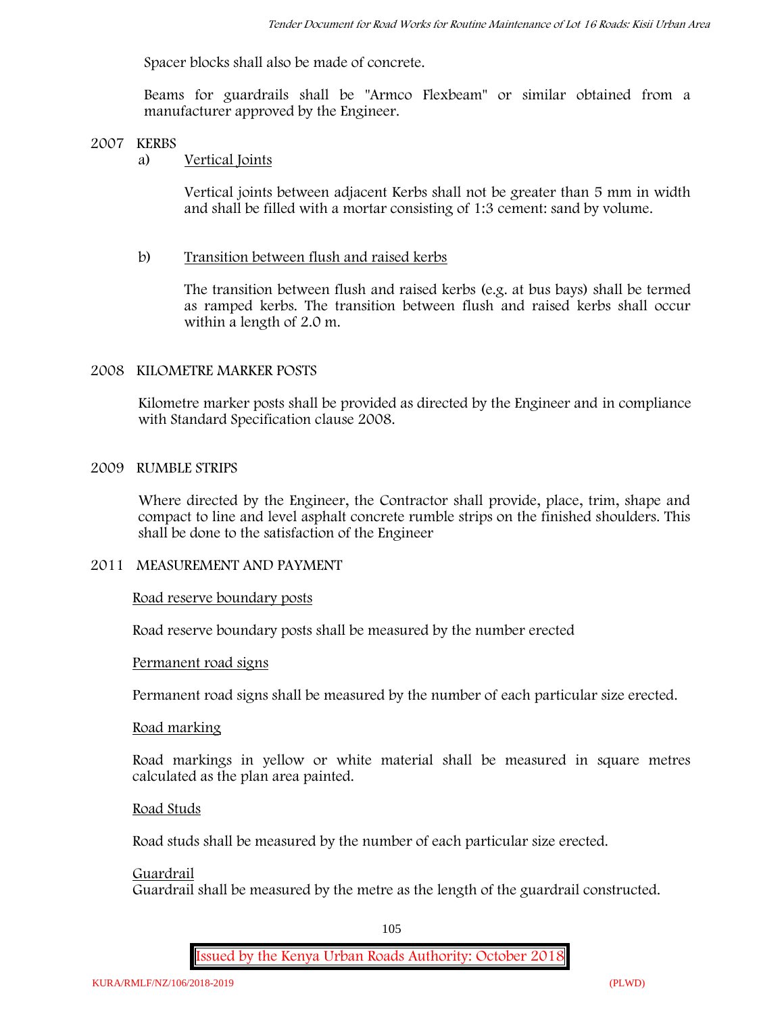Spacer blocks shall also be made of concrete.

Beams for guardrails shall be "Armco Flexbeam" or similar obtained from a manufacturer approved by the Engineer.

#### **2007 KERBS**

# a) **Vertical Joints**

Vertical joints between adjacent Kerbs shall not be greater than 5 mm in width and shall be filled with a mortar consisting of 1:3 cement: sand by volume.

#### b) **Transition between flush and raised kerbs**

The transition between flush and raised kerbs (e.g. at bus bays) shall be termed as ramped kerbs. The transition between flush and raised kerbs shall occur within a length of 2.0 m.

#### **2008 KILOMETRE MARKER POSTS**

Kilometre marker posts shall be provided as directed by the Engineer and in compliance with Standard Specification clause 2008.

#### **2009 RUMBLE STRIPS**

Where directed by the Engineer, the Contractor shall provide, place, trim, shape and compact to line and level asphalt concrete rumble strips on the finished shoulders. This shall be done to the satisfaction of the Engineer

#### **2011 MEASUREMENT AND PAYMENT**

#### **Road reserve boundary posts**

Road reserve boundary posts shall be measured by the number erected

#### **Permanent road signs**

Permanent road signs shall be measured by the number of each particular size erected.

#### **Road marking**

Road markings in yellow or white material shall be measured in square metres calculated as the plan area painted.

#### **Road Studs**

Road studs shall be measured by the number of each particular size erected.

#### **Guardrail**

Guardrail shall be measured by the metre as the length of the guardrail constructed.

105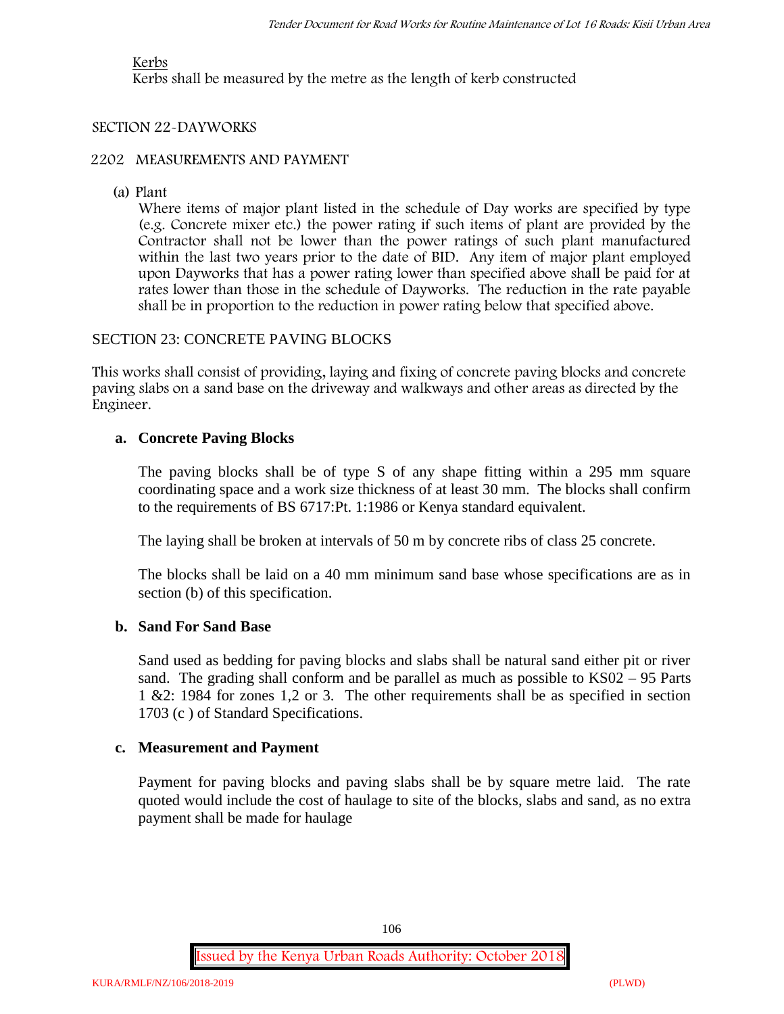# **Kerbs**

Kerbs shall be measured by the metre as the length of kerb constructed

# **SECTION 22-DAYWORKS**

# **2202 MEASUREMENTS AND PAYMENT**

(a) Plant

Where items of major plant listed in the schedule of Day works are specified by type (e.g. Concrete mixer etc.) the power rating if such items of plant are provided by the Contractor shall not be lower than the power ratings of such plant manufactured within the last two years prior to the date of BID. Any item of major plant employed upon Dayworks that has a power rating lower than specified above shall be paid for at rates lower than those in the schedule of Dayworks. The reduction in the rate payable shall be in proportion to the reduction in power rating below that specified above.

# SECTION 23: CONCRETE PAVING BLOCKS

This works shall consist of providing, laying and fixing of concrete paving blocks and concrete paving slabs on a sand base on the driveway and walkways and other areas as directed by the Engineer.

# **a. Concrete Paving Blocks**

The paving blocks shall be of type S of any shape fitting within a 295 mm square coordinating space and a work size thickness of at least 30 mm. The blocks shall confirm to the requirements of BS 6717:Pt. 1:1986 or Kenya standard equivalent.

The laying shall be broken at intervals of 50 m by concrete ribs of class 25 concrete.

The blocks shall be laid on a 40 mm minimum sand base whose specifications are as in section (b) of this specification.

# **b. Sand For Sand Base**

Sand used as bedding for paving blocks and slabs shall be natural sand either pit or river sand. The grading shall conform and be parallel as much as possible to KS02 – 95 Parts 1 &2: 1984 for zones 1,2 or 3. The other requirements shall be as specified in section 1703 (c ) of Standard Specifications.

# **c. Measurement and Payment**

Payment for paving blocks and paving slabs shall be by square metre laid. The rate quoted would include the cost of haulage to site of the blocks, slabs and sand, as no extra payment shall be made for haulage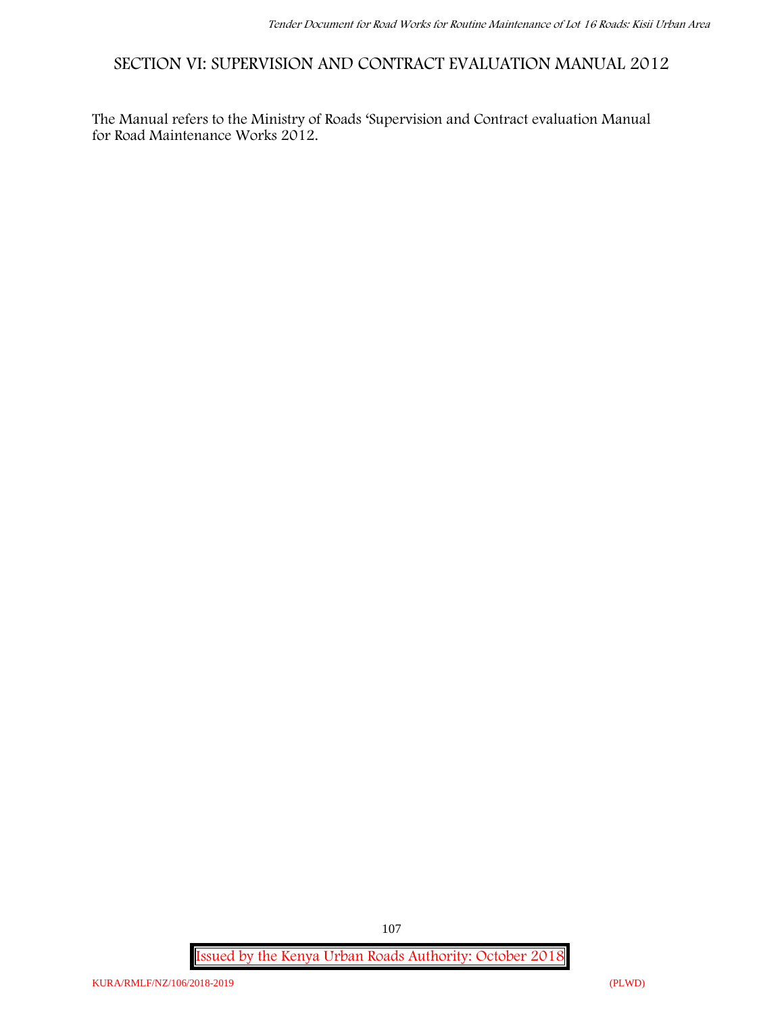**SECTION VI: SUPERVISION AND CONTRACT EVALUATION MANUAL 2012**

The Manual refers to the Ministry of Roads 'Supervision and Contract evaluation Manual for Road Maintenance Works 2012.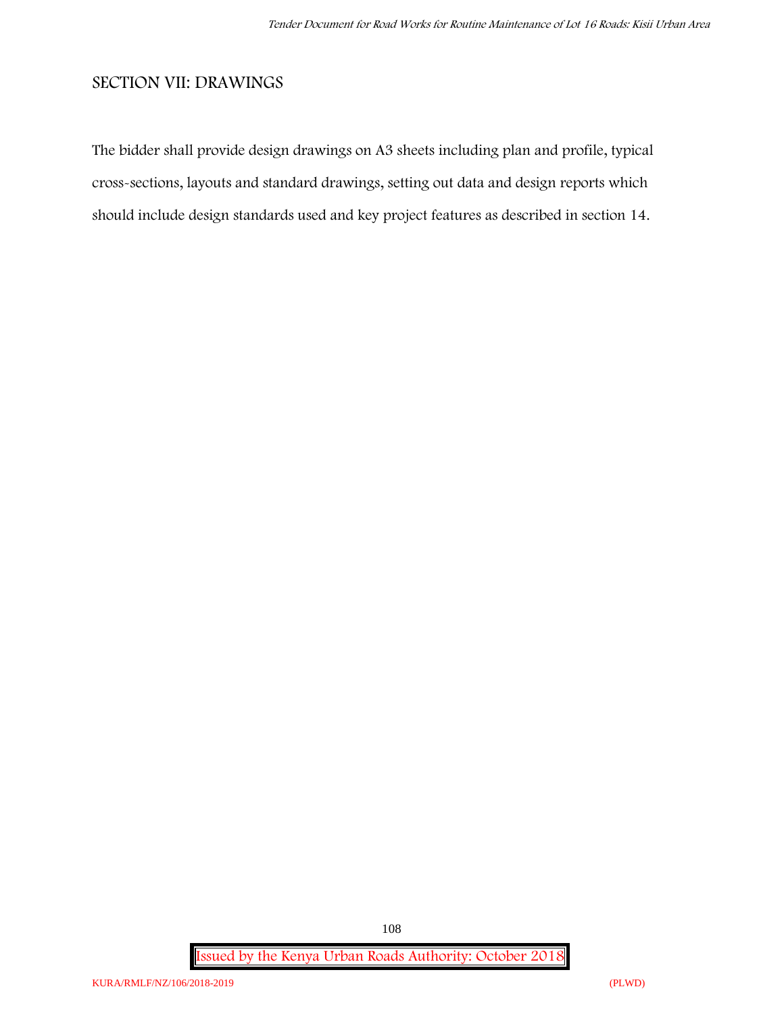# **SECTION VII: DRAWINGS**

The bidder shall provide design drawings on A3 sheets including plan and profile, typical cross-sections, layouts and standard drawings, setting out data and design reports which should include design standards used and key project features as described in section 14.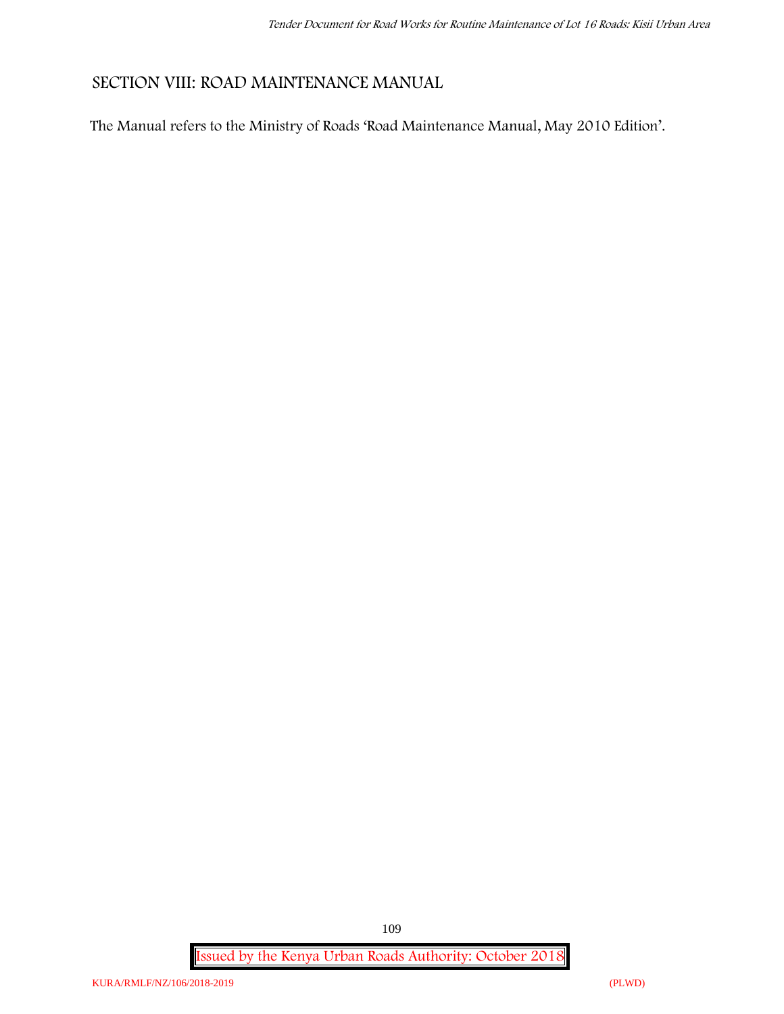# **SECTION VIII: ROAD MAINTENANCE MANUAL**

The Manual refers to the Ministry of Roads 'Road Maintenance Manual, May 2010 Edition'.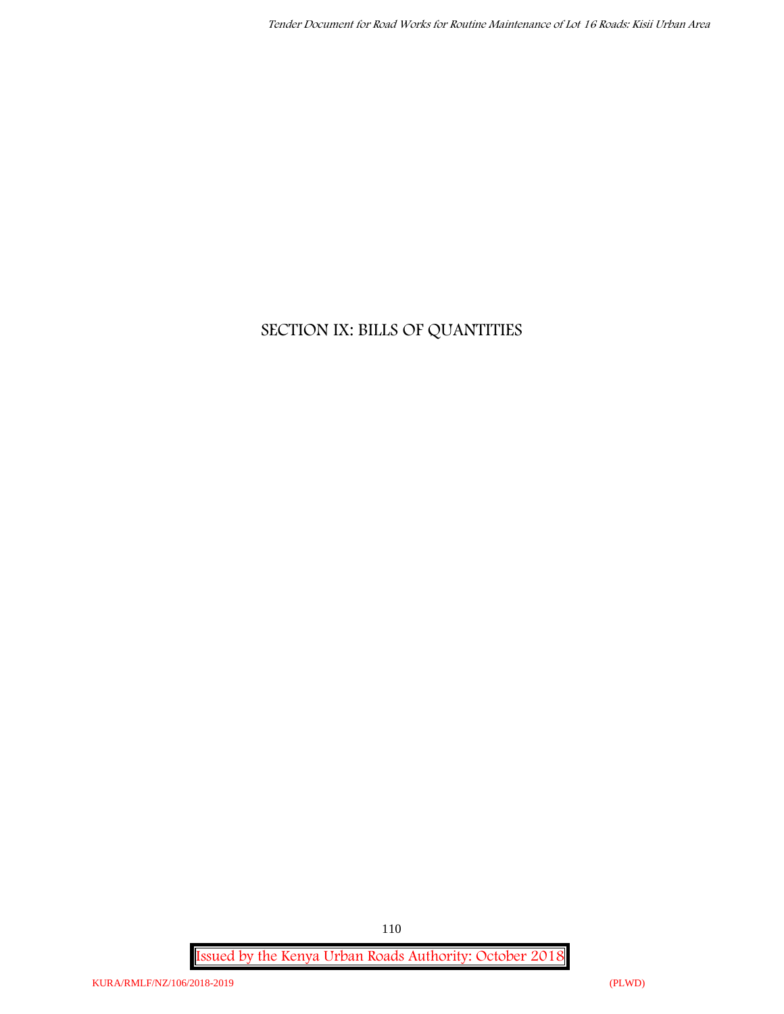# **SECTION IX: BILLS OF QUANTITIES**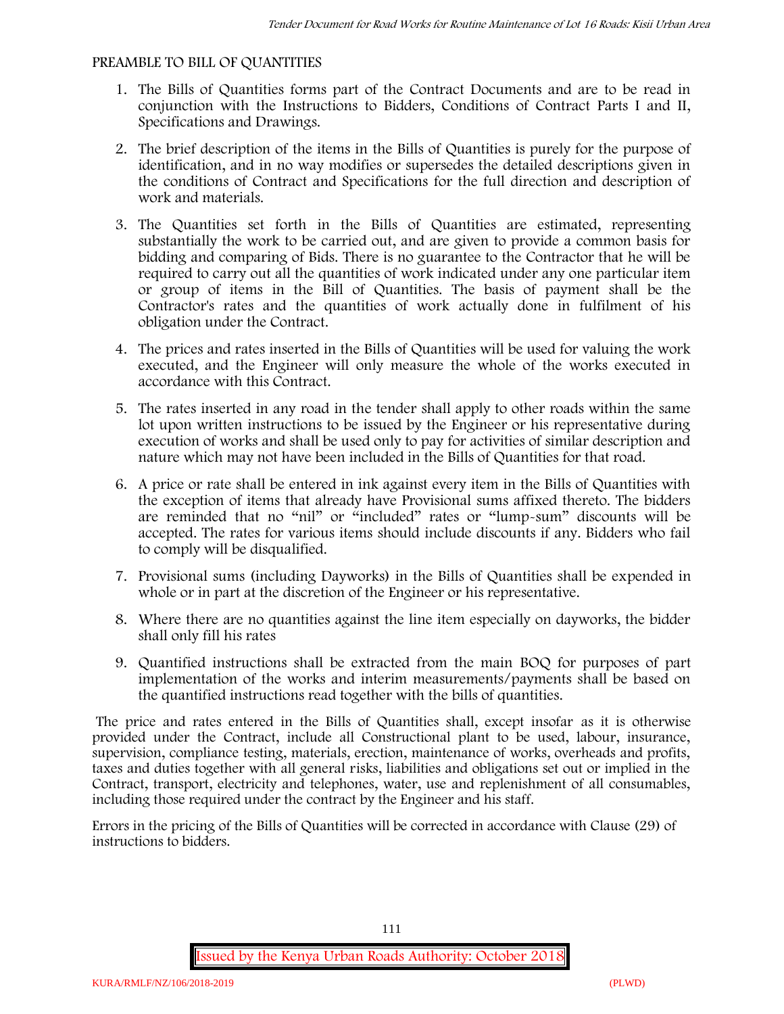#### **PREAMBLE TO BILL OF QUANTITIES**

- 1. The Bills of Quantities forms part of the Contract Documents and are to be read in conjunction with the Instructions to Bidders, Conditions of Contract Parts I and II, Specifications and Drawings.
- 2. The brief description of the items in the Bills of Quantities is purely for the purpose of identification, and in no way modifies or supersedes the detailed descriptions given in the conditions of Contract and Specifications for the full direction and description of work and materials.
- 3. The Quantities set forth in the Bills of Quantities are estimated, representing substantially the work to be carried out, and are given to provide a common basis for bidding and comparing of Bids. There is no guarantee to the Contractor that he will be required to carry out all the quantities of work indicated under any one particular item or group of items in the Bill of Quantities. The basis of payment shall be the Contractor's rates and the quantities of work actually done in fulfilment of his obligation under the Contract.
- 4. The prices and rates inserted in the Bills of Quantities will be used for valuing the work executed, and the Engineer will only measure the whole of the works executed in accordance with this Contract.
- 5. The rates inserted in any road in the tender shall apply to other roads within the same lot upon written instructions to be issued by the Engineer or his representative during execution of works and shall be used only to pay for activities of similar description and nature which may not have been included in the Bills of Quantities for that road.
- 6. A price or rate shall be entered in ink against every item in the Bills of Quantities with the exception of items that already have Provisional sums affixed thereto. The bidders are reminded that no "nil" or "included" rates or "lump-sum" discounts will be accepted. The rates for various items should include discounts if any. Bidders who fail to comply will be disqualified.
- 7. Provisional sums (including Dayworks) in the Bills of Quantities shall be expended in whole or in part at the discretion of the Engineer or his representative.
- 8. Where there are no quantities against the line item especially on dayworks, the bidder shall only fill his rates
- 9. Quantified instructions shall be extracted from the main BOQ for purposes of part implementation of the works and interim measurements/payments shall be based on the quantified instructions read together with the bills of quantities.

The price and rates entered in the Bills of Quantities shall, except insofar as it is otherwise provided under the Contract, include all Constructional plant to be used, labour, insurance, supervision, compliance testing, materials, erection, maintenance of works, overheads and profits, taxes and duties together with all general risks, liabilities and obligations set out or implied in the Contract, transport, electricity and telephones, water, use and replenishment of all consumables, including those required under the contract by the Engineer and his staff.

Errors in the pricing of the Bills of Quantities will be corrected in accordance with Clause (29) of instructions to bidders.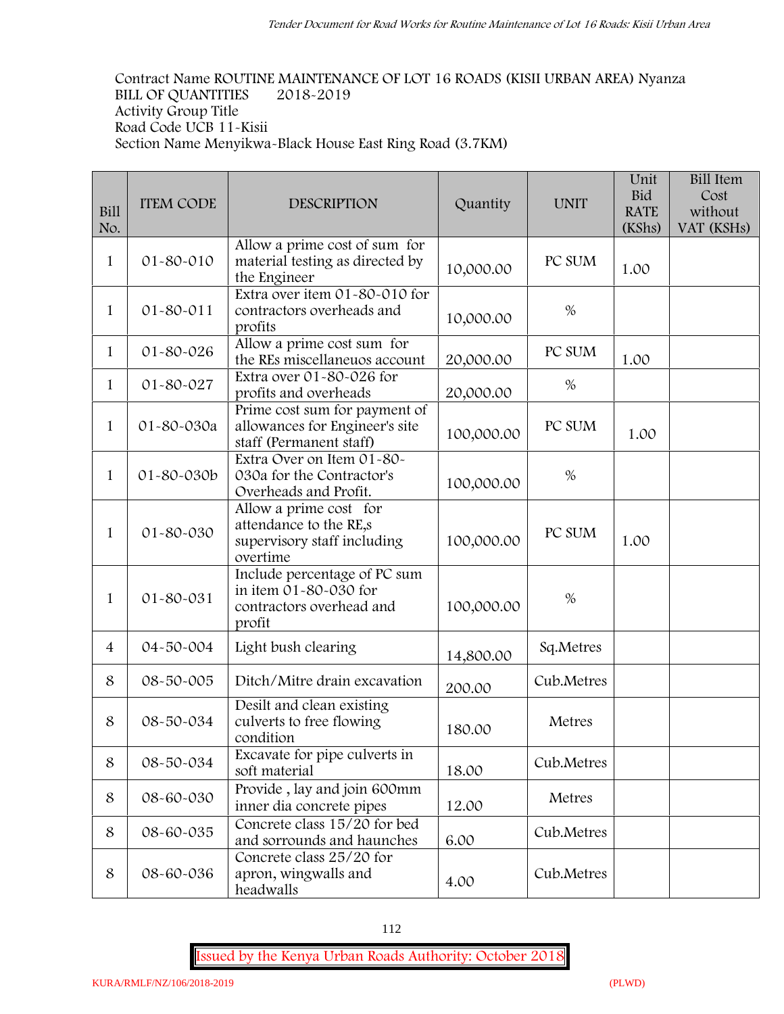**Contract Name ROUTINE MAINTENANCE OF LOT 16 ROADS (KISII URBAN AREA) Nyanza BILL OF QUANTITIES 2018-2019 Activity Group Title Road Code UCB 11-Kisii Section Name Menyikwa-Black House East Ring Road (3.7KM)**

| Bill<br>No.    | <b>ITEM CODE</b> | <b>DESCRIPTION</b>                                                                          | Quantity   | <b>UNIT</b> | Unit<br><b>Bid</b><br><b>RATE</b><br>(KShs) | <b>Bill Item</b><br>Cost<br>without<br>VAT (KSHs) |
|----------------|------------------|---------------------------------------------------------------------------------------------|------------|-------------|---------------------------------------------|---------------------------------------------------|
| 1              | 01-80-010        | Allow a prime cost of sum for<br>material testing as directed by<br>the Engineer            | 10,000.00  | PC SUM      | 1.00                                        |                                                   |
| $\mathbf{1}$   | $01 - 80 - 011$  | Extra over item 01-80-010 for<br>contractors overheads and<br>profits                       | 10,000.00  | $\%$        |                                             |                                                   |
| $\mathbf{1}$   | 01-80-026        | Allow a prime cost sum for<br>the REs miscellaneuos account                                 | 20,000.00  | PC SUM      | 1.00                                        |                                                   |
| 1              | 01-80-027        | Extra over 01-80-026 for<br>profits and overheads                                           | 20,000.00  | $\%$        |                                             |                                                   |
| $\mathbf{1}$   | 01-80-030a       | Prime cost sum for payment of<br>allowances for Engineer's site<br>staff (Permanent staff)  | 100,000.00 | PC SUM      | 1.00                                        |                                                   |
| $\mathbf{1}$   | 01-80-030b       | Extra Over on Item 01-80-<br>030a for the Contractor's<br>Overheads and Profit.             | 100,000.00 | $\%$        |                                             |                                                   |
| $\mathbf{1}$   | 01-80-030        | Allow a prime cost for<br>attendance to the RE,s<br>supervisory staff including<br>overtime | 100,000.00 | PC SUM      | 1.00                                        |                                                   |
| $\mathbf{1}$   | 01-80-031        | Include percentage of PC sum<br>in item 01-80-030 for<br>contractors overhead and<br>profit | 100,000.00 | $\%$        |                                             |                                                   |
| $\overline{4}$ | 04-50-004        | Light bush clearing                                                                         | 14,800.00  | Sq.Metres   |                                             |                                                   |
| 8              | 08-50-005        | Ditch/Mitre drain excavation                                                                | 200.00     | Cub.Metres  |                                             |                                                   |
| 8              | 08-50-034        | Desilt and clean existing<br>culverts to free flowing<br>condition                          | 180.00     | Metres      |                                             |                                                   |
| 8              | 08-50-034        | Excavate for pipe culverts in<br>soft material                                              | 18.00      | Cub.Metres  |                                             |                                                   |
| 8              | 08-60-030        | Provide, lay and join 600mm<br>inner dia concrete pipes                                     | 12.00      | Metres      |                                             |                                                   |
| 8              | 08-60-035        | Concrete class 15/20 for bed<br>and sorrounds and haunches                                  | 6.00       | Cub.Metres  |                                             |                                                   |
| $\,8\,$        | 08-60-036        | Concrete class 25/20 for<br>apron, wingwalls and<br>headwalls                               | 4.00       | Cub.Metres  |                                             |                                                   |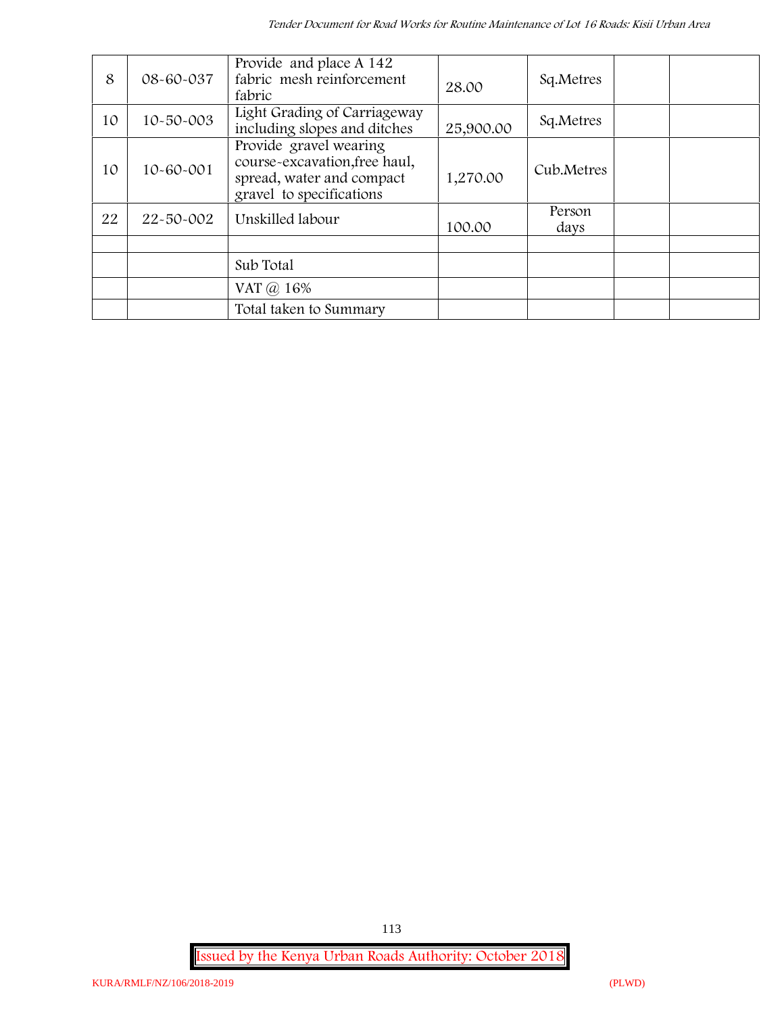| 8  | 08-60-037       | Provide and place A 142<br>fabric mesh reinforcement<br>fabric                                                   | 28.00     | Sq.Metres      |  |
|----|-----------------|------------------------------------------------------------------------------------------------------------------|-----------|----------------|--|
| 10 | $10 - 50 - 003$ | Light Grading of Carriageway<br>including slopes and ditches                                                     | 25,900.00 | Sq.Metres      |  |
| 10 | 10-60-001       | Provide gravel wearing<br>course-excavation, free haul,<br>spread, water and compact<br>gravel to specifications | 1,270.00  | Cub.Metres     |  |
| 22 | 22-50-002       | Unskilled labour                                                                                                 | 100.00    | Person<br>days |  |
|    |                 | Sub Total                                                                                                        |           |                |  |
|    |                 |                                                                                                                  |           |                |  |
|    |                 | VAT @ 16%                                                                                                        |           |                |  |
|    |                 | Total taken to Summary                                                                                           |           |                |  |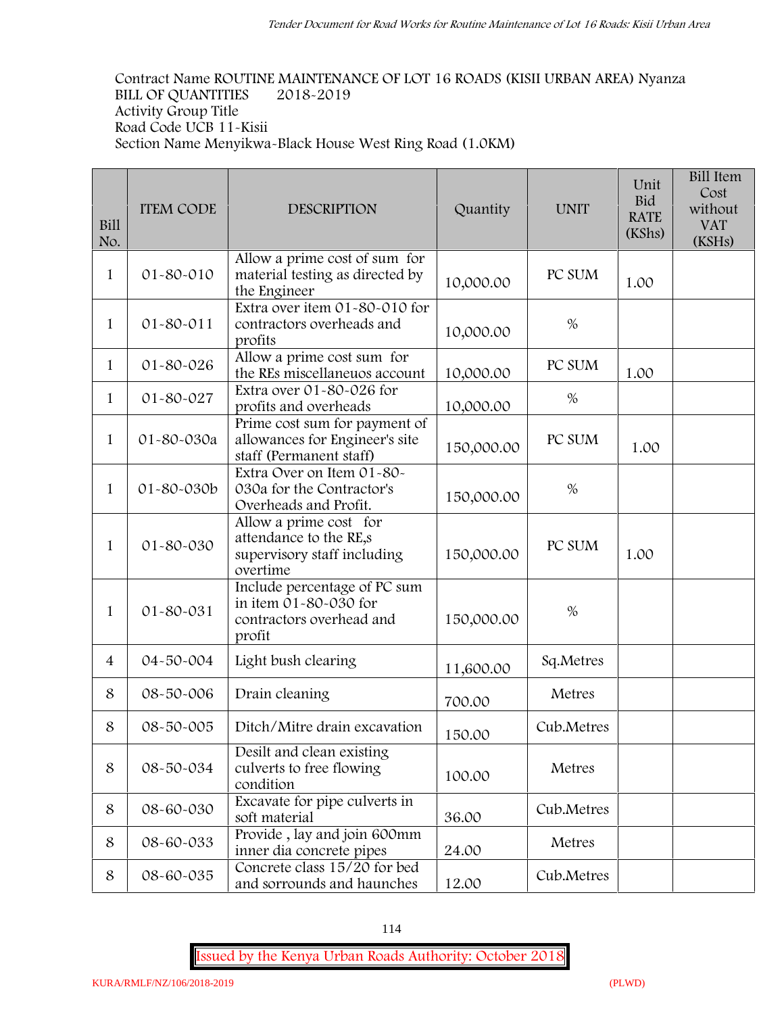**Contract Name ROUTINE MAINTENANCE OF LOT 16 ROADS (KISII URBAN AREA) Nyanza BILL OF QUANTITIES 2018-2019 Activity Group Title Road Code UCB 11-Kisii Section Name Menyikwa-Black House West Ring Road (1.0KM)**

| Bill<br>No.    | <b>ITEM CODE</b> | <b>DESCRIPTION</b>                                                                          | Quantity   | <b>UNIT</b> | Unit<br><b>Bid</b><br><b>RATE</b><br>(KShs) | <b>Bill Item</b><br>Cost<br>without<br><b>VAT</b><br>(KSHs) |  |
|----------------|------------------|---------------------------------------------------------------------------------------------|------------|-------------|---------------------------------------------|-------------------------------------------------------------|--|
| 1              | 01-80-010        | Allow a prime cost of sum for<br>material testing as directed by<br>the Engineer            | 10,000.00  | PC SUM      | 1.00                                        |                                                             |  |
| 1              | 01-80-011        | Extra over item 01-80-010 for<br>contractors overheads and<br>profits                       | 10,000.00  | $\%$        |                                             |                                                             |  |
| $\mathbf{1}$   | 01-80-026        | Allow a prime cost sum for<br>the REs miscellaneuos account                                 | 10,000.00  | PC SUM      | 1.00                                        |                                                             |  |
| 1              | 01-80-027        | Extra over 01-80-026 for<br>profits and overheads                                           | 10,000.00  | %           |                                             |                                                             |  |
| $\mathbf{1}$   | 01-80-030a       | Prime cost sum for payment of<br>allowances for Engineer's site<br>staff (Permanent staff)  | 150,000.00 | PC SUM      | 1.00                                        |                                                             |  |
| 1              | 01-80-030b       | Extra Over on Item 01-80-<br>030a for the Contractor's<br>Overheads and Profit.             | 150,000.00 | $\%$        |                                             |                                                             |  |
| 1              | 01-80-030        | Allow a prime cost for<br>attendance to the RE,s<br>supervisory staff including<br>overtime | 150,000.00 | PC SUM      | 1.00                                        |                                                             |  |
| 1              | 01-80-031        | Include percentage of PC sum<br>in item 01-80-030 for<br>contractors overhead and<br>profit | 150,000.00 | $\%$        |                                             |                                                             |  |
| $\overline{4}$ | 04-50-004        | Light bush clearing                                                                         | 11,600.00  | Sq.Metres   |                                             |                                                             |  |
| 8              | 08-50-006        | Drain cleaning                                                                              | 700.00     | Metres      |                                             |                                                             |  |
| 8              | 08-50-005        | Ditch/Mitre drain excavation                                                                | 150.00     | Cub.Metres  |                                             |                                                             |  |
| 8              | 08-50-034        | Desilt and clean existing<br>culverts to free flowing<br>condition                          | 100.00     | Metres      |                                             |                                                             |  |
| 8              | 08-60-030        | Excavate for pipe culverts in<br>soft material                                              | 36.00      | Cub.Metres  |                                             |                                                             |  |
| 8              | 08-60-033        | Provide, lay and join 600mm<br>inner dia concrete pipes                                     | 24.00      | Metres      |                                             |                                                             |  |
| 8              | 08-60-035        | Concrete class 15/20 for bed<br>and sorrounds and haunches                                  | 12.00      | Cub.Metres  |                                             |                                                             |  |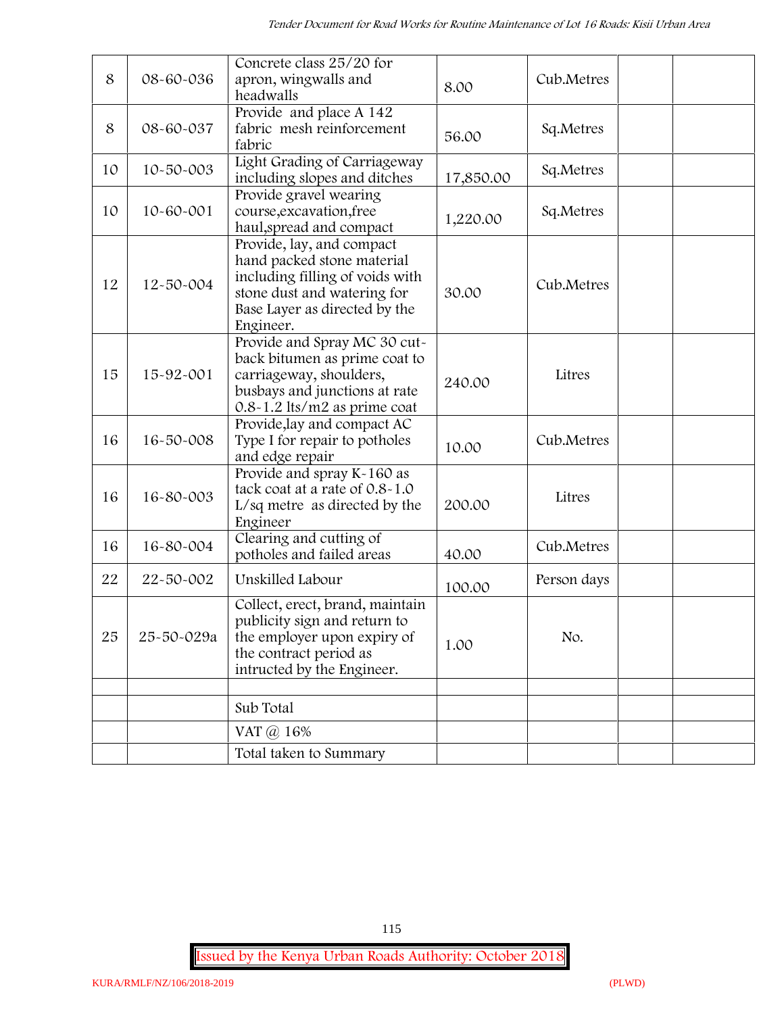| 8  | 08-60-036       | Concrete class 25/20 for<br>apron, wingwalls and<br>headwalls                                                                                                           | 8.00      | Cub.Metres  |  |
|----|-----------------|-------------------------------------------------------------------------------------------------------------------------------------------------------------------------|-----------|-------------|--|
| 8  | 08-60-037       | Provide and place A 142<br>fabric mesh reinforcement<br>fabric                                                                                                          | 56.00     | Sq.Metres   |  |
| 10 | 10-50-003       | Light Grading of Carriageway<br>including slopes and ditches                                                                                                            | 17,850.00 | Sq.Metres   |  |
| 10 | $10 - 60 - 001$ | Provide gravel wearing<br>course, excavation, free<br>haul, spread and compact                                                                                          | 1,220.00  | Sq.Metres   |  |
| 12 | 12-50-004       | Provide, lay, and compact<br>hand packed stone material<br>including filling of voids with<br>stone dust and watering for<br>Base Layer as directed by the<br>Engineer. | 30.00     | Cub.Metres  |  |
| 15 | 15-92-001       | Provide and Spray MC 30 cut-<br>back bitumen as prime coat to<br>carriageway, shoulders,<br>busbays and junctions at rate<br>$0.8 - 1.2$ lts/m2 as prime coat           | 240.00    | Litres      |  |
| 16 | 16-50-008       | Provide, lay and compact AC<br>Type I for repair to potholes<br>and edge repair                                                                                         | 10.00     | Cub.Metres  |  |
| 16 | 16-80-003       | Provide and spray K-160 as<br>tack coat at a rate of 0.8-1.0<br>L/sq metre as directed by the<br>Engineer                                                               | 200.00    | Litres      |  |
| 16 | 16-80-004       | Clearing and cutting of<br>potholes and failed areas                                                                                                                    | 40.00     | Cub.Metres  |  |
| 22 | 22-50-002       | Unskilled Labour                                                                                                                                                        | 100.00    | Person days |  |
| 25 | 25-50-029a      | Collect, erect, brand, maintain<br>publicity sign and return to<br>the employer upon expiry of<br>the contract period as<br>intructed by the Engineer.                  | 1.00      | No.         |  |
|    |                 | Sub Total                                                                                                                                                               |           |             |  |
|    |                 | VAT @ 16%                                                                                                                                                               |           |             |  |
|    |                 | Total taken to Summary                                                                                                                                                  |           |             |  |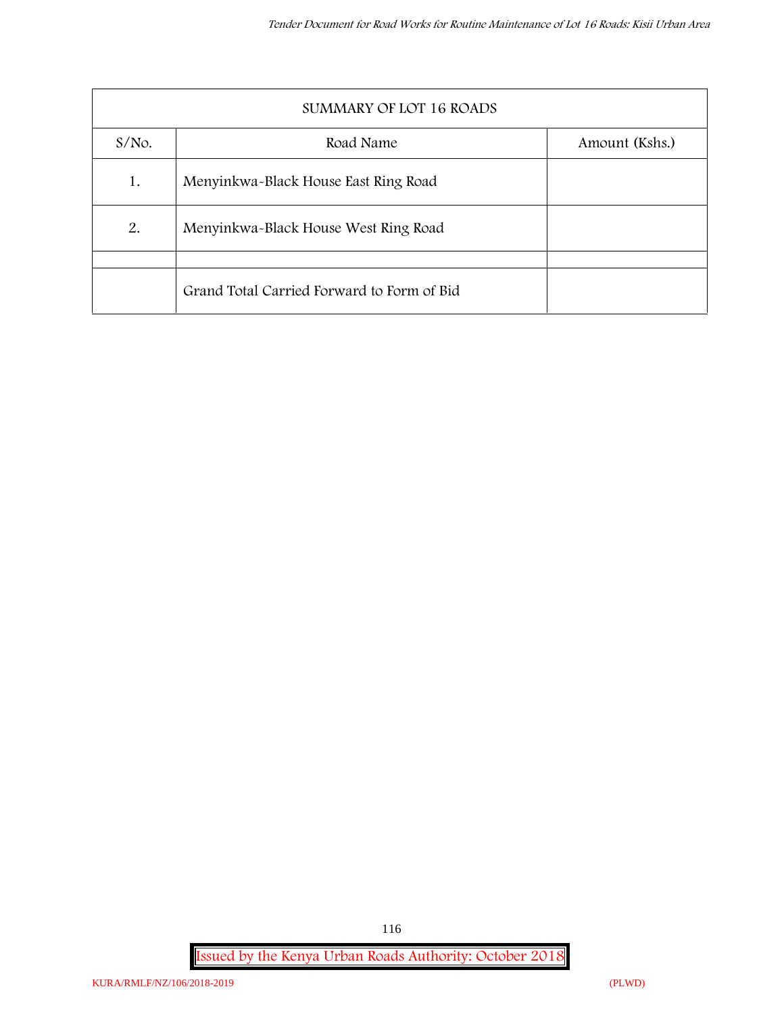|          | SUMMARY OF LOT 16 ROADS                    |                |  |  |  |  |  |
|----------|--------------------------------------------|----------------|--|--|--|--|--|
| $S/NO$ . | Road Name                                  | Amount (Kshs.) |  |  |  |  |  |
| 1.       | Menyinkwa-Black House East Ring Road       |                |  |  |  |  |  |
| 2.       | Menyinkwa-Black House West Ring Road       |                |  |  |  |  |  |
|          | Grand Total Carried Forward to Form of Bid |                |  |  |  |  |  |
|          |                                            |                |  |  |  |  |  |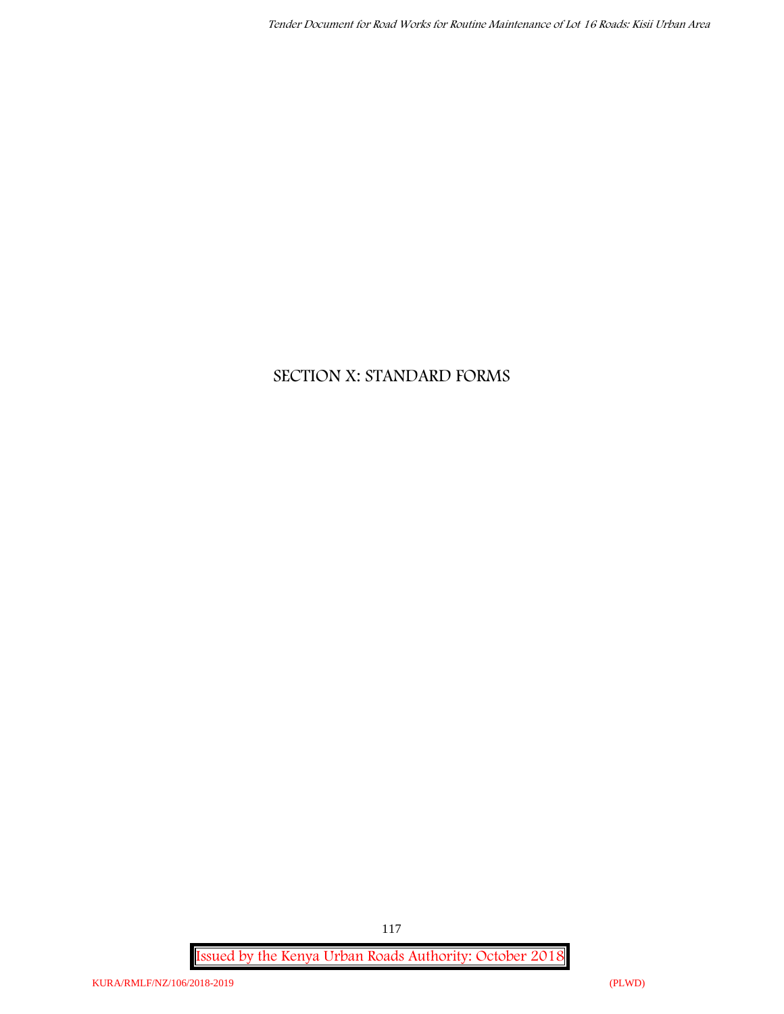# **SECTION X: STANDARD FORMS**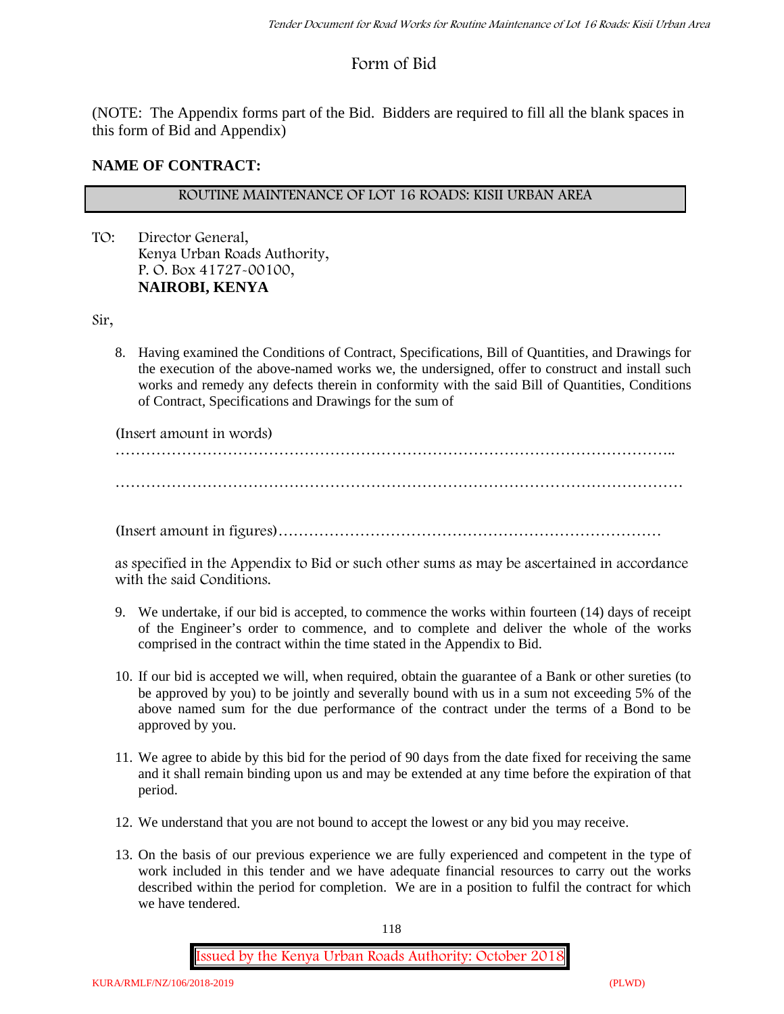# **Form of Bid**

(NOTE: The Appendix forms part of the Bid. Bidders are required to fill all the blank spaces in this form of Bid and Appendix)

#### **NAME OF CONTRACT:**

#### **ROUTINE MAINTENANCE OF LOT 16 ROADS: KISII URBAN AREA**

TO: Director General, Kenya Urban Roads Authority, P. O. Box 41727-00100, **NAIROBI, KENYA**

Sir,

8. Having examined the Conditions of Contract, Specifications, Bill of Quantities, and Drawings for the execution of the above-named works we, the undersigned, offer to construct and install such works and remedy any defects therein in conformity with the said Bill of Quantities, Conditions of Contract, Specifications and Drawings for the sum of

(Insert amount in words)

………………………………………………………………………………………………..

…………………………………………………………………………………………………

(Insert amount in figures)…………………………………………………………………

as specified in the Appendix to Bid or such other sums as may be ascertained in accordance with the said Conditions.

- 9. We undertake, if our bid is accepted, to commence the works within fourteen (14) days of receipt of the Engineer's order to commence, and to complete and deliver the whole of the works comprised in the contract within the time stated in the Appendix to Bid.
- 10. If our bid is accepted we will, when required, obtain the guarantee of a Bank or other sureties (to be approved by you) to be jointly and severally bound with us in a sum not exceeding 5% of the above named sum for the due performance of the contract under the terms of a Bond to be approved by you.
- 11. We agree to abide by this bid for the period of 90 days from the date fixed for receiving the same and it shall remain binding upon us and may be extended at any time before the expiration of that period.
- 12. We understand that you are not bound to accept the lowest or any bid you may receive.
- 13. On the basis of our previous experience we are fully experienced and competent in the type of work included in this tender and we have adequate financial resources to carry out the works described within the period for completion. We are in a position to fulfil the contract for which we have tendered.

118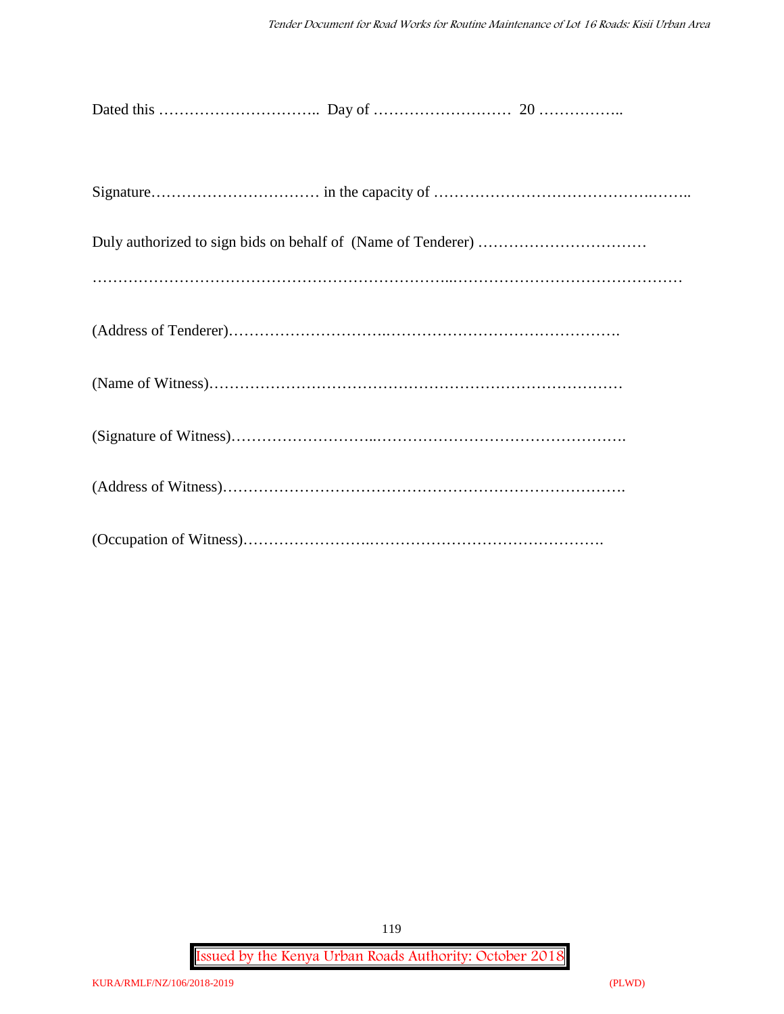**Issued by the Kenya Urban Roads Authority: October 2018**

119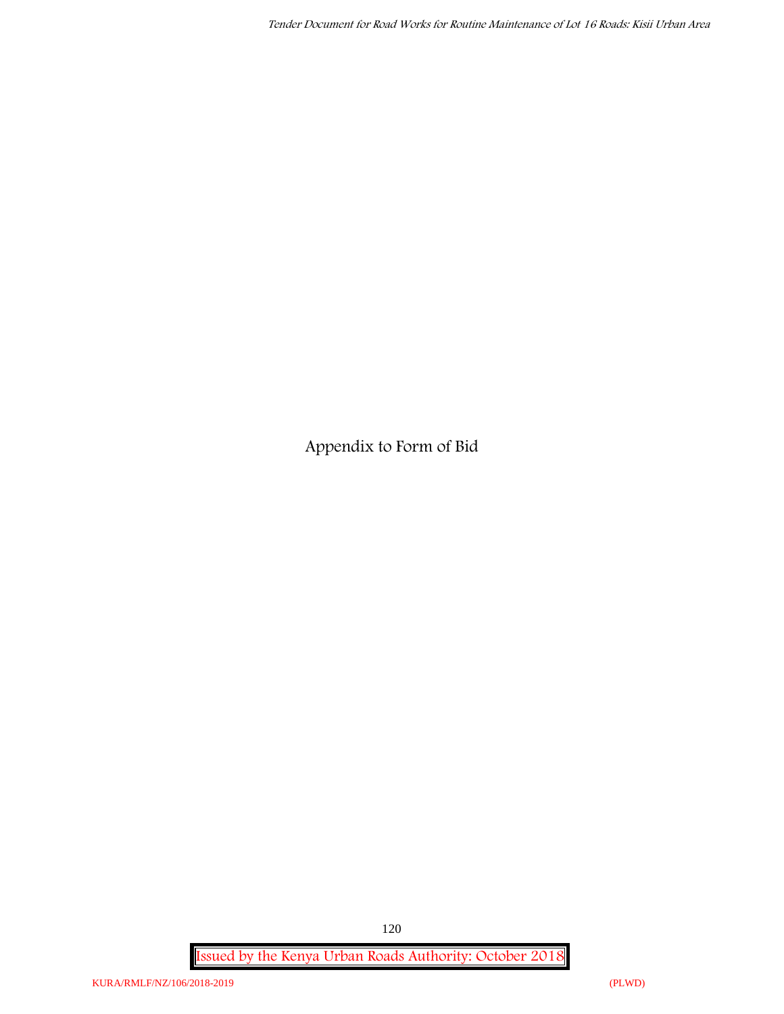**Appendix to Form of Bid**

**Issued by the Kenya Urban Roads Authority: October 2018**

120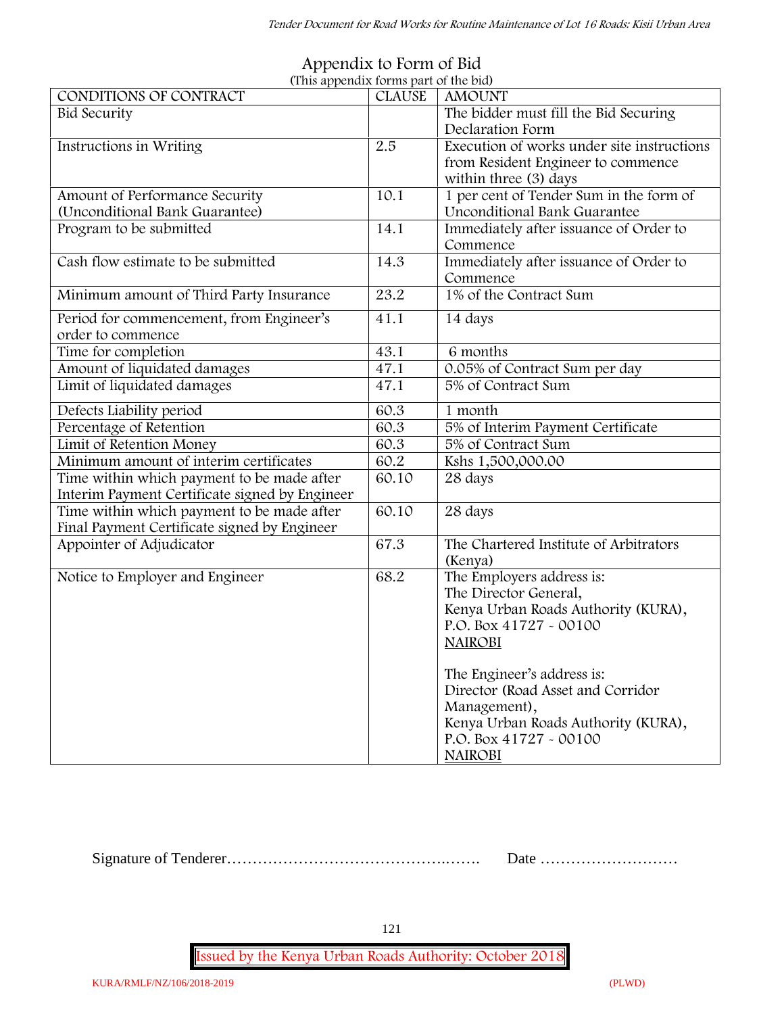| <b>CLAUSE</b><br><b>AMOUNT</b>                                                                                                                                                                                                                                                                    |
|---------------------------------------------------------------------------------------------------------------------------------------------------------------------------------------------------------------------------------------------------------------------------------------------------|
|                                                                                                                                                                                                                                                                                                   |
| The bidder must fill the Bid Securing<br>Declaration Form                                                                                                                                                                                                                                         |
| Execution of works under site instructions<br>2.5<br>from Resident Engineer to commence<br>within three (3) days                                                                                                                                                                                  |
| 10.1<br>1 per cent of Tender Sum in the form of                                                                                                                                                                                                                                                   |
| <b>Unconditional Bank Guarantee</b>                                                                                                                                                                                                                                                               |
| 14.1<br>Immediately after issuance of Order to<br>Commence                                                                                                                                                                                                                                        |
| 14.3<br>Immediately after issuance of Order to<br>Commence                                                                                                                                                                                                                                        |
| 23.2<br>1% of the Contract Sum                                                                                                                                                                                                                                                                    |
| 41.1<br>14 days                                                                                                                                                                                                                                                                                   |
| 43.1<br>6 months                                                                                                                                                                                                                                                                                  |
| 0.05% of Contract Sum per day<br>47.1                                                                                                                                                                                                                                                             |
| 5% of Contract Sum<br>47.1                                                                                                                                                                                                                                                                        |
| 60.3<br>1 month                                                                                                                                                                                                                                                                                   |
| 60.3<br>5% of Interim Payment Certificate                                                                                                                                                                                                                                                         |
| 5% of Contract Sum<br>60.3                                                                                                                                                                                                                                                                        |
| 60.2<br>Kshs 1,500,000.00                                                                                                                                                                                                                                                                         |
| 60.10<br>28 days                                                                                                                                                                                                                                                                                  |
|                                                                                                                                                                                                                                                                                                   |
| 60.10<br>28 days                                                                                                                                                                                                                                                                                  |
| The Chartered Institute of Arbitrators<br>67.3<br>(Kenya)                                                                                                                                                                                                                                         |
| 68.2<br>The Employers address is:<br>The Director General,<br>Kenya Urban Roads Authority (KURA),<br>P.O. Box 41727 - 00100<br><b>NAIROBI</b><br>The Engineer's address is:<br>Director (Road Asset and Corridor<br>Management),<br>Kenya Urban Roads Authority (KURA),<br>P.O. Box 41727 - 00100 |
|                                                                                                                                                                                                                                                                                                   |

#### **Appendix to Form of Bid (This appendix forms part of the bid)**

Signature of Tenderer…………………………………….……. Date ………………………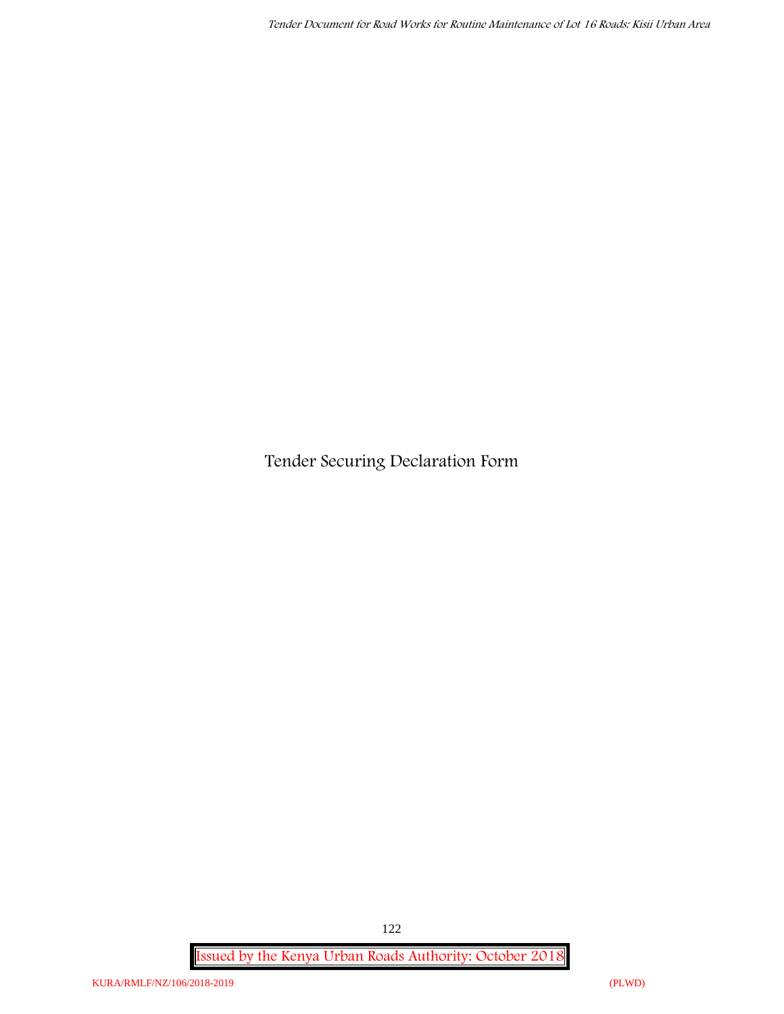**Tender Securing Declaration Form**

**Issued by the Kenya Urban Roads Authority: October 2018**

122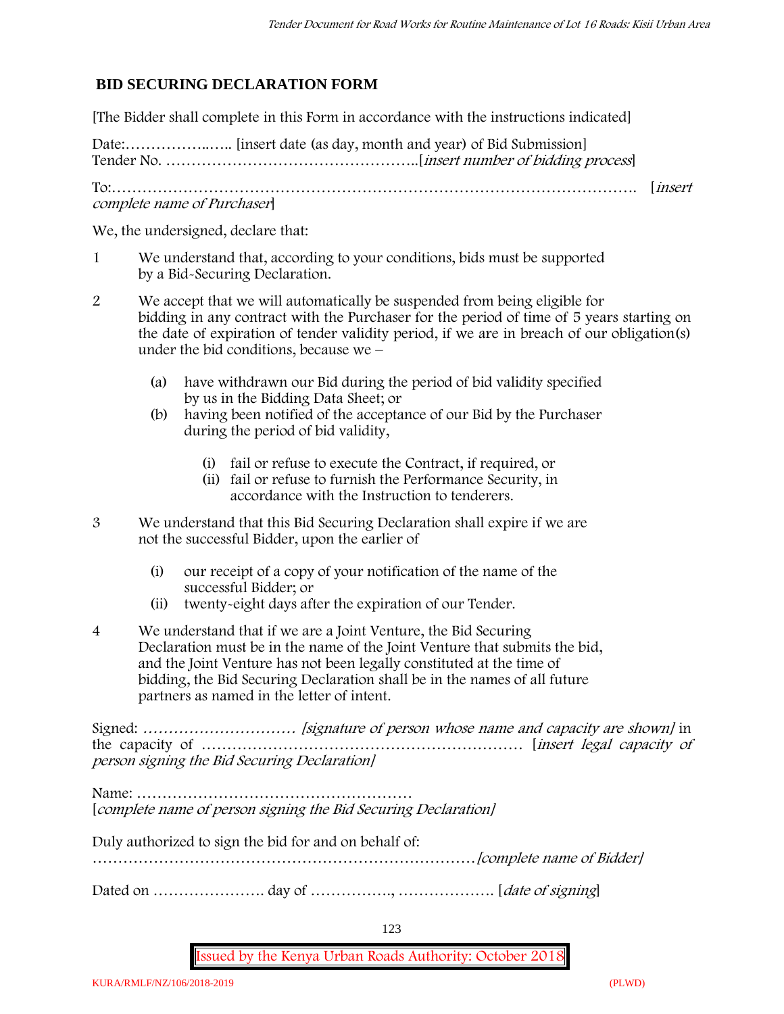## **BID SECURING DECLARATION FORM**

[The Bidder shall complete in this Form in accordance with the instructions indicated]

Date:……………..….. [insert date (as day, month and year) of Bid Submission] Tender No. …………………………………………..[*insert number of bidding process*]

To:…………………………………………………………………………………………. [*insert complete name of Purchaser*]

We, the undersigned, declare that:

- 1 We understand that, according to your conditions, bids must be supported by a Bid-Securing Declaration.
- 2 We accept that we will automatically be suspended from being eligible for bidding in any contract with the Purchaser for the period of time of **5 years** starting on the date of expiration of tender validity period, if we are in breach of our obligation(s) under the bid conditions, because we –
	- (a) have withdrawn our Bid during the period of bid validity specified by us in the Bidding Data Sheet; or
	- (b) having been notified of the acceptance of our Bid by the Purchaser during the period of bid validity,
		- (i) fail or refuse to execute the Contract, if required, or
		- (ii) fail or refuse to furnish the Performance Security, in accordance with the Instruction to tenderers.
- 3 We understand that this Bid Securing Declaration shall expire if we are not the successful Bidder, upon the earlier of
	- (i) our receipt of a copy of your notification of the name of the successful Bidder; or
	- (ii) twenty-eight days after the expiration of our Tender.
- 4 We understand that if we are a Joint Venture, the Bid Securing Declaration must be in the name of the Joint Venture that submits the bid, and the Joint Venture has not been legally constituted at the time of bidding, the Bid Securing Declaration shall be in the names of all future partners as named in the letter of intent.

Signed: *………………………… [signature of person whose name and capacity are shown]* in the capacity of ……………………………………………………… [*insert legal capacity of person signing the Bid Securing Declaration]*

Name: ……………………………………………… [*complete name of person signing the Bid Securing Declaration]*

Duly authorized to sign the bid for and on behalf of:

…………………………………………………………………*[complete name of Bidder]*

Dated on …………………. day of ……………., ………………. [*date of signing*]

123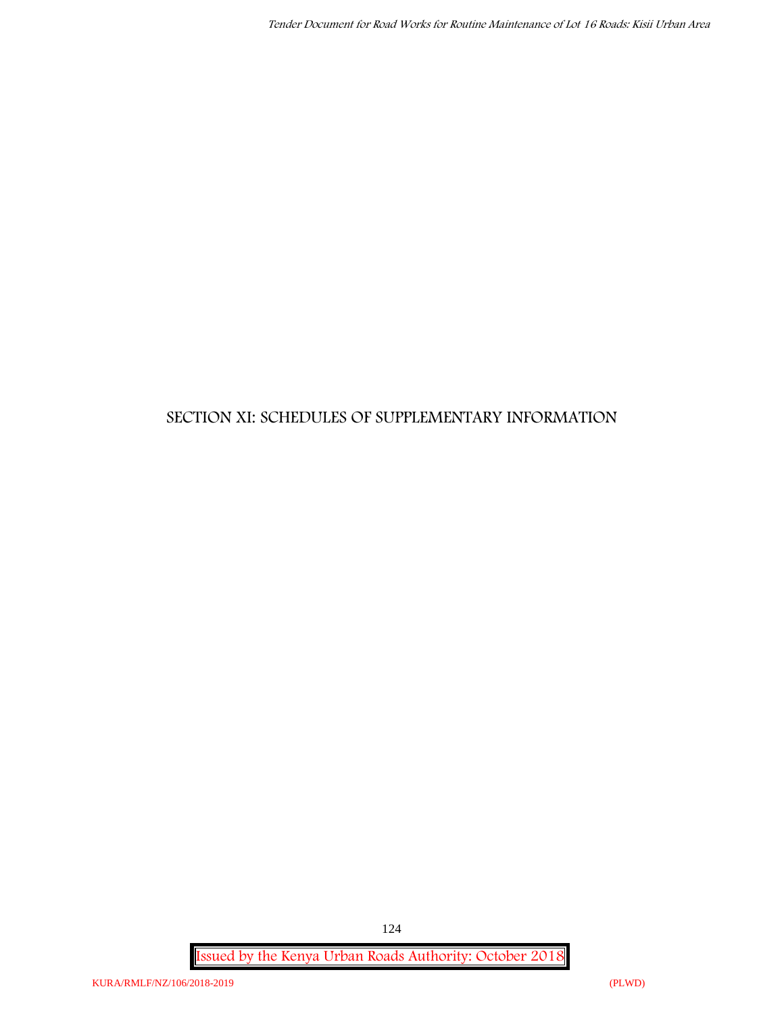# **SECTION XI: SCHEDULES OF SUPPLEMENTARY INFORMATION**

**Issued by the Kenya Urban Roads Authority: October 2018**

124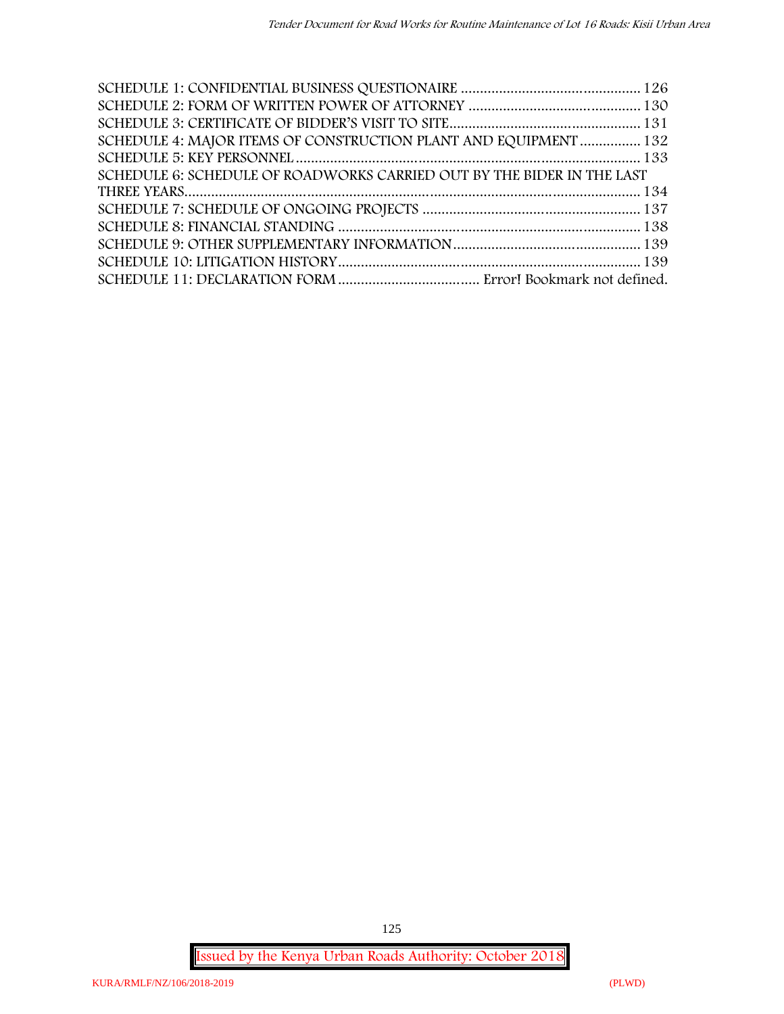| SCHEDULE 4: MAJOR ITEMS OF CONSTRUCTION PLANT AND EQUIPMENT  132       |  |
|------------------------------------------------------------------------|--|
|                                                                        |  |
| SCHEDULE 6: SCHEDULE OF ROADWORKS CARRIED OUT BY THE BIDER IN THE LAST |  |
|                                                                        |  |
|                                                                        |  |
|                                                                        |  |
|                                                                        |  |
|                                                                        |  |
|                                                                        |  |

**Issued by the Kenya Urban Roads Authority: October 2018**

125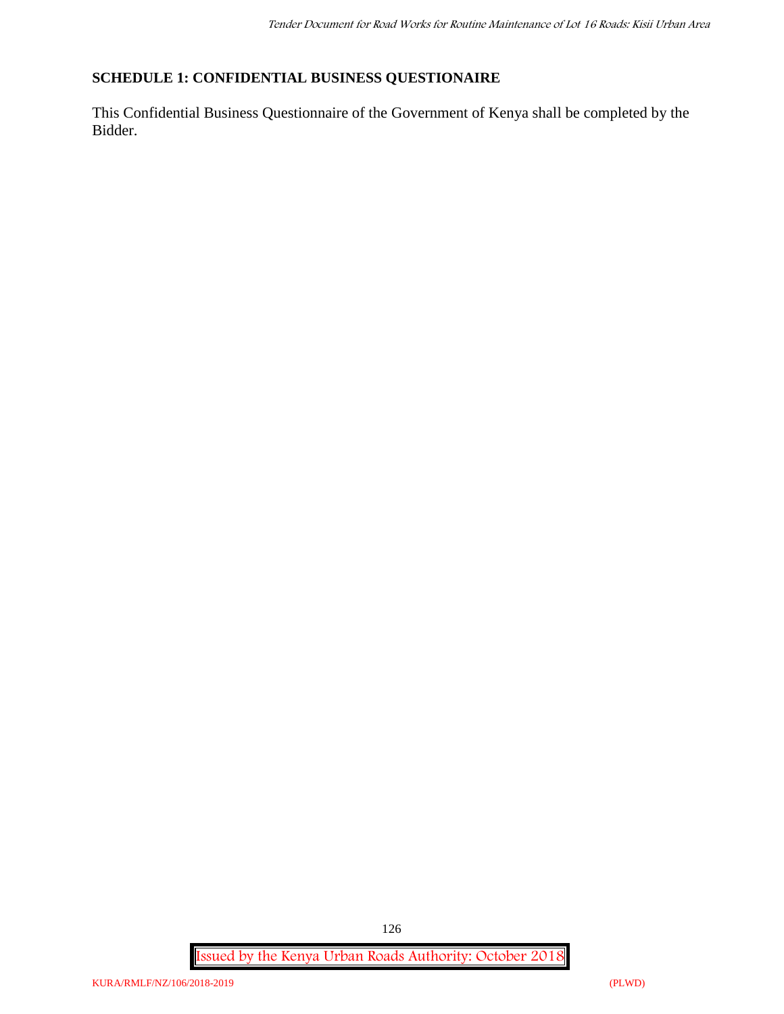### **SCHEDULE 1: CONFIDENTIAL BUSINESS QUESTIONAIRE**

This Confidential Business Questionnaire of the Government of Kenya shall be completed by the Bidder.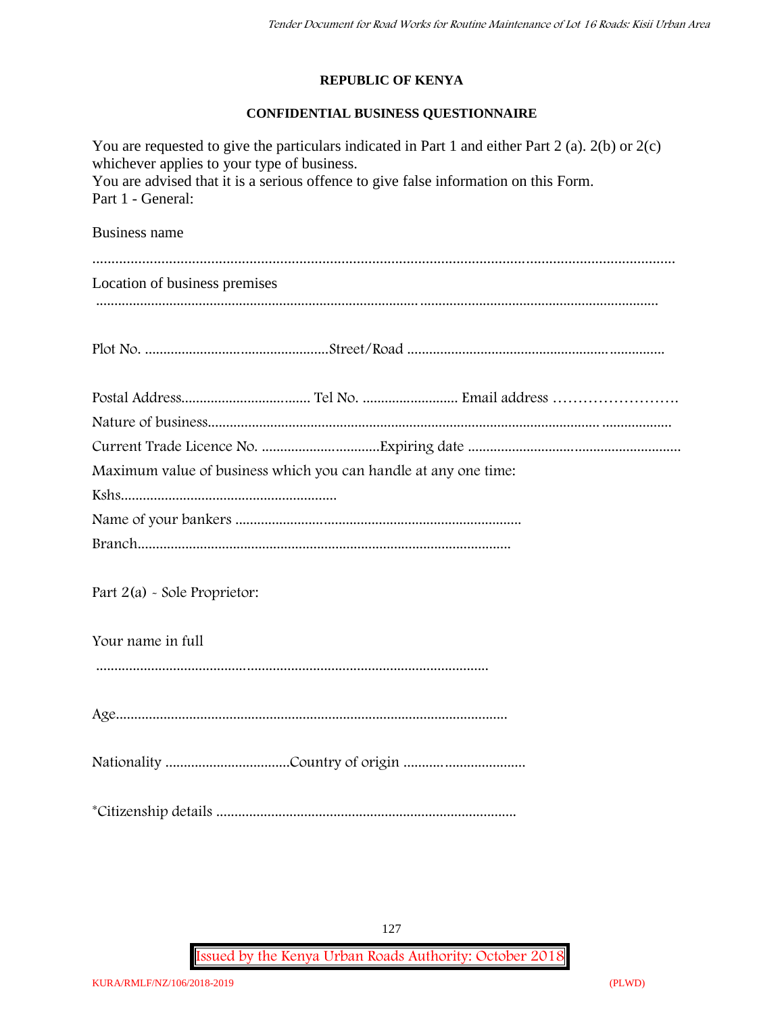#### **REPUBLIC OF KENYA**

#### **CONFIDENTIAL BUSINESS QUESTIONNAIRE**

| You are requested to give the particulars indicated in Part 1 and either Part 2 (a). $2(b)$ or $2(c)$<br>whichever applies to your type of business.<br>You are advised that it is a serious offence to give false information on this Form.<br>Part 1 - General: |
|-------------------------------------------------------------------------------------------------------------------------------------------------------------------------------------------------------------------------------------------------------------------|
| Business name                                                                                                                                                                                                                                                     |
|                                                                                                                                                                                                                                                                   |
| Location of business premises                                                                                                                                                                                                                                     |
|                                                                                                                                                                                                                                                                   |
|                                                                                                                                                                                                                                                                   |
|                                                                                                                                                                                                                                                                   |
|                                                                                                                                                                                                                                                                   |
|                                                                                                                                                                                                                                                                   |
| Maximum value of business which you can handle at any one time:                                                                                                                                                                                                   |
|                                                                                                                                                                                                                                                                   |
|                                                                                                                                                                                                                                                                   |
|                                                                                                                                                                                                                                                                   |
| Part $2(a)$ - Sole Proprietor:                                                                                                                                                                                                                                    |
| Your name in full                                                                                                                                                                                                                                                 |
|                                                                                                                                                                                                                                                                   |
|                                                                                                                                                                                                                                                                   |
|                                                                                                                                                                                                                                                                   |
|                                                                                                                                                                                                                                                                   |

127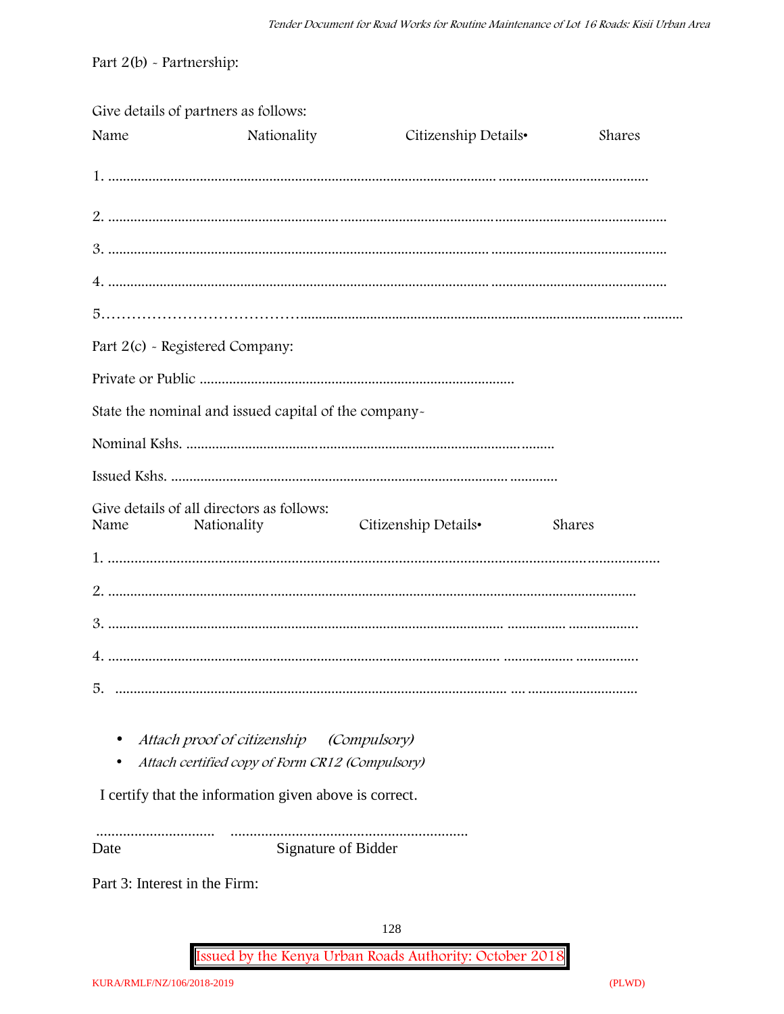Part  $2(b)$  - Partnership:

| Give details of partners as follows: |                                                                                |                      |        |
|--------------------------------------|--------------------------------------------------------------------------------|----------------------|--------|
| Name                                 | Nationality                                                                    | Citizenship Details• | Shares |
|                                      |                                                                                |                      |        |
|                                      |                                                                                |                      |        |
|                                      |                                                                                |                      |        |
|                                      |                                                                                |                      |        |
|                                      |                                                                                |                      |        |
| Part 2(c) - Registered Company:      |                                                                                |                      |        |
|                                      |                                                                                |                      |        |
|                                      | State the nominal and issued capital of the company-                           |                      |        |
|                                      |                                                                                |                      |        |
|                                      |                                                                                |                      |        |
| Name                                 | Give details of all directors as follows:<br>Nationality                       | Citizenship Details• | Shares |
|                                      |                                                                                |                      |        |
|                                      |                                                                                |                      |        |
|                                      |                                                                                |                      |        |
|                                      |                                                                                |                      |        |
| 5.                                   |                                                                                |                      |        |
|                                      | Attach proof of citizenship<br>Attach certified copy of Form CR12 (Compulsory) | (Compulsory)         |        |
|                                      | I certify that the information given above is correct.                         |                      |        |

 $\begin{minipage}{.4\linewidth} \begin{tabular}{l} \hline \textbf{0} & \textbf{0} & \textbf{0} & \textbf{0} & \textbf{0} & \textbf{0} & \textbf{0} & \textbf{0} & \textbf{0} & \textbf{0} & \textbf{0} & \textbf{0} & \textbf{0} & \textbf{0} & \textbf{0} & \textbf{0} & \textbf{0} & \textbf{0} & \textbf{0} & \textbf{0} & \textbf{0} & \textbf{0} & \textbf{0} & \textbf{0} & \textbf{0} & \textbf{0} & \textbf{0} & \textbf{0} & \$ Signature of Bidder Date

Part 3: Interest in the Firm: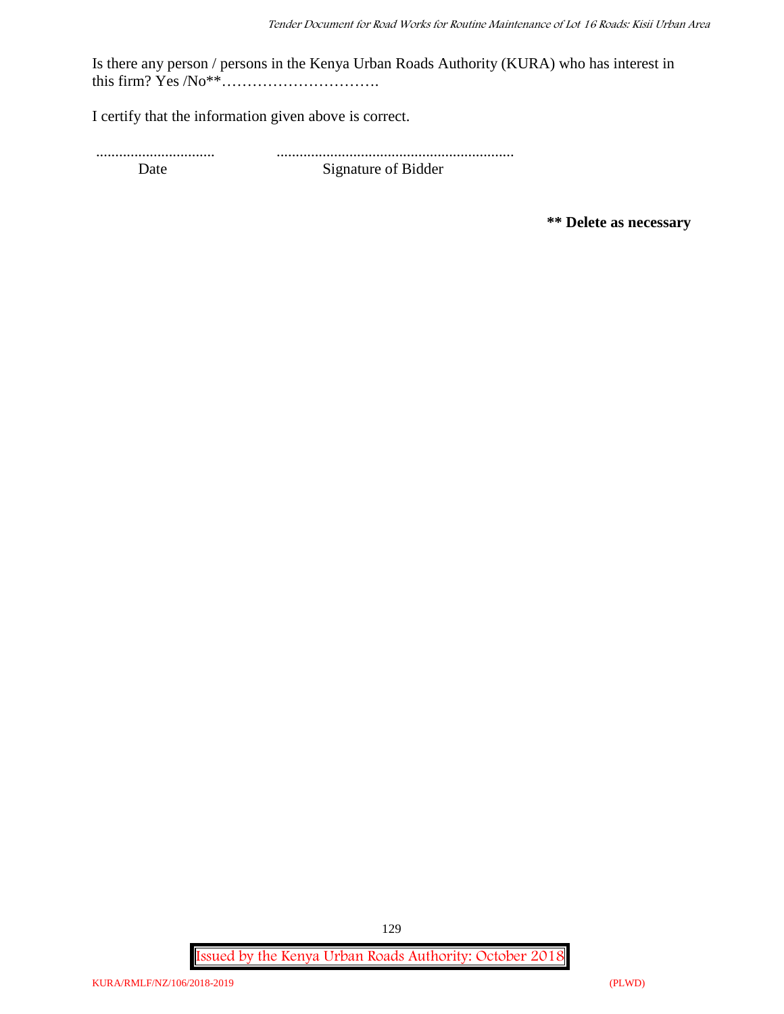Is there any person / persons in the Kenya Urban Roads Authority (KURA) who has interest in this firm? Yes /No\*\*………………………….

I certify that the information given above is correct.

............................... .............................................................. Date Signature of Bidder

**\*\* Delete as necessary**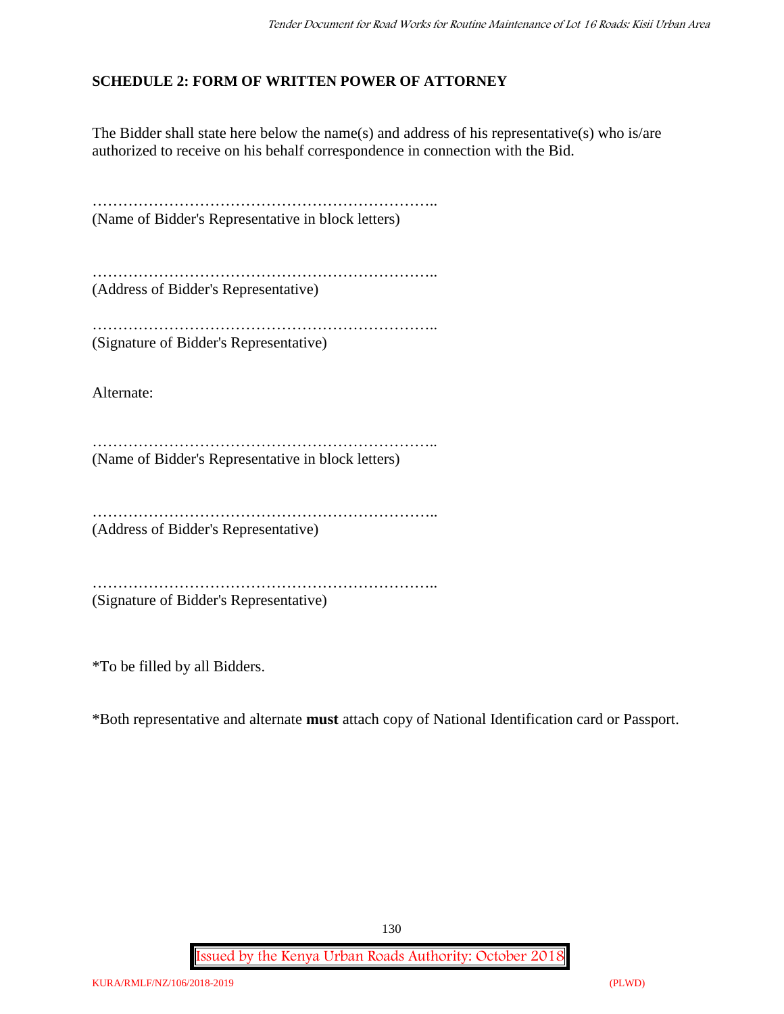### **SCHEDULE 2: FORM OF WRITTEN POWER OF ATTORNEY**

The Bidder shall state here below the name(s) and address of his representative(s) who is/are authorized to receive on his behalf correspondence in connection with the Bid.

………………………………………………………….. (Name of Bidder's Representative in block letters)

………………………………………………………….. (Address of Bidder's Representative)

………………………………………………………………… (Signature of Bidder's Representative)

Alternate:

………………………………………………………….. (Name of Bidder's Representative in block letters)

…………………………………………………………..

(Address of Bidder's Representative)

………………………………………………………….. (Signature of Bidder's Representative)

\*To be filled by all Bidders.

\*Both representative and alternate **must** attach copy of National Identification card or Passport.

130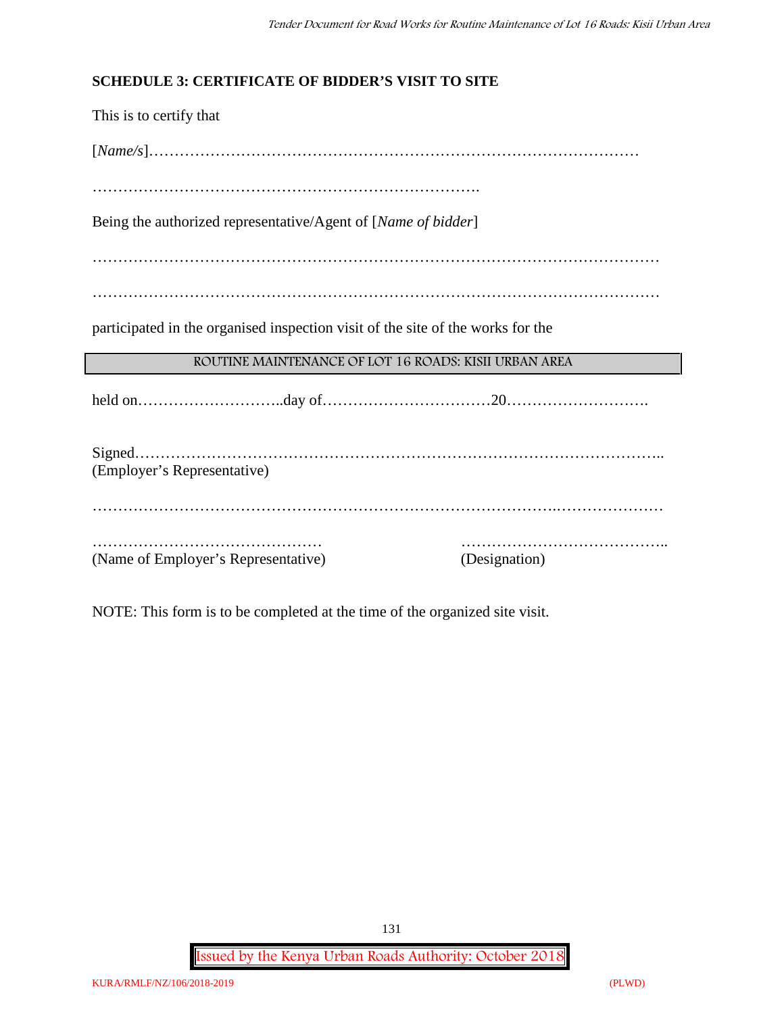### **SCHEDULE 3: CERTIFICATE OF BIDDER'S VISIT TO SITE**

This is to certify that [*Name/s*]…………………………………………………………………………………… …………………………………………………………………. Being the authorized representative/Agent of [*Name of bidder*] ………………………………………………………………………………………………… ………………………………………………………………………………………………… participated in the organised inspection visit of the site of the works for the **ROUTINE MAINTENANCE OF LOT 16 ROADS: KISII URBAN AREA** held on………………………..day of……………………………20………………………. Signed………………………………………………………………………………………….. (Employer's Representative) ……………………………………………………………………………….………………… ……………………………………… ………………………………….. (Name of Employer's Representative) (Designation)

NOTE: This form is to be completed at the time of the organized site visit.

**Issued by the Kenya Urban Roads Authority: October 2018**

131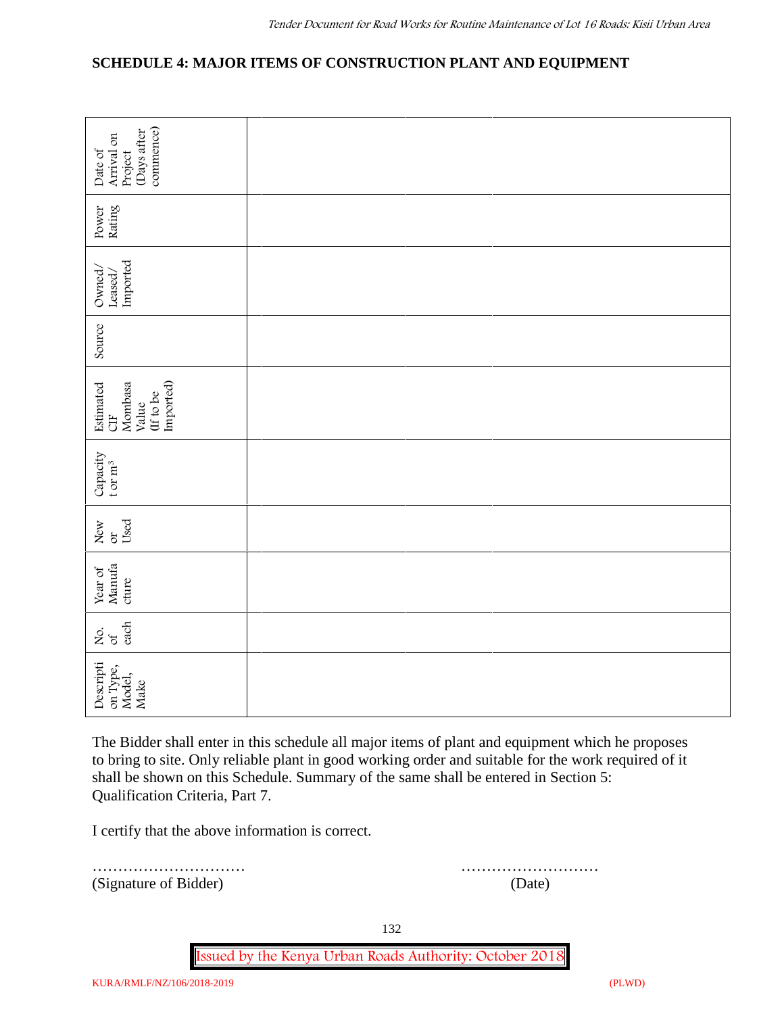### **SCHEDULE 4: MAJOR ITEMS OF CONSTRUCTION PLANT AND EQUIPMENT**

| commence)<br>(Days after<br>Arrival on<br>Date of<br>Project                                                                                                                                                                                                                                                                       |        |  |  |  |
|------------------------------------------------------------------------------------------------------------------------------------------------------------------------------------------------------------------------------------------------------------------------------------------------------------------------------------|--------|--|--|--|
| Rating<br>Power                                                                                                                                                                                                                                                                                                                    |        |  |  |  |
| Imported<br>Owned/<br>$\mathtt{Leased}/$                                                                                                                                                                                                                                                                                           |        |  |  |  |
| Source                                                                                                                                                                                                                                                                                                                             |        |  |  |  |
| Imported)<br>Estimated<br>Mombasa<br>(If to be<br>Value<br><b>UH</b>                                                                                                                                                                                                                                                               |        |  |  |  |
| Capacity<br>t or $m^3$                                                                                                                                                                                                                                                                                                             |        |  |  |  |
| Used<br>New<br>ðr                                                                                                                                                                                                                                                                                                                  |        |  |  |  |
| Manufa<br>Year of<br>cture                                                                                                                                                                                                                                                                                                         |        |  |  |  |
| each<br>Χo.<br>$\sigma$                                                                                                                                                                                                                                                                                                            |        |  |  |  |
| Descripti<br>on Type,<br>Model,<br>Make                                                                                                                                                                                                                                                                                            |        |  |  |  |
| The Bidder shall enter in this schedule all major items of plant and equipment which he proposes<br>to bring to site. Only reliable plant in good working order and suitable for the work required of it<br>shall be shown on this Schedule. Summary of the same shall be entered in Section 5:<br>Qualification Criteria, Part 7. |        |  |  |  |
| I certify that the above information is correct.                                                                                                                                                                                                                                                                                   |        |  |  |  |
| (Signature of Bidder)                                                                                                                                                                                                                                                                                                              | (Date) |  |  |  |

………………………… ………………………

132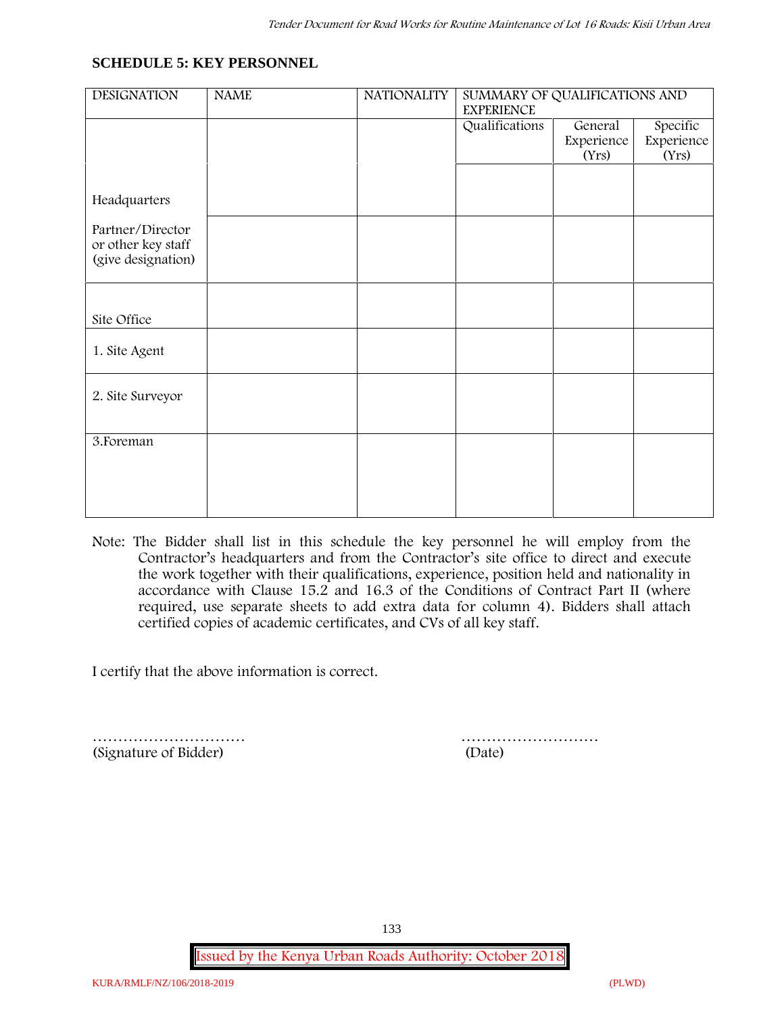#### **SCHEDULE 5: KEY PERSONNEL**

| <b>DESIGNATION</b>                     | <b>NAME</b> | <b>NATIONALITY</b> | SUMMARY OF QUALIFICATIONS AND<br><b>EXPERIENCE</b> |                     |                     |  |
|----------------------------------------|-------------|--------------------|----------------------------------------------------|---------------------|---------------------|--|
|                                        |             |                    | Qualifications                                     | Specific<br>General |                     |  |
|                                        |             |                    |                                                    | Experience<br>(Yrs) | Experience<br>(Yrs) |  |
|                                        |             |                    |                                                    |                     |                     |  |
|                                        |             |                    |                                                    |                     |                     |  |
| Headquarters                           |             |                    |                                                    |                     |                     |  |
| Partner/Director<br>or other key staff |             |                    |                                                    |                     |                     |  |
| (give designation)                     |             |                    |                                                    |                     |                     |  |
|                                        |             |                    |                                                    |                     |                     |  |
| Site Office                            |             |                    |                                                    |                     |                     |  |
| 1. Site Agent                          |             |                    |                                                    |                     |                     |  |
| 2. Site Surveyor                       |             |                    |                                                    |                     |                     |  |
| 3. Foreman                             |             |                    |                                                    |                     |                     |  |
|                                        |             |                    |                                                    |                     |                     |  |
|                                        |             |                    |                                                    |                     |                     |  |
|                                        |             |                    |                                                    |                     |                     |  |
|                                        |             |                    |                                                    |                     |                     |  |

**Note:** The Bidder shall list in this schedule the key personnel he will employ from the Contractor's headquarters and from the Contractor's site office to direct and execute the work together with their qualifications, experience, position held and nationality in accordance with Clause 15.2 and 16.3 of the Conditions of Contract Part II (where required, use separate sheets to add extra data for column 4). Bidders shall attach certified copies of academic certificates, and CVs of all key staff.

I certify that the above information is correct.

………………………… ……………………… (Signature of Bidder) (Date)

133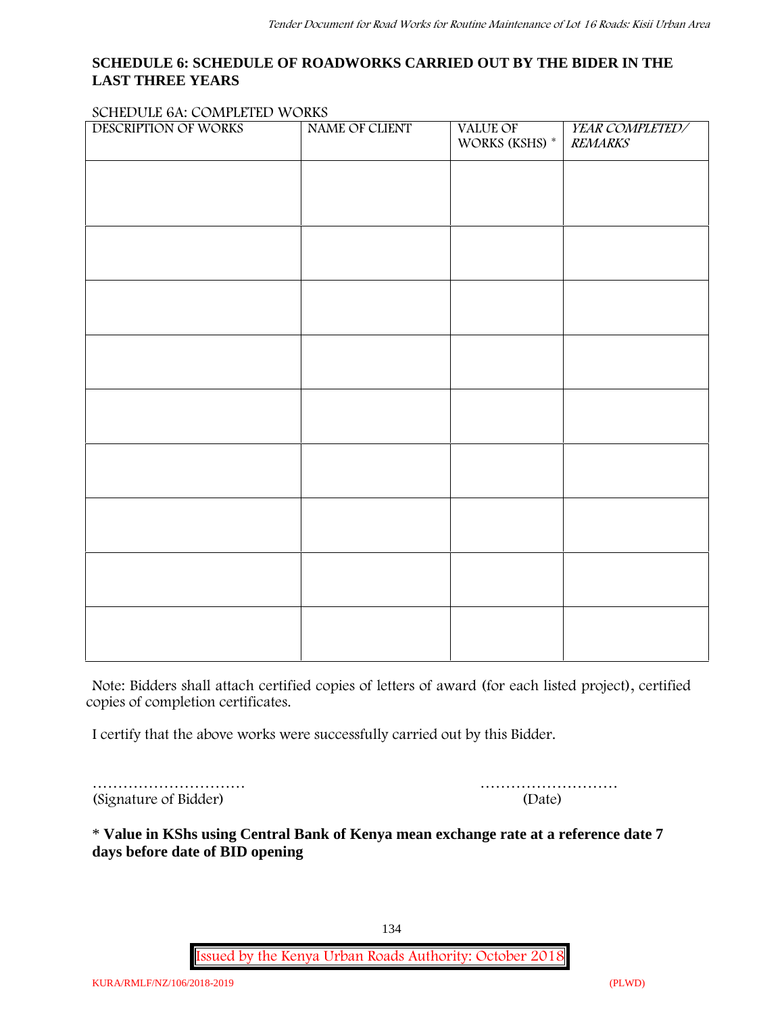#### **SCHEDULE 6: SCHEDULE OF ROADWORKS CARRIED OUT BY THE BIDER IN THE LAST THREE YEARS**

#### **SCHEDULE 6A: COMPLETED WORKS**

| DESCRIPTION OF WORKS | NAME OF CLIENT | VALUE OF<br>WORKS (KSHS) * | YEAR COMPLETED/<br><b>REMARKS</b> |
|----------------------|----------------|----------------------------|-----------------------------------|
|                      |                |                            |                                   |
|                      |                |                            |                                   |
|                      |                |                            |                                   |
|                      |                |                            |                                   |
|                      |                |                            |                                   |
|                      |                |                            |                                   |
|                      |                |                            |                                   |
|                      |                |                            |                                   |
|                      |                |                            |                                   |
|                      |                |                            |                                   |
|                      |                |                            |                                   |
|                      |                |                            |                                   |

**Note:** Bidders shall attach certified copies of letters of award (for each listed project), certified copies of completion certificates.

I certify that the above works were successfully carried out by this Bidder.

………………………… (Signature of Bidder)

|  |  |  |  |  | (Date) |  |  |  |  |  |  |
|--|--|--|--|--|--------|--|--|--|--|--|--|

\* **Value in KShs using Central Bank of Kenya mean exchange rate at a reference date 7 days before date of BID opening**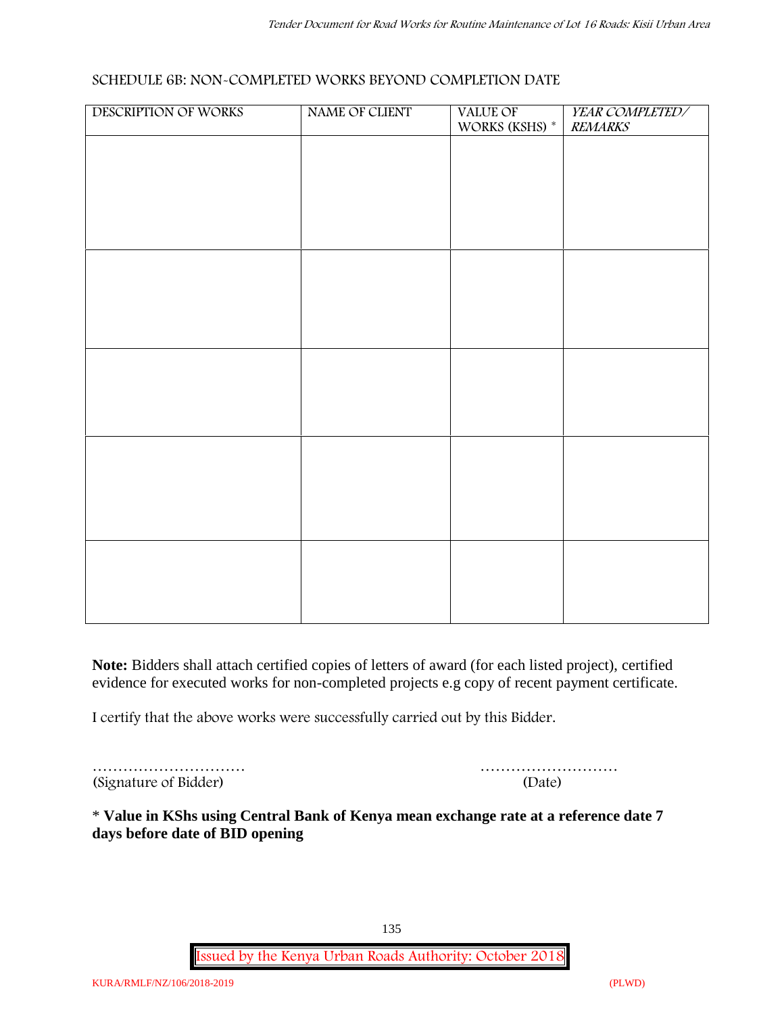#### **SCHEDULE 6B: NON-COMPLETED WORKS BEYOND COMPLETION DATE**

| DESCRIPTION OF WORKS | NAME OF CLIENT | VALUE OF WORKS (KSHS) * | YEAR COMPLETED/<br><b>REMARKS</b> |
|----------------------|----------------|-------------------------|-----------------------------------|
|                      |                |                         |                                   |
|                      |                |                         |                                   |
|                      |                |                         |                                   |
|                      |                |                         |                                   |
|                      |                |                         |                                   |
|                      |                |                         |                                   |
|                      |                |                         |                                   |
|                      |                |                         |                                   |
|                      |                |                         |                                   |
|                      |                |                         |                                   |
|                      |                |                         |                                   |
|                      |                |                         |                                   |
|                      |                |                         |                                   |
|                      |                |                         |                                   |
|                      |                |                         |                                   |
|                      |                |                         |                                   |
|                      |                |                         |                                   |

**Note:** Bidders shall attach certified copies of letters of award (for each listed project), certified evidence for executed works for non-completed projects e.g copy of recent payment certificate.

I certify that the above works were successfully carried out by this Bidder.

| (Signature of Bidder) | (Date) |
|-----------------------|--------|

| (Signature of Bidder) | (Date) |
|-----------------------|--------|

\* **Value in KShs using Central Bank of Kenya mean exchange rate at a reference date 7 days before date of BID opening**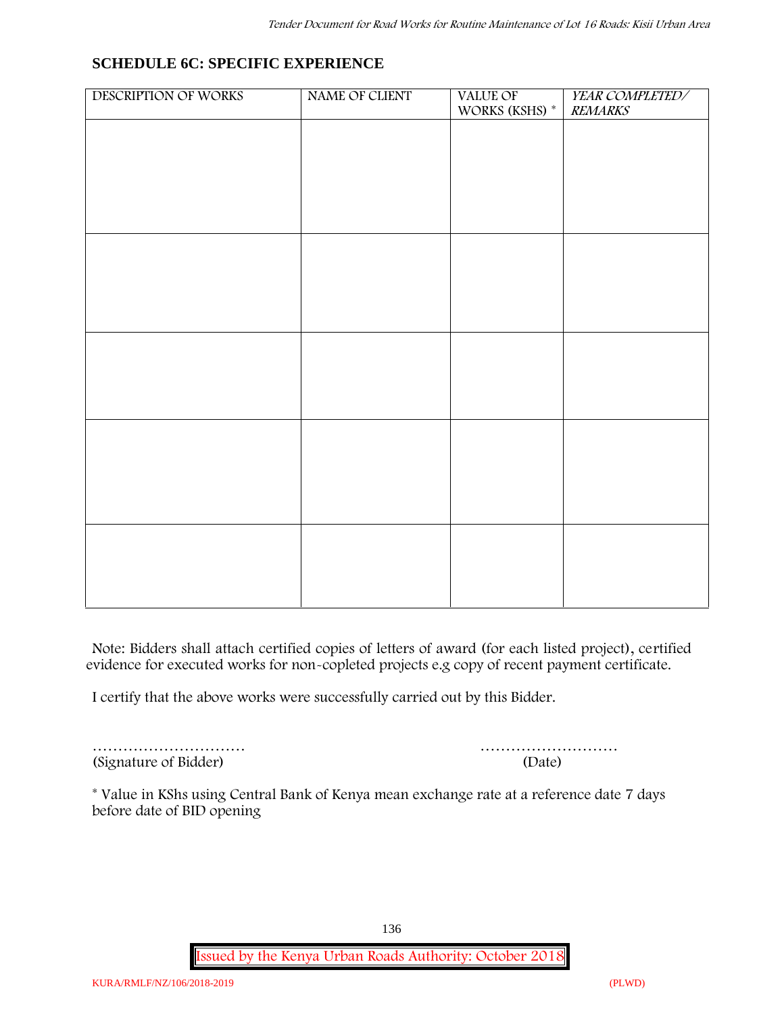## **SCHEDULE 6C: SPECIFIC EXPERIENCE**

| DESCRIPTION OF WORKS | NAME OF CLIENT | VALUE OF<br>WORKS (KSHS) * | YEAR COMPLETED/<br><b>REMARKS</b> |
|----------------------|----------------|----------------------------|-----------------------------------|
|                      |                |                            |                                   |
|                      |                |                            |                                   |
|                      |                |                            |                                   |
|                      |                |                            |                                   |
|                      |                |                            |                                   |
|                      |                |                            |                                   |
|                      |                |                            |                                   |
|                      |                |                            |                                   |
|                      |                |                            |                                   |
|                      |                |                            |                                   |
|                      |                |                            |                                   |
|                      |                |                            |                                   |
|                      |                |                            |                                   |
|                      |                |                            |                                   |
|                      |                |                            |                                   |
|                      |                |                            |                                   |
|                      |                |                            |                                   |

**Note:** Bidders shall attach certified copies of letters of award (for each listed project), certified evidence for executed works for non-copleted projects e.g copy of recent payment certificate.

I certify that the above works were successfully carried out by this Bidder.

(Signature of Bidder) (Date)

………………………… ………………………

\* **Value in KShs using Central Bank of Kenya mean exchange rate at a reference date 7 days before date of BID opening**

136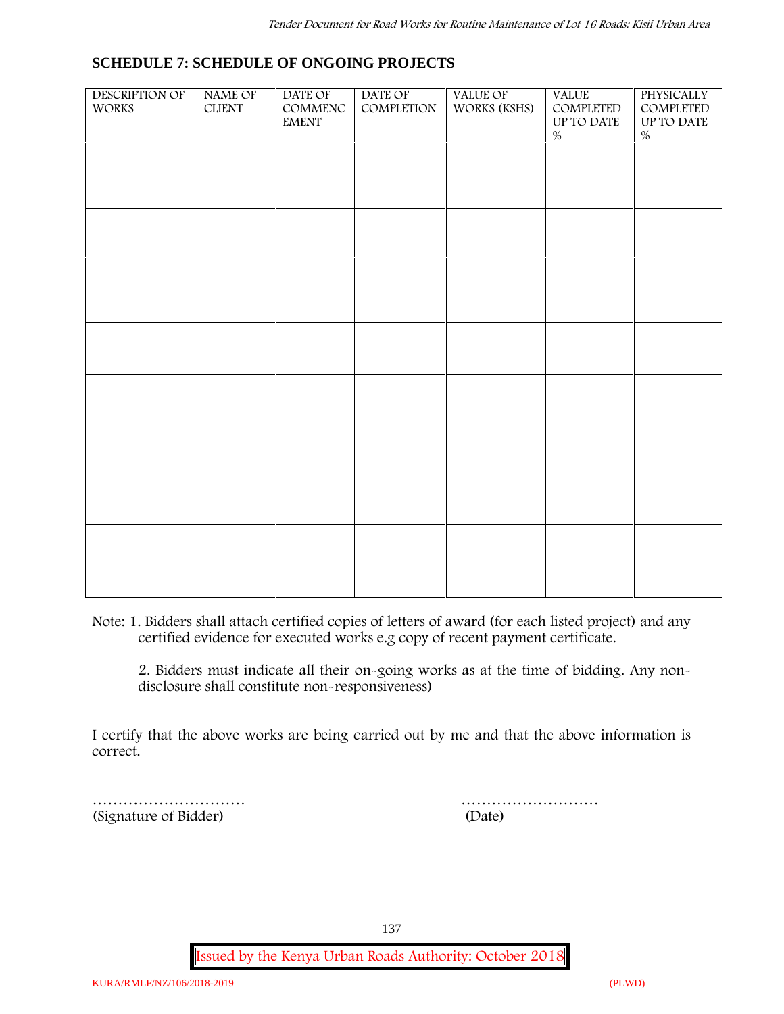#### **SCHEDULE 7: SCHEDULE OF ONGOING PROJECTS**

| DESCRIPTION OF<br><b>WORKS</b> | NAME OF<br><b>CLIENT</b> | DATE OF<br>$\mathsf{COMMENC}$<br><b>EMENT</b> | DATE OF<br>COMPLETION | VALUE OF<br>WORKS (KSHS) | <b>VALUE</b><br>COMPLETED<br>UP TO DATE<br>$\%$ | PHYSICALLY<br>COMPLETED<br>UP TO DATE<br>$\%$ |  |
|--------------------------------|--------------------------|-----------------------------------------------|-----------------------|--------------------------|-------------------------------------------------|-----------------------------------------------|--|
|                                |                          |                                               |                       |                          |                                                 |                                               |  |
|                                |                          |                                               |                       |                          |                                                 |                                               |  |
|                                |                          |                                               |                       |                          |                                                 |                                               |  |
|                                |                          |                                               |                       |                          |                                                 |                                               |  |
|                                |                          |                                               |                       |                          |                                                 |                                               |  |
|                                |                          |                                               |                       |                          |                                                 |                                               |  |
|                                |                          |                                               |                       |                          |                                                 |                                               |  |
|                                |                          |                                               |                       |                          |                                                 |                                               |  |
|                                |                          |                                               |                       |                          |                                                 |                                               |  |

**Note:** 1. Bidders shall attach certified copies of letters of award (for each listed project) and any certified evidence for executed works e.g copy of recent payment certificate.

2. Bidders must indicate all their on-going works as at the time of bidding. Any non disclosure shall constitute non-responsiveness)

I certify that the above works are being carried out by me and that the above information is correct.

(Signature of Bidder) (Date)

………………………… ………………………

137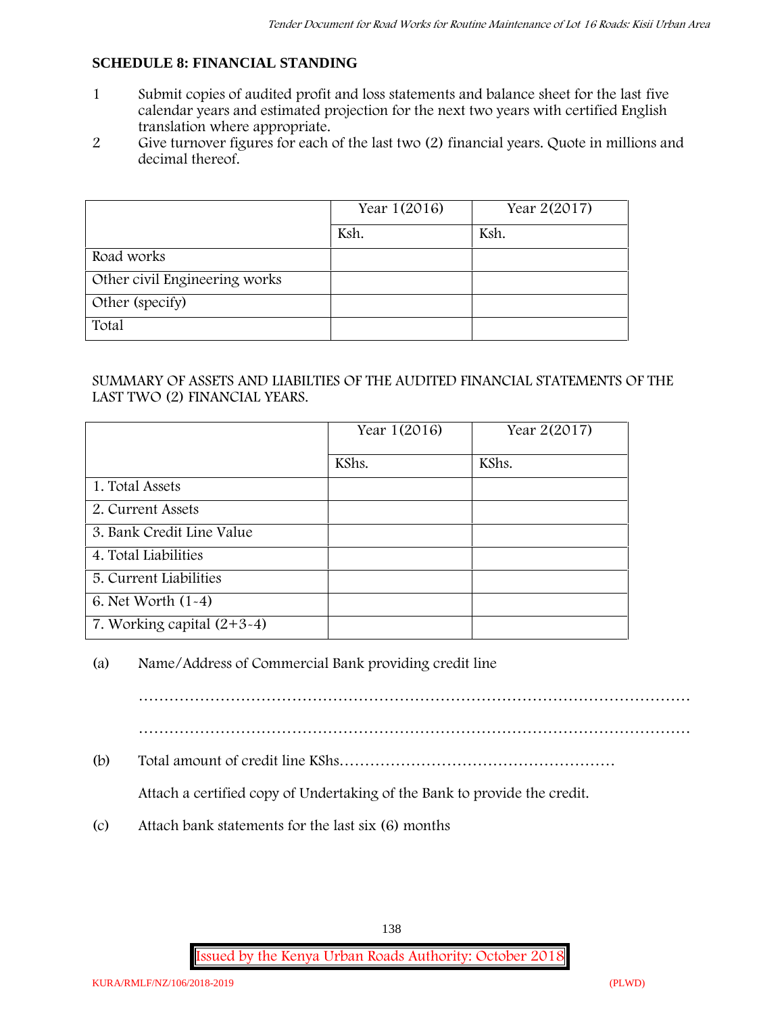#### **SCHEDULE 8: FINANCIAL STANDING**

- 1 Submit copies of audited profit and loss statements and balance sheet for the last five calendar years and estimated projection for the next two years with certified English translation where appropriate.
- 2 Give turnover figures for each of the last two (2) financial years. Quote in millions and decimal thereof.

|                               | Year 1(2016) | Year 2(2017) |
|-------------------------------|--------------|--------------|
|                               | Ksh.         | Ksh.         |
| Road works                    |              |              |
| Other civil Engineering works |              |              |
| Other (specify)               |              |              |
| Total                         |              |              |

#### SUMMARY OF ASSETS AND LIABILTIES OF THE AUDITED FINANCIAL STATEMENTS OF THE LAST TWO (2) FINANCIAL YEARS.

|                              | Year 1(2016) | Year 2(2017) |
|------------------------------|--------------|--------------|
|                              | KShs.        | KShs.        |
| 1. Total Assets              |              |              |
| 2. Current Assets            |              |              |
| 3. Bank Credit Line Value    |              |              |
| 4. Total Liabilities         |              |              |
| 5. Current Liabilities       |              |              |
| 6. Net Worth (1-4)           |              |              |
| 7. Working capital $(2+3-4)$ |              |              |

#### (a) Name/Address of Commercial Bank providing credit line

………………………………………………………………………………………………

(b) Total amount of credit line KShs………………………………………………

Attach a certified copy of Undertaking of the Bank to provide the credit.

(c) Attach bank statements for the last six (6) months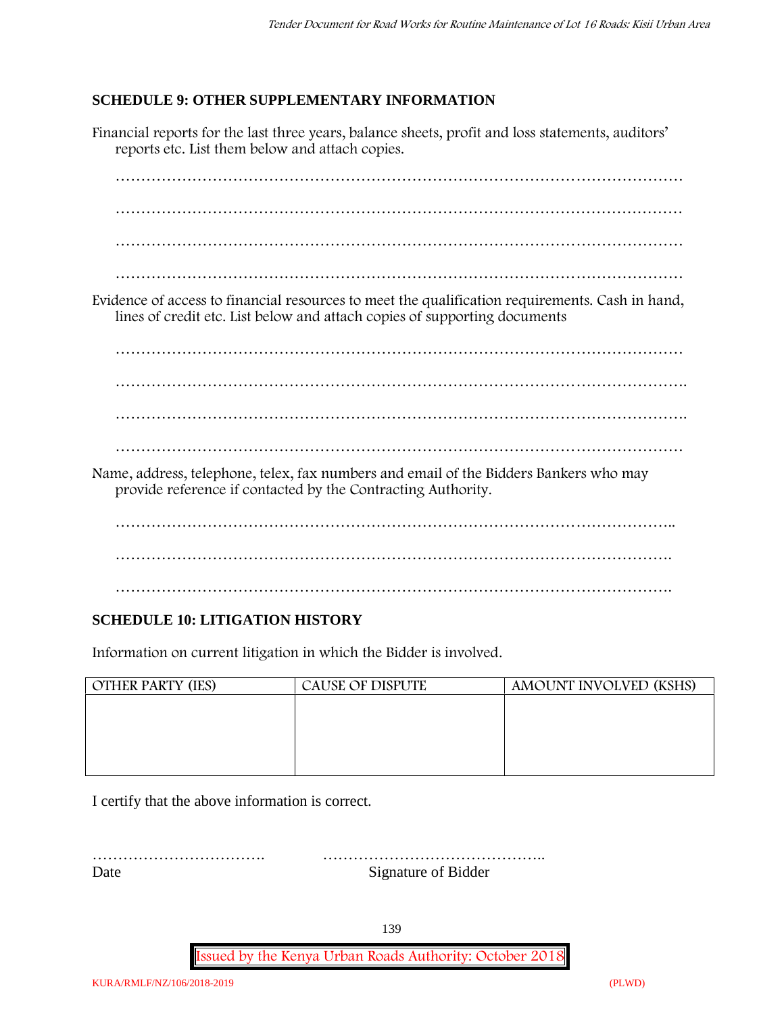#### **SCHEDULE 9: OTHER SUPPLEMENTARY INFORMATION**

Financial reports for the last three years, balance sheets, profit and loss statements, auditors' reports etc. List them below and attach copies. ………………………………………………………………………………………………… ………………………………………………………………………………………………… ………………………………………………………………………………………………… ………………………………………………………………………………………………… Evidence of access to financial resources to meet the qualification requirements. Cash in hand, lines of credit etc. List below and attach copies of supporting documents ………………………………………………………………………………………………… …………………………………………………………………………………………………. …………………………………………………………………………………………………. ………………………………………………………………………………………………… Name, address, telephone, telex, fax numbers and email of the Bidders Bankers who may provide reference if contacted by the Contracting Authority. ……………………………………………………………………………………………….. ………………………………………………………………………………………………. ……………………………………………………………………………………………….

### **SCHEDULE 10: LITIGATION HISTORY**

Information on current litigation in which the Bidder is involved.

| <b>OTHER PARTY (IES)</b> | <b>CAUSE OF DISPUTE</b> | AMOUNT INVOLVED (KSHS) |
|--------------------------|-------------------------|------------------------|
|                          |                         |                        |
|                          |                         |                        |
|                          |                         |                        |
|                          |                         |                        |
|                          |                         |                        |

I certify that the above information is correct.

……………………………. …………………………………….. Date Signature of Bidder

139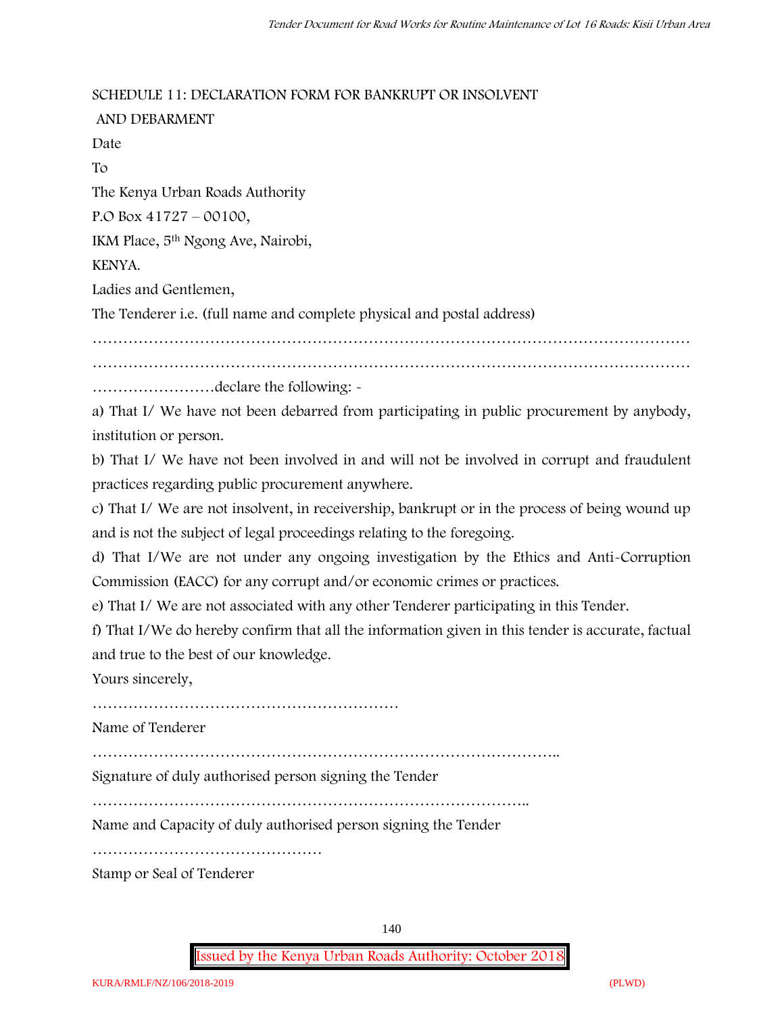#### **SCHEDULE 11: DECLARATION FORM FOR BANKRUPT OR INSOLVENT**

**AND DEBARMENT** Date To The Kenya Urban Roads Authority P.O Box 41727 – 00100, IKM Place, 5th Ngong Ave, Nairobi, KENYA. Ladies and Gentlemen, The Tenderer i.e. (full name and complete physical and postal address) ……………………………………………………………………………………………………… ………………………………………………………………………………………………………

……………………declare the following: -

a) That I/ We have not been debarred from participating in public procurement by anybody, institution or person.

b) That I/ We have not been involved in and will not be involved in corrupt and fraudulent practices regarding public procurement anywhere.

c) That I/ We are not insolvent, in receivership, bankrupt or in the process of being wound up and is not the subject of legal proceedings relating to the foregoing.

d) That I/We are not under any ongoing investigation by the Ethics and Anti-Corruption Commission (EACC) for any corrupt and/or economic crimes or practices.

e) That I/ We are not associated with any other Tenderer participating in this Tender.

f) That I/We do hereby confirm that all the information given in this tender is accurate, factual and true to the best of our knowledge.

Yours sincerely,

……………………………………………………

Name of Tenderer

………………………………………………………………………………..

Signature of duly authorised person signing the Tender

…………………………………………………………………………..

Name and Capacity of duly authorised person signing the Tender

………………………………………

Stamp or Seal of Tenderer

140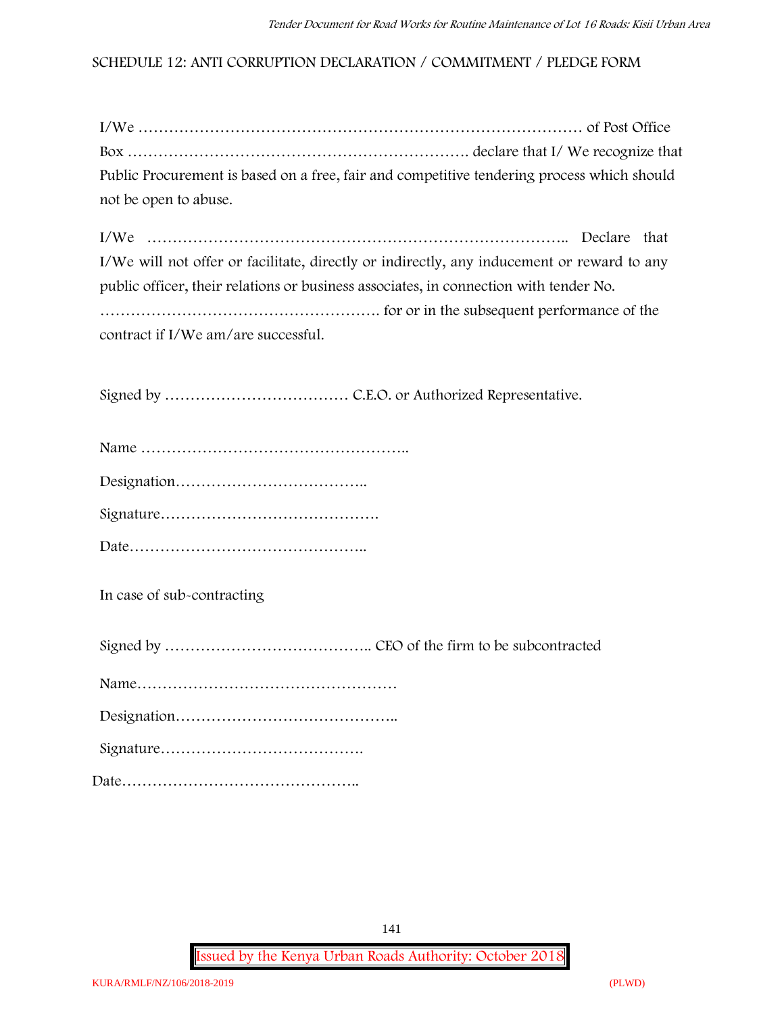#### **SCHEDULE 12: ANTI CORRUPTION DECLARATION / COMMITMENT / PLEDGE FORM**

| Public Procurement is based on a free, fair and competitive tendering process which should |  |
|--------------------------------------------------------------------------------------------|--|
| not be open to abuse.                                                                      |  |

I/We ……………………………………………………………………….. Declare that I/We will not offer or facilitate, directly or indirectly, any inducement or reward to any public officer, their relations or business associates, in connection with tender No. ………………………………………………. for or in the subsequent performance of the contract if I/We am/are successful.

Signed by ……………………………… C.E.O. or Authorized Representative.

**In case of sub-contracting**

Signed by ………………………………….. CEO of the firm to be subcontracted

|--|

Signature………………………………….

Date………………………………………..

141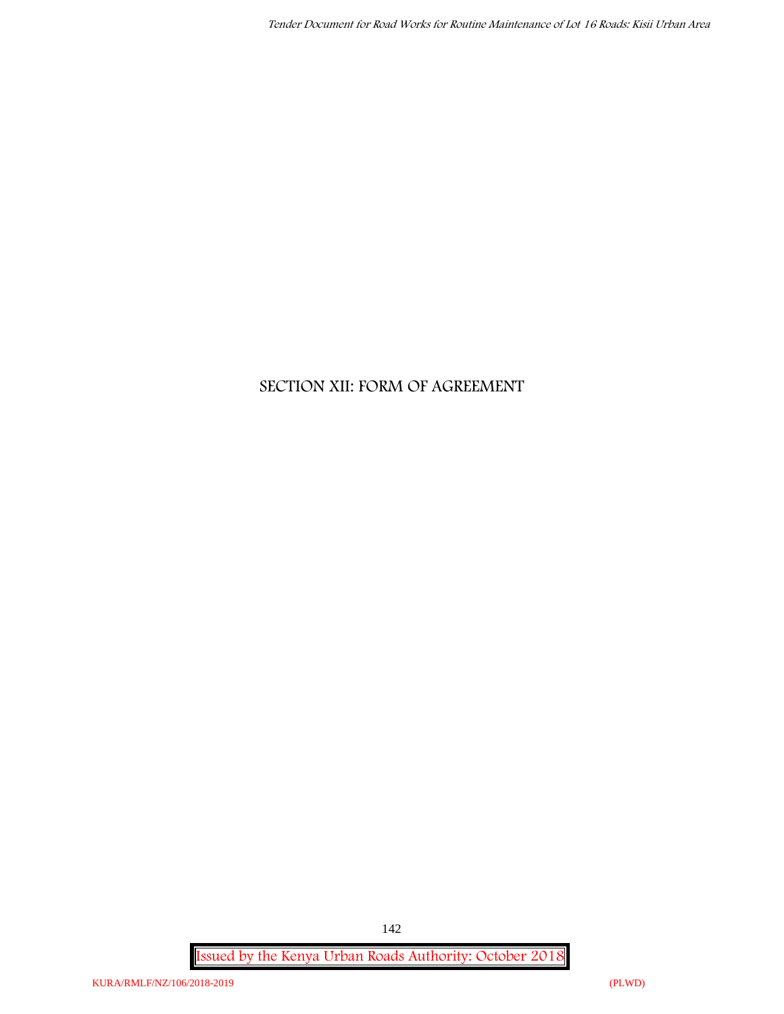# **SECTION XII: FORM OF AGREEMENT**

**Issued by the Kenya Urban Roads Authority: October 2018**

142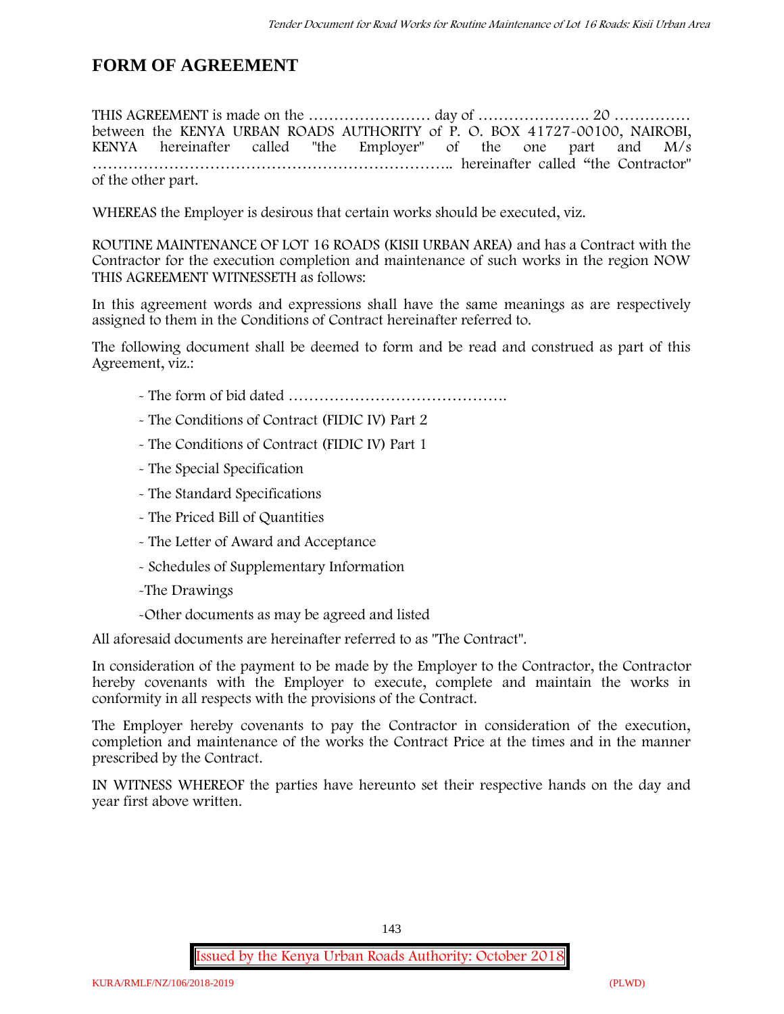# **FORM OF AGREEMENT**

THIS AGREEMENT is made on the …………………… day of …………………. 20 …………… between the **KENYA URBAN ROADS AUTHORITY** of **P. O. BOX 41727-00100, NAIROBI, KENYA** hereinafter called "the Employer" of the one part and **M/s ……………………………………………………………..** hereinafter called "the Contractor" of the other part.

WHEREAS the Employer is desirous that certain works should be executed, viz.

**ROUTINE MAINTENANCE OF LOT 16 ROADS (KISII URBAN AREA)** and has a Contract with the Contractor for the execution completion and maintenance of such works in the region NOW THIS AGREEMENT WITNESSETH as follows:

In this agreement words and expressions shall have the same meanings as are respectively assigned to them in the Conditions of Contract hereinafter referred to.

The following document shall be deemed to form and be read and construed as part of this Agreement, viz.:

- The form of bid dated **…………………………………….**
- The Conditions of Contract (FIDIC IV) Part 2
- The Conditions of Contract (FIDIC IV) Part 1
- The Special Specification
- The Standard Specifications
- The Priced Bill of Quantities
- The Letter of Award and Acceptance
- Schedules of Supplementary Information
- -The Drawings
- -Other documents as may be agreed and listed

All aforesaid documents are hereinafter referred to as "The Contract".

In consideration of the payment to be made by the Employer to the Contractor, the Contractor hereby covenants with the Employer to execute, complete and maintain the works in conformity in all respects with the provisions of the Contract.

The Employer hereby covenants to pay the Contractor in consideration of the execution, completion and maintenance of the works the Contract Price at the times and in the manner prescribed by the Contract.

IN WITNESS WHEREOF the parties have hereunto set their respective hands on the day and year first above written.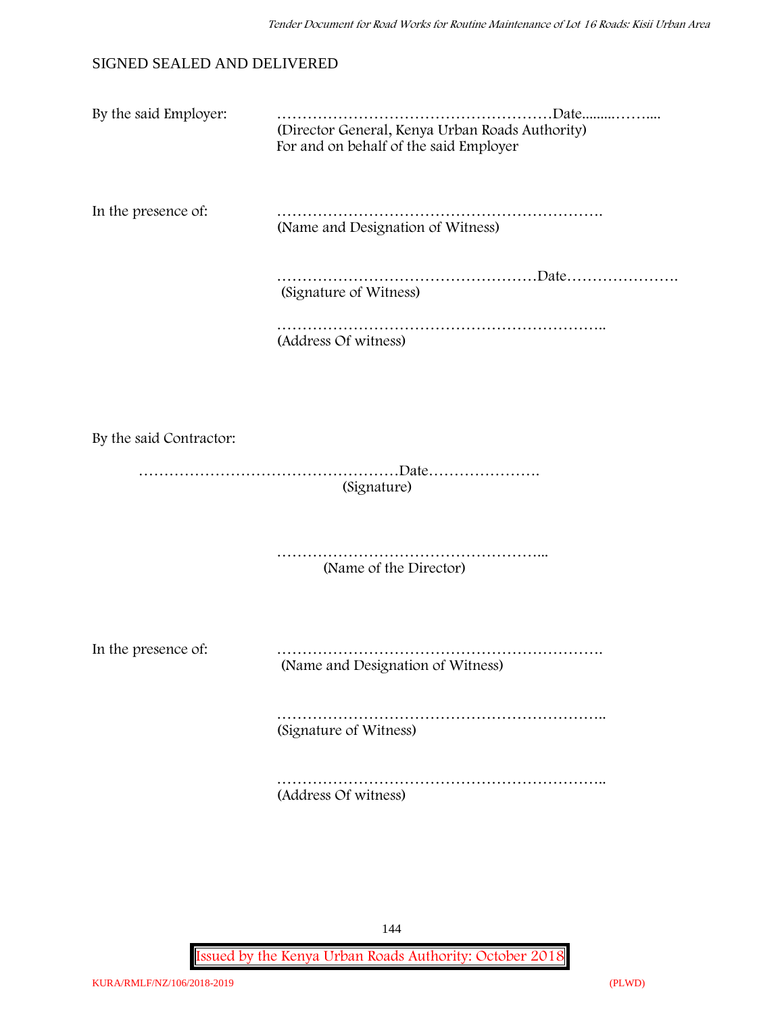## SIGNED SEALED AND DELIVERED

| By the said Employer: |                                                                                           |
|-----------------------|-------------------------------------------------------------------------------------------|
|                       | (Director General, Kenya Urban Roads Authority)<br>For and on behalf of the said Employer |

In the presence of: ………………………………………………………. (Name and Designation of Witness)

> ……………………………………………………Date………………… (Signature of Witness)

……………………………………………………….. (Address Of witness)

By the said Contractor:

……………………………………………Date…………………. (Signature)

> …………………………………………………………… (Name of the Director)

In the presence of: ……………………………………………………….

(Name and Designation of Witness)

………………………………………………………………… (Signature of Witness)

……………………………………………………………………… (Address Of witness)

144

**Issued by the Kenya Urban Roads Authority: October 2018**